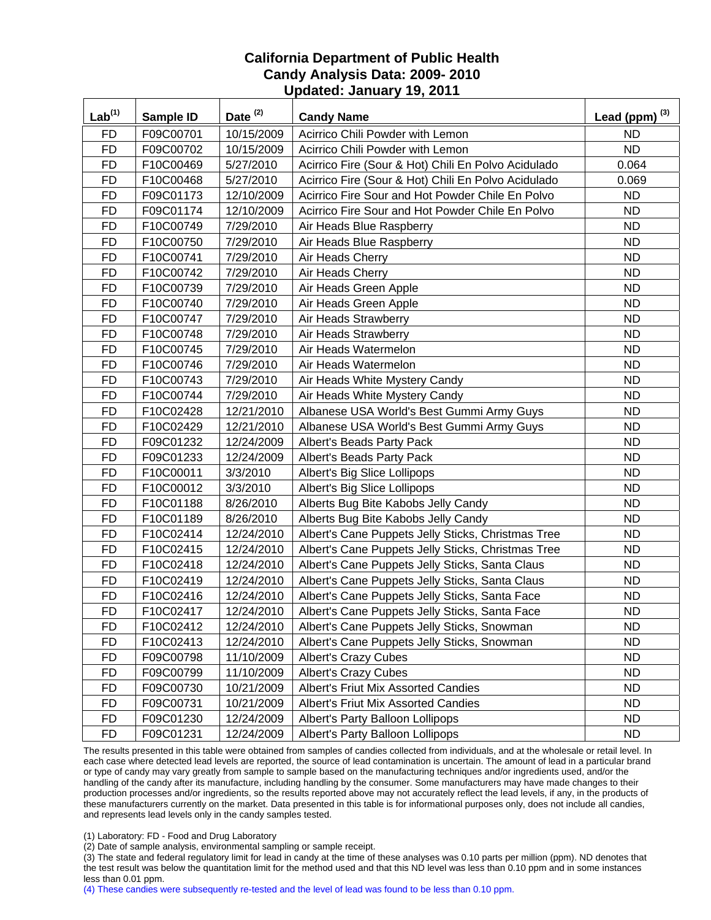| Lab <sup>(1)</sup> | Sample ID | Date $(2)$ | <b>Candy Name</b>                                   | Lead (ppm) $^{(3)}$ |
|--------------------|-----------|------------|-----------------------------------------------------|---------------------|
| <b>FD</b>          | F09C00701 | 10/15/2009 | Acirrico Chili Powder with Lemon                    | <b>ND</b>           |
| <b>FD</b>          | F09C00702 | 10/15/2009 | Acirrico Chili Powder with Lemon                    | <b>ND</b>           |
| <b>FD</b>          | F10C00469 | 5/27/2010  | Acirrico Fire (Sour & Hot) Chili En Polvo Acidulado | 0.064               |
| <b>FD</b>          | F10C00468 | 5/27/2010  | Acirrico Fire (Sour & Hot) Chili En Polvo Acidulado | 0.069               |
| <b>FD</b>          | F09C01173 | 12/10/2009 | Acirrico Fire Sour and Hot Powder Chile En Polvo    | <b>ND</b>           |
| <b>FD</b>          | F09C01174 | 12/10/2009 | Acirrico Fire Sour and Hot Powder Chile En Polvo    | ND.                 |
| FD                 | F10C00749 | 7/29/2010  | Air Heads Blue Raspberry                            | <b>ND</b>           |
| <b>FD</b>          | F10C00750 | 7/29/2010  | Air Heads Blue Raspberry                            | <b>ND</b>           |
| <b>FD</b>          | F10C00741 | 7/29/2010  | Air Heads Cherry                                    | <b>ND</b>           |
| <b>FD</b>          | F10C00742 | 7/29/2010  | Air Heads Cherry                                    | <b>ND</b>           |
| <b>FD</b>          | F10C00739 | 7/29/2010  | Air Heads Green Apple                               | <b>ND</b>           |
| <b>FD</b>          | F10C00740 | 7/29/2010  | Air Heads Green Apple                               | <b>ND</b>           |
| <b>FD</b>          | F10C00747 | 7/29/2010  | Air Heads Strawberry                                | <b>ND</b>           |
| <b>FD</b>          | F10C00748 | 7/29/2010  | Air Heads Strawberry                                | <b>ND</b>           |
| <b>FD</b>          | F10C00745 | 7/29/2010  | Air Heads Watermelon                                | <b>ND</b>           |
| <b>FD</b>          | F10C00746 | 7/29/2010  | Air Heads Watermelon                                | <b>ND</b>           |
| <b>FD</b>          | F10C00743 | 7/29/2010  | Air Heads White Mystery Candy                       | <b>ND</b>           |
| <b>FD</b>          | F10C00744 | 7/29/2010  | Air Heads White Mystery Candy                       | <b>ND</b>           |
| <b>FD</b>          | F10C02428 | 12/21/2010 | Albanese USA World's Best Gummi Army Guys           | <b>ND</b>           |
| <b>FD</b>          | F10C02429 | 12/21/2010 | Albanese USA World's Best Gummi Army Guys           | <b>ND</b>           |
| <b>FD</b>          | F09C01232 | 12/24/2009 | Albert's Beads Party Pack                           | <b>ND</b>           |
| <b>FD</b>          | F09C01233 | 12/24/2009 | Albert's Beads Party Pack                           | <b>ND</b>           |
| <b>FD</b>          | F10C00011 | 3/3/2010   | Albert's Big Slice Lollipops                        | <b>ND</b>           |
| <b>FD</b>          | F10C00012 | 3/3/2010   | Albert's Big Slice Lollipops                        | <b>ND</b>           |
| <b>FD</b>          | F10C01188 | 8/26/2010  | Alberts Bug Bite Kabobs Jelly Candy                 | <b>ND</b>           |
| <b>FD</b>          | F10C01189 | 8/26/2010  | Alberts Bug Bite Kabobs Jelly Candy                 | <b>ND</b>           |
| <b>FD</b>          | F10C02414 | 12/24/2010 | Albert's Cane Puppets Jelly Sticks, Christmas Tree  | <b>ND</b>           |
| <b>FD</b>          | F10C02415 | 12/24/2010 | Albert's Cane Puppets Jelly Sticks, Christmas Tree  | <b>ND</b>           |
| <b>FD</b>          | F10C02418 | 12/24/2010 | Albert's Cane Puppets Jelly Sticks, Santa Claus     | <b>ND</b>           |
| <b>FD</b>          | F10C02419 | 12/24/2010 | Albert's Cane Puppets Jelly Sticks, Santa Claus     | <b>ND</b>           |
| <b>FD</b>          | F10C02416 | 12/24/2010 | Albert's Cane Puppets Jelly Sticks, Santa Face      | <b>ND</b>           |
| <b>FD</b>          | F10C02417 | 12/24/2010 | Albert's Cane Puppets Jelly Sticks, Santa Face      | <b>ND</b>           |
| <b>FD</b>          | F10C02412 | 12/24/2010 | Albert's Cane Puppets Jelly Sticks, Snowman         | <b>ND</b>           |
| <b>FD</b>          | F10C02413 | 12/24/2010 | Albert's Cane Puppets Jelly Sticks, Snowman         | <b>ND</b>           |
| <b>FD</b>          | F09C00798 | 11/10/2009 | <b>Albert's Crazy Cubes</b>                         | ND.                 |
| <b>FD</b>          | F09C00799 | 11/10/2009 | <b>Albert's Crazy Cubes</b>                         | <b>ND</b>           |
| <b>FD</b>          | F09C00730 | 10/21/2009 | Albert's Friut Mix Assorted Candies                 | <b>ND</b>           |
| <b>FD</b>          | F09C00731 | 10/21/2009 | <b>Albert's Friut Mix Assorted Candies</b>          | <b>ND</b>           |
| <b>FD</b>          | F09C01230 | 12/24/2009 | Albert's Party Balloon Lollipops                    | <b>ND</b>           |
| FD                 | F09C01231 | 12/24/2009 | Albert's Party Balloon Lollipops                    | ND.                 |

The results presented in this table were obtained from samples of candies collected from individuals, and at the wholesale or retail level. In each case where detected lead levels are reported, the source of lead contamination is uncertain. The amount of lead in a particular brand or type of candy may vary greatly from sample to sample based on the manufacturing techniques and/or ingredients used, and/or the handling of the candy after its manufacture, including handling by the consumer. Some manufacturers may have made changes to their production processes and/or ingredients, so the results reported above may not accurately reflect the lead levels, if any, in the products of these manufacturers currently on the market. Data presented in this table is for informational purposes only, does not include all candies, and represents lead levels only in the candy samples tested.

(1) Laboratory: FD - Food and Drug Laboratory

(2) Date of sample analysis, environmental sampling or sample receipt.

(3) The state and federal regulatory limit for lead in candy at the time of these analyses was 0.10 parts per million (ppm). ND denotes that the test result was below the quantitation limit for the method used and that this ND level was less than 0.10 ppm and in some instances less than 0.01 ppm.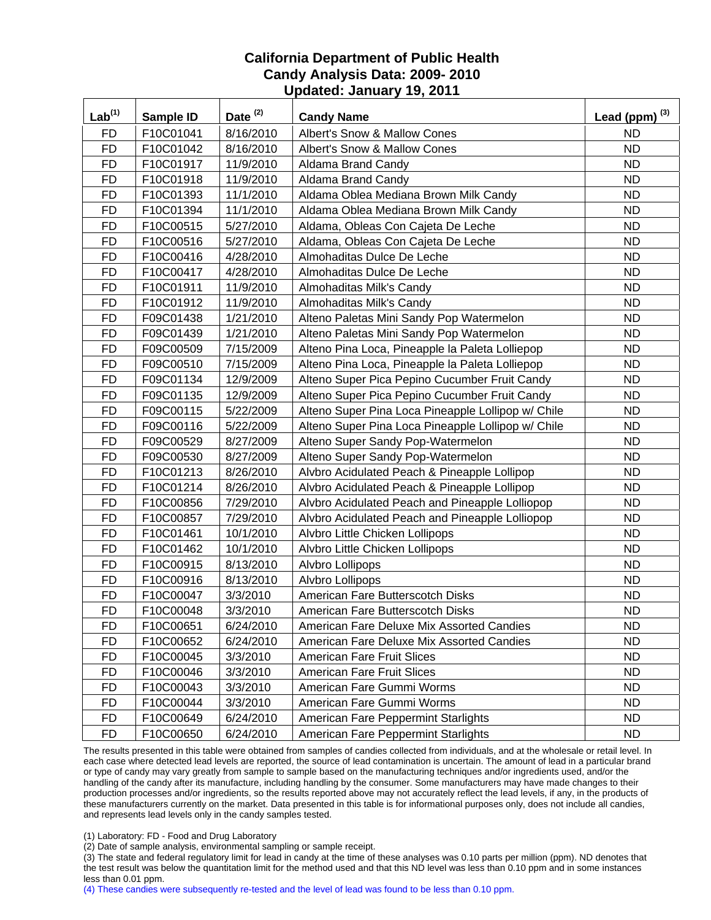| Lab <sup>(1)</sup> | Sample ID | Date <sup>(2)</sup> | <b>Candy Name</b>                                  | Lead (ppm) $^{(3)}$ |
|--------------------|-----------|---------------------|----------------------------------------------------|---------------------|
| <b>FD</b>          | F10C01041 | 8/16/2010           | Albert's Snow & Mallow Cones                       | <b>ND</b>           |
| <b>FD</b>          | F10C01042 | 8/16/2010           | Albert's Snow & Mallow Cones                       | <b>ND</b>           |
| <b>FD</b>          | F10C01917 | 11/9/2010           | Aldama Brand Candy                                 | <b>ND</b>           |
| <b>FD</b>          | F10C01918 | 11/9/2010           | Aldama Brand Candy                                 | <b>ND</b>           |
| <b>FD</b>          | F10C01393 | 11/1/2010           | Aldama Oblea Mediana Brown Milk Candy              | <b>ND</b>           |
| <b>FD</b>          | F10C01394 | 11/1/2010           | Aldama Oblea Mediana Brown Milk Candy              | <b>ND</b>           |
| <b>FD</b>          | F10C00515 | 5/27/2010           | Aldama, Obleas Con Cajeta De Leche                 | <b>ND</b>           |
| <b>FD</b>          | F10C00516 | 5/27/2010           | Aldama, Obleas Con Cajeta De Leche                 | <b>ND</b>           |
| <b>FD</b>          | F10C00416 | 4/28/2010           | Almohaditas Dulce De Leche                         | <b>ND</b>           |
| <b>FD</b>          | F10C00417 | 4/28/2010           | Almohaditas Dulce De Leche                         | <b>ND</b>           |
| <b>FD</b>          | F10C01911 | 11/9/2010           | Almohaditas Milk's Candy                           | <b>ND</b>           |
| <b>FD</b>          | F10C01912 | 11/9/2010           | Almohaditas Milk's Candy                           | <b>ND</b>           |
| <b>FD</b>          | F09C01438 | 1/21/2010           | Alteno Paletas Mini Sandy Pop Watermelon           | <b>ND</b>           |
| <b>FD</b>          | F09C01439 | 1/21/2010           | Alteno Paletas Mini Sandy Pop Watermelon           | <b>ND</b>           |
| <b>FD</b>          | F09C00509 | 7/15/2009           | Alteno Pina Loca, Pineapple la Paleta Lolliepop    | <b>ND</b>           |
| <b>FD</b>          | F09C00510 | 7/15/2009           | Alteno Pina Loca, Pineapple la Paleta Lolliepop    | <b>ND</b>           |
| <b>FD</b>          | F09C01134 | 12/9/2009           | Alteno Super Pica Pepino Cucumber Fruit Candy      | <b>ND</b>           |
| <b>FD</b>          | F09C01135 | 12/9/2009           | Alteno Super Pica Pepino Cucumber Fruit Candy      | <b>ND</b>           |
| <b>FD</b>          | F09C00115 | 5/22/2009           | Alteno Super Pina Loca Pineapple Lollipop w/ Chile | <b>ND</b>           |
| <b>FD</b>          | F09C00116 | 5/22/2009           | Alteno Super Pina Loca Pineapple Lollipop w/ Chile | <b>ND</b>           |
| <b>FD</b>          | F09C00529 | 8/27/2009           | Alteno Super Sandy Pop-Watermelon                  | <b>ND</b>           |
| <b>FD</b>          | F09C00530 | 8/27/2009           | Alteno Super Sandy Pop-Watermelon                  | <b>ND</b>           |
| <b>FD</b>          | F10C01213 | 8/26/2010           | Alvbro Acidulated Peach & Pineapple Lollipop       | <b>ND</b>           |
| <b>FD</b>          | F10C01214 | 8/26/2010           | Alvbro Acidulated Peach & Pineapple Lollipop       | <b>ND</b>           |
| <b>FD</b>          | F10C00856 | 7/29/2010           | Alvbro Acidulated Peach and Pineapple Lolliopop    | <b>ND</b>           |
| <b>FD</b>          | F10C00857 | 7/29/2010           | Alvbro Acidulated Peach and Pineapple Lolliopop    | <b>ND</b>           |
| <b>FD</b>          | F10C01461 | 10/1/2010           | Alvbro Little Chicken Lollipops                    | <b>ND</b>           |
| <b>FD</b>          | F10C01462 | 10/1/2010           | Alvbro Little Chicken Lollipops                    | <b>ND</b>           |
| <b>FD</b>          | F10C00915 | 8/13/2010           | Alvbro Lollipops                                   | <b>ND</b>           |
| <b>FD</b>          | F10C00916 | 8/13/2010           | Alvbro Lollipops                                   | <b>ND</b>           |
| <b>FD</b>          | F10C00047 | 3/3/2010            | American Fare Butterscotch Disks                   | <b>ND</b>           |
| <b>FD</b>          | F10C00048 | 3/3/2010            | American Fare Butterscotch Disks                   | <b>ND</b>           |
| FD                 | F10C00651 | 6/24/2010           | American Fare Deluxe Mix Assorted Candies          | ND.                 |
| <b>FD</b>          | F10C00652 | 6/24/2010           | American Fare Deluxe Mix Assorted Candies          | <b>ND</b>           |
| <b>FD</b>          | F10C00045 | 3/3/2010            | American Fare Fruit Slices                         | <b>ND</b>           |
| <b>FD</b>          | F10C00046 | 3/3/2010            | American Fare Fruit Slices                         | ND.                 |
| <b>FD</b>          | F10C00043 | 3/3/2010            | American Fare Gummi Worms                          | <b>ND</b>           |
| <b>FD</b>          | F10C00044 | 3/3/2010            | American Fare Gummi Worms                          | <b>ND</b>           |
| <b>FD</b>          | F10C00649 | 6/24/2010           | American Fare Peppermint Starlights                | <b>ND</b>           |
| <b>FD</b>          | F10C00650 | 6/24/2010           | American Fare Peppermint Starlights                | <b>ND</b>           |

The results presented in this table were obtained from samples of candies collected from individuals, and at the wholesale or retail level. In each case where detected lead levels are reported, the source of lead contamination is uncertain. The amount of lead in a particular brand or type of candy may vary greatly from sample to sample based on the manufacturing techniques and/or ingredients used, and/or the handling of the candy after its manufacture, including handling by the consumer. Some manufacturers may have made changes to their production processes and/or ingredients, so the results reported above may not accurately reflect the lead levels, if any, in the products of these manufacturers currently on the market. Data presented in this table is for informational purposes only, does not include all candies, and represents lead levels only in the candy samples tested.

(1) Laboratory: FD - Food and Drug Laboratory

(2) Date of sample analysis, environmental sampling or sample receipt.

(3) The state and federal regulatory limit for lead in candy at the time of these analyses was 0.10 parts per million (ppm). ND denotes that the test result was below the quantitation limit for the method used and that this ND level was less than 0.10 ppm and in some instances less than 0.01 ppm.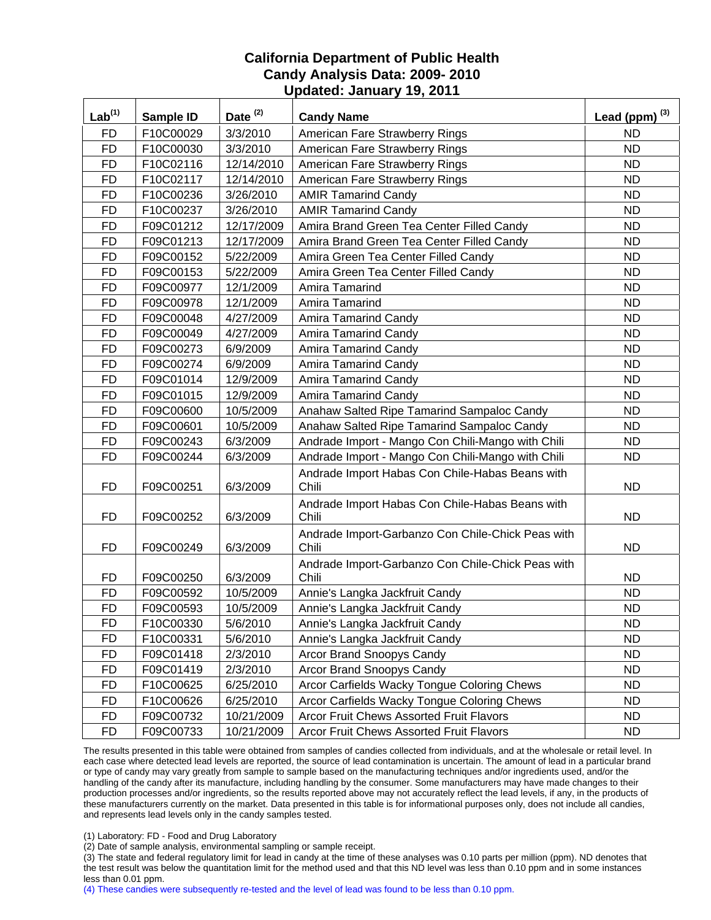| Lab <sup>(1)</sup> | Sample ID | Date $(2)$ | <b>Candy Name</b>                                          | Lead (ppm) $^{(3)}$ |
|--------------------|-----------|------------|------------------------------------------------------------|---------------------|
| <b>FD</b>          | F10C00029 | 3/3/2010   | American Fare Strawberry Rings                             | <b>ND</b>           |
| <b>FD</b>          | F10C00030 | 3/3/2010   | American Fare Strawberry Rings                             | <b>ND</b>           |
| <b>FD</b>          | F10C02116 | 12/14/2010 | American Fare Strawberry Rings                             | <b>ND</b>           |
| <b>FD</b>          | F10C02117 | 12/14/2010 | American Fare Strawberry Rings                             | <b>ND</b>           |
| <b>FD</b>          | F10C00236 | 3/26/2010  | <b>AMIR Tamarind Candy</b>                                 | <b>ND</b>           |
| <b>FD</b>          | F10C00237 | 3/26/2010  | <b>AMIR Tamarind Candy</b>                                 | ND                  |
| <b>FD</b>          | F09C01212 | 12/17/2009 | Amira Brand Green Tea Center Filled Candy                  | <b>ND</b>           |
| <b>FD</b>          | F09C01213 | 12/17/2009 | Amira Brand Green Tea Center Filled Candy                  | <b>ND</b>           |
| <b>FD</b>          | F09C00152 | 5/22/2009  | Amira Green Tea Center Filled Candy                        | <b>ND</b>           |
| <b>FD</b>          | F09C00153 | 5/22/2009  | Amira Green Tea Center Filled Candy                        | <b>ND</b>           |
| <b>FD</b>          | F09C00977 | 12/1/2009  | Amira Tamarind                                             | <b>ND</b>           |
| <b>FD</b>          | F09C00978 | 12/1/2009  | Amira Tamarind                                             | <b>ND</b>           |
| <b>FD</b>          | F09C00048 | 4/27/2009  | Amira Tamarind Candy                                       | <b>ND</b>           |
| <b>FD</b>          | F09C00049 | 4/27/2009  | <b>Amira Tamarind Candy</b>                                | <b>ND</b>           |
| <b>FD</b>          | F09C00273 | 6/9/2009   | <b>Amira Tamarind Candy</b>                                | <b>ND</b>           |
| <b>FD</b>          | F09C00274 | 6/9/2009   | <b>Amira Tamarind Candy</b>                                | <b>ND</b>           |
| <b>FD</b>          | F09C01014 | 12/9/2009  | <b>Amira Tamarind Candy</b>                                | <b>ND</b>           |
| <b>FD</b>          | F09C01015 | 12/9/2009  | <b>Amira Tamarind Candy</b>                                | <b>ND</b>           |
| <b>FD</b>          | F09C00600 | 10/5/2009  | Anahaw Salted Ripe Tamarind Sampaloc Candy                 | <b>ND</b>           |
| <b>FD</b>          | F09C00601 | 10/5/2009  | Anahaw Salted Ripe Tamarind Sampaloc Candy                 | <b>ND</b>           |
| <b>FD</b>          | F09C00243 | 6/3/2009   | Andrade Import - Mango Con Chili-Mango with Chili          | <b>ND</b>           |
| <b>FD</b>          | F09C00244 | 6/3/2009   | Andrade Import - Mango Con Chili-Mango with Chili          | <b>ND</b>           |
| FD                 | F09C00251 | 6/3/2009   | Andrade Import Habas Con Chile-Habas Beans with<br>Chili   | <b>ND</b>           |
| <b>FD</b>          | F09C00252 | 6/3/2009   | Andrade Import Habas Con Chile-Habas Beans with<br>Chili   | <b>ND</b>           |
| <b>FD</b>          | F09C00249 | 6/3/2009   | Andrade Import-Garbanzo Con Chile-Chick Peas with<br>Chili | <b>ND</b>           |
| <b>FD</b>          | F09C00250 | 6/3/2009   | Andrade Import-Garbanzo Con Chile-Chick Peas with<br>Chili | <b>ND</b>           |
| <b>FD</b>          | F09C00592 | 10/5/2009  | Annie's Langka Jackfruit Candy                             | <b>ND</b>           |
| <b>FD</b>          | F09C00593 | 10/5/2009  | Annie's Langka Jackfruit Candy                             | <b>ND</b>           |
| <b>FD</b>          | F10C00330 | 5/6/2010   | Annie's Langka Jackfruit Candy                             | <b>ND</b>           |
| FD                 | F10C00331 | 5/6/2010   | Annie's Langka Jackfruit Candy                             | <b>ND</b>           |
| <b>FD</b>          | F09C01418 | 2/3/2010   | Arcor Brand Snoopys Candy                                  | <b>ND</b>           |
| <b>FD</b>          | F09C01419 | 2/3/2010   | Arcor Brand Snoopys Candy                                  | <b>ND</b>           |
| <b>FD</b>          | F10C00625 | 6/25/2010  | Arcor Carfields Wacky Tongue Coloring Chews                | <b>ND</b>           |
| <b>FD</b>          | F10C00626 | 6/25/2010  | Arcor Carfields Wacky Tongue Coloring Chews                | <b>ND</b>           |
| <b>FD</b>          | F09C00732 | 10/21/2009 | <b>Arcor Fruit Chews Assorted Fruit Flavors</b>            | <b>ND</b>           |
| <b>FD</b>          | F09C00733 | 10/21/2009 | Arcor Fruit Chews Assorted Fruit Flavors                   | ND                  |

The results presented in this table were obtained from samples of candies collected from individuals, and at the wholesale or retail level. In each case where detected lead levels are reported, the source of lead contamination is uncertain. The amount of lead in a particular brand or type of candy may vary greatly from sample to sample based on the manufacturing techniques and/or ingredients used, and/or the handling of the candy after its manufacture, including handling by the consumer. Some manufacturers may have made changes to their production processes and/or ingredients, so the results reported above may not accurately reflect the lead levels, if any, in the products of these manufacturers currently on the market. Data presented in this table is for informational purposes only, does not include all candies, and represents lead levels only in the candy samples tested.

(1) Laboratory: FD - Food and Drug Laboratory

(2) Date of sample analysis, environmental sampling or sample receipt.

(3) The state and federal regulatory limit for lead in candy at the time of these analyses was 0.10 parts per million (ppm). ND denotes that the test result was below the quantitation limit for the method used and that this ND level was less than 0.10 ppm and in some instances less than 0.01 ppm.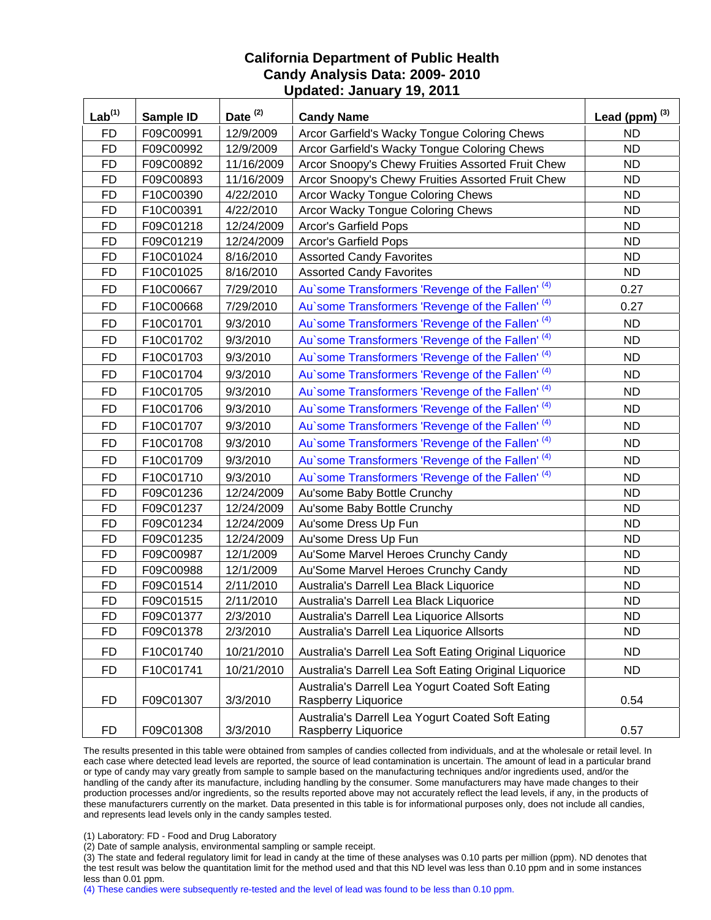| $Lab^{(1)}$ | Sample ID | Date <sup>(2)</sup> | <b>Candy Name</b>                                                        | Lead (ppm) $^{(3)}$ |
|-------------|-----------|---------------------|--------------------------------------------------------------------------|---------------------|
| <b>FD</b>   | F09C00991 | 12/9/2009           | Arcor Garfield's Wacky Tongue Coloring Chews                             | <b>ND</b>           |
| <b>FD</b>   | F09C00992 | 12/9/2009           | Arcor Garfield's Wacky Tongue Coloring Chews                             | <b>ND</b>           |
| <b>FD</b>   | F09C00892 | 11/16/2009          | Arcor Snoopy's Chewy Fruities Assorted Fruit Chew                        | <b>ND</b>           |
| <b>FD</b>   | F09C00893 | 11/16/2009          | Arcor Snoopy's Chewy Fruities Assorted Fruit Chew                        | <b>ND</b>           |
| <b>FD</b>   | F10C00390 | 4/22/2010           | Arcor Wacky Tongue Coloring Chews                                        | <b>ND</b>           |
| <b>FD</b>   | F10C00391 | 4/22/2010           | Arcor Wacky Tongue Coloring Chews                                        | <b>ND</b>           |
| <b>FD</b>   | F09C01218 | 12/24/2009          | Arcor's Garfield Pops                                                    | <b>ND</b>           |
| <b>FD</b>   | F09C01219 | 12/24/2009          | Arcor's Garfield Pops                                                    | ND                  |
| <b>FD</b>   | F10C01024 | 8/16/2010           | <b>Assorted Candy Favorites</b>                                          | <b>ND</b>           |
| <b>FD</b>   | F10C01025 | 8/16/2010           | <b>Assorted Candy Favorites</b>                                          | <b>ND</b>           |
| <b>FD</b>   | F10C00667 | 7/29/2010           | Au'some Transformers 'Revenge of the Fallen' <sup>(4)</sup>              | 0.27                |
| <b>FD</b>   | F10C00668 | 7/29/2010           | Au'some Transformers 'Revenge of the Fallen' <sup>(4)</sup>              | 0.27                |
| <b>FD</b>   | F10C01701 | 9/3/2010            | Au'some Transformers 'Revenge of the Fallen' <sup>(4)</sup>              | <b>ND</b>           |
| <b>FD</b>   | F10C01702 | 9/3/2010            | Au'some Transformers 'Revenge of the Fallen' <sup>(4)</sup>              | <b>ND</b>           |
| <b>FD</b>   | F10C01703 | 9/3/2010            | Au'some Transformers 'Revenge of the Fallen' <sup>(4)</sup>              | <b>ND</b>           |
| <b>FD</b>   | F10C01704 | 9/3/2010            | Au'some Transformers 'Revenge of the Fallen' <sup>(4)</sup>              | <b>ND</b>           |
| <b>FD</b>   | F10C01705 | 9/3/2010            | Au'some Transformers 'Revenge of the Fallen' <sup>(4)</sup>              | <b>ND</b>           |
| <b>FD</b>   | F10C01706 | 9/3/2010            | Au'some Transformers 'Revenge of the Fallen' <sup>(4)</sup>              | <b>ND</b>           |
| <b>FD</b>   | F10C01707 | 9/3/2010            | Au'some Transformers 'Revenge of the Fallen' <sup>(4)</sup>              | <b>ND</b>           |
| <b>FD</b>   | F10C01708 | 9/3/2010            | Au'some Transformers 'Revenge of the Fallen' <sup>(4)</sup>              | <b>ND</b>           |
| <b>FD</b>   | F10C01709 | 9/3/2010            | Au'some Transformers 'Revenge of the Fallen' <sup>(4)</sup>              | <b>ND</b>           |
| <b>FD</b>   | F10C01710 | 9/3/2010            | Au'some Transformers 'Revenge of the Fallen' <sup>(4)</sup>              | <b>ND</b>           |
| <b>FD</b>   | F09C01236 | 12/24/2009          | Au'some Baby Bottle Crunchy                                              | <b>ND</b>           |
| <b>FD</b>   | F09C01237 | 12/24/2009          | Au'some Baby Bottle Crunchy                                              | <b>ND</b>           |
| <b>FD</b>   | F09C01234 | 12/24/2009          | Au'some Dress Up Fun                                                     | <b>ND</b>           |
| <b>FD</b>   | F09C01235 | 12/24/2009          | Au'some Dress Up Fun                                                     | <b>ND</b>           |
| <b>FD</b>   | F09C00987 | 12/1/2009           | Au'Some Marvel Heroes Crunchy Candy                                      | <b>ND</b>           |
| <b>FD</b>   | F09C00988 | 12/1/2009           | Au'Some Marvel Heroes Crunchy Candy                                      | <b>ND</b>           |
| <b>FD</b>   | F09C01514 | 2/11/2010           | Australia's Darrell Lea Black Liquorice                                  | <b>ND</b>           |
| <b>FD</b>   | F09C01515 | 2/11/2010           | Australia's Darrell Lea Black Liquorice                                  | <b>ND</b>           |
| <b>FD</b>   | F09C01377 | 2/3/2010            | Australia's Darrell Lea Liquorice Allsorts                               | <b>ND</b>           |
| <b>FD</b>   | F09C01378 | 2/3/2010            | Australia's Darrell Lea Liquorice Allsorts                               | <b>ND</b>           |
| <b>FD</b>   | F10C01740 | 10/21/2010          | Australia's Darrell Lea Soft Eating Original Liquorice                   | <b>ND</b>           |
| <b>FD</b>   | F10C01741 | 10/21/2010          | Australia's Darrell Lea Soft Eating Original Liquorice                   | <b>ND</b>           |
| <b>FD</b>   | F09C01307 | 3/3/2010            | Australia's Darrell Lea Yogurt Coated Soft Eating<br>Raspberry Liquorice | 0.54                |
| FD          | F09C01308 | 3/3/2010            | Australia's Darrell Lea Yogurt Coated Soft Eating<br>Raspberry Liquorice | 0.57                |

The results presented in this table were obtained from samples of candies collected from individuals, and at the wholesale or retail level. In each case where detected lead levels are reported, the source of lead contamination is uncertain. The amount of lead in a particular brand or type of candy may vary greatly from sample to sample based on the manufacturing techniques and/or ingredients used, and/or the handling of the candy after its manufacture, including handling by the consumer. Some manufacturers may have made changes to their production processes and/or ingredients, so the results reported above may not accurately reflect the lead levels, if any, in the products of these manufacturers currently on the market. Data presented in this table is for informational purposes only, does not include all candies, and represents lead levels only in the candy samples tested.

(1) Laboratory: FD - Food and Drug Laboratory

(2) Date of sample analysis, environmental sampling or sample receipt.

(3) The state and federal regulatory limit for lead in candy at the time of these analyses was 0.10 parts per million (ppm). ND denotes that the test result was below the quantitation limit for the method used and that this ND level was less than 0.10 ppm and in some instances less than 0.01 ppm.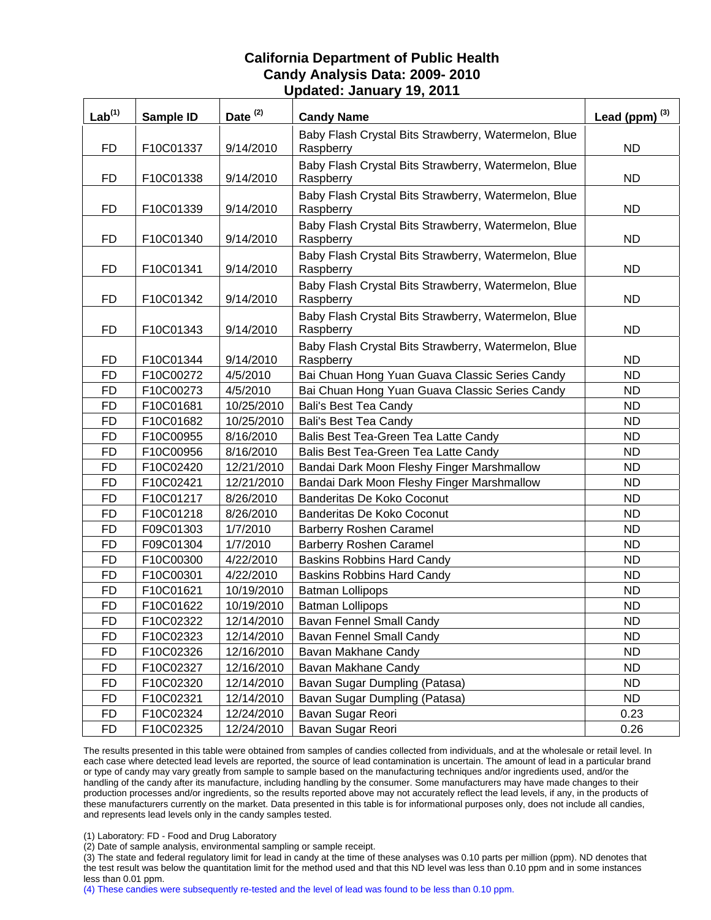| Lab <sup>(1)</sup> | Sample ID | Date <sup>(2)</sup> | <b>Candy Name</b>                                                 | Lead (ppm) $^{(3)}$ |
|--------------------|-----------|---------------------|-------------------------------------------------------------------|---------------------|
| <b>FD</b>          | F10C01337 | 9/14/2010           | Baby Flash Crystal Bits Strawberry, Watermelon, Blue<br>Raspberry | <b>ND</b>           |
| FD                 | F10C01338 | 9/14/2010           | Baby Flash Crystal Bits Strawberry, Watermelon, Blue<br>Raspberry | ND.                 |
| FD                 | F10C01339 | 9/14/2010           | Baby Flash Crystal Bits Strawberry, Watermelon, Blue<br>Raspberry | <b>ND</b>           |
| FD                 | F10C01340 | 9/14/2010           | Baby Flash Crystal Bits Strawberry, Watermelon, Blue<br>Raspberry | <b>ND</b>           |
| FD                 | F10C01341 | 9/14/2010           | Baby Flash Crystal Bits Strawberry, Watermelon, Blue<br>Raspberry | ND.                 |
| <b>FD</b>          | F10C01342 | 9/14/2010           | Baby Flash Crystal Bits Strawberry, Watermelon, Blue<br>Raspberry | <b>ND</b>           |
| FD                 | F10C01343 | 9/14/2010           | Baby Flash Crystal Bits Strawberry, Watermelon, Blue<br>Raspberry | <b>ND</b>           |
| FD                 | F10C01344 | 9/14/2010           | Baby Flash Crystal Bits Strawberry, Watermelon, Blue<br>Raspberry | <b>ND</b>           |
| <b>FD</b>          | F10C00272 | 4/5/2010            | Bai Chuan Hong Yuan Guava Classic Series Candy                    | <b>ND</b>           |
| <b>FD</b>          | F10C00273 | 4/5/2010            | Bai Chuan Hong Yuan Guava Classic Series Candy                    | ND                  |
| FD                 | F10C01681 | 10/25/2010          | <b>Bali's Best Tea Candy</b>                                      | <b>ND</b>           |
| <b>FD</b>          | F10C01682 | 10/25/2010          | Bali's Best Tea Candy                                             | <b>ND</b>           |
| <b>FD</b>          | F10C00955 | 8/16/2010           | Balis Best Tea-Green Tea Latte Candy                              | <b>ND</b>           |
| <b>FD</b>          | F10C00956 | 8/16/2010           | Balis Best Tea-Green Tea Latte Candy                              | <b>ND</b>           |
| <b>FD</b>          | F10C02420 | 12/21/2010          | Bandai Dark Moon Fleshy Finger Marshmallow                        | <b>ND</b>           |
| <b>FD</b>          | F10C02421 | 12/21/2010          | Bandai Dark Moon Fleshy Finger Marshmallow                        | <b>ND</b>           |
| FD                 | F10C01217 | 8/26/2010           | Banderitas De Koko Coconut                                        | <b>ND</b>           |
| <b>FD</b>          | F10C01218 | 8/26/2010           | Banderitas De Koko Coconut                                        | <b>ND</b>           |
| <b>FD</b>          | F09C01303 | 1/7/2010            | <b>Barberry Roshen Caramel</b>                                    | <b>ND</b>           |
| FD                 | F09C01304 | 1/7/2010            | <b>Barberry Roshen Caramel</b>                                    | <b>ND</b>           |
| <b>FD</b>          | F10C00300 | 4/22/2010           | <b>Baskins Robbins Hard Candy</b>                                 | <b>ND</b>           |
| <b>FD</b>          | F10C00301 | 4/22/2010           | <b>Baskins Robbins Hard Candy</b>                                 | <b>ND</b>           |
| <b>FD</b>          | F10C01621 | 10/19/2010          | <b>Batman Lollipops</b>                                           | <b>ND</b>           |
| <b>FD</b>          | F10C01622 | 10/19/2010          | <b>Batman Lollipops</b>                                           | <b>ND</b>           |
| FD                 | F10C02322 | 12/14/2010          | Bavan Fennel Small Candy                                          | ND                  |
| <b>FD</b>          | F10C02323 | 12/14/2010          | Bavan Fennel Small Candy                                          | <b>ND</b>           |
| FD                 | F10C02326 | 12/16/2010          | Bavan Makhane Candy                                               | <b>ND</b>           |
| <b>FD</b>          | F10C02327 | 12/16/2010          | Bavan Makhane Candy                                               | <b>ND</b>           |
| <b>FD</b>          | F10C02320 | 12/14/2010          | Bavan Sugar Dumpling (Patasa)                                     | <b>ND</b>           |
| <b>FD</b>          | F10C02321 | 12/14/2010          | Bavan Sugar Dumpling (Patasa)                                     | ND.                 |
| <b>FD</b>          | F10C02324 | 12/24/2010          | Bavan Sugar Reori                                                 | 0.23                |
| <b>FD</b>          | F10C02325 | 12/24/2010          | Bavan Sugar Reori                                                 | 0.26                |

The results presented in this table were obtained from samples of candies collected from individuals, and at the wholesale or retail level. In each case where detected lead levels are reported, the source of lead contamination is uncertain. The amount of lead in a particular brand or type of candy may vary greatly from sample to sample based on the manufacturing techniques and/or ingredients used, and/or the handling of the candy after its manufacture, including handling by the consumer. Some manufacturers may have made changes to their production processes and/or ingredients, so the results reported above may not accurately reflect the lead levels, if any, in the products of these manufacturers currently on the market. Data presented in this table is for informational purposes only, does not include all candies, and represents lead levels only in the candy samples tested.

(1) Laboratory: FD - Food and Drug Laboratory

(2) Date of sample analysis, environmental sampling or sample receipt.

(3) The state and federal regulatory limit for lead in candy at the time of these analyses was 0.10 parts per million (ppm). ND denotes that the test result was below the quantitation limit for the method used and that this ND level was less than 0.10 ppm and in some instances less than 0.01 ppm.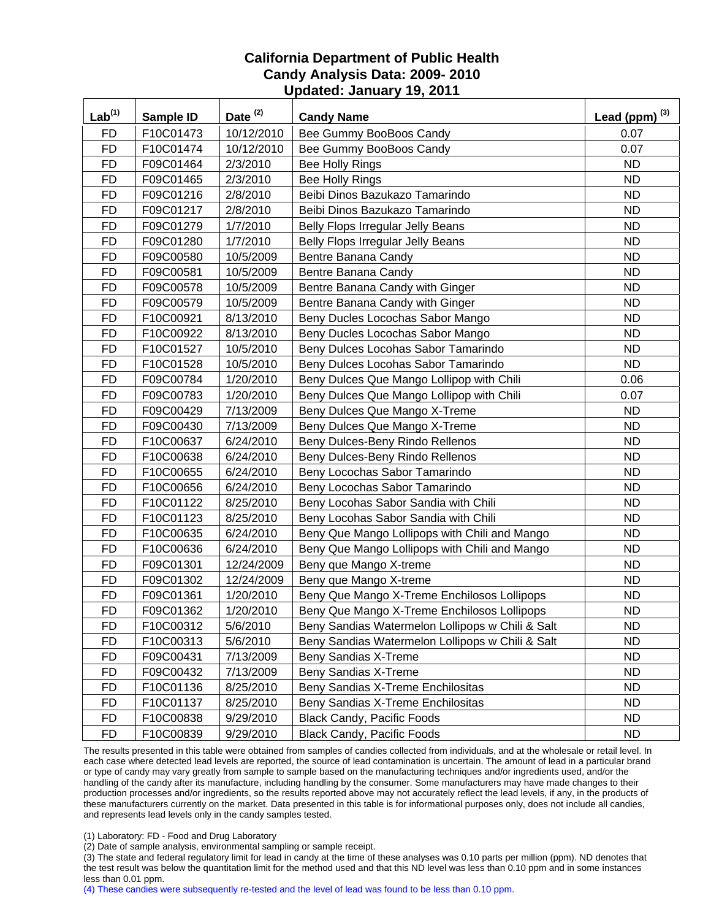| Lab <sup>(1)</sup> | <b>Sample ID</b> | Date <sup>(2)</sup> | <b>Candy Name</b>                                | Lead (ppm) $^{(3)}$ |
|--------------------|------------------|---------------------|--------------------------------------------------|---------------------|
| <b>FD</b>          | F10C01473        | 10/12/2010          | Bee Gummy BooBoos Candy                          | 0.07                |
| <b>FD</b>          | F10C01474        | 10/12/2010          | Bee Gummy BooBoos Candy                          | 0.07                |
| <b>FD</b>          | F09C01464        | 2/3/2010            | Bee Holly Rings                                  | <b>ND</b>           |
| <b>FD</b>          | F09C01465        | 2/3/2010            | <b>Bee Holly Rings</b>                           | <b>ND</b>           |
| <b>FD</b>          | F09C01216        | 2/8/2010            | Beibi Dinos Bazukazo Tamarindo                   | <b>ND</b>           |
| <b>FD</b>          | F09C01217        | 2/8/2010            | Beibi Dinos Bazukazo Tamarindo                   | <b>ND</b>           |
| <b>FD</b>          | F09C01279        | 1/7/2010            | Belly Flops Irregular Jelly Beans                | <b>ND</b>           |
| <b>FD</b>          | F09C01280        | 1/7/2010            | <b>Belly Flops Irregular Jelly Beans</b>         | <b>ND</b>           |
| <b>FD</b>          | F09C00580        | 10/5/2009           | Bentre Banana Candy                              | <b>ND</b>           |
| <b>FD</b>          | F09C00581        | 10/5/2009           | Bentre Banana Candy                              | <b>ND</b>           |
| <b>FD</b>          | F09C00578        | 10/5/2009           | Bentre Banana Candy with Ginger                  | <b>ND</b>           |
| <b>FD</b>          | F09C00579        | 10/5/2009           | Bentre Banana Candy with Ginger                  | <b>ND</b>           |
| <b>FD</b>          | F10C00921        | 8/13/2010           | Beny Ducles Locochas Sabor Mango                 | <b>ND</b>           |
| <b>FD</b>          | F10C00922        | 8/13/2010           | Beny Ducles Locochas Sabor Mango                 | <b>ND</b>           |
| <b>FD</b>          | F10C01527        | 10/5/2010           | Beny Dulces Locohas Sabor Tamarindo              | <b>ND</b>           |
| <b>FD</b>          | F10C01528        | 10/5/2010           | Beny Dulces Locohas Sabor Tamarindo              | ND                  |
| <b>FD</b>          | F09C00784        | 1/20/2010           | Beny Dulces Que Mango Lollipop with Chili        | 0.06                |
| <b>FD</b>          | F09C00783        | 1/20/2010           | Beny Dulces Que Mango Lollipop with Chili        | 0.07                |
| <b>FD</b>          | F09C00429        | 7/13/2009           | Beny Dulces Que Mango X-Treme                    | <b>ND</b>           |
| <b>FD</b>          | F09C00430        | 7/13/2009           | Beny Dulces Que Mango X-Treme                    | <b>ND</b>           |
| <b>FD</b>          | F10C00637        | 6/24/2010           | Beny Dulces-Beny Rindo Rellenos                  | <b>ND</b>           |
| <b>FD</b>          | F10C00638        | 6/24/2010           | Beny Dulces-Beny Rindo Rellenos                  | <b>ND</b>           |
| <b>FD</b>          | F10C00655        | 6/24/2010           | Beny Locochas Sabor Tamarindo                    | <b>ND</b>           |
| <b>FD</b>          | F10C00656        | 6/24/2010           | Beny Locochas Sabor Tamarindo                    | <b>ND</b>           |
| <b>FD</b>          | F10C01122        | 8/25/2010           | Beny Locohas Sabor Sandia with Chili             | <b>ND</b>           |
| <b>FD</b>          | F10C01123        | 8/25/2010           | Beny Locohas Sabor Sandia with Chili             | <b>ND</b>           |
| <b>FD</b>          | F10C00635        | 6/24/2010           | Beny Que Mango Lollipops with Chili and Mango    | <b>ND</b>           |
| <b>FD</b>          | F10C00636        | 6/24/2010           | Beny Que Mango Lollipops with Chili and Mango    | <b>ND</b>           |
| <b>FD</b>          | F09C01301        | 12/24/2009          | Beny que Mango X-treme                           | <b>ND</b>           |
| <b>FD</b>          | F09C01302        | 12/24/2009          | Beny que Mango X-treme                           | <b>ND</b>           |
| <b>FD</b>          | F09C01361        | 1/20/2010           | Beny Que Mango X-Treme Enchilosos Lollipops      | <b>ND</b>           |
| <b>FD</b>          | F09C01362        | 1/20/2010           | Beny Que Mango X-Treme Enchilosos Lollipops      | <b>ND</b>           |
| <b>FD</b>          | F10C00312        | 5/6/2010            | Beny Sandias Watermelon Lollipops w Chili & Salt | <b>ND</b>           |
| <b>FD</b>          | F10C00313        | 5/6/2010            | Beny Sandias Watermelon Lollipops w Chili & Salt | <b>ND</b>           |
| <b>FD</b>          | F09C00431        | 7/13/2009           | Beny Sandias X-Treme                             | <b>ND</b>           |
| <b>FD</b>          | F09C00432        | 7/13/2009           | Beny Sandias X-Treme                             | ND                  |
| <b>FD</b>          | F10C01136        | 8/25/2010           | Beny Sandias X-Treme Enchilositas                | <b>ND</b>           |
| FD                 | F10C01137        | 8/25/2010           | Beny Sandias X-Treme Enchilositas                | <b>ND</b>           |
| <b>FD</b>          | F10C00838        | 9/29/2010           | <b>Black Candy, Pacific Foods</b>                | <b>ND</b>           |
| <b>FD</b>          | F10C00839        | 9/29/2010           | <b>Black Candy, Pacific Foods</b>                | ND.                 |

The results presented in this table were obtained from samples of candies collected from individuals, and at the wholesale or retail level. In each case where detected lead levels are reported, the source of lead contamination is uncertain. The amount of lead in a particular brand or type of candy may vary greatly from sample to sample based on the manufacturing techniques and/or ingredients used, and/or the handling of the candy after its manufacture, including handling by the consumer. Some manufacturers may have made changes to their production processes and/or ingredients, so the results reported above may not accurately reflect the lead levels, if any, in the products of these manufacturers currently on the market. Data presented in this table is for informational purposes only, does not include all candies, and represents lead levels only in the candy samples tested.

(1) Laboratory: FD - Food and Drug Laboratory

(2) Date of sample analysis, environmental sampling or sample receipt.

(3) The state and federal regulatory limit for lead in candy at the time of these analyses was 0.10 parts per million (ppm). ND denotes that the test result was below the quantitation limit for the method used and that this ND level was less than 0.10 ppm and in some instances less than 0.01 ppm.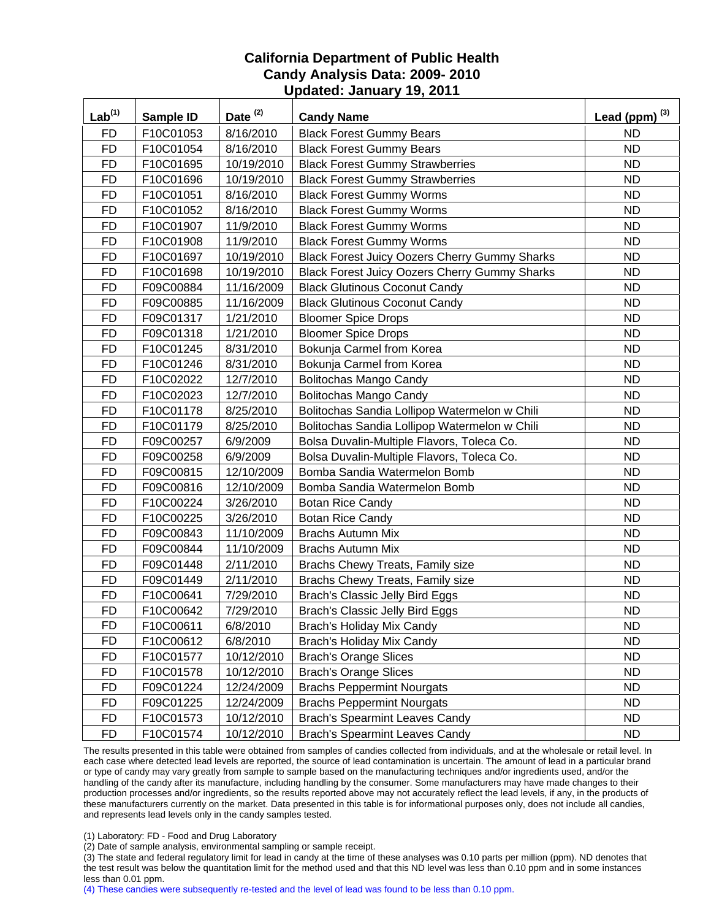| $Lab^{(1)}$ | <b>Sample ID</b> | Date $(2)$ | <b>Candy Name</b>                                    | Lead (ppm) $^{(3)}$ |
|-------------|------------------|------------|------------------------------------------------------|---------------------|
| <b>FD</b>   | F10C01053        | 8/16/2010  | <b>Black Forest Gummy Bears</b>                      | <b>ND</b>           |
| <b>FD</b>   | F10C01054        | 8/16/2010  | <b>Black Forest Gummy Bears</b>                      | <b>ND</b>           |
| <b>FD</b>   | F10C01695        | 10/19/2010 | <b>Black Forest Gummy Strawberries</b>               | <b>ND</b>           |
| <b>FD</b>   | F10C01696        | 10/19/2010 | <b>Black Forest Gummy Strawberries</b>               | <b>ND</b>           |
| <b>FD</b>   | F10C01051        | 8/16/2010  | <b>Black Forest Gummy Worms</b>                      | <b>ND</b>           |
| <b>FD</b>   | F10C01052        | 8/16/2010  | <b>Black Forest Gummy Worms</b>                      | <b>ND</b>           |
| <b>FD</b>   | F10C01907        | 11/9/2010  | <b>Black Forest Gummy Worms</b>                      | <b>ND</b>           |
| <b>FD</b>   | F10C01908        | 11/9/2010  | <b>Black Forest Gummy Worms</b>                      | <b>ND</b>           |
| <b>FD</b>   | F10C01697        | 10/19/2010 | <b>Black Forest Juicy Oozers Cherry Gummy Sharks</b> | <b>ND</b>           |
| <b>FD</b>   | F10C01698        | 10/19/2010 | Black Forest Juicy Oozers Cherry Gummy Sharks        | <b>ND</b>           |
| <b>FD</b>   | F09C00884        | 11/16/2009 | <b>Black Glutinous Coconut Candy</b>                 | <b>ND</b>           |
| <b>FD</b>   | F09C00885        | 11/16/2009 | <b>Black Glutinous Coconut Candy</b>                 | <b>ND</b>           |
| <b>FD</b>   | F09C01317        | 1/21/2010  | <b>Bloomer Spice Drops</b>                           | <b>ND</b>           |
| <b>FD</b>   | F09C01318        | 1/21/2010  | <b>Bloomer Spice Drops</b>                           | <b>ND</b>           |
| <b>FD</b>   | F10C01245        | 8/31/2010  | Bokunja Carmel from Korea                            | <b>ND</b>           |
| <b>FD</b>   | F10C01246        | 8/31/2010  | Bokunja Carmel from Korea                            | ND                  |
| <b>FD</b>   | F10C02022        | 12/7/2010  | <b>Bolitochas Mango Candy</b>                        | <b>ND</b>           |
| <b>FD</b>   | F10C02023        | 12/7/2010  | Bolitochas Mango Candy                               | <b>ND</b>           |
| <b>FD</b>   | F10C01178        | 8/25/2010  | Bolitochas Sandia Lollipop Watermelon w Chili        | <b>ND</b>           |
| <b>FD</b>   | F10C01179        | 8/25/2010  | Bolitochas Sandia Lollipop Watermelon w Chili        | <b>ND</b>           |
| <b>FD</b>   | F09C00257        | 6/9/2009   | Bolsa Duvalin-Multiple Flavors, Toleca Co.           | <b>ND</b>           |
| <b>FD</b>   | F09C00258        | 6/9/2009   | Bolsa Duvalin-Multiple Flavors, Toleca Co.           | <b>ND</b>           |
| <b>FD</b>   | F09C00815        | 12/10/2009 | Bomba Sandia Watermelon Bomb                         | <b>ND</b>           |
| <b>FD</b>   | F09C00816        | 12/10/2009 | Bomba Sandia Watermelon Bomb                         | <b>ND</b>           |
| <b>FD</b>   | F10C00224        | 3/26/2010  | <b>Botan Rice Candy</b>                              | <b>ND</b>           |
| <b>FD</b>   | F10C00225        | 3/26/2010  | <b>Botan Rice Candy</b>                              | <b>ND</b>           |
| <b>FD</b>   | F09C00843        | 11/10/2009 | <b>Brachs Autumn Mix</b>                             | <b>ND</b>           |
| <b>FD</b>   | F09C00844        | 11/10/2009 | <b>Brachs Autumn Mix</b>                             | <b>ND</b>           |
| <b>FD</b>   | F09C01448        | 2/11/2010  | Brachs Chewy Treats, Family size                     | <b>ND</b>           |
| <b>FD</b>   | F09C01449        | 2/11/2010  | Brachs Chewy Treats, Family size                     | <b>ND</b>           |
| <b>FD</b>   | F10C00641        | 7/29/2010  | Brach's Classic Jelly Bird Eggs                      | <b>ND</b>           |
| <b>FD</b>   | F10C00642        | 7/29/2010  | Brach's Classic Jelly Bird Eggs                      | <b>ND</b>           |
| FD          | F10C00611        | 6/8/2010   | Brach's Holiday Mix Candy                            | <b>ND</b>           |
| <b>FD</b>   | F10C00612        | 6/8/2010   | Brach's Holiday Mix Candy                            | <b>ND</b>           |
| <b>FD</b>   | F10C01577        | 10/12/2010 | <b>Brach's Orange Slices</b>                         | <b>ND</b>           |
| <b>FD</b>   | F10C01578        | 10/12/2010 | <b>Brach's Orange Slices</b>                         | ND                  |
| <b>FD</b>   | F09C01224        | 12/24/2009 | <b>Brachs Peppermint Nourgats</b>                    | <b>ND</b>           |
| <b>FD</b>   | F09C01225        | 12/24/2009 | <b>Brachs Peppermint Nourgats</b>                    | <b>ND</b>           |
| <b>FD</b>   | F10C01573        | 10/12/2010 | <b>Brach's Spearmint Leaves Candy</b>                | <b>ND</b>           |
| <b>FD</b>   | F10C01574        | 10/12/2010 | <b>Brach's Spearmint Leaves Candy</b>                | ND                  |

The results presented in this table were obtained from samples of candies collected from individuals, and at the wholesale or retail level. In each case where detected lead levels are reported, the source of lead contamination is uncertain. The amount of lead in a particular brand or type of candy may vary greatly from sample to sample based on the manufacturing techniques and/or ingredients used, and/or the handling of the candy after its manufacture, including handling by the consumer. Some manufacturers may have made changes to their production processes and/or ingredients, so the results reported above may not accurately reflect the lead levels, if any, in the products of these manufacturers currently on the market. Data presented in this table is for informational purposes only, does not include all candies, and represents lead levels only in the candy samples tested.

(1) Laboratory: FD - Food and Drug Laboratory

(2) Date of sample analysis, environmental sampling or sample receipt.

(3) The state and federal regulatory limit for lead in candy at the time of these analyses was 0.10 parts per million (ppm). ND denotes that the test result was below the quantitation limit for the method used and that this ND level was less than 0.10 ppm and in some instances less than 0.01 ppm.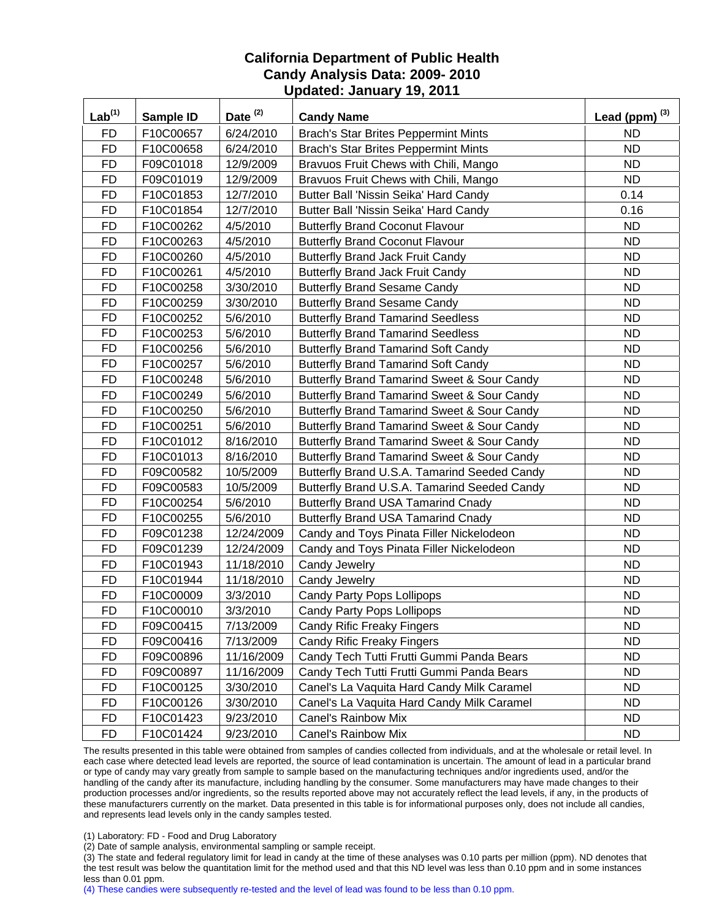| Lab <sup>(1)</sup> | <b>Sample ID</b> | Date <sup>(2)</sup> | <b>Candy Name</b>                            | Lead (ppm) $^{(3)}$ |
|--------------------|------------------|---------------------|----------------------------------------------|---------------------|
| <b>FD</b>          | F10C00657        | 6/24/2010           | <b>Brach's Star Brites Peppermint Mints</b>  | <b>ND</b>           |
| <b>FD</b>          | F10C00658        | 6/24/2010           | <b>Brach's Star Brites Peppermint Mints</b>  | <b>ND</b>           |
| <b>FD</b>          | F09C01018        | 12/9/2009           | Bravuos Fruit Chews with Chili, Mango        | <b>ND</b>           |
| <b>FD</b>          | F09C01019        | 12/9/2009           | Bravuos Fruit Chews with Chili, Mango        | <b>ND</b>           |
| <b>FD</b>          | F10C01853        | 12/7/2010           | Butter Ball 'Nissin Seika' Hard Candy        | 0.14                |
| <b>FD</b>          | F10C01854        | 12/7/2010           | Butter Ball 'Nissin Seika' Hard Candy        | 0.16                |
| <b>FD</b>          | F10C00262        | 4/5/2010            | <b>Butterfly Brand Coconut Flavour</b>       | <b>ND</b>           |
| <b>FD</b>          | F10C00263        | 4/5/2010            | <b>Butterfly Brand Coconut Flavour</b>       | <b>ND</b>           |
| <b>FD</b>          | F10C00260        | 4/5/2010            | <b>Butterfly Brand Jack Fruit Candy</b>      | <b>ND</b>           |
| <b>FD</b>          | F10C00261        | 4/5/2010            | <b>Butterfly Brand Jack Fruit Candy</b>      | <b>ND</b>           |
| <b>FD</b>          | F10C00258        | 3/30/2010           | <b>Butterfly Brand Sesame Candy</b>          | <b>ND</b>           |
| <b>FD</b>          | F10C00259        | 3/30/2010           | <b>Butterfly Brand Sesame Candy</b>          | <b>ND</b>           |
| <b>FD</b>          | F10C00252        | 5/6/2010            | <b>Butterfly Brand Tamarind Seedless</b>     | <b>ND</b>           |
| <b>FD</b>          | F10C00253        | 5/6/2010            | <b>Butterfly Brand Tamarind Seedless</b>     | <b>ND</b>           |
| <b>FD</b>          | F10C00256        | 5/6/2010            | <b>Butterfly Brand Tamarind Soft Candy</b>   | <b>ND</b>           |
| <b>FD</b>          | F10C00257        | 5/6/2010            | <b>Butterfly Brand Tamarind Soft Candy</b>   | ND                  |
| FD                 | F10C00248        | 5/6/2010            | Butterfly Brand Tamarind Sweet & Sour Candy  | <b>ND</b>           |
| <b>FD</b>          | F10C00249        | 5/6/2010            | Butterfly Brand Tamarind Sweet & Sour Candy  | <b>ND</b>           |
| <b>FD</b>          | F10C00250        | 5/6/2010            | Butterfly Brand Tamarind Sweet & Sour Candy  | <b>ND</b>           |
| <b>FD</b>          | F10C00251        | 5/6/2010            | Butterfly Brand Tamarind Sweet & Sour Candy  | <b>ND</b>           |
| <b>FD</b>          | F10C01012        | 8/16/2010           | Butterfly Brand Tamarind Sweet & Sour Candy  | <b>ND</b>           |
| <b>FD</b>          | F10C01013        | 8/16/2010           | Butterfly Brand Tamarind Sweet & Sour Candy  | <b>ND</b>           |
| <b>FD</b>          | F09C00582        | 10/5/2009           | Butterfly Brand U.S.A. Tamarind Seeded Candy | <b>ND</b>           |
| <b>FD</b>          | F09C00583        | 10/5/2009           | Butterfly Brand U.S.A. Tamarind Seeded Candy | <b>ND</b>           |
| <b>FD</b>          | F10C00254        | 5/6/2010            | <b>Butterfly Brand USA Tamarind Cnady</b>    | <b>ND</b>           |
| <b>FD</b>          | F10C00255        | 5/6/2010            | <b>Butterfly Brand USA Tamarind Cnady</b>    | <b>ND</b>           |
| <b>FD</b>          | F09C01238        | 12/24/2009          | Candy and Toys Pinata Filler Nickelodeon     | <b>ND</b>           |
| <b>FD</b>          | F09C01239        | 12/24/2009          | Candy and Toys Pinata Filler Nickelodeon     | <b>ND</b>           |
| <b>FD</b>          | F10C01943        | 11/18/2010          | Candy Jewelry                                | <b>ND</b>           |
| <b>FD</b>          | F10C01944        | 11/18/2010          | Candy Jewelry                                | <b>ND</b>           |
| <b>FD</b>          | F10C00009        | 3/3/2010            | <b>Candy Party Pops Lollipops</b>            | <b>ND</b>           |
| <b>FD</b>          | F10C00010        | 3/3/2010            | <b>Candy Party Pops Lollipops</b>            | <b>ND</b>           |
| <b>FD</b>          | F09C00415        | 7/13/2009           | <b>Candy Rific Freaky Fingers</b>            | <b>ND</b>           |
| <b>FD</b>          | F09C00416        | 7/13/2009           | <b>Candy Rific Freaky Fingers</b>            | <b>ND</b>           |
| <b>FD</b>          | F09C00896        | 11/16/2009          | Candy Tech Tutti Frutti Gummi Panda Bears    | <b>ND</b>           |
| <b>FD</b>          | F09C00897        | 11/16/2009          | Candy Tech Tutti Frutti Gummi Panda Bears    | <b>ND</b>           |
| <b>FD</b>          | F10C00125        | 3/30/2010           | Canel's La Vaquita Hard Candy Milk Caramel   | <b>ND</b>           |
| FD                 | F10C00126        | 3/30/2010           | Canel's La Vaquita Hard Candy Milk Caramel   | <b>ND</b>           |
| <b>FD</b>          | F10C01423        | 9/23/2010           | Canel's Rainbow Mix                          | <b>ND</b>           |
| FD                 | F10C01424        | 9/23/2010           | <b>Canel's Rainbow Mix</b>                   | ND.                 |

The results presented in this table were obtained from samples of candies collected from individuals, and at the wholesale or retail level. In each case where detected lead levels are reported, the source of lead contamination is uncertain. The amount of lead in a particular brand or type of candy may vary greatly from sample to sample based on the manufacturing techniques and/or ingredients used, and/or the handling of the candy after its manufacture, including handling by the consumer. Some manufacturers may have made changes to their production processes and/or ingredients, so the results reported above may not accurately reflect the lead levels, if any, in the products of these manufacturers currently on the market. Data presented in this table is for informational purposes only, does not include all candies, and represents lead levels only in the candy samples tested.

(1) Laboratory: FD - Food and Drug Laboratory

(2) Date of sample analysis, environmental sampling or sample receipt.

(3) The state and federal regulatory limit for lead in candy at the time of these analyses was 0.10 parts per million (ppm). ND denotes that the test result was below the quantitation limit for the method used and that this ND level was less than 0.10 ppm and in some instances less than 0.01 ppm.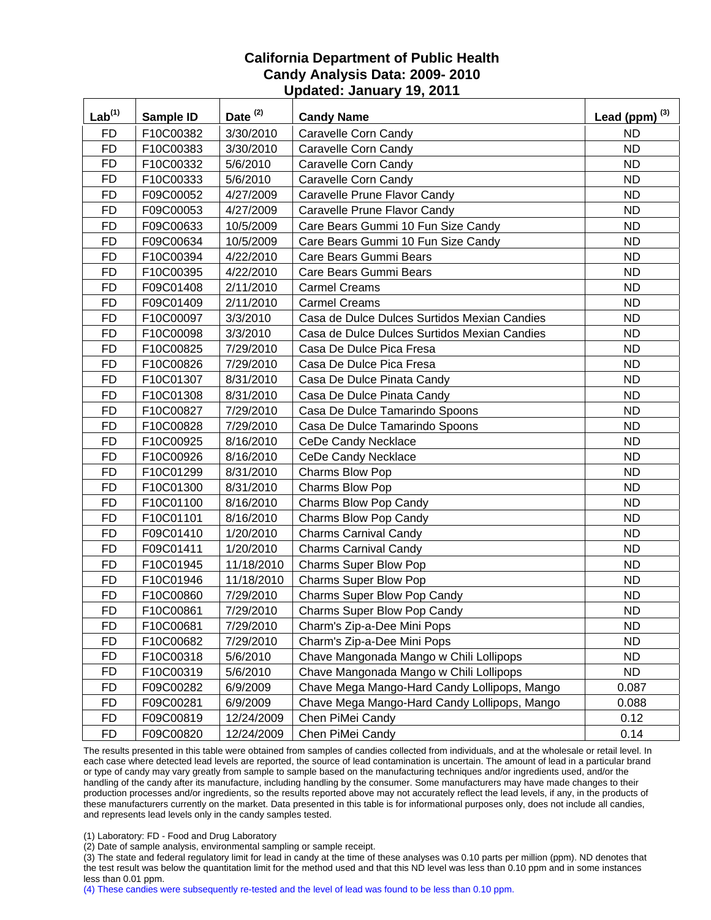| Lab <sup>(1)</sup> | Sample ID | Date <sup>(2)</sup> | <b>Candy Name</b>                            | Lead (ppm) $^{(3)}$ |
|--------------------|-----------|---------------------|----------------------------------------------|---------------------|
| <b>FD</b>          | F10C00382 | 3/30/2010           | Caravelle Corn Candy                         | ND.                 |
| <b>FD</b>          | F10C00383 | 3/30/2010           | Caravelle Corn Candy                         | <b>ND</b>           |
| <b>FD</b>          | F10C00332 | 5/6/2010            | Caravelle Corn Candy                         | <b>ND</b>           |
| <b>FD</b>          | F10C00333 | 5/6/2010            | Caravelle Corn Candy                         | <b>ND</b>           |
| <b>FD</b>          | F09C00052 | 4/27/2009           | Caravelle Prune Flavor Candy                 | <b>ND</b>           |
| <b>FD</b>          | F09C00053 | 4/27/2009           | Caravelle Prune Flavor Candy                 | <b>ND</b>           |
| <b>FD</b>          | F09C00633 | 10/5/2009           | Care Bears Gummi 10 Fun Size Candy           | <b>ND</b>           |
| <b>FD</b>          | F09C00634 | 10/5/2009           | Care Bears Gummi 10 Fun Size Candy           | <b>ND</b>           |
| <b>FD</b>          | F10C00394 | 4/22/2010           | Care Bears Gummi Bears                       | <b>ND</b>           |
| <b>FD</b>          | F10C00395 | 4/22/2010           | Care Bears Gummi Bears                       | <b>ND</b>           |
| <b>FD</b>          | F09C01408 | 2/11/2010           | <b>Carmel Creams</b>                         | <b>ND</b>           |
| <b>FD</b>          | F09C01409 | 2/11/2010           | <b>Carmel Creams</b>                         | <b>ND</b>           |
| <b>FD</b>          | F10C00097 | 3/3/2010            | Casa de Dulce Dulces Surtidos Mexian Candies | <b>ND</b>           |
| <b>FD</b>          | F10C00098 | 3/3/2010            | Casa de Dulce Dulces Surtidos Mexian Candies | <b>ND</b>           |
| <b>FD</b>          | F10C00825 | 7/29/2010           | Casa De Dulce Pica Fresa                     | <b>ND</b>           |
| <b>FD</b>          | F10C00826 | 7/29/2010           | Casa De Dulce Pica Fresa                     | <b>ND</b>           |
| <b>FD</b>          | F10C01307 | 8/31/2010           | Casa De Dulce Pinata Candy                   | <b>ND</b>           |
| <b>FD</b>          | F10C01308 | 8/31/2010           | Casa De Dulce Pinata Candy                   | <b>ND</b>           |
| <b>FD</b>          | F10C00827 | 7/29/2010           | Casa De Dulce Tamarindo Spoons               | <b>ND</b>           |
| <b>FD</b>          | F10C00828 | 7/29/2010           | Casa De Dulce Tamarindo Spoons               | <b>ND</b>           |
| <b>FD</b>          | F10C00925 | 8/16/2010           | <b>CeDe Candy Necklace</b>                   | <b>ND</b>           |
| <b>FD</b>          | F10C00926 | 8/16/2010           | <b>CeDe Candy Necklace</b>                   | <b>ND</b>           |
| <b>FD</b>          | F10C01299 | 8/31/2010           | Charms Blow Pop                              | <b>ND</b>           |
| <b>FD</b>          | F10C01300 | 8/31/2010           | Charms Blow Pop                              | <b>ND</b>           |
| <b>FD</b>          | F10C01100 | 8/16/2010           | Charms Blow Pop Candy                        | <b>ND</b>           |
| <b>FD</b>          | F10C01101 | 8/16/2010           | Charms Blow Pop Candy                        | <b>ND</b>           |
| <b>FD</b>          | F09C01410 | 1/20/2010           | <b>Charms Carnival Candy</b>                 | <b>ND</b>           |
| <b>FD</b>          | F09C01411 | 1/20/2010           | <b>Charms Carnival Candy</b>                 | <b>ND</b>           |
| <b>FD</b>          | F10C01945 | 11/18/2010          | Charms Super Blow Pop                        | <b>ND</b>           |
| <b>FD</b>          | F10C01946 | 11/18/2010          | Charms Super Blow Pop                        | <b>ND</b>           |
| <b>FD</b>          | F10C00860 | 7/29/2010           | Charms Super Blow Pop Candy                  | <b>ND</b>           |
| <b>FD</b>          | F10C00861 | 7/29/2010           | Charms Super Blow Pop Candy                  | <b>ND</b>           |
| FD                 | F10C00681 | 7/29/2010           | Charm's Zip-a-Dee Mini Pops                  | ND                  |
| <b>FD</b>          | F10C00682 | 7/29/2010           | Charm's Zip-a-Dee Mini Pops                  | <b>ND</b>           |
| <b>FD</b>          | F10C00318 | 5/6/2010            | Chave Mangonada Mango w Chili Lollipops      | <b>ND</b>           |
| <b>FD</b>          | F10C00319 | 5/6/2010            | Chave Mangonada Mango w Chili Lollipops      | <b>ND</b>           |
| <b>FD</b>          | F09C00282 | 6/9/2009            | Chave Mega Mango-Hard Candy Lollipops, Mango | 0.087               |
| <b>FD</b>          | F09C00281 | 6/9/2009            | Chave Mega Mango-Hard Candy Lollipops, Mango | 0.088               |
| <b>FD</b>          | F09C00819 | 12/24/2009          | Chen PiMei Candy                             | 0.12                |
| <b>FD</b>          | F09C00820 | 12/24/2009          | Chen PiMei Candy                             | 0.14                |

The results presented in this table were obtained from samples of candies collected from individuals, and at the wholesale or retail level. In each case where detected lead levels are reported, the source of lead contamination is uncertain. The amount of lead in a particular brand or type of candy may vary greatly from sample to sample based on the manufacturing techniques and/or ingredients used, and/or the handling of the candy after its manufacture, including handling by the consumer. Some manufacturers may have made changes to their production processes and/or ingredients, so the results reported above may not accurately reflect the lead levels, if any, in the products of these manufacturers currently on the market. Data presented in this table is for informational purposes only, does not include all candies, and represents lead levels only in the candy samples tested.

(1) Laboratory: FD - Food and Drug Laboratory

(2) Date of sample analysis, environmental sampling or sample receipt.

(3) The state and federal regulatory limit for lead in candy at the time of these analyses was 0.10 parts per million (ppm). ND denotes that the test result was below the quantitation limit for the method used and that this ND level was less than 0.10 ppm and in some instances less than 0.01 ppm.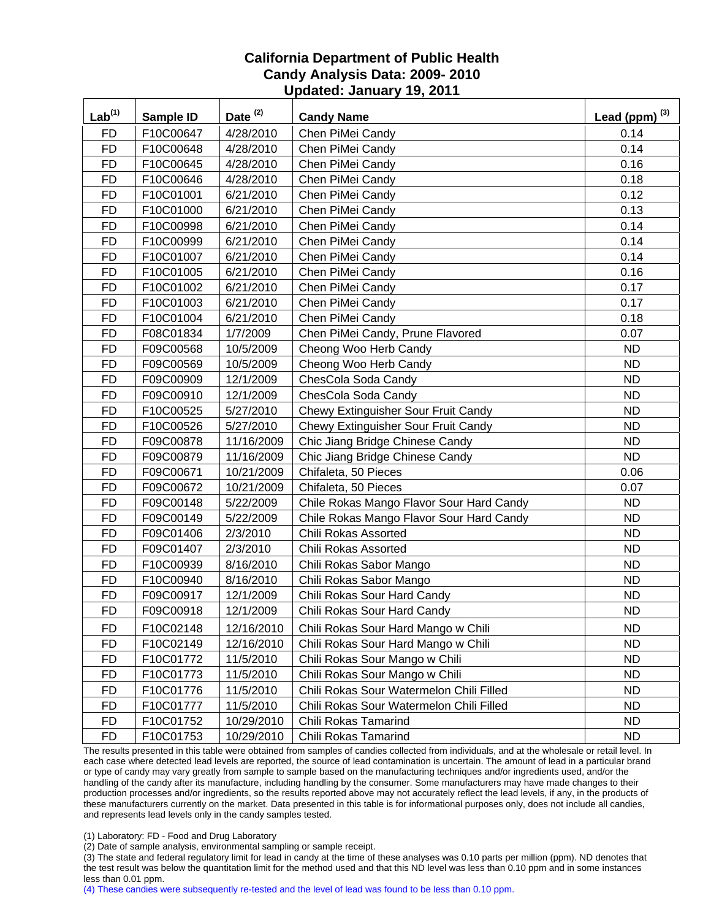| Lab <sup>(1)</sup> | Sample ID | Date <sup>(2)</sup> | <b>Candy Name</b>                        | Lead (ppm) $^{(3)}$ |
|--------------------|-----------|---------------------|------------------------------------------|---------------------|
| <b>FD</b>          | F10C00647 | 4/28/2010           | Chen PiMei Candy                         | 0.14                |
| <b>FD</b>          | F10C00648 | 4/28/2010           | Chen PiMei Candy                         | 0.14                |
| <b>FD</b>          | F10C00645 | 4/28/2010           | Chen PiMei Candy                         | 0.16                |
| <b>FD</b>          | F10C00646 | 4/28/2010           | Chen PiMei Candy                         | 0.18                |
| <b>FD</b>          | F10C01001 | 6/21/2010           | Chen PiMei Candy                         | 0.12                |
| <b>FD</b>          | F10C01000 | 6/21/2010           | Chen PiMei Candy                         | 0.13                |
| <b>FD</b>          | F10C00998 | 6/21/2010           | Chen PiMei Candy                         | 0.14                |
| <b>FD</b>          | F10C00999 | 6/21/2010           | Chen PiMei Candy                         | 0.14                |
| <b>FD</b>          | F10C01007 | 6/21/2010           | Chen PiMei Candy                         | 0.14                |
| <b>FD</b>          | F10C01005 | 6/21/2010           | Chen PiMei Candy                         | 0.16                |
| <b>FD</b>          | F10C01002 | 6/21/2010           | Chen PiMei Candy                         | 0.17                |
| <b>FD</b>          | F10C01003 | 6/21/2010           | Chen PiMei Candy                         | 0.17                |
| <b>FD</b>          | F10C01004 | 6/21/2010           | Chen PiMei Candy                         | 0.18                |
| <b>FD</b>          | F08C01834 | 1/7/2009            | Chen PiMei Candy, Prune Flavored         | 0.07                |
| <b>FD</b>          | F09C00568 | 10/5/2009           | Cheong Woo Herb Candy                    | <b>ND</b>           |
| <b>FD</b>          | F09C00569 | 10/5/2009           | Cheong Woo Herb Candy                    | <b>ND</b>           |
| <b>FD</b>          | F09C00909 | 12/1/2009           | ChesCola Soda Candy                      | <b>ND</b>           |
| <b>FD</b>          | F09C00910 | 12/1/2009           | ChesCola Soda Candy                      | <b>ND</b>           |
| <b>FD</b>          | F10C00525 | 5/27/2010           | Chewy Extinguisher Sour Fruit Candy      | <b>ND</b>           |
| <b>FD</b>          | F10C00526 | 5/27/2010           | Chewy Extinguisher Sour Fruit Candy      | <b>ND</b>           |
| <b>FD</b>          | F09C00878 | 11/16/2009          | Chic Jiang Bridge Chinese Candy          | <b>ND</b>           |
| <b>FD</b>          | F09C00879 | 11/16/2009          | Chic Jiang Bridge Chinese Candy          | <b>ND</b>           |
| <b>FD</b>          | F09C00671 | 10/21/2009          | Chifaleta, 50 Pieces                     | 0.06                |
| <b>FD</b>          | F09C00672 | 10/21/2009          | Chifaleta, 50 Pieces                     | 0.07                |
| <b>FD</b>          | F09C00148 | 5/22/2009           | Chile Rokas Mango Flavor Sour Hard Candy | <b>ND</b>           |
| <b>FD</b>          | F09C00149 | 5/22/2009           | Chile Rokas Mango Flavor Sour Hard Candy | <b>ND</b>           |
| <b>FD</b>          | F09C01406 | 2/3/2010            | Chili Rokas Assorted                     | <b>ND</b>           |
| <b>FD</b>          | F09C01407 | 2/3/2010            | Chili Rokas Assorted                     | <b>ND</b>           |
| <b>FD</b>          | F10C00939 | 8/16/2010           | Chili Rokas Sabor Mango                  | <b>ND</b>           |
| <b>FD</b>          | F10C00940 | 8/16/2010           | Chili Rokas Sabor Mango                  | <b>ND</b>           |
| <b>FD</b>          | F09C00917 | 12/1/2009           | Chili Rokas Sour Hard Candy              | <b>ND</b>           |
| <b>FD</b>          | F09C00918 | 12/1/2009           | Chili Rokas Sour Hard Candy              | <b>ND</b>           |
| <b>FD</b>          | F10C02148 | 12/16/2010          | Chili Rokas Sour Hard Mango w Chili      | <b>ND</b>           |
| <b>FD</b>          | F10C02149 | 12/16/2010          | Chili Rokas Sour Hard Mango w Chili      | <b>ND</b>           |
| <b>FD</b>          | F10C01772 | 11/5/2010           | Chili Rokas Sour Mango w Chili           | <b>ND</b>           |
| <b>FD</b>          | F10C01773 | 11/5/2010           | Chili Rokas Sour Mango w Chili           | <b>ND</b>           |
| <b>FD</b>          | F10C01776 | 11/5/2010           | Chili Rokas Sour Watermelon Chili Filled | <b>ND</b>           |
| <b>FD</b>          | F10C01777 | 11/5/2010           | Chili Rokas Sour Watermelon Chili Filled | <b>ND</b>           |
| <b>FD</b>          | F10C01752 | 10/29/2010          | Chili Rokas Tamarind                     | <b>ND</b>           |
| <b>FD</b>          | F10C01753 | 10/29/2010          | Chili Rokas Tamarind                     | <b>ND</b>           |

The results presented in this table were obtained from samples of candies collected from individuals, and at the wholesale or retail level. In each case where detected lead levels are reported, the source of lead contamination is uncertain. The amount of lead in a particular brand or type of candy may vary greatly from sample to sample based on the manufacturing techniques and/or ingredients used, and/or the handling of the candy after its manufacture, including handling by the consumer. Some manufacturers may have made changes to their production processes and/or ingredients, so the results reported above may not accurately reflect the lead levels, if any, in the products of these manufacturers currently on the market. Data presented in this table is for informational purposes only, does not include all candies, and represents lead levels only in the candy samples tested.

(1) Laboratory: FD - Food and Drug Laboratory

(2) Date of sample analysis, environmental sampling or sample receipt.

(3) The state and federal regulatory limit for lead in candy at the time of these analyses was 0.10 parts per million (ppm). ND denotes that the test result was below the quantitation limit for the method used and that this ND level was less than 0.10 ppm and in some instances less than 0.01 ppm.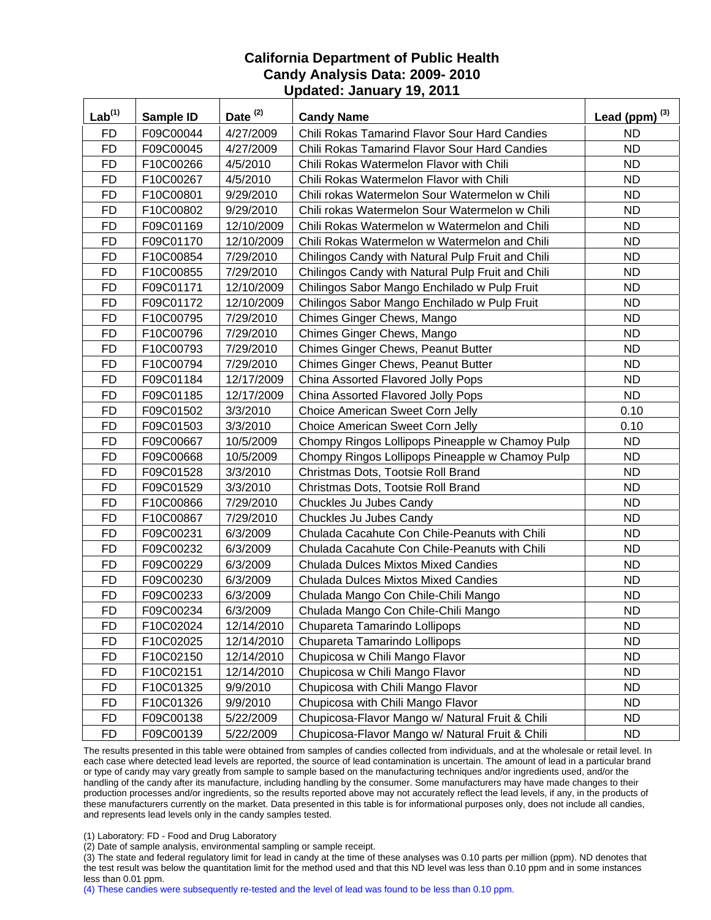| $Lab^{(1)}$ | Sample ID | Date <sup>(2)</sup> | <b>Candy Name</b>                                 | Lead (ppm) $^{(3)}$ |
|-------------|-----------|---------------------|---------------------------------------------------|---------------------|
| <b>FD</b>   | F09C00044 | 4/27/2009           | Chili Rokas Tamarind Flavor Sour Hard Candies     | <b>ND</b>           |
| <b>FD</b>   | F09C00045 | 4/27/2009           | Chili Rokas Tamarind Flavor Sour Hard Candies     | <b>ND</b>           |
| <b>FD</b>   | F10C00266 | 4/5/2010            | Chili Rokas Watermelon Flavor with Chili          | <b>ND</b>           |
| <b>FD</b>   | F10C00267 | 4/5/2010            | Chili Rokas Watermelon Flavor with Chili          | <b>ND</b>           |
| <b>FD</b>   | F10C00801 | 9/29/2010           | Chili rokas Watermelon Sour Watermelon w Chili    | <b>ND</b>           |
| <b>FD</b>   | F10C00802 | 9/29/2010           | Chili rokas Watermelon Sour Watermelon w Chili    | <b>ND</b>           |
| <b>FD</b>   | F09C01169 | 12/10/2009          | Chili Rokas Watermelon w Watermelon and Chili     | <b>ND</b>           |
| <b>FD</b>   | F09C01170 | 12/10/2009          | Chili Rokas Watermelon w Watermelon and Chili     | <b>ND</b>           |
| <b>FD</b>   | F10C00854 | 7/29/2010           | Chilingos Candy with Natural Pulp Fruit and Chili | <b>ND</b>           |
| <b>FD</b>   | F10C00855 | 7/29/2010           | Chilingos Candy with Natural Pulp Fruit and Chili | <b>ND</b>           |
| <b>FD</b>   | F09C01171 | 12/10/2009          | Chilingos Sabor Mango Enchilado w Pulp Fruit      | <b>ND</b>           |
| <b>FD</b>   | F09C01172 | 12/10/2009          | Chilingos Sabor Mango Enchilado w Pulp Fruit      | <b>ND</b>           |
| <b>FD</b>   | F10C00795 | 7/29/2010           | Chimes Ginger Chews, Mango                        | <b>ND</b>           |
| <b>FD</b>   | F10C00796 | 7/29/2010           | Chimes Ginger Chews, Mango                        | <b>ND</b>           |
| <b>FD</b>   | F10C00793 | 7/29/2010           | Chimes Ginger Chews, Peanut Butter                | <b>ND</b>           |
| <b>FD</b>   | F10C00794 | 7/29/2010           | Chimes Ginger Chews, Peanut Butter                | <b>ND</b>           |
| <b>FD</b>   | F09C01184 | 12/17/2009          | China Assorted Flavored Jolly Pops                | <b>ND</b>           |
| <b>FD</b>   | F09C01185 | 12/17/2009          | China Assorted Flavored Jolly Pops                | <b>ND</b>           |
| <b>FD</b>   | F09C01502 | 3/3/2010            | Choice American Sweet Corn Jelly                  | 0.10                |
| <b>FD</b>   | F09C01503 | 3/3/2010            | <b>Choice American Sweet Corn Jelly</b>           | 0.10                |
| <b>FD</b>   | F09C00667 | 10/5/2009           | Chompy Ringos Lollipops Pineapple w Chamoy Pulp   | <b>ND</b>           |
| <b>FD</b>   | F09C00668 | 10/5/2009           | Chompy Ringos Lollipops Pineapple w Chamoy Pulp   | <b>ND</b>           |
| <b>FD</b>   | F09C01528 | 3/3/2010            | Christmas Dots, Tootsie Roll Brand                | <b>ND</b>           |
| <b>FD</b>   | F09C01529 | 3/3/2010            | Christmas Dots, Tootsie Roll Brand                | <b>ND</b>           |
| <b>FD</b>   | F10C00866 | 7/29/2010           | Chuckles Ju Jubes Candy                           | <b>ND</b>           |
| <b>FD</b>   | F10C00867 | 7/29/2010           | Chuckles Ju Jubes Candy                           | <b>ND</b>           |
| <b>FD</b>   | F09C00231 | 6/3/2009            | Chulada Cacahute Con Chile-Peanuts with Chili     | <b>ND</b>           |
| <b>FD</b>   | F09C00232 | 6/3/2009            | Chulada Cacahute Con Chile-Peanuts with Chili     | <b>ND</b>           |
| <b>FD</b>   | F09C00229 | 6/3/2009            | <b>Chulada Dulces Mixtos Mixed Candies</b>        | <b>ND</b>           |
| <b>FD</b>   | F09C00230 | 6/3/2009            | <b>Chulada Dulces Mixtos Mixed Candies</b>        | <b>ND</b>           |
| <b>FD</b>   | F09C00233 | 6/3/2009            | Chulada Mango Con Chile-Chili Mango               | <b>ND</b>           |
| <b>FD</b>   | F09C00234 | 6/3/2009            | Chulada Mango Con Chile-Chili Mango               | <b>ND</b>           |
| <b>FD</b>   | F10C02024 | 12/14/2010          | Chupareta Tamarindo Lollipops                     | <b>ND</b>           |
| <b>FD</b>   | F10C02025 | 12/14/2010          | Chupareta Tamarindo Lollipops                     | <b>ND</b>           |
| <b>FD</b>   | F10C02150 | 12/14/2010          | Chupicosa w Chili Mango Flavor                    | <b>ND</b>           |
| <b>FD</b>   | F10C02151 | 12/14/2010          | Chupicosa w Chili Mango Flavor                    | <b>ND</b>           |
| <b>FD</b>   | F10C01325 | 9/9/2010            | Chupicosa with Chili Mango Flavor                 | <b>ND</b>           |
| <b>FD</b>   | F10C01326 | 9/9/2010            | Chupicosa with Chili Mango Flavor                 | <b>ND</b>           |
| <b>FD</b>   | F09C00138 | 5/22/2009           | Chupicosa-Flavor Mango w/ Natural Fruit & Chili   | <b>ND</b>           |
| <b>FD</b>   | F09C00139 | 5/22/2009           | Chupicosa-Flavor Mango w/ Natural Fruit & Chili   | ND.                 |

The results presented in this table were obtained from samples of candies collected from individuals, and at the wholesale or retail level. In each case where detected lead levels are reported, the source of lead contamination is uncertain. The amount of lead in a particular brand or type of candy may vary greatly from sample to sample based on the manufacturing techniques and/or ingredients used, and/or the handling of the candy after its manufacture, including handling by the consumer. Some manufacturers may have made changes to their production processes and/or ingredients, so the results reported above may not accurately reflect the lead levels, if any, in the products of these manufacturers currently on the market. Data presented in this table is for informational purposes only, does not include all candies, and represents lead levels only in the candy samples tested.

(1) Laboratory: FD - Food and Drug Laboratory

(2) Date of sample analysis, environmental sampling or sample receipt.

(3) The state and federal regulatory limit for lead in candy at the time of these analyses was 0.10 parts per million (ppm). ND denotes that the test result was below the quantitation limit for the method used and that this ND level was less than 0.10 ppm and in some instances less than 0.01 ppm.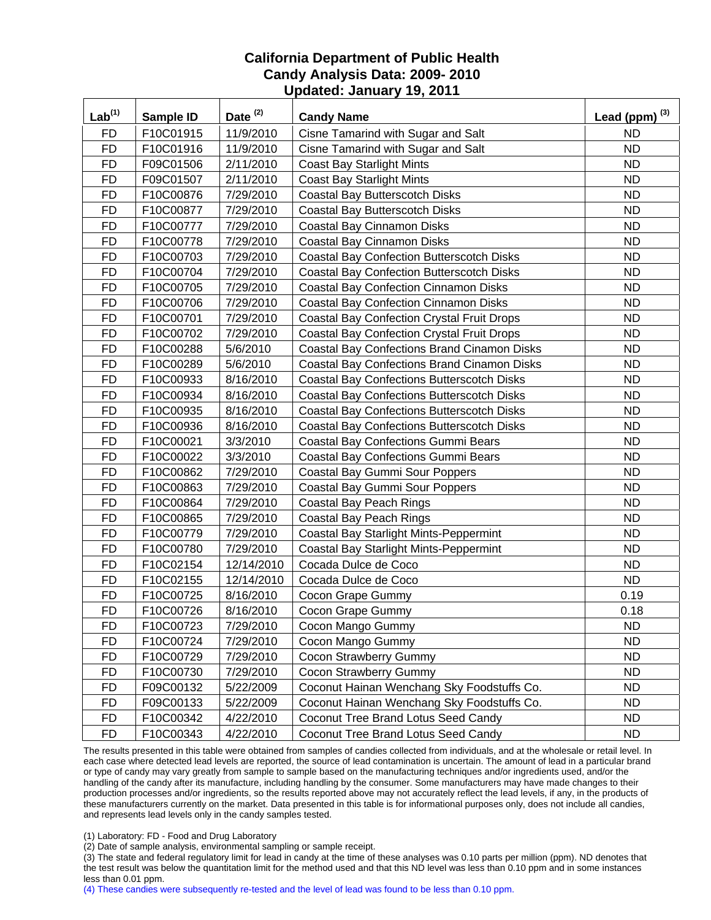| $Lab^{(1)}$ | Sample ID | Date $(2)$ | <b>Candy Name</b>                                  | Lead (ppm) $^{(3)}$ |
|-------------|-----------|------------|----------------------------------------------------|---------------------|
| <b>FD</b>   | F10C01915 | 11/9/2010  | Cisne Tamarind with Sugar and Salt                 | <b>ND</b>           |
| <b>FD</b>   | F10C01916 | 11/9/2010  | Cisne Tamarind with Sugar and Salt                 | <b>ND</b>           |
| <b>FD</b>   | F09C01506 | 2/11/2010  | <b>Coast Bay Starlight Mints</b>                   | <b>ND</b>           |
| <b>FD</b>   | F09C01507 | 2/11/2010  | <b>Coast Bay Starlight Mints</b>                   | <b>ND</b>           |
| <b>FD</b>   | F10C00876 | 7/29/2010  | Coastal Bay Butterscotch Disks                     | <b>ND</b>           |
| <b>FD</b>   | F10C00877 | 7/29/2010  | Coastal Bay Butterscotch Disks                     | <b>ND</b>           |
| <b>FD</b>   | F10C00777 | 7/29/2010  | Coastal Bay Cinnamon Disks                         | <b>ND</b>           |
| <b>FD</b>   | F10C00778 | 7/29/2010  | Coastal Bay Cinnamon Disks                         | <b>ND</b>           |
| <b>FD</b>   | F10C00703 | 7/29/2010  | <b>Coastal Bay Confection Butterscotch Disks</b>   | <b>ND</b>           |
| <b>FD</b>   | F10C00704 | 7/29/2010  | <b>Coastal Bay Confection Butterscotch Disks</b>   | <b>ND</b>           |
| <b>FD</b>   | F10C00705 | 7/29/2010  | <b>Coastal Bay Confection Cinnamon Disks</b>       | <b>ND</b>           |
| <b>FD</b>   | F10C00706 | 7/29/2010  | <b>Coastal Bay Confection Cinnamon Disks</b>       | <b>ND</b>           |
| <b>FD</b>   | F10C00701 | 7/29/2010  | <b>Coastal Bay Confection Crystal Fruit Drops</b>  | <b>ND</b>           |
| <b>FD</b>   | F10C00702 | 7/29/2010  | <b>Coastal Bay Confection Crystal Fruit Drops</b>  | <b>ND</b>           |
| <b>FD</b>   | F10C00288 | 5/6/2010   | <b>Coastal Bay Confections Brand Cinamon Disks</b> | <b>ND</b>           |
| <b>FD</b>   | F10C00289 | 5/6/2010   | <b>Coastal Bay Confections Brand Cinamon Disks</b> | <b>ND</b>           |
| <b>FD</b>   | F10C00933 | 8/16/2010  | <b>Coastal Bay Confections Butterscotch Disks</b>  | <b>ND</b>           |
| <b>FD</b>   | F10C00934 | 8/16/2010  | <b>Coastal Bay Confections Butterscotch Disks</b>  | <b>ND</b>           |
| <b>FD</b>   | F10C00935 | 8/16/2010  | <b>Coastal Bay Confections Butterscotch Disks</b>  | <b>ND</b>           |
| <b>FD</b>   | F10C00936 | 8/16/2010  | <b>Coastal Bay Confections Butterscotch Disks</b>  | <b>ND</b>           |
| <b>FD</b>   | F10C00021 | 3/3/2010   | <b>Coastal Bay Confections Gummi Bears</b>         | <b>ND</b>           |
| <b>FD</b>   | F10C00022 | 3/3/2010   | <b>Coastal Bay Confections Gummi Bears</b>         | <b>ND</b>           |
| <b>FD</b>   | F10C00862 | 7/29/2010  | Coastal Bay Gummi Sour Poppers                     | <b>ND</b>           |
| <b>FD</b>   | F10C00863 | 7/29/2010  | Coastal Bay Gummi Sour Poppers                     | <b>ND</b>           |
| <b>FD</b>   | F10C00864 | 7/29/2010  | <b>Coastal Bay Peach Rings</b>                     | <b>ND</b>           |
| <b>FD</b>   | F10C00865 | 7/29/2010  | <b>Coastal Bay Peach Rings</b>                     | <b>ND</b>           |
| <b>FD</b>   | F10C00779 | 7/29/2010  | <b>Coastal Bay Starlight Mints-Peppermint</b>      | <b>ND</b>           |
| <b>FD</b>   | F10C00780 | 7/29/2010  | <b>Coastal Bay Starlight Mints-Peppermint</b>      | <b>ND</b>           |
| <b>FD</b>   | F10C02154 | 12/14/2010 | Cocada Dulce de Coco                               | <b>ND</b>           |
| <b>FD</b>   | F10C02155 | 12/14/2010 | Cocada Dulce de Coco                               | <b>ND</b>           |
| <b>FD</b>   | F10C00725 | 8/16/2010  | Cocon Grape Gummy                                  | 0.19                |
| <b>FD</b>   | F10C00726 | 8/16/2010  | Cocon Grape Gummy                                  | 0.18                |
| FD          | F10C00723 | 7/29/2010  | Cocon Mango Gummy                                  | <b>ND</b>           |
| FD          | F10C00724 | 7/29/2010  | Cocon Mango Gummy                                  | <b>ND</b>           |
| FD          | F10C00729 | 7/29/2010  | Cocon Strawberry Gummy                             | <b>ND</b>           |
| <b>FD</b>   | F10C00730 | 7/29/2010  | Cocon Strawberry Gummy                             | ND.                 |
| <b>FD</b>   | F09C00132 | 5/22/2009  | Coconut Hainan Wenchang Sky Foodstuffs Co.         | <b>ND</b>           |
| <b>FD</b>   | F09C00133 | 5/22/2009  | Coconut Hainan Wenchang Sky Foodstuffs Co.         | <b>ND</b>           |
| <b>FD</b>   | F10C00342 | 4/22/2010  | Coconut Tree Brand Lotus Seed Candy                | <b>ND</b>           |
| <b>FD</b>   | F10C00343 | 4/22/2010  | Coconut Tree Brand Lotus Seed Candy                | ND.                 |

The results presented in this table were obtained from samples of candies collected from individuals, and at the wholesale or retail level. In each case where detected lead levels are reported, the source of lead contamination is uncertain. The amount of lead in a particular brand or type of candy may vary greatly from sample to sample based on the manufacturing techniques and/or ingredients used, and/or the handling of the candy after its manufacture, including handling by the consumer. Some manufacturers may have made changes to their production processes and/or ingredients, so the results reported above may not accurately reflect the lead levels, if any, in the products of these manufacturers currently on the market. Data presented in this table is for informational purposes only, does not include all candies, and represents lead levels only in the candy samples tested.

(1) Laboratory: FD - Food and Drug Laboratory

(2) Date of sample analysis, environmental sampling or sample receipt.

(3) The state and federal regulatory limit for lead in candy at the time of these analyses was 0.10 parts per million (ppm). ND denotes that the test result was below the quantitation limit for the method used and that this ND level was less than 0.10 ppm and in some instances less than 0.01 ppm.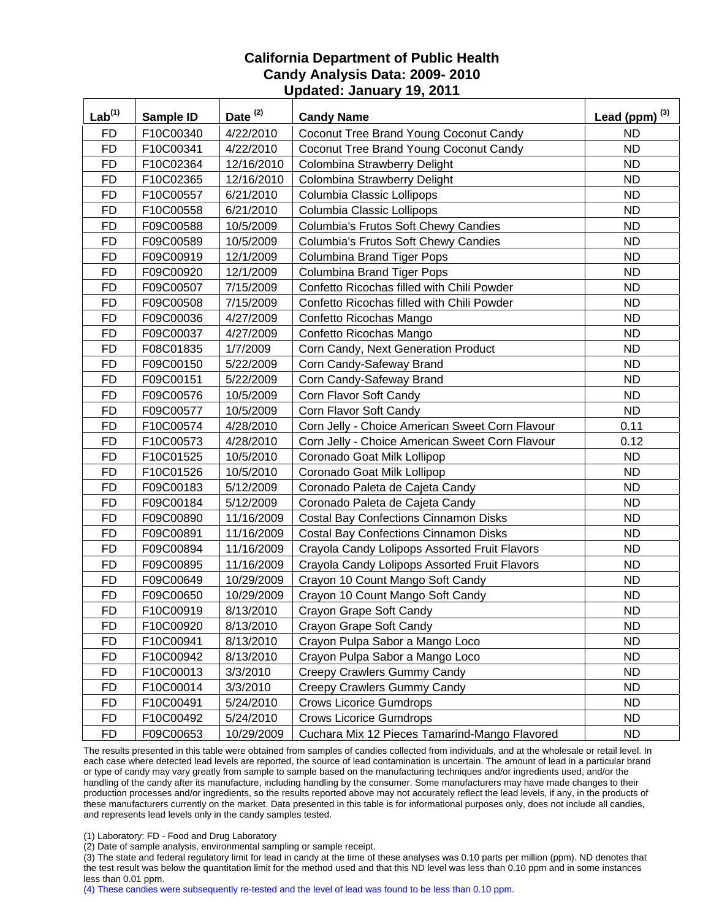| $Lab^{(1)}$ | Sample ID | Date $(2)$ | <b>Candy Name</b>                               | Lead (ppm) $^{(3)}$ |
|-------------|-----------|------------|-------------------------------------------------|---------------------|
| <b>FD</b>   | F10C00340 | 4/22/2010  | Coconut Tree Brand Young Coconut Candy          | <b>ND</b>           |
| <b>FD</b>   | F10C00341 | 4/22/2010  | Coconut Tree Brand Young Coconut Candy          | <b>ND</b>           |
| <b>FD</b>   | F10C02364 | 12/16/2010 | Colombina Strawberry Delight                    | <b>ND</b>           |
| <b>FD</b>   | F10C02365 | 12/16/2010 | Colombina Strawberry Delight                    | <b>ND</b>           |
| <b>FD</b>   | F10C00557 | 6/21/2010  | Columbia Classic Lollipops                      | <b>ND</b>           |
| <b>FD</b>   | F10C00558 | 6/21/2010  | Columbia Classic Lollipops                      | <b>ND</b>           |
| <b>FD</b>   | F09C00588 | 10/5/2009  | Columbia's Frutos Soft Chewy Candies            | <b>ND</b>           |
| <b>FD</b>   | F09C00589 | 10/5/2009  | Columbia's Frutos Soft Chewy Candies            | <b>ND</b>           |
| <b>FD</b>   | F09C00919 | 12/1/2009  | Columbina Brand Tiger Pops                      | <b>ND</b>           |
| <b>FD</b>   | F09C00920 | 12/1/2009  | <b>Columbina Brand Tiger Pops</b>               | <b>ND</b>           |
| <b>FD</b>   | F09C00507 | 7/15/2009  | Confetto Ricochas filled with Chili Powder      | <b>ND</b>           |
| <b>FD</b>   | F09C00508 | 7/15/2009  | Confetto Ricochas filled with Chili Powder      | <b>ND</b>           |
| <b>FD</b>   | F09C00036 | 4/27/2009  | Confetto Ricochas Mango                         | <b>ND</b>           |
| <b>FD</b>   | F09C00037 | 4/27/2009  | Confetto Ricochas Mango                         | <b>ND</b>           |
| <b>FD</b>   | F08C01835 | 1/7/2009   | Corn Candy, Next Generation Product             | <b>ND</b>           |
| <b>FD</b>   | F09C00150 | 5/22/2009  | Corn Candy-Safeway Brand                        | <b>ND</b>           |
| <b>FD</b>   | F09C00151 | 5/22/2009  | Corn Candy-Safeway Brand                        | <b>ND</b>           |
| <b>FD</b>   | F09C00576 | 10/5/2009  | Corn Flavor Soft Candy                          | <b>ND</b>           |
| <b>FD</b>   | F09C00577 | 10/5/2009  | Corn Flavor Soft Candy                          | <b>ND</b>           |
| <b>FD</b>   | F10C00574 | 4/28/2010  | Corn Jelly - Choice American Sweet Corn Flavour | 0.11                |
| <b>FD</b>   | F10C00573 | 4/28/2010  | Corn Jelly - Choice American Sweet Corn Flavour | 0.12                |
| <b>FD</b>   | F10C01525 | 10/5/2010  | Coronado Goat Milk Lollipop                     | <b>ND</b>           |
| <b>FD</b>   | F10C01526 | 10/5/2010  | Coronado Goat Milk Lollipop                     | <b>ND</b>           |
| <b>FD</b>   | F09C00183 | 5/12/2009  | Coronado Paleta de Cajeta Candy                 | <b>ND</b>           |
| <b>FD</b>   | F09C00184 | 5/12/2009  | Coronado Paleta de Cajeta Candy                 | <b>ND</b>           |
| <b>FD</b>   | F09C00890 | 11/16/2009 | <b>Costal Bay Confections Cinnamon Disks</b>    | <b>ND</b>           |
| <b>FD</b>   | F09C00891 | 11/16/2009 | <b>Costal Bay Confections Cinnamon Disks</b>    | <b>ND</b>           |
| <b>FD</b>   | F09C00894 | 11/16/2009 | Crayola Candy Lolipops Assorted Fruit Flavors   | <b>ND</b>           |
| <b>FD</b>   | F09C00895 | 11/16/2009 | Crayola Candy Lolipops Assorted Fruit Flavors   | <b>ND</b>           |
| <b>FD</b>   | F09C00649 | 10/29/2009 | Crayon 10 Count Mango Soft Candy                | <b>ND</b>           |
| <b>FD</b>   | F09C00650 | 10/29/2009 | Crayon 10 Count Mango Soft Candy                | <b>ND</b>           |
| <b>FD</b>   | F10C00919 | 8/13/2010  | Crayon Grape Soft Candy                         | <b>ND</b>           |
| <b>FD</b>   | F10C00920 | 8/13/2010  | Crayon Grape Soft Candy                         | <b>ND</b>           |
| <b>FD</b>   | F10C00941 | 8/13/2010  | Crayon Pulpa Sabor a Mango Loco                 | <b>ND</b>           |
| <b>FD</b>   | F10C00942 | 8/13/2010  | Crayon Pulpa Sabor a Mango Loco                 | <b>ND</b>           |
| <b>FD</b>   | F10C00013 | 3/3/2010   | Creepy Crawlers Gummy Candy                     | <b>ND</b>           |
| <b>FD</b>   | F10C00014 | 3/3/2010   | Creepy Crawlers Gummy Candy                     | <b>ND</b>           |
| <b>FD</b>   | F10C00491 | 5/24/2010  | <b>Crows Licorice Gumdrops</b>                  | <b>ND</b>           |
| <b>FD</b>   | F10C00492 | 5/24/2010  | <b>Crows Licorice Gumdrops</b>                  | <b>ND</b>           |
| <b>FD</b>   | F09C00653 | 10/29/2009 | Cuchara Mix 12 Pieces Tamarind-Mango Flavored   | ND.                 |

The results presented in this table were obtained from samples of candies collected from individuals, and at the wholesale or retail level. In each case where detected lead levels are reported, the source of lead contamination is uncertain. The amount of lead in a particular brand or type of candy may vary greatly from sample to sample based on the manufacturing techniques and/or ingredients used, and/or the handling of the candy after its manufacture, including handling by the consumer. Some manufacturers may have made changes to their production processes and/or ingredients, so the results reported above may not accurately reflect the lead levels, if any, in the products of these manufacturers currently on the market. Data presented in this table is for informational purposes only, does not include all candies, and represents lead levels only in the candy samples tested.

(1) Laboratory: FD - Food and Drug Laboratory

(2) Date of sample analysis, environmental sampling or sample receipt.

(3) The state and federal regulatory limit for lead in candy at the time of these analyses was 0.10 parts per million (ppm). ND denotes that the test result was below the quantitation limit for the method used and that this ND level was less than 0.10 ppm and in some instances less than 0.01 ppm.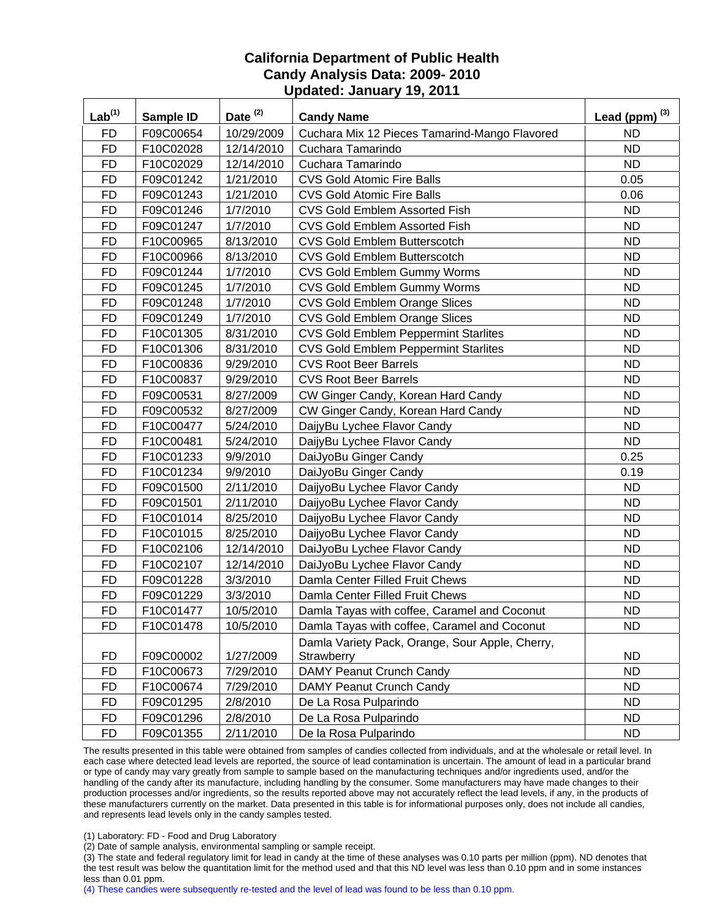| Lab <sup>(1)</sup> | Sample ID | Date <sup>(2)</sup> | <b>Candy Name</b>                               | Lead (ppm) $^{(3)}$ |
|--------------------|-----------|---------------------|-------------------------------------------------|---------------------|
| <b>FD</b>          | F09C00654 | 10/29/2009          | Cuchara Mix 12 Pieces Tamarind-Mango Flavored   | <b>ND</b>           |
| <b>FD</b>          | F10C02028 | 12/14/2010          | Cuchara Tamarindo                               | <b>ND</b>           |
| <b>FD</b>          | F10C02029 | 12/14/2010          | Cuchara Tamarindo                               | <b>ND</b>           |
| <b>FD</b>          | F09C01242 | 1/21/2010           | <b>CVS Gold Atomic Fire Balls</b>               | 0.05                |
| <b>FD</b>          | F09C01243 | 1/21/2010           | <b>CVS Gold Atomic Fire Balls</b>               | 0.06                |
| <b>FD</b>          | F09C01246 | 1/7/2010            | <b>CVS Gold Emblem Assorted Fish</b>            | <b>ND</b>           |
| <b>FD</b>          | F09C01247 | 1/7/2010            | CVS Gold Emblem Assorted Fish                   | <b>ND</b>           |
| <b>FD</b>          | F10C00965 | 8/13/2010           | CVS Gold Emblem Butterscotch                    | <b>ND</b>           |
| <b>FD</b>          | F10C00966 | 8/13/2010           | <b>CVS Gold Emblem Butterscotch</b>             | <b>ND</b>           |
| <b>FD</b>          | F09C01244 | 1/7/2010            | CVS Gold Emblem Gummy Worms                     | <b>ND</b>           |
| <b>FD</b>          | F09C01245 | 1/7/2010            | CVS Gold Emblem Gummy Worms                     | <b>ND</b>           |
| <b>FD</b>          | F09C01248 | 1/7/2010            | CVS Gold Emblem Orange Slices                   | <b>ND</b>           |
| <b>FD</b>          | F09C01249 | 1/7/2010            | CVS Gold Emblem Orange Slices                   | <b>ND</b>           |
| <b>FD</b>          | F10C01305 | 8/31/2010           | <b>CVS Gold Emblem Peppermint Starlites</b>     | <b>ND</b>           |
| <b>FD</b>          | F10C01306 | 8/31/2010           | <b>CVS Gold Emblem Peppermint Starlites</b>     | <b>ND</b>           |
| <b>FD</b>          | F10C00836 | 9/29/2010           | <b>CVS Root Beer Barrels</b>                    | <b>ND</b>           |
| <b>FD</b>          | F10C00837 | 9/29/2010           | <b>CVS Root Beer Barrels</b>                    | <b>ND</b>           |
| <b>FD</b>          | F09C00531 | 8/27/2009           | CW Ginger Candy, Korean Hard Candy              | <b>ND</b>           |
| <b>FD</b>          | F09C00532 | 8/27/2009           | CW Ginger Candy, Korean Hard Candy              | <b>ND</b>           |
| <b>FD</b>          | F10C00477 | 5/24/2010           | DaijyBu Lychee Flavor Candy                     | <b>ND</b>           |
| <b>FD</b>          | F10C00481 | 5/24/2010           | DaijyBu Lychee Flavor Candy                     | <b>ND</b>           |
| <b>FD</b>          | F10C01233 | 9/9/2010            | DaiJyoBu Ginger Candy                           | 0.25                |
| <b>FD</b>          | F10C01234 | 9/9/2010            | DaiJyoBu Ginger Candy                           | 0.19                |
| <b>FD</b>          | F09C01500 | 2/11/2010           | DaijyoBu Lychee Flavor Candy                    | <b>ND</b>           |
| <b>FD</b>          | F09C01501 | 2/11/2010           | DaijyoBu Lychee Flavor Candy                    | <b>ND</b>           |
| <b>FD</b>          | F10C01014 | 8/25/2010           | DaijyoBu Lychee Flavor Candy                    | <b>ND</b>           |
| <b>FD</b>          | F10C01015 | 8/25/2010           | DaijyoBu Lychee Flavor Candy                    | <b>ND</b>           |
| <b>FD</b>          | F10C02106 | 12/14/2010          | DaiJyoBu Lychee Flavor Candy                    | <b>ND</b>           |
| <b>FD</b>          | F10C02107 | 12/14/2010          | DaiJyoBu Lychee Flavor Candy                    | <b>ND</b>           |
| <b>FD</b>          | F09C01228 | 3/3/2010            | Damla Center Filled Fruit Chews                 | <b>ND</b>           |
| <b>FD</b>          | F09C01229 | 3/3/2010            | Damla Center Filled Fruit Chews                 | <b>ND</b>           |
| <b>FD</b>          | F10C01477 | 10/5/2010           | Damla Tayas with coffee, Caramel and Coconut    | <b>ND</b>           |
| <b>FD</b>          | F10C01478 | 10/5/2010           | Damla Tayas with coffee, Caramel and Coconut    | <b>ND</b>           |
|                    |           |                     | Damla Variety Pack, Orange, Sour Apple, Cherry, |                     |
| <b>FD</b>          | F09C00002 | 1/27/2009           | Strawberry                                      | <b>ND</b>           |
| <b>FD</b>          | F10C00673 | 7/29/2010           | DAMY Peanut Crunch Candy                        | <b>ND</b>           |
| <b>FD</b>          | F10C00674 | 7/29/2010           | DAMY Peanut Crunch Candy                        | <b>ND</b>           |
| <b>FD</b>          | F09C01295 | 2/8/2010            | De La Rosa Pulparindo                           | <b>ND</b>           |
| <b>FD</b>          | F09C01296 | 2/8/2010            | De La Rosa Pulparindo                           | <b>ND</b>           |
| <b>FD</b>          | F09C01355 | 2/11/2010           | De la Rosa Pulparindo                           | ND.                 |

The results presented in this table were obtained from samples of candies collected from individuals, and at the wholesale or retail level. In each case where detected lead levels are reported, the source of lead contamination is uncertain. The amount of lead in a particular brand or type of candy may vary greatly from sample to sample based on the manufacturing techniques and/or ingredients used, and/or the handling of the candy after its manufacture, including handling by the consumer. Some manufacturers may have made changes to their production processes and/or ingredients, so the results reported above may not accurately reflect the lead levels, if any, in the products of these manufacturers currently on the market. Data presented in this table is for informational purposes only, does not include all candies, and represents lead levels only in the candy samples tested.

(1) Laboratory: FD - Food and Drug Laboratory

(2) Date of sample analysis, environmental sampling or sample receipt.

(3) The state and federal regulatory limit for lead in candy at the time of these analyses was 0.10 parts per million (ppm). ND denotes that the test result was below the quantitation limit for the method used and that this ND level was less than 0.10 ppm and in some instances less than 0.01 ppm.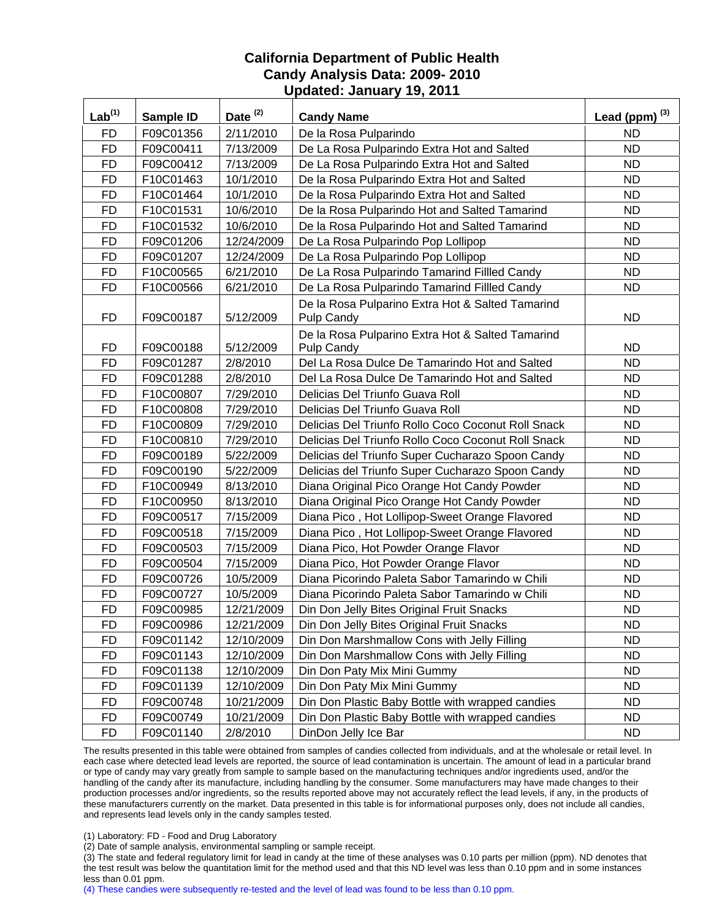| $Lab^{(1)}$ | Sample ID | Date <sup>(2)</sup> | <b>Candy Name</b>                                                     | Lead (ppm) $^{(3)}$ |
|-------------|-----------|---------------------|-----------------------------------------------------------------------|---------------------|
| <b>FD</b>   | F09C01356 | 2/11/2010           | De la Rosa Pulparindo                                                 | <b>ND</b>           |
| <b>FD</b>   | F09C00411 | 7/13/2009           | De La Rosa Pulparindo Extra Hot and Salted                            | <b>ND</b>           |
| <b>FD</b>   | F09C00412 | 7/13/2009           | De La Rosa Pulparindo Extra Hot and Salted                            | <b>ND</b>           |
| <b>FD</b>   | F10C01463 | 10/1/2010           | De la Rosa Pulparindo Extra Hot and Salted                            | <b>ND</b>           |
| <b>FD</b>   | F10C01464 | 10/1/2010           | De la Rosa Pulparindo Extra Hot and Salted                            | <b>ND</b>           |
| <b>FD</b>   | F10C01531 | 10/6/2010           | De la Rosa Pulparindo Hot and Salted Tamarind                         | <b>ND</b>           |
| <b>FD</b>   | F10C01532 | 10/6/2010           | De la Rosa Pulparindo Hot and Salted Tamarind                         | <b>ND</b>           |
| <b>FD</b>   | F09C01206 | 12/24/2009          | De La Rosa Pulparindo Pop Lollipop                                    | <b>ND</b>           |
| <b>FD</b>   | F09C01207 | 12/24/2009          | De La Rosa Pulparindo Pop Lollipop                                    | <b>ND</b>           |
| <b>FD</b>   | F10C00565 | 6/21/2010           | De La Rosa Pulparindo Tamarind Fillled Candy                          | <b>ND</b>           |
| <b>FD</b>   | F10C00566 | 6/21/2010           | De La Rosa Pulparindo Tamarind Fillled Candy                          | <b>ND</b>           |
| <b>FD</b>   | F09C00187 | 5/12/2009           | De la Rosa Pulparino Extra Hot & Salted Tamarind<br>Pulp Candy        | <b>ND</b>           |
| <b>FD</b>   | F09C00188 | 5/12/2009           | De la Rosa Pulparino Extra Hot & Salted Tamarind<br><b>Pulp Candy</b> | ND.                 |
| <b>FD</b>   | F09C01287 | 2/8/2010            | Del La Rosa Dulce De Tamarindo Hot and Salted                         | <b>ND</b>           |
| <b>FD</b>   | F09C01288 | 2/8/2010            | Del La Rosa Dulce De Tamarindo Hot and Salted                         | <b>ND</b>           |
| <b>FD</b>   | F10C00807 | 7/29/2010           | Delicias Del Triunfo Guava Roll                                       | <b>ND</b>           |
| <b>FD</b>   | F10C00808 | 7/29/2010           | Delicias Del Triunfo Guava Roll                                       | <b>ND</b>           |
| <b>FD</b>   | F10C00809 | 7/29/2010           | Delicias Del Triunfo Rollo Coco Coconut Roll Snack                    | <b>ND</b>           |
| <b>FD</b>   | F10C00810 | 7/29/2010           | Delicias Del Triunfo Rollo Coco Coconut Roll Snack                    | <b>ND</b>           |
| <b>FD</b>   | F09C00189 | 5/22/2009           | Delicias del Triunfo Super Cucharazo Spoon Candy                      | <b>ND</b>           |
| <b>FD</b>   | F09C00190 | 5/22/2009           | Delicias del Triunfo Super Cucharazo Spoon Candy                      | <b>ND</b>           |
| <b>FD</b>   | F10C00949 | 8/13/2010           | Diana Original Pico Orange Hot Candy Powder                           | <b>ND</b>           |
| <b>FD</b>   | F10C00950 | 8/13/2010           | Diana Original Pico Orange Hot Candy Powder                           | <b>ND</b>           |
| <b>FD</b>   | F09C00517 | 7/15/2009           | Diana Pico, Hot Lollipop-Sweet Orange Flavored                        | <b>ND</b>           |
| <b>FD</b>   | F09C00518 | 7/15/2009           | Diana Pico, Hot Lollipop-Sweet Orange Flavored                        | <b>ND</b>           |
| <b>FD</b>   | F09C00503 | 7/15/2009           | Diana Pico, Hot Powder Orange Flavor                                  | <b>ND</b>           |
| <b>FD</b>   | F09C00504 | 7/15/2009           | Diana Pico, Hot Powder Orange Flavor                                  | <b>ND</b>           |
| <b>FD</b>   | F09C00726 | 10/5/2009           | Diana Picorindo Paleta Sabor Tamarindo w Chili                        | <b>ND</b>           |
| <b>FD</b>   | F09C00727 | 10/5/2009           | Diana Picorindo Paleta Sabor Tamarindo w Chili                        | <b>ND</b>           |
| <b>FD</b>   | F09C00985 | 12/21/2009          | Din Don Jelly Bites Original Fruit Snacks                             | <b>ND</b>           |
| <b>FD</b>   | F09C00986 | 12/21/2009          | Din Don Jelly Bites Original Fruit Snacks                             | ND.                 |
| FD          | F09C01142 | 12/10/2009          | Din Don Marshmallow Cons with Jelly Filling                           | <b>ND</b>           |
| <b>FD</b>   | F09C01143 | 12/10/2009          | Din Don Marshmallow Cons with Jelly Filling                           | <b>ND</b>           |
| <b>FD</b>   | F09C01138 | 12/10/2009          | Din Don Paty Mix Mini Gummy                                           | <b>ND</b>           |
| FD          | F09C01139 | 12/10/2009          | Din Don Paty Mix Mini Gummy                                           | ND.                 |
| <b>FD</b>   | F09C00748 | 10/21/2009          | Din Don Plastic Baby Bottle with wrapped candies                      | <b>ND</b>           |
| <b>FD</b>   | F09C00749 | 10/21/2009          | Din Don Plastic Baby Bottle with wrapped candies                      | <b>ND</b>           |
| <b>FD</b>   | F09C01140 | 2/8/2010            | DinDon Jelly Ice Bar                                                  | <b>ND</b>           |

The results presented in this table were obtained from samples of candies collected from individuals, and at the wholesale or retail level. In each case where detected lead levels are reported, the source of lead contamination is uncertain. The amount of lead in a particular brand or type of candy may vary greatly from sample to sample based on the manufacturing techniques and/or ingredients used, and/or the handling of the candy after its manufacture, including handling by the consumer. Some manufacturers may have made changes to their production processes and/or ingredients, so the results reported above may not accurately reflect the lead levels, if any, in the products of these manufacturers currently on the market. Data presented in this table is for informational purposes only, does not include all candies, and represents lead levels only in the candy samples tested.

(1) Laboratory: FD - Food and Drug Laboratory

(2) Date of sample analysis, environmental sampling or sample receipt.

(3) The state and federal regulatory limit for lead in candy at the time of these analyses was 0.10 parts per million (ppm). ND denotes that the test result was below the quantitation limit for the method used and that this ND level was less than 0.10 ppm and in some instances less than 0.01 ppm.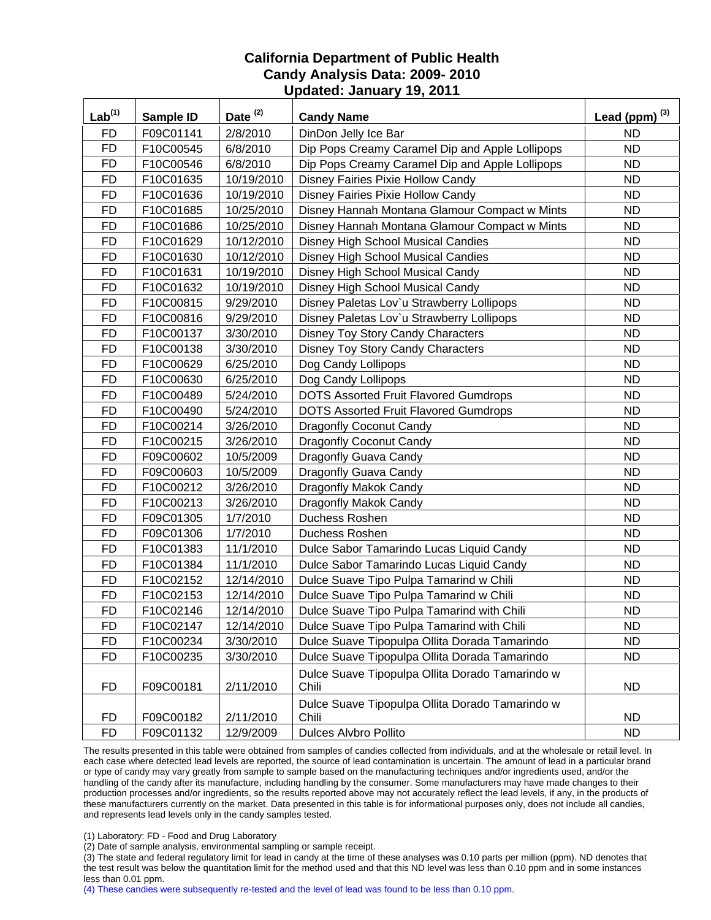| Lab <sup>(1)</sup> | Sample ID | Date $(2)$ | <b>Candy Name</b>                                        | Lead (ppm) $^{(3)}$ |
|--------------------|-----------|------------|----------------------------------------------------------|---------------------|
| <b>FD</b>          | F09C01141 | 2/8/2010   | DinDon Jelly Ice Bar                                     | <b>ND</b>           |
| <b>FD</b>          | F10C00545 | 6/8/2010   | Dip Pops Creamy Caramel Dip and Apple Lollipops          | <b>ND</b>           |
| <b>FD</b>          | F10C00546 | 6/8/2010   | Dip Pops Creamy Caramel Dip and Apple Lollipops          | <b>ND</b>           |
| <b>FD</b>          | F10C01635 | 10/19/2010 | Disney Fairies Pixie Hollow Candy                        | <b>ND</b>           |
| <b>FD</b>          | F10C01636 | 10/19/2010 | Disney Fairies Pixie Hollow Candy                        | <b>ND</b>           |
| <b>FD</b>          | F10C01685 | 10/25/2010 | Disney Hannah Montana Glamour Compact w Mints            | <b>ND</b>           |
| <b>FD</b>          | F10C01686 | 10/25/2010 | Disney Hannah Montana Glamour Compact w Mints            | <b>ND</b>           |
| <b>FD</b>          | F10C01629 | 10/12/2010 | Disney High School Musical Candies                       | <b>ND</b>           |
| <b>FD</b>          | F10C01630 | 10/12/2010 | <b>Disney High School Musical Candies</b>                | <b>ND</b>           |
| <b>FD</b>          | F10C01631 | 10/19/2010 | Disney High School Musical Candy                         | <b>ND</b>           |
| <b>FD</b>          | F10C01632 | 10/19/2010 | Disney High School Musical Candy                         | <b>ND</b>           |
| <b>FD</b>          | F10C00815 | 9/29/2010  | Disney Paletas Lov'u Strawberry Lollipops                | <b>ND</b>           |
| <b>FD</b>          | F10C00816 | 9/29/2010  | Disney Paletas Lov'u Strawberry Lollipops                | <b>ND</b>           |
| <b>FD</b>          | F10C00137 | 3/30/2010  | Disney Toy Story Candy Characters                        | <b>ND</b>           |
| <b>FD</b>          | F10C00138 | 3/30/2010  | <b>Disney Toy Story Candy Characters</b>                 | <b>ND</b>           |
| <b>FD</b>          | F10C00629 | 6/25/2010  | Dog Candy Lollipops                                      | <b>ND</b>           |
| <b>FD</b>          | F10C00630 | 6/25/2010  | Dog Candy Lollipops                                      | <b>ND</b>           |
| <b>FD</b>          | F10C00489 | 5/24/2010  | <b>DOTS Assorted Fruit Flavored Gumdrops</b>             | <b>ND</b>           |
| <b>FD</b>          | F10C00490 | 5/24/2010  | <b>DOTS Assorted Fruit Flavored Gumdrops</b>             | <b>ND</b>           |
| <b>FD</b>          | F10C00214 | 3/26/2010  | <b>Dragonfly Coconut Candy</b>                           | <b>ND</b>           |
| <b>FD</b>          | F10C00215 | 3/26/2010  | <b>Dragonfly Coconut Candy</b>                           | <b>ND</b>           |
| <b>FD</b>          | F09C00602 | 10/5/2009  | Dragonfly Guava Candy                                    | <b>ND</b>           |
| <b>FD</b>          | F09C00603 | 10/5/2009  | Dragonfly Guava Candy                                    | <b>ND</b>           |
| <b>FD</b>          | F10C00212 | 3/26/2010  | Dragonfly Makok Candy                                    | <b>ND</b>           |
| <b>FD</b>          | F10C00213 | 3/26/2010  | Dragonfly Makok Candy                                    | <b>ND</b>           |
| <b>FD</b>          | F09C01305 | 1/7/2010   | Duchess Roshen                                           | <b>ND</b>           |
| <b>FD</b>          | F09C01306 | 1/7/2010   | Duchess Roshen                                           | <b>ND</b>           |
| <b>FD</b>          | F10C01383 | 11/1/2010  | Dulce Sabor Tamarindo Lucas Liquid Candy                 | <b>ND</b>           |
| <b>FD</b>          | F10C01384 | 11/1/2010  | Dulce Sabor Tamarindo Lucas Liquid Candy                 | <b>ND</b>           |
| <b>FD</b>          | F10C02152 | 12/14/2010 | Dulce Suave Tipo Pulpa Tamarind w Chili                  | <b>ND</b>           |
| <b>FD</b>          | F10C02153 | 12/14/2010 | Dulce Suave Tipo Pulpa Tamarind w Chili                  | <b>ND</b>           |
| <b>FD</b>          | F10C02146 | 12/14/2010 | Dulce Suave Tipo Pulpa Tamarind with Chili               | <b>ND</b>           |
| <b>FD</b>          | F10C02147 | 12/14/2010 | Dulce Suave Tipo Pulpa Tamarind with Chili               | <b>ND</b>           |
| <b>FD</b>          | F10C00234 | 3/30/2010  | Dulce Suave Tipopulpa Ollita Dorada Tamarindo            | <b>ND</b>           |
| <b>FD</b>          | F10C00235 | 3/30/2010  | Dulce Suave Tipopulpa Ollita Dorada Tamarindo            | <b>ND</b>           |
| <b>FD</b>          | F09C00181 | 2/11/2010  | Dulce Suave Tipopulpa Ollita Dorado Tamarindo w<br>Chili | <b>ND</b>           |
| <b>FD</b>          | F09C00182 | 2/11/2010  | Dulce Suave Tipopulpa Ollita Dorado Tamarindo w<br>Chili | <b>ND</b>           |
| <b>FD</b>          | F09C01132 | 12/9/2009  | Dulces Alvbro Pollito                                    | <b>ND</b>           |

The results presented in this table were obtained from samples of candies collected from individuals, and at the wholesale or retail level. In each case where detected lead levels are reported, the source of lead contamination is uncertain. The amount of lead in a particular brand or type of candy may vary greatly from sample to sample based on the manufacturing techniques and/or ingredients used, and/or the handling of the candy after its manufacture, including handling by the consumer. Some manufacturers may have made changes to their production processes and/or ingredients, so the results reported above may not accurately reflect the lead levels, if any, in the products of these manufacturers currently on the market. Data presented in this table is for informational purposes only, does not include all candies, and represents lead levels only in the candy samples tested.

(1) Laboratory: FD - Food and Drug Laboratory

(2) Date of sample analysis, environmental sampling or sample receipt.

(3) The state and federal regulatory limit for lead in candy at the time of these analyses was 0.10 parts per million (ppm). ND denotes that the test result was below the quantitation limit for the method used and that this ND level was less than 0.10 ppm and in some instances less than 0.01 ppm.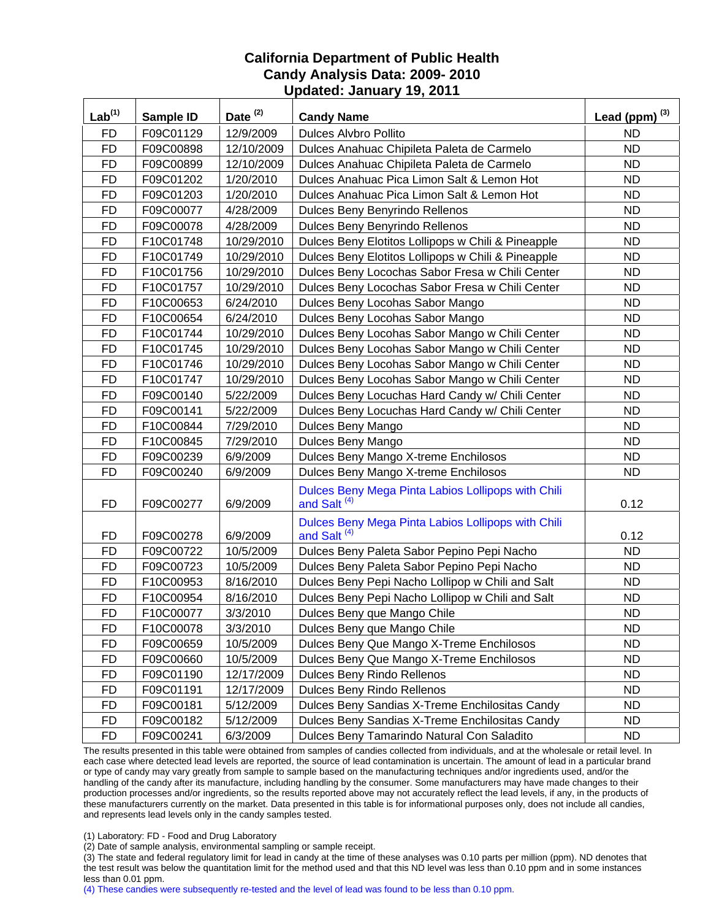| Lab <sup>(1)</sup> | Sample ID | Date <sup>(2)</sup> | <b>Candy Name</b>                                                             | Lead (ppm) $^{(3)}$ |
|--------------------|-----------|---------------------|-------------------------------------------------------------------------------|---------------------|
| <b>FD</b>          | F09C01129 | 12/9/2009           | <b>Dulces Alvbro Pollito</b>                                                  | <b>ND</b>           |
| <b>FD</b>          | F09C00898 | 12/10/2009          | Dulces Anahuac Chipileta Paleta de Carmelo                                    | <b>ND</b>           |
| <b>FD</b>          | F09C00899 | 12/10/2009          | Dulces Anahuac Chipileta Paleta de Carmelo                                    | <b>ND</b>           |
| <b>FD</b>          | F09C01202 | 1/20/2010           | Dulces Anahuac Pica Limon Salt & Lemon Hot                                    | ND.                 |
| <b>FD</b>          | F09C01203 | 1/20/2010           | Dulces Anahuac Pica Limon Salt & Lemon Hot                                    | <b>ND</b>           |
| <b>FD</b>          | F09C00077 | 4/28/2009           | Dulces Beny Benyrindo Rellenos                                                | ND                  |
| <b>FD</b>          | F09C00078 | 4/28/2009           | Dulces Beny Benyrindo Rellenos                                                | <b>ND</b>           |
| <b>FD</b>          | F10C01748 | 10/29/2010          | Dulces Beny Elotitos Lollipops w Chili & Pineapple                            | <b>ND</b>           |
| <b>FD</b>          | F10C01749 | 10/29/2010          | Dulces Beny Elotitos Lollipops w Chili & Pineapple                            | ND.                 |
| <b>FD</b>          | F10C01756 | 10/29/2010          | Dulces Beny Locochas Sabor Fresa w Chili Center                               | <b>ND</b>           |
| <b>FD</b>          | F10C01757 | 10/29/2010          | Dulces Beny Locochas Sabor Fresa w Chili Center                               | <b>ND</b>           |
| <b>FD</b>          | F10C00653 | 6/24/2010           | Dulces Beny Locohas Sabor Mango                                               | <b>ND</b>           |
| <b>FD</b>          | F10C00654 | 6/24/2010           | Dulces Beny Locohas Sabor Mango                                               | ND                  |
| FD                 | F10C01744 | 10/29/2010          | Dulces Beny Locohas Sabor Mango w Chili Center                                | <b>ND</b>           |
| <b>FD</b>          | F10C01745 | 10/29/2010          | Dulces Beny Locohas Sabor Mango w Chili Center                                | <b>ND</b>           |
| <b>FD</b>          | F10C01746 | 10/29/2010          | Dulces Beny Locohas Sabor Mango w Chili Center                                | ND                  |
| <b>FD</b>          | F10C01747 | 10/29/2010          | Dulces Beny Locohas Sabor Mango w Chili Center                                | <b>ND</b>           |
| <b>FD</b>          | F09C00140 | 5/22/2009           | Dulces Beny Locuchas Hard Candy w/ Chili Center                               | <b>ND</b>           |
| <b>FD</b>          | F09C00141 | 5/22/2009           | Dulces Beny Locuchas Hard Candy w/ Chili Center                               | <b>ND</b>           |
| <b>FD</b>          | F10C00844 | 7/29/2010           | Dulces Beny Mango                                                             | <b>ND</b>           |
| <b>FD</b>          | F10C00845 | 7/29/2010           | Dulces Beny Mango                                                             | <b>ND</b>           |
| <b>FD</b>          | F09C00239 | 6/9/2009            | Dulces Beny Mango X-treme Enchilosos                                          | <b>ND</b>           |
| <b>FD</b>          | F09C00240 | 6/9/2009            | Dulces Beny Mango X-treme Enchilosos                                          | <b>ND</b>           |
| <b>FD</b>          | F09C00277 | 6/9/2009            | Dulces Beny Mega Pinta Labios Lollipops with Chili<br>and Salt <sup>(4)</sup> | 0.12                |
| <b>FD</b>          | F09C00278 | 6/9/2009            | Dulces Beny Mega Pinta Labios Lollipops with Chili<br>and Salt <sup>(4)</sup> | 0.12                |
| <b>FD</b>          | F09C00722 | 10/5/2009           | Dulces Beny Paleta Sabor Pepino Pepi Nacho                                    | <b>ND</b>           |
| <b>FD</b>          | F09C00723 | 10/5/2009           | Dulces Beny Paleta Sabor Pepino Pepi Nacho                                    | ND                  |
| <b>FD</b>          | F10C00953 | 8/16/2010           | Dulces Beny Pepi Nacho Lollipop w Chili and Salt                              | <b>ND</b>           |
| <b>FD</b>          | F10C00954 | 8/16/2010           | Dulces Beny Pepi Nacho Lollipop w Chili and Salt                              | <b>ND</b>           |
| <b>FD</b>          | F10C00077 | 3/3/2010            | Dulces Beny que Mango Chile                                                   | <b>ND</b>           |
| <b>FD</b>          | F10C00078 | 3/3/2010            | Dulces Beny que Mango Chile                                                   | <b>ND</b>           |
| FD                 | F09C00659 | 10/5/2009           | Dulces Beny Que Mango X-Treme Enchilosos                                      | <b>ND</b>           |
| <b>FD</b>          | F09C00660 | 10/5/2009           | Dulces Beny Que Mango X-Treme Enchilosos                                      | <b>ND</b>           |
| <b>FD</b>          | F09C01190 | 12/17/2009          | Dulces Beny Rindo Rellenos                                                    | <b>ND</b>           |
| <b>FD</b>          | F09C01191 | 12/17/2009          | Dulces Beny Rindo Rellenos                                                    | <b>ND</b>           |
| <b>FD</b>          | F09C00181 | 5/12/2009           | Dulces Beny Sandias X-Treme Enchilositas Candy                                | <b>ND</b>           |
| <b>FD</b>          | F09C00182 | 5/12/2009           | Dulces Beny Sandias X-Treme Enchilositas Candy                                | <b>ND</b>           |
| <b>FD</b>          | F09C00241 | 6/3/2009            | Dulces Beny Tamarindo Natural Con Saladito                                    | ND                  |

The results presented in this table were obtained from samples of candies collected from individuals, and at the wholesale or retail level. In each case where detected lead levels are reported, the source of lead contamination is uncertain. The amount of lead in a particular brand or type of candy may vary greatly from sample to sample based on the manufacturing techniques and/or ingredients used, and/or the handling of the candy after its manufacture, including handling by the consumer. Some manufacturers may have made changes to their production processes and/or ingredients, so the results reported above may not accurately reflect the lead levels, if any, in the products of these manufacturers currently on the market. Data presented in this table is for informational purposes only, does not include all candies, and represents lead levels only in the candy samples tested.

(1) Laboratory: FD - Food and Drug Laboratory

(2) Date of sample analysis, environmental sampling or sample receipt.

(3) The state and federal regulatory limit for lead in candy at the time of these analyses was 0.10 parts per million (ppm). ND denotes that the test result was below the quantitation limit for the method used and that this ND level was less than 0.10 ppm and in some instances less than 0.01 ppm.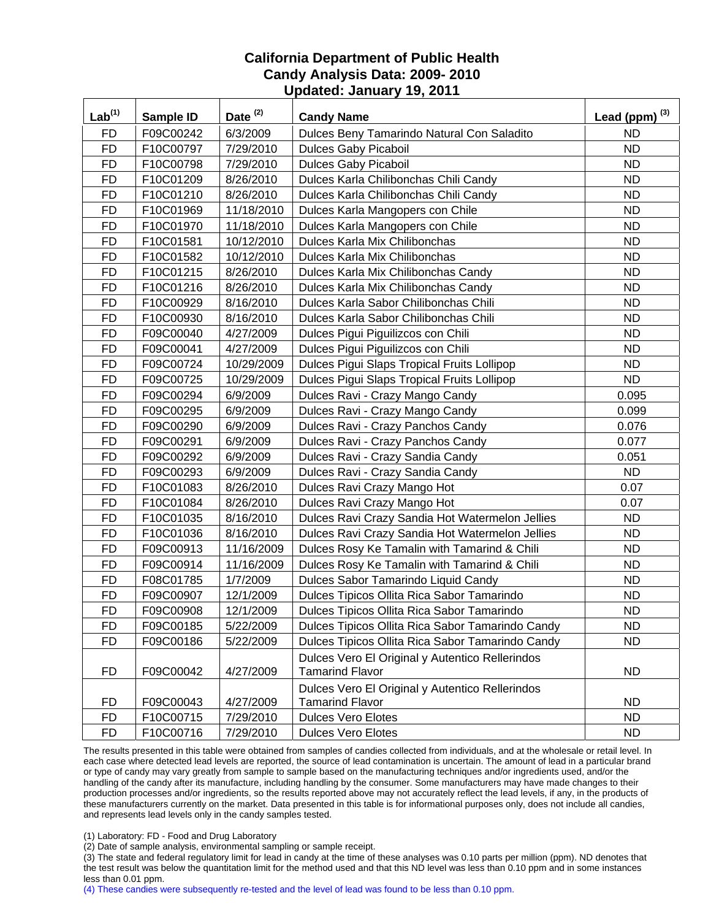| Lab <sup>(1)</sup> | Sample ID | Date <sup>(2)</sup> | <b>Candy Name</b>                                                         | Lead (ppm) $^{(3)}$ |
|--------------------|-----------|---------------------|---------------------------------------------------------------------------|---------------------|
| <b>FD</b>          | F09C00242 | 6/3/2009            | Dulces Beny Tamarindo Natural Con Saladito                                | <b>ND</b>           |
| <b>FD</b>          | F10C00797 | 7/29/2010           | <b>Dulces Gaby Picaboil</b>                                               | <b>ND</b>           |
| <b>FD</b>          | F10C00798 | 7/29/2010           | <b>Dulces Gaby Picaboil</b>                                               | <b>ND</b>           |
| <b>FD</b>          | F10C01209 | 8/26/2010           | Dulces Karla Chilibonchas Chili Candy                                     | <b>ND</b>           |
| <b>FD</b>          | F10C01210 | 8/26/2010           | Dulces Karla Chilibonchas Chili Candy                                     | <b>ND</b>           |
| <b>FD</b>          | F10C01969 | 11/18/2010          | Dulces Karla Mangopers con Chile                                          | <b>ND</b>           |
| <b>FD</b>          | F10C01970 | 11/18/2010          | Dulces Karla Mangopers con Chile                                          | <b>ND</b>           |
| <b>FD</b>          | F10C01581 | 10/12/2010          | Dulces Karla Mix Chilibonchas                                             | <b>ND</b>           |
| <b>FD</b>          | F10C01582 | 10/12/2010          | Dulces Karla Mix Chilibonchas                                             | <b>ND</b>           |
| <b>FD</b>          | F10C01215 | 8/26/2010           | Dulces Karla Mix Chilibonchas Candy                                       | <b>ND</b>           |
| <b>FD</b>          | F10C01216 | 8/26/2010           | Dulces Karla Mix Chilibonchas Candy                                       | <b>ND</b>           |
| <b>FD</b>          | F10C00929 | 8/16/2010           | Dulces Karla Sabor Chilibonchas Chili                                     | <b>ND</b>           |
| <b>FD</b>          | F10C00930 | 8/16/2010           | Dulces Karla Sabor Chilibonchas Chili                                     | <b>ND</b>           |
| <b>FD</b>          | F09C00040 | 4/27/2009           | Dulces Pigui Piguilizcos con Chili                                        | <b>ND</b>           |
| <b>FD</b>          | F09C00041 | 4/27/2009           | Dulces Pigui Piguilizcos con Chili                                        | <b>ND</b>           |
| <b>FD</b>          | F09C00724 | 10/29/2009          | Dulces Pigui Slaps Tropical Fruits Lollipop                               | <b>ND</b>           |
| <b>FD</b>          | F09C00725 | 10/29/2009          | Dulces Pigui Slaps Tropical Fruits Lollipop                               | <b>ND</b>           |
| <b>FD</b>          | F09C00294 | 6/9/2009            | Dulces Ravi - Crazy Mango Candy                                           | 0.095               |
| <b>FD</b>          | F09C00295 | 6/9/2009            | Dulces Ravi - Crazy Mango Candy                                           | 0.099               |
| <b>FD</b>          | F09C00290 | 6/9/2009            | Dulces Ravi - Crazy Panchos Candy                                         | 0.076               |
| <b>FD</b>          | F09C00291 | 6/9/2009            | Dulces Ravi - Crazy Panchos Candy                                         | 0.077               |
| <b>FD</b>          | F09C00292 | 6/9/2009            | Dulces Ravi - Crazy Sandia Candy                                          | 0.051               |
| <b>FD</b>          | F09C00293 | 6/9/2009            | Dulces Ravi - Crazy Sandia Candy                                          | <b>ND</b>           |
| <b>FD</b>          | F10C01083 | 8/26/2010           | Dulces Ravi Crazy Mango Hot                                               | 0.07                |
| <b>FD</b>          | F10C01084 | 8/26/2010           | Dulces Ravi Crazy Mango Hot                                               | 0.07                |
| <b>FD</b>          | F10C01035 | 8/16/2010           | Dulces Ravi Crazy Sandia Hot Watermelon Jellies                           | <b>ND</b>           |
| <b>FD</b>          | F10C01036 | 8/16/2010           | Dulces Ravi Crazy Sandia Hot Watermelon Jellies                           | <b>ND</b>           |
| <b>FD</b>          | F09C00913 | 11/16/2009          | Dulces Rosy Ke Tamalin with Tamarind & Chili                              | <b>ND</b>           |
| <b>FD</b>          | F09C00914 | 11/16/2009          | Dulces Rosy Ke Tamalin with Tamarind & Chili                              | <b>ND</b>           |
| <b>FD</b>          | F08C01785 | 1/7/2009            | Dulces Sabor Tamarindo Liquid Candy                                       | <b>ND</b>           |
| <b>FD</b>          | F09C00907 | 12/1/2009           | Dulces Tipicos Ollita Rica Sabor Tamarindo                                | <b>ND</b>           |
| <b>FD</b>          | F09C00908 | 12/1/2009           | Dulces Tipicos Ollita Rica Sabor Tamarindo                                | <b>ND</b>           |
| <b>FD</b>          | F09C00185 | 5/22/2009           | Dulces Tipicos Ollita Rica Sabor Tamarindo Candy                          | <b>ND</b>           |
| <b>FD</b>          | F09C00186 | 5/22/2009           | Dulces Tipicos Ollita Rica Sabor Tamarindo Candy                          | <b>ND</b>           |
| <b>FD</b>          | F09C00042 | 4/27/2009           | Dulces Vero El Original y Autentico Rellerindos<br><b>Tamarind Flavor</b> | <b>ND</b>           |
| <b>FD</b>          | F09C00043 | 4/27/2009           | Dulces Vero El Original y Autentico Rellerindos<br><b>Tamarind Flavor</b> | ND.                 |
| <b>FD</b>          | F10C00715 | 7/29/2010           | <b>Dulces Vero Elotes</b>                                                 | <b>ND</b>           |
| <b>FD</b>          | F10C00716 | 7/29/2010           | <b>Dulces Vero Elotes</b>                                                 | <b>ND</b>           |

The results presented in this table were obtained from samples of candies collected from individuals, and at the wholesale or retail level. In each case where detected lead levels are reported, the source of lead contamination is uncertain. The amount of lead in a particular brand or type of candy may vary greatly from sample to sample based on the manufacturing techniques and/or ingredients used, and/or the handling of the candy after its manufacture, including handling by the consumer. Some manufacturers may have made changes to their production processes and/or ingredients, so the results reported above may not accurately reflect the lead levels, if any, in the products of these manufacturers currently on the market. Data presented in this table is for informational purposes only, does not include all candies, and represents lead levels only in the candy samples tested.

(1) Laboratory: FD - Food and Drug Laboratory

(2) Date of sample analysis, environmental sampling or sample receipt.

(3) The state and federal regulatory limit for lead in candy at the time of these analyses was 0.10 parts per million (ppm). ND denotes that the test result was below the quantitation limit for the method used and that this ND level was less than 0.10 ppm and in some instances less than 0.01 ppm.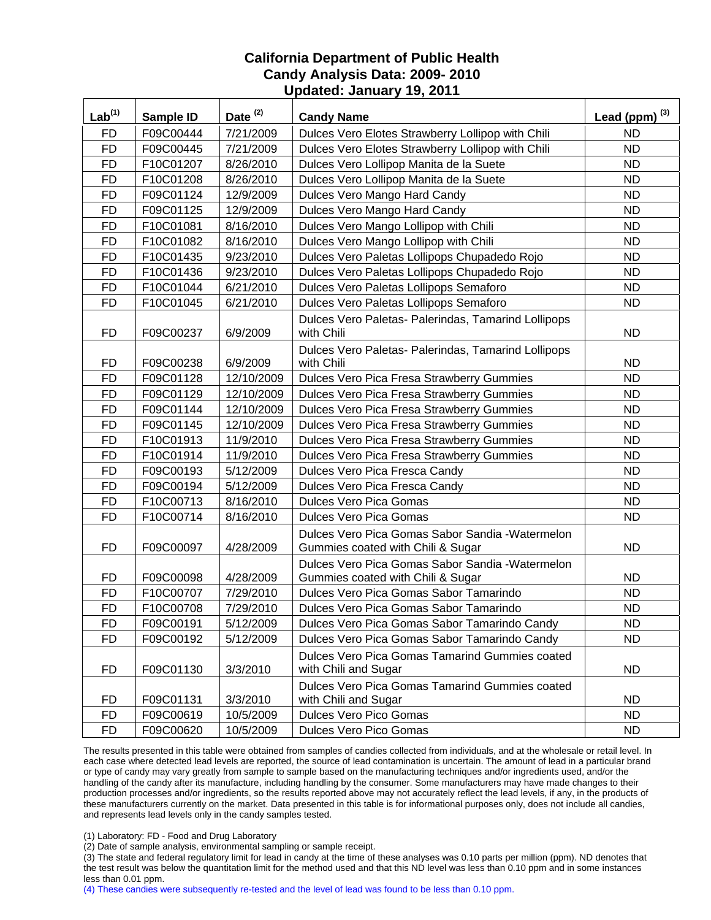| Lab <sup>(1)</sup> | Sample ID | Date <sup>(2)</sup> | <b>Candy Name</b>                                                                     | Lead (ppm) $^{(3)}$ |
|--------------------|-----------|---------------------|---------------------------------------------------------------------------------------|---------------------|
| <b>FD</b>          | F09C00444 | 7/21/2009           | Dulces Vero Elotes Strawberry Lollipop with Chili                                     | ND.                 |
| <b>FD</b>          | F09C00445 | 7/21/2009           | Dulces Vero Elotes Strawberry Lollipop with Chili                                     | <b>ND</b>           |
| <b>FD</b>          | F10C01207 | 8/26/2010           | Dulces Vero Lollipop Manita de la Suete                                               | <b>ND</b>           |
| <b>FD</b>          | F10C01208 | 8/26/2010           | Dulces Vero Lollipop Manita de la Suete                                               | <b>ND</b>           |
| <b>FD</b>          | F09C01124 | 12/9/2009           | Dulces Vero Mango Hard Candy                                                          | <b>ND</b>           |
| FD                 | F09C01125 | 12/9/2009           | Dulces Vero Mango Hard Candy                                                          | <b>ND</b>           |
| <b>FD</b>          | F10C01081 | 8/16/2010           | Dulces Vero Mango Lollipop with Chili                                                 | <b>ND</b>           |
| <b>FD</b>          | F10C01082 | 8/16/2010           | Dulces Vero Mango Lollipop with Chili                                                 | <b>ND</b>           |
| <b>FD</b>          | F10C01435 | 9/23/2010           | Dulces Vero Paletas Lollipops Chupadedo Rojo                                          | <b>ND</b>           |
| <b>FD</b>          | F10C01436 | 9/23/2010           | Dulces Vero Paletas Lollipops Chupadedo Rojo                                          | <b>ND</b>           |
| <b>FD</b>          | F10C01044 | 6/21/2010           | Dulces Vero Paletas Lollipops Semaforo                                                | ND.                 |
| <b>FD</b>          | F10C01045 | 6/21/2010           | Dulces Vero Paletas Lollipops Semaforo                                                | <b>ND</b>           |
| FD                 | F09C00237 | 6/9/2009            | Dulces Vero Paletas- Palerindas, Tamarind Lollipops<br>with Chili                     | <b>ND</b>           |
| <b>FD</b>          | F09C00238 | 6/9/2009            | Dulces Vero Paletas- Palerindas, Tamarind Lollipops<br>with Chili                     | <b>ND</b>           |
| FD                 | F09C01128 | 12/10/2009          | Dulces Vero Pica Fresa Strawberry Gummies                                             | <b>ND</b>           |
| <b>FD</b>          | F09C01129 | 12/10/2009          | Dulces Vero Pica Fresa Strawberry Gummies                                             | <b>ND</b>           |
| <b>FD</b>          | F09C01144 | 12/10/2009          | Dulces Vero Pica Fresa Strawberry Gummies                                             | <b>ND</b>           |
| <b>FD</b>          | F09C01145 | 12/10/2009          | Dulces Vero Pica Fresa Strawberry Gummies                                             | <b>ND</b>           |
| <b>FD</b>          | F10C01913 | 11/9/2010           | Dulces Vero Pica Fresa Strawberry Gummies                                             | ND.                 |
| <b>FD</b>          | F10C01914 | 11/9/2010           | Dulces Vero Pica Fresa Strawberry Gummies                                             | <b>ND</b>           |
| <b>FD</b>          | F09C00193 | 5/12/2009           | Dulces Vero Pica Fresca Candy                                                         | <b>ND</b>           |
| <b>FD</b>          | F09C00194 | 5/12/2009           | Dulces Vero Pica Fresca Candy                                                         | ND.                 |
| <b>FD</b>          | F10C00713 | 8/16/2010           | <b>Dulces Vero Pica Gomas</b>                                                         | <b>ND</b>           |
| <b>FD</b>          | F10C00714 | 8/16/2010           | <b>Dulces Vero Pica Gomas</b>                                                         | ND.                 |
| <b>FD</b>          | F09C00097 | 4/28/2009           | Dulces Vero Pica Gomas Sabor Sandia - Watermelon<br>Gummies coated with Chili & Sugar | <b>ND</b>           |
| FD                 | F09C00098 | 4/28/2009           | Dulces Vero Pica Gomas Sabor Sandia - Watermelon<br>Gummies coated with Chili & Sugar | <b>ND</b>           |
| <b>FD</b>          | F10C00707 | 7/29/2010           | Dulces Vero Pica Gomas Sabor Tamarindo                                                | <b>ND</b>           |
| <b>FD</b>          | F10C00708 | 7/29/2010           | Dulces Vero Pica Gomas Sabor Tamarindo                                                | <b>ND</b>           |
| <b>FD</b>          | F09C00191 | 5/12/2009           | Dulces Vero Pica Gomas Sabor Tamarindo Candy                                          | $N\overline{D}$     |
| <b>FD</b>          | F09C00192 | 5/12/2009           | Dulces Vero Pica Gomas Sabor Tamarindo Candy                                          | <b>ND</b>           |
| <b>FD</b>          | F09C01130 | 3/3/2010            | Dulces Vero Pica Gomas Tamarind Gummies coated<br>with Chili and Sugar                | <b>ND</b>           |
| <b>FD</b>          | F09C01131 | 3/3/2010            | Dulces Vero Pica Gomas Tamarind Gummies coated<br>with Chili and Sugar                | <b>ND</b>           |
| <b>FD</b>          | F09C00619 | 10/5/2009           | Dulces Vero Pico Gomas                                                                | <b>ND</b>           |
| <b>FD</b>          | F09C00620 | 10/5/2009           | Dulces Vero Pico Gomas                                                                | <b>ND</b>           |

The results presented in this table were obtained from samples of candies collected from individuals, and at the wholesale or retail level. In each case where detected lead levels are reported, the source of lead contamination is uncertain. The amount of lead in a particular brand or type of candy may vary greatly from sample to sample based on the manufacturing techniques and/or ingredients used, and/or the handling of the candy after its manufacture, including handling by the consumer. Some manufacturers may have made changes to their production processes and/or ingredients, so the results reported above may not accurately reflect the lead levels, if any, in the products of these manufacturers currently on the market. Data presented in this table is for informational purposes only, does not include all candies, and represents lead levels only in the candy samples tested.

(1) Laboratory: FD - Food and Drug Laboratory

(2) Date of sample analysis, environmental sampling or sample receipt.

(3) The state and federal regulatory limit for lead in candy at the time of these analyses was 0.10 parts per million (ppm). ND denotes that the test result was below the quantitation limit for the method used and that this ND level was less than 0.10 ppm and in some instances less than 0.01 ppm.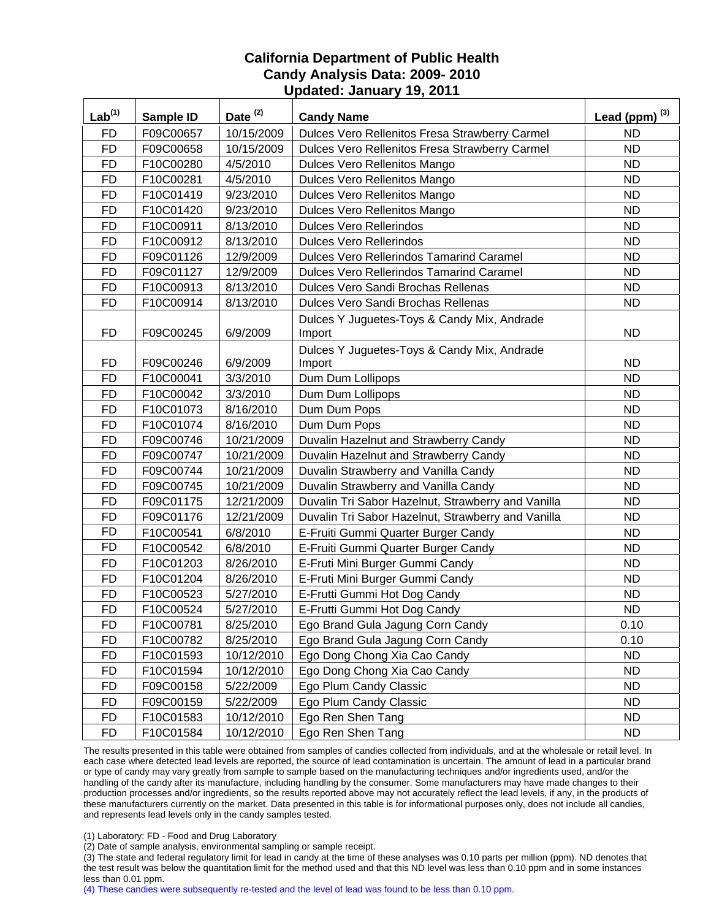| $Lab^{(1)}$ | Sample ID | Date $(2)$ | <b>Candy Name</b>                                     | Lead (ppm) $^{(3)}$ |
|-------------|-----------|------------|-------------------------------------------------------|---------------------|
| <b>FD</b>   | F09C00657 | 10/15/2009 | Dulces Vero Rellenitos Fresa Strawberry Carmel        | <b>ND</b>           |
| <b>FD</b>   | F09C00658 | 10/15/2009 | Dulces Vero Rellenitos Fresa Strawberry Carmel        | <b>ND</b>           |
| <b>FD</b>   | F10C00280 | 4/5/2010   | Dulces Vero Rellenitos Mango                          | <b>ND</b>           |
| <b>FD</b>   | F10C00281 | 4/5/2010   | Dulces Vero Rellenitos Mango                          | <b>ND</b>           |
| <b>FD</b>   | F10C01419 | 9/23/2010  | Dulces Vero Rellenitos Mango                          | <b>ND</b>           |
| <b>FD</b>   | F10C01420 | 9/23/2010  | Dulces Vero Rellenitos Mango                          | <b>ND</b>           |
| <b>FD</b>   | F10C00911 | 8/13/2010  | <b>Dulces Vero Rellerindos</b>                        | <b>ND</b>           |
| <b>FD</b>   | F10C00912 | 8/13/2010  | <b>Dulces Vero Rellerindos</b>                        | <b>ND</b>           |
| <b>FD</b>   | F09C01126 | 12/9/2009  | Dulces Vero Rellerindos Tamarind Caramel              | <b>ND</b>           |
| <b>FD</b>   | F09C01127 | 12/9/2009  | <b>Dulces Vero Rellerindos Tamarind Caramel</b>       | <b>ND</b>           |
| <b>FD</b>   | F10C00913 | 8/13/2010  | Dulces Vero Sandi Brochas Rellenas                    | <b>ND</b>           |
| <b>FD</b>   | F10C00914 | 8/13/2010  | Dulces Vero Sandi Brochas Rellenas                    | <b>ND</b>           |
| <b>FD</b>   | F09C00245 | 6/9/2009   | Dulces Y Juguetes-Toys & Candy Mix, Andrade<br>Import | <b>ND</b>           |
| <b>FD</b>   | F09C00246 | 6/9/2009   | Dulces Y Juguetes-Toys & Candy Mix, Andrade<br>Import | <b>ND</b>           |
| <b>FD</b>   | F10C00041 | 3/3/2010   | Dum Dum Lollipops                                     | <b>ND</b>           |
| <b>FD</b>   | F10C00042 | 3/3/2010   | Dum Dum Lollipops                                     | <b>ND</b>           |
| <b>FD</b>   | F10C01073 | 8/16/2010  | Dum Dum Pops                                          | <b>ND</b>           |
| <b>FD</b>   | F10C01074 | 8/16/2010  | Dum Dum Pops                                          | <b>ND</b>           |
| <b>FD</b>   | F09C00746 | 10/21/2009 | Duvalin Hazelnut and Strawberry Candy                 | <b>ND</b>           |
| <b>FD</b>   | F09C00747 | 10/21/2009 | Duvalin Hazelnut and Strawberry Candy                 | <b>ND</b>           |
| <b>FD</b>   | F09C00744 | 10/21/2009 | Duvalin Strawberry and Vanilla Candy                  | <b>ND</b>           |
| <b>FD</b>   | F09C00745 | 10/21/2009 | Duvalin Strawberry and Vanilla Candy                  | <b>ND</b>           |
| <b>FD</b>   | F09C01175 | 12/21/2009 | Duvalin Tri Sabor Hazelnut, Strawberry and Vanilla    | <b>ND</b>           |
| <b>FD</b>   | F09C01176 | 12/21/2009 | Duvalin Tri Sabor Hazelnut, Strawberry and Vanilla    | <b>ND</b>           |
| <b>FD</b>   | F10C00541 | 6/8/2010   | E-Fruiti Gummi Quarter Burger Candy                   | <b>ND</b>           |
| <b>FD</b>   | F10C00542 | 6/8/2010   | E-Fruiti Gummi Quarter Burger Candy                   | <b>ND</b>           |
| <b>FD</b>   | F10C01203 | 8/26/2010  | E-Fruti Mini Burger Gummi Candy                       | <b>ND</b>           |
| <b>FD</b>   | F10C01204 | 8/26/2010  | E-Fruti Mini Burger Gummi Candy                       | <b>ND</b>           |
| <b>FD</b>   | F10C00523 | 5/27/2010  | E-Frutti Gummi Hot Dog Candy                          | <b>ND</b>           |
| <b>FD</b>   | F10C00524 | 5/27/2010  | E-Frutti Gummi Hot Dog Candy                          | <b>ND</b>           |
| FD          | F10C00781 | 8/25/2010  | Ego Brand Gula Jagung Corn Candy                      | 0.10                |
| <b>FD</b>   | F10C00782 | 8/25/2010  | Ego Brand Gula Jagung Corn Candy                      | 0.10                |
| <b>FD</b>   | F10C01593 | 10/12/2010 | Ego Dong Chong Xia Cao Candy                          | <b>ND</b>           |
| <b>FD</b>   | F10C01594 | 10/12/2010 | Ego Dong Chong Xia Cao Candy                          | <b>ND</b>           |
| <b>FD</b>   | F09C00158 | 5/22/2009  | Ego Plum Candy Classic                                | <b>ND</b>           |
| <b>FD</b>   | F09C00159 | 5/22/2009  | Ego Plum Candy Classic                                | <b>ND</b>           |
| <b>FD</b>   | F10C01583 | 10/12/2010 | Ego Ren Shen Tang                                     | <b>ND</b>           |
| <b>FD</b>   | F10C01584 | 10/12/2010 | Ego Ren Shen Tang                                     | <b>ND</b>           |

The results presented in this table were obtained from samples of candies collected from individuals, and at the wholesale or retail level. In each case where detected lead levels are reported, the source of lead contamination is uncertain. The amount of lead in a particular brand or type of candy may vary greatly from sample to sample based on the manufacturing techniques and/or ingredients used, and/or the handling of the candy after its manufacture, including handling by the consumer. Some manufacturers may have made changes to their production processes and/or ingredients, so the results reported above may not accurately reflect the lead levels, if any, in the products of these manufacturers currently on the market. Data presented in this table is for informational purposes only, does not include all candies, and represents lead levels only in the candy samples tested.

(1) Laboratory: FD - Food and Drug Laboratory

(2) Date of sample analysis, environmental sampling or sample receipt.

(3) The state and federal regulatory limit for lead in candy at the time of these analyses was 0.10 parts per million (ppm). ND denotes that the test result was below the quantitation limit for the method used and that this ND level was less than 0.10 ppm and in some instances less than 0.01 ppm.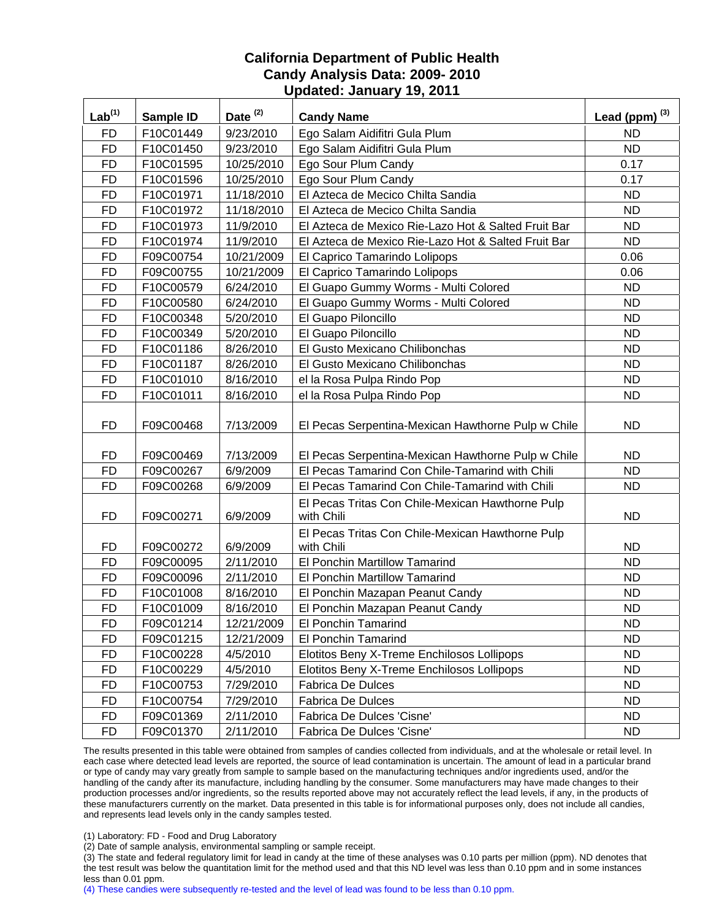| Lab <sup>(1)</sup> | Sample ID | Date $(2)$ | <b>Candy Name</b>                                              | Lead (ppm) $^{(3)}$ |
|--------------------|-----------|------------|----------------------------------------------------------------|---------------------|
| <b>FD</b>          | F10C01449 | 9/23/2010  | Ego Salam Aidifitri Gula Plum                                  | <b>ND</b>           |
| <b>FD</b>          | F10C01450 | 9/23/2010  | Ego Salam Aidifitri Gula Plum                                  | <b>ND</b>           |
| <b>FD</b>          | F10C01595 | 10/25/2010 | Ego Sour Plum Candy                                            | 0.17                |
| <b>FD</b>          | F10C01596 | 10/25/2010 | Ego Sour Plum Candy                                            | 0.17                |
| <b>FD</b>          | F10C01971 | 11/18/2010 | El Azteca de Mecico Chilta Sandia                              | <b>ND</b>           |
| <b>FD</b>          | F10C01972 | 11/18/2010 | El Azteca de Mecico Chilta Sandia                              | <b>ND</b>           |
| <b>FD</b>          | F10C01973 | 11/9/2010  | El Azteca de Mexico Rie-Lazo Hot & Salted Fruit Bar            | ND.                 |
| <b>FD</b>          | F10C01974 | 11/9/2010  | El Azteca de Mexico Rie-Lazo Hot & Salted Fruit Bar            | <b>ND</b>           |
| <b>FD</b>          | F09C00754 | 10/21/2009 | El Caprico Tamarindo Lolipops                                  | 0.06                |
| <b>FD</b>          | F09C00755 | 10/21/2009 | El Caprico Tamarindo Lolipops                                  | 0.06                |
| <b>FD</b>          | F10C00579 | 6/24/2010  | El Guapo Gummy Worms - Multi Colored                           | <b>ND</b>           |
| <b>FD</b>          | F10C00580 | 6/24/2010  | El Guapo Gummy Worms - Multi Colored                           | <b>ND</b>           |
| <b>FD</b>          | F10C00348 | 5/20/2010  | El Guapo Piloncillo                                            | <b>ND</b>           |
| FD                 | F10C00349 | 5/20/2010  | El Guapo Piloncillo                                            | <b>ND</b>           |
| <b>FD</b>          | F10C01186 | 8/26/2010  | El Gusto Mexicano Chilibonchas                                 | <b>ND</b>           |
| <b>FD</b>          | F10C01187 | 8/26/2010  | El Gusto Mexicano Chilibonchas                                 | ND.                 |
| <b>FD</b>          | F10C01010 | 8/16/2010  | el la Rosa Pulpa Rindo Pop                                     | <b>ND</b>           |
| <b>FD</b>          | F10C01011 | 8/16/2010  | el la Rosa Pulpa Rindo Pop                                     | <b>ND</b>           |
| <b>FD</b>          | F09C00468 | 7/13/2009  | El Pecas Serpentina-Mexican Hawthorne Pulp w Chile             | ND.                 |
| <b>FD</b>          | F09C00469 | 7/13/2009  | El Pecas Serpentina-Mexican Hawthorne Pulp w Chile             | ND.                 |
| <b>FD</b>          | F09C00267 | 6/9/2009   | El Pecas Tamarind Con Chile-Tamarind with Chili                | <b>ND</b>           |
| <b>FD</b>          | F09C00268 | 6/9/2009   | El Pecas Tamarind Con Chile-Tamarind with Chili                | ND.                 |
| <b>FD</b>          | F09C00271 | 6/9/2009   | El Pecas Tritas Con Chile-Mexican Hawthorne Pulp<br>with Chili | ND.                 |
| <b>FD</b>          | F09C00272 | 6/9/2009   | El Pecas Tritas Con Chile-Mexican Hawthorne Pulp<br>with Chili | <b>ND</b>           |
| <b>FD</b>          | F09C00095 | 2/11/2010  | <b>El Ponchin Martillow Tamarind</b>                           | <b>ND</b>           |
| FD                 | F09C00096 | 2/11/2010  | El Ponchin Martillow Tamarind                                  | ND                  |
| <b>FD</b>          | F10C01008 | 8/16/2010  | El Ponchin Mazapan Peanut Candy                                | <b>ND</b>           |
| <b>FD</b>          | F10C01009 | 8/16/2010  | El Ponchin Mazapan Peanut Candy                                | <b>ND</b>           |
| <b>FD</b>          | F09C01214 | 12/21/2009 | El Ponchin Tamarind                                            | <b>ND</b>           |
| <b>FD</b>          | F09C01215 | 12/21/2009 | El Ponchin Tamarind                                            | <b>ND</b>           |
| <b>FD</b>          | F10C00228 | 4/5/2010   | Elotitos Beny X-Treme Enchilosos Lollipops                     | <b>ND</b>           |
| <b>FD</b>          | F10C00229 | 4/5/2010   | Elotitos Beny X-Treme Enchilosos Lollipops                     | <b>ND</b>           |
| <b>FD</b>          | F10C00753 | 7/29/2010  | <b>Fabrica De Dulces</b>                                       | <b>ND</b>           |
| <b>FD</b>          | F10C00754 | 7/29/2010  | <b>Fabrica De Dulces</b>                                       | <b>ND</b>           |
| <b>FD</b>          | F09C01369 | 2/11/2010  | Fabrica De Dulces 'Cisne'                                      | <b>ND</b>           |
| <b>FD</b>          | F09C01370 | 2/11/2010  | Fabrica De Dulces 'Cisne'                                      | <b>ND</b>           |

The results presented in this table were obtained from samples of candies collected from individuals, and at the wholesale or retail level. In each case where detected lead levels are reported, the source of lead contamination is uncertain. The amount of lead in a particular brand or type of candy may vary greatly from sample to sample based on the manufacturing techniques and/or ingredients used, and/or the handling of the candy after its manufacture, including handling by the consumer. Some manufacturers may have made changes to their production processes and/or ingredients, so the results reported above may not accurately reflect the lead levels, if any, in the products of these manufacturers currently on the market. Data presented in this table is for informational purposes only, does not include all candies, and represents lead levels only in the candy samples tested.

(1) Laboratory: FD - Food and Drug Laboratory

(2) Date of sample analysis, environmental sampling or sample receipt.

(3) The state and federal regulatory limit for lead in candy at the time of these analyses was 0.10 parts per million (ppm). ND denotes that the test result was below the quantitation limit for the method used and that this ND level was less than 0.10 ppm and in some instances less than 0.01 ppm.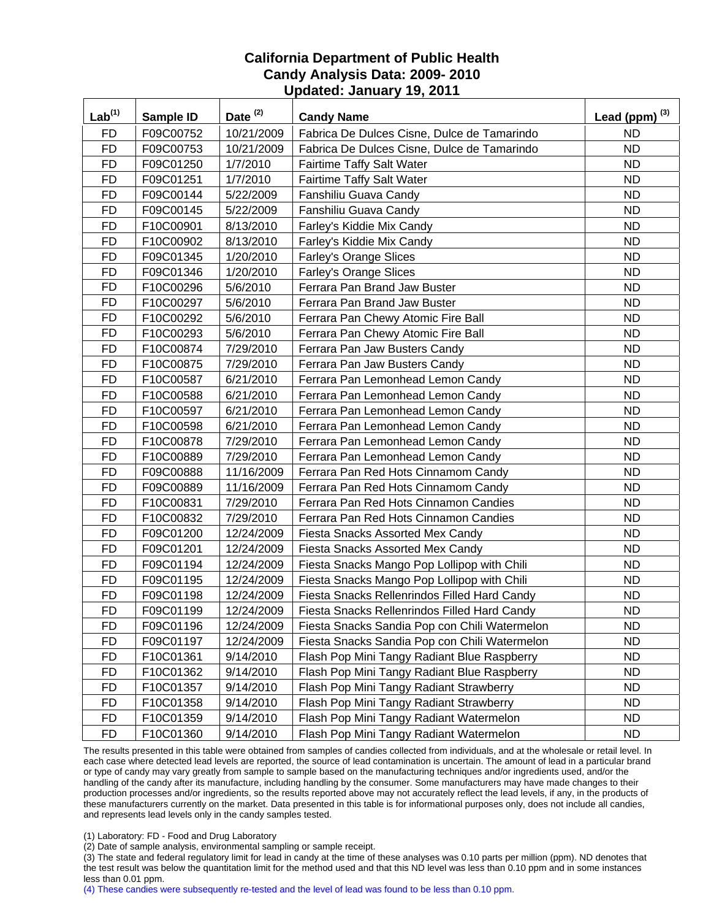| $Lab^{(1)}$ | Sample ID | Date <sup>(2)</sup> | <b>Candy Name</b>                             | Lead (ppm) $^{(3)}$ |
|-------------|-----------|---------------------|-----------------------------------------------|---------------------|
| <b>FD</b>   | F09C00752 | 10/21/2009          | Fabrica De Dulces Cisne, Dulce de Tamarindo   | <b>ND</b>           |
| <b>FD</b>   | F09C00753 | 10/21/2009          | Fabrica De Dulces Cisne, Dulce de Tamarindo   | <b>ND</b>           |
| <b>FD</b>   | F09C01250 | 1/7/2010            | <b>Fairtime Taffy Salt Water</b>              | <b>ND</b>           |
| <b>FD</b>   | F09C01251 | 1/7/2010            | Fairtime Taffy Salt Water                     | <b>ND</b>           |
| <b>FD</b>   | F09C00144 | 5/22/2009           | Fanshiliu Guava Candy                         | <b>ND</b>           |
| FD          | F09C00145 | 5/22/2009           | Fanshiliu Guava Candy                         | <b>ND</b>           |
| <b>FD</b>   | F10C00901 | 8/13/2010           | Farley's Kiddie Mix Candy                     | <b>ND</b>           |
| <b>FD</b>   | F10C00902 | 8/13/2010           | Farley's Kiddie Mix Candy                     | <b>ND</b>           |
| <b>FD</b>   | F09C01345 | 1/20/2010           | <b>Farley's Orange Slices</b>                 | <b>ND</b>           |
| <b>FD</b>   | F09C01346 | 1/20/2010           | <b>Farley's Orange Slices</b>                 | <b>ND</b>           |
| <b>FD</b>   | F10C00296 | 5/6/2010            | Ferrara Pan Brand Jaw Buster                  | <b>ND</b>           |
| <b>FD</b>   | F10C00297 | 5/6/2010            | Ferrara Pan Brand Jaw Buster                  | <b>ND</b>           |
| <b>FD</b>   | F10C00292 | 5/6/2010            | Ferrara Pan Chewy Atomic Fire Ball            | <b>ND</b>           |
| <b>FD</b>   | F10C00293 | 5/6/2010            | Ferrara Pan Chewy Atomic Fire Ball            | <b>ND</b>           |
| <b>FD</b>   | F10C00874 | 7/29/2010           | Ferrara Pan Jaw Busters Candy                 | <b>ND</b>           |
| <b>FD</b>   | F10C00875 | 7/29/2010           | Ferrara Pan Jaw Busters Candy                 | <b>ND</b>           |
| <b>FD</b>   | F10C00587 | 6/21/2010           | Ferrara Pan Lemonhead Lemon Candy             | <b>ND</b>           |
| <b>FD</b>   | F10C00588 | 6/21/2010           | Ferrara Pan Lemonhead Lemon Candy             | <b>ND</b>           |
| <b>FD</b>   | F10C00597 | 6/21/2010           | Ferrara Pan Lemonhead Lemon Candy             | <b>ND</b>           |
| <b>FD</b>   | F10C00598 | 6/21/2010           | Ferrara Pan Lemonhead Lemon Candy             | <b>ND</b>           |
| <b>FD</b>   | F10C00878 | 7/29/2010           | Ferrara Pan Lemonhead Lemon Candy             | <b>ND</b>           |
| <b>FD</b>   | F10C00889 | 7/29/2010           | Ferrara Pan Lemonhead Lemon Candy             | <b>ND</b>           |
| <b>FD</b>   | F09C00888 | 11/16/2009          | Ferrara Pan Red Hots Cinnamom Candy           | <b>ND</b>           |
| <b>FD</b>   | F09C00889 | 11/16/2009          | Ferrara Pan Red Hots Cinnamom Candy           | <b>ND</b>           |
| <b>FD</b>   | F10C00831 | 7/29/2010           | Ferrara Pan Red Hots Cinnamon Candies         | <b>ND</b>           |
| <b>FD</b>   | F10C00832 | 7/29/2010           | Ferrara Pan Red Hots Cinnamon Candies         | <b>ND</b>           |
| <b>FD</b>   | F09C01200 | 12/24/2009          | <b>Fiesta Snacks Assorted Mex Candy</b>       | <b>ND</b>           |
| <b>FD</b>   | F09C01201 | 12/24/2009          | <b>Fiesta Snacks Assorted Mex Candy</b>       | <b>ND</b>           |
| <b>FD</b>   | F09C01194 | 12/24/2009          | Fiesta Snacks Mango Pop Lollipop with Chili   | <b>ND</b>           |
| <b>FD</b>   | F09C01195 | 12/24/2009          | Fiesta Snacks Mango Pop Lollipop with Chili   | <b>ND</b>           |
| <b>FD</b>   | F09C01198 | 12/24/2009          | Fiesta Snacks Rellenrindos Filled Hard Candy  | <b>ND</b>           |
| <b>FD</b>   | F09C01199 | 12/24/2009          | Fiesta Snacks Rellenrindos Filled Hard Candy  | <b>ND</b>           |
| <b>FD</b>   | F09C01196 | 12/24/2009          | Fiesta Snacks Sandia Pop con Chili Watermelon | <b>ND</b>           |
| <b>FD</b>   | F09C01197 | 12/24/2009          | Fiesta Snacks Sandia Pop con Chili Watermelon | <b>ND</b>           |
| <b>FD</b>   | F10C01361 | 9/14/2010           | Flash Pop Mini Tangy Radiant Blue Raspberry   | <b>ND</b>           |
| FD          | F10C01362 | 9/14/2010           | Flash Pop Mini Tangy Radiant Blue Raspberry   | <b>ND</b>           |
| <b>FD</b>   | F10C01357 | 9/14/2010           | Flash Pop Mini Tangy Radiant Strawberry       | <b>ND</b>           |
| <b>FD</b>   | F10C01358 | 9/14/2010           | Flash Pop Mini Tangy Radiant Strawberry       | <b>ND</b>           |
| <b>FD</b>   | F10C01359 | 9/14/2010           | Flash Pop Mini Tangy Radiant Watermelon       | <b>ND</b>           |
| FD          | F10C01360 | 9/14/2010           | Flash Pop Mini Tangy Radiant Watermelon       | ND                  |

The results presented in this table were obtained from samples of candies collected from individuals, and at the wholesale or retail level. In each case where detected lead levels are reported, the source of lead contamination is uncertain. The amount of lead in a particular brand or type of candy may vary greatly from sample to sample based on the manufacturing techniques and/or ingredients used, and/or the handling of the candy after its manufacture, including handling by the consumer. Some manufacturers may have made changes to their production processes and/or ingredients, so the results reported above may not accurately reflect the lead levels, if any, in the products of these manufacturers currently on the market. Data presented in this table is for informational purposes only, does not include all candies, and represents lead levels only in the candy samples tested.

(1) Laboratory: FD - Food and Drug Laboratory

(2) Date of sample analysis, environmental sampling or sample receipt.

(3) The state and federal regulatory limit for lead in candy at the time of these analyses was 0.10 parts per million (ppm). ND denotes that the test result was below the quantitation limit for the method used and that this ND level was less than 0.10 ppm and in some instances less than 0.01 ppm.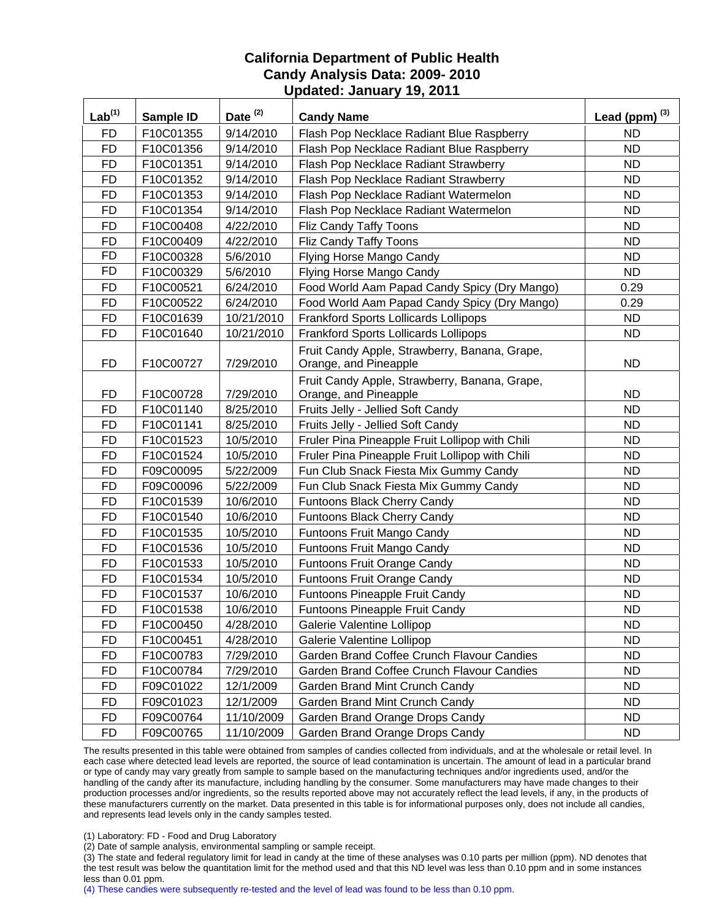| $Lab^{(1)}$ | Sample ID | Date $(2)$ | <b>Candy Name</b>                                                      | Lead (ppm) $^{(3)}$ |
|-------------|-----------|------------|------------------------------------------------------------------------|---------------------|
| <b>FD</b>   | F10C01355 | 9/14/2010  | Flash Pop Necklace Radiant Blue Raspberry                              | <b>ND</b>           |
| <b>FD</b>   | F10C01356 | 9/14/2010  | Flash Pop Necklace Radiant Blue Raspberry                              | <b>ND</b>           |
| <b>FD</b>   | F10C01351 | 9/14/2010  | Flash Pop Necklace Radiant Strawberry                                  | <b>ND</b>           |
| <b>FD</b>   | F10C01352 | 9/14/2010  | Flash Pop Necklace Radiant Strawberry                                  | <b>ND</b>           |
| <b>FD</b>   | F10C01353 | 9/14/2010  | Flash Pop Necklace Radiant Watermelon                                  | <b>ND</b>           |
| <b>FD</b>   | F10C01354 | 9/14/2010  | Flash Pop Necklace Radiant Watermelon                                  | <b>ND</b>           |
| <b>FD</b>   | F10C00408 | 4/22/2010  | Fliz Candy Taffy Toons                                                 | <b>ND</b>           |
| <b>FD</b>   | F10C00409 | 4/22/2010  | Fliz Candy Taffy Toons                                                 | <b>ND</b>           |
| <b>FD</b>   | F10C00328 | 5/6/2010   | Flying Horse Mango Candy                                               | <b>ND</b>           |
| <b>FD</b>   | F10C00329 | 5/6/2010   | Flying Horse Mango Candy                                               | <b>ND</b>           |
| <b>FD</b>   | F10C00521 | 6/24/2010  | Food World Aam Papad Candy Spicy (Dry Mango)                           | 0.29                |
| <b>FD</b>   | F10C00522 | 6/24/2010  | Food World Aam Papad Candy Spicy (Dry Mango)                           | 0.29                |
| <b>FD</b>   | F10C01639 | 10/21/2010 | Frankford Sports Lollicards Lollipops                                  | <b>ND</b>           |
| <b>FD</b>   | F10C01640 | 10/21/2010 | <b>Frankford Sports Lollicards Lollipops</b>                           | <b>ND</b>           |
| <b>FD</b>   | F10C00727 | 7/29/2010  | Fruit Candy Apple, Strawberry, Banana, Grape,<br>Orange, and Pineapple | <b>ND</b>           |
| <b>FD</b>   | F10C00728 | 7/29/2010  | Fruit Candy Apple, Strawberry, Banana, Grape,<br>Orange, and Pineapple | <b>ND</b>           |
| <b>FD</b>   | F10C01140 | 8/25/2010  | Fruits Jelly - Jellied Soft Candy                                      | ND.                 |
| <b>FD</b>   | F10C01141 | 8/25/2010  | Fruits Jelly - Jellied Soft Candy                                      | <b>ND</b>           |
| <b>FD</b>   | F10C01523 | 10/5/2010  | Fruler Pina Pineapple Fruit Lollipop with Chili                        | <b>ND</b>           |
| <b>FD</b>   | F10C01524 | 10/5/2010  | Fruler Pina Pineapple Fruit Lollipop with Chili                        | <b>ND</b>           |
| <b>FD</b>   | F09C00095 | 5/22/2009  | Fun Club Snack Fiesta Mix Gummy Candy                                  | <b>ND</b>           |
| <b>FD</b>   | F09C00096 | 5/22/2009  | Fun Club Snack Fiesta Mix Gummy Candy                                  | <b>ND</b>           |
| <b>FD</b>   | F10C01539 | 10/6/2010  | Funtoons Black Cherry Candy                                            | <b>ND</b>           |
| <b>FD</b>   | F10C01540 | 10/6/2010  | Funtoons Black Cherry Candy                                            | <b>ND</b>           |
| <b>FD</b>   | F10C01535 | 10/5/2010  | Funtoons Fruit Mango Candy                                             | <b>ND</b>           |
| <b>FD</b>   | F10C01536 | 10/5/2010  | Funtoons Fruit Mango Candy                                             | <b>ND</b>           |
| <b>FD</b>   | F10C01533 | 10/5/2010  | Funtoons Fruit Orange Candy                                            | <b>ND</b>           |
| <b>FD</b>   | F10C01534 | 10/5/2010  | Funtoons Fruit Orange Candy                                            | <b>ND</b>           |
| <b>FD</b>   | F10C01537 | 10/6/2010  | Funtoons Pineapple Fruit Candy                                         | <b>ND</b>           |
| <b>FD</b>   | F10C01538 | 10/6/2010  | <b>Funtoons Pineapple Fruit Candy</b>                                  | <b>ND</b>           |
| FD          | F10C00450 | 4/28/2010  | Galerie Valentine Lollipop                                             | ND.                 |
| <b>FD</b>   | F10C00451 | 4/28/2010  | Galerie Valentine Lollipop                                             | <b>ND</b>           |
| <b>FD</b>   | F10C00783 | 7/29/2010  | Garden Brand Coffee Crunch Flavour Candies                             | <b>ND</b>           |
| <b>FD</b>   | F10C00784 | 7/29/2010  | Garden Brand Coffee Crunch Flavour Candies                             | <b>ND</b>           |
| <b>FD</b>   | F09C01022 | 12/1/2009  | Garden Brand Mint Crunch Candy                                         | <b>ND</b>           |
| <b>FD</b>   | F09C01023 | 12/1/2009  | Garden Brand Mint Crunch Candy                                         | <b>ND</b>           |
| <b>FD</b>   | F09C00764 | 11/10/2009 | Garden Brand Orange Drops Candy                                        | <b>ND</b>           |
| <b>FD</b>   | F09C00765 | 11/10/2009 | Garden Brand Orange Drops Candy                                        | <b>ND</b>           |

The results presented in this table were obtained from samples of candies collected from individuals, and at the wholesale or retail level. In each case where detected lead levels are reported, the source of lead contamination is uncertain. The amount of lead in a particular brand or type of candy may vary greatly from sample to sample based on the manufacturing techniques and/or ingredients used, and/or the handling of the candy after its manufacture, including handling by the consumer. Some manufacturers may have made changes to their production processes and/or ingredients, so the results reported above may not accurately reflect the lead levels, if any, in the products of these manufacturers currently on the market. Data presented in this table is for informational purposes only, does not include all candies, and represents lead levels only in the candy samples tested.

(1) Laboratory: FD - Food and Drug Laboratory

(2) Date of sample analysis, environmental sampling or sample receipt.

(3) The state and federal regulatory limit for lead in candy at the time of these analyses was 0.10 parts per million (ppm). ND denotes that the test result was below the quantitation limit for the method used and that this ND level was less than 0.10 ppm and in some instances less than 0.01 ppm.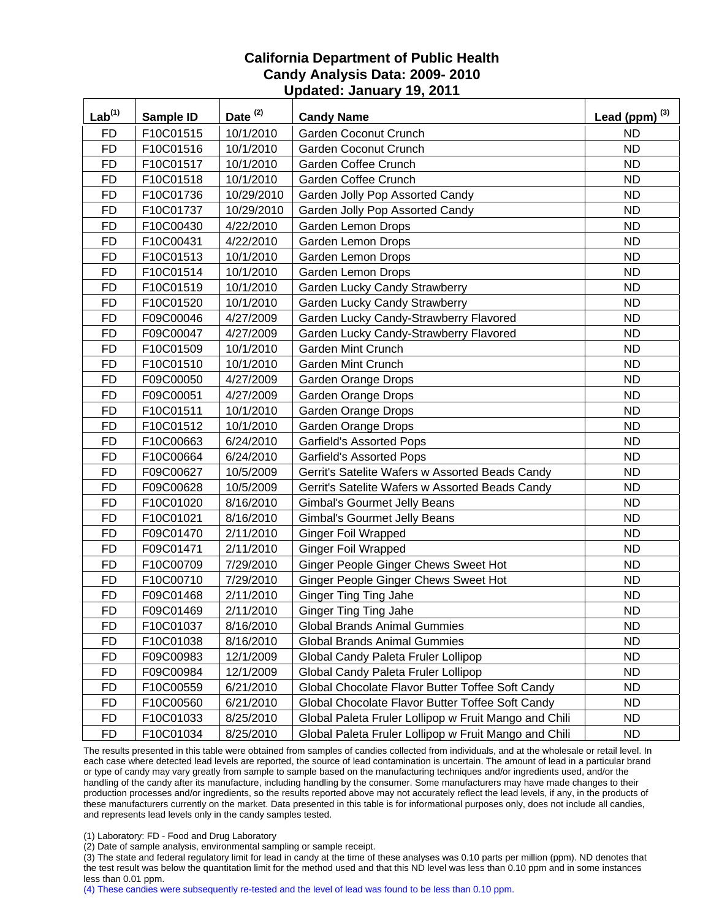| Lab <sup>(1)</sup> | Sample ID | Date <sup>(2)</sup> | <b>Candy Name</b>                                     | Lead (ppm) $^{(3)}$ |
|--------------------|-----------|---------------------|-------------------------------------------------------|---------------------|
| <b>FD</b>          | F10C01515 | 10/1/2010           | Garden Coconut Crunch                                 | <b>ND</b>           |
| <b>FD</b>          | F10C01516 | 10/1/2010           | <b>Garden Coconut Crunch</b>                          | <b>ND</b>           |
| <b>FD</b>          | F10C01517 | 10/1/2010           | Garden Coffee Crunch                                  | <b>ND</b>           |
| <b>FD</b>          | F10C01518 | 10/1/2010           | Garden Coffee Crunch                                  | <b>ND</b>           |
| <b>FD</b>          | F10C01736 | 10/29/2010          | Garden Jolly Pop Assorted Candy                       | <b>ND</b>           |
| <b>FD</b>          | F10C01737 | 10/29/2010          | Garden Jolly Pop Assorted Candy                       | <b>ND</b>           |
| <b>FD</b>          | F10C00430 | 4/22/2010           | Garden Lemon Drops                                    | <b>ND</b>           |
| <b>FD</b>          | F10C00431 | 4/22/2010           | Garden Lemon Drops                                    | <b>ND</b>           |
| <b>FD</b>          | F10C01513 | 10/1/2010           | Garden Lemon Drops                                    | <b>ND</b>           |
| <b>FD</b>          | F10C01514 | 10/1/2010           | <b>Garden Lemon Drops</b>                             | <b>ND</b>           |
| <b>FD</b>          | F10C01519 | 10/1/2010           | Garden Lucky Candy Strawberry                         | <b>ND</b>           |
| <b>FD</b>          | F10C01520 | 10/1/2010           | Garden Lucky Candy Strawberry                         | <b>ND</b>           |
| <b>FD</b>          | F09C00046 | 4/27/2009           | Garden Lucky Candy-Strawberry Flavored                | <b>ND</b>           |
| <b>FD</b>          | F09C00047 | 4/27/2009           | Garden Lucky Candy-Strawberry Flavored                | <b>ND</b>           |
| <b>FD</b>          | F10C01509 | 10/1/2010           | Garden Mint Crunch                                    | <b>ND</b>           |
| <b>FD</b>          | F10C01510 | 10/1/2010           | Garden Mint Crunch                                    | <b>ND</b>           |
| <b>FD</b>          | F09C00050 | 4/27/2009           | Garden Orange Drops                                   | <b>ND</b>           |
| <b>FD</b>          | F09C00051 | 4/27/2009           | Garden Orange Drops                                   | <b>ND</b>           |
| <b>FD</b>          | F10C01511 | 10/1/2010           | Garden Orange Drops                                   | <b>ND</b>           |
| <b>FD</b>          | F10C01512 | 10/1/2010           | Garden Orange Drops                                   | <b>ND</b>           |
| <b>FD</b>          | F10C00663 | 6/24/2010           | <b>Garfield's Assorted Pops</b>                       | <b>ND</b>           |
| <b>FD</b>          | F10C00664 | 6/24/2010           | <b>Garfield's Assorted Pops</b>                       | <b>ND</b>           |
| <b>FD</b>          | F09C00627 | 10/5/2009           | Gerrit's Satelite Wafers w Assorted Beads Candy       | <b>ND</b>           |
| <b>FD</b>          | F09C00628 | 10/5/2009           | Gerrit's Satelite Wafers w Assorted Beads Candy       | <b>ND</b>           |
| <b>FD</b>          | F10C01020 | 8/16/2010           | <b>Gimbal's Gourmet Jelly Beans</b>                   | <b>ND</b>           |
| <b>FD</b>          | F10C01021 | 8/16/2010           | <b>Gimbal's Gourmet Jelly Beans</b>                   | <b>ND</b>           |
| <b>FD</b>          | F09C01470 | 2/11/2010           | <b>Ginger Foil Wrapped</b>                            | <b>ND</b>           |
| <b>FD</b>          | F09C01471 | 2/11/2010           | <b>Ginger Foil Wrapped</b>                            | <b>ND</b>           |
| <b>FD</b>          | F10C00709 | 7/29/2010           | Ginger People Ginger Chews Sweet Hot                  | <b>ND</b>           |
| <b>FD</b>          | F10C00710 | 7/29/2010           | Ginger People Ginger Chews Sweet Hot                  | <b>ND</b>           |
| <b>FD</b>          | F09C01468 | 2/11/2010           | <b>Ginger Ting Ting Jahe</b>                          | <b>ND</b>           |
| <b>FD</b>          | F09C01469 | 2/11/2010           | <b>Ginger Ting Ting Jahe</b>                          | <b>ND</b>           |
| FD                 | F10C01037 | 8/16/2010           | <b>Global Brands Animal Gummies</b>                   | ND                  |
| <b>FD</b>          | F10C01038 | 8/16/2010           | <b>Global Brands Animal Gummies</b>                   | <b>ND</b>           |
| <b>FD</b>          | F09C00983 | 12/1/2009           | Global Candy Paleta Fruler Lollipop                   | <b>ND</b>           |
| <b>FD</b>          | F09C00984 | 12/1/2009           | Global Candy Paleta Fruler Lollipop                   | <b>ND</b>           |
| <b>FD</b>          | F10C00559 | 6/21/2010           | Global Chocolate Flavor Butter Toffee Soft Candy      | <b>ND</b>           |
| <b>FD</b>          | F10C00560 | 6/21/2010           | Global Chocolate Flavor Butter Toffee Soft Candy      | <b>ND</b>           |
| <b>FD</b>          | F10C01033 | 8/25/2010           | Global Paleta Fruler Lollipop w Fruit Mango and Chili | <b>ND</b>           |
| <b>FD</b>          | F10C01034 | 8/25/2010           | Global Paleta Fruler Lollipop w Fruit Mango and Chili | ND.                 |

The results presented in this table were obtained from samples of candies collected from individuals, and at the wholesale or retail level. In each case where detected lead levels are reported, the source of lead contamination is uncertain. The amount of lead in a particular brand or type of candy may vary greatly from sample to sample based on the manufacturing techniques and/or ingredients used, and/or the handling of the candy after its manufacture, including handling by the consumer. Some manufacturers may have made changes to their production processes and/or ingredients, so the results reported above may not accurately reflect the lead levels, if any, in the products of these manufacturers currently on the market. Data presented in this table is for informational purposes only, does not include all candies, and represents lead levels only in the candy samples tested.

(1) Laboratory: FD - Food and Drug Laboratory

(2) Date of sample analysis, environmental sampling or sample receipt.

(3) The state and federal regulatory limit for lead in candy at the time of these analyses was 0.10 parts per million (ppm). ND denotes that the test result was below the quantitation limit for the method used and that this ND level was less than 0.10 ppm and in some instances less than 0.01 ppm.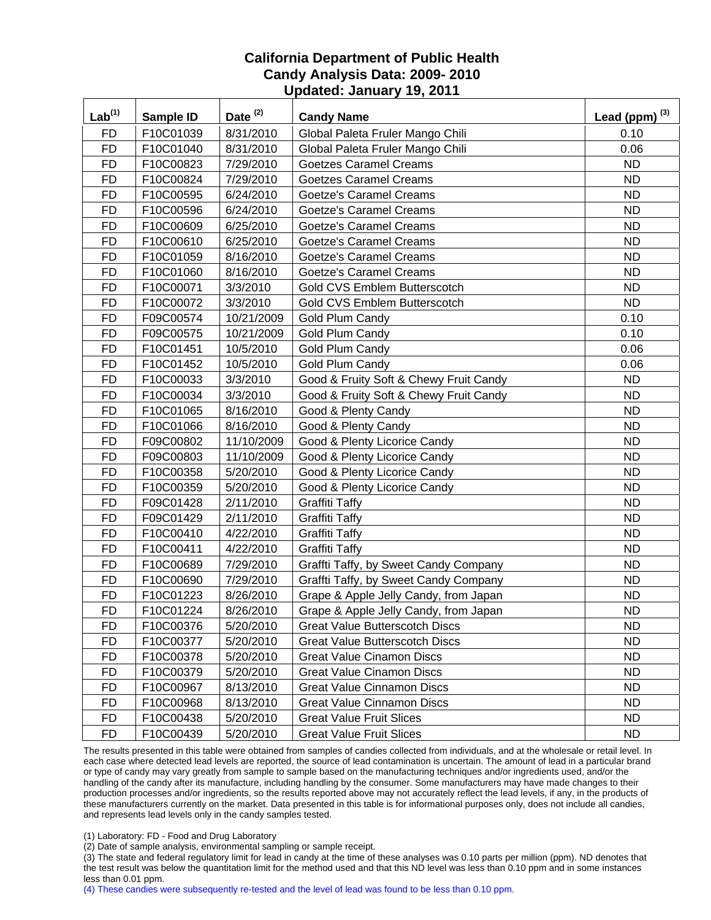| Lab <sup>(1)</sup> | Sample ID | Date <sup>(2)</sup> | <b>Candy Name</b>                      | Lead (ppm) $^{(3)}$ |
|--------------------|-----------|---------------------|----------------------------------------|---------------------|
| <b>FD</b>          | F10C01039 | 8/31/2010           | Global Paleta Fruler Mango Chili       | 0.10                |
| <b>FD</b>          | F10C01040 | 8/31/2010           | Global Paleta Fruler Mango Chili       | 0.06                |
| <b>FD</b>          | F10C00823 | 7/29/2010           | <b>Goetzes Caramel Creams</b>          | <b>ND</b>           |
| <b>FD</b>          | F10C00824 | 7/29/2010           | <b>Goetzes Caramel Creams</b>          | <b>ND</b>           |
| <b>FD</b>          | F10C00595 | 6/24/2010           | <b>Goetze's Caramel Creams</b>         | <b>ND</b>           |
| <b>FD</b>          | F10C00596 | 6/24/2010           | <b>Goetze's Caramel Creams</b>         | <b>ND</b>           |
| <b>FD</b>          | F10C00609 | 6/25/2010           | <b>Goetze's Caramel Creams</b>         | <b>ND</b>           |
| <b>FD</b>          | F10C00610 | 6/25/2010           | Goetze's Caramel Creams                | <b>ND</b>           |
| <b>FD</b>          | F10C01059 | 8/16/2010           | <b>Goetze's Caramel Creams</b>         | <b>ND</b>           |
| <b>FD</b>          | F10C01060 | 8/16/2010           | Goetze's Caramel Creams                | <b>ND</b>           |
| <b>FD</b>          | F10C00071 | 3/3/2010            | Gold CVS Emblem Butterscotch           | <b>ND</b>           |
| <b>FD</b>          | F10C00072 | 3/3/2010            | Gold CVS Emblem Butterscotch           | <b>ND</b>           |
| <b>FD</b>          | F09C00574 | 10/21/2009          | Gold Plum Candy                        | 0.10                |
| <b>FD</b>          | F09C00575 | 10/21/2009          | Gold Plum Candy                        | 0.10                |
| <b>FD</b>          | F10C01451 | 10/5/2010           | Gold Plum Candy                        | 0.06                |
| <b>FD</b>          | F10C01452 | 10/5/2010           | Gold Plum Candy                        | 0.06                |
| <b>FD</b>          | F10C00033 | 3/3/2010            | Good & Fruity Soft & Chewy Fruit Candy | <b>ND</b>           |
| <b>FD</b>          | F10C00034 | 3/3/2010            | Good & Fruity Soft & Chewy Fruit Candy | <b>ND</b>           |
| <b>FD</b>          | F10C01065 | 8/16/2010           | Good & Plenty Candy                    | <b>ND</b>           |
| <b>FD</b>          | F10C01066 | 8/16/2010           | Good & Plenty Candy                    | <b>ND</b>           |
| <b>FD</b>          | F09C00802 | 11/10/2009          | Good & Plenty Licorice Candy           | <b>ND</b>           |
| <b>FD</b>          | F09C00803 | 11/10/2009          | Good & Plenty Licorice Candy           | <b>ND</b>           |
| <b>FD</b>          | F10C00358 | 5/20/2010           | Good & Plenty Licorice Candy           | <b>ND</b>           |
| <b>FD</b>          | F10C00359 | 5/20/2010           | Good & Plenty Licorice Candy           | <b>ND</b>           |
| <b>FD</b>          | F09C01428 | 2/11/2010           | <b>Graffiti Taffy</b>                  | <b>ND</b>           |
| <b>FD</b>          | F09C01429 | 2/11/2010           | <b>Graffiti Taffy</b>                  | <b>ND</b>           |
| <b>FD</b>          | F10C00410 | 4/22/2010           | <b>Graffiti Taffy</b>                  | <b>ND</b>           |
| <b>FD</b>          | F10C00411 | 4/22/2010           | <b>Graffiti Taffy</b>                  | <b>ND</b>           |
| <b>FD</b>          | F10C00689 | 7/29/2010           | Graffti Taffy, by Sweet Candy Company  | <b>ND</b>           |
| <b>FD</b>          | F10C00690 | 7/29/2010           | Graffti Taffy, by Sweet Candy Company  | <b>ND</b>           |
| <b>FD</b>          | F10C01223 | 8/26/2010           | Grape & Apple Jelly Candy, from Japan  | <b>ND</b>           |
| <b>FD</b>          | F10C01224 | 8/26/2010           | Grape & Apple Jelly Candy, from Japan  | <b>ND</b>           |
| FD                 | F10C00376 | 5/20/2010           | <b>Great Value Butterscotch Discs</b>  | <b>ND</b>           |
| <b>FD</b>          | F10C00377 | 5/20/2010           | <b>Great Value Butterscotch Discs</b>  | <b>ND</b>           |
| <b>FD</b>          | F10C00378 | 5/20/2010           | <b>Great Value Cinamon Discs</b>       | <b>ND</b>           |
| <b>FD</b>          | F10C00379 | 5/20/2010           | <b>Great Value Cinamon Discs</b>       | <b>ND</b>           |
| <b>FD</b>          | F10C00967 | 8/13/2010           | <b>Great Value Cinnamon Discs</b>      | <b>ND</b>           |
| <b>FD</b>          | F10C00968 | 8/13/2010           | <b>Great Value Cinnamon Discs</b>      | <b>ND</b>           |
| <b>FD</b>          | F10C00438 | 5/20/2010           | <b>Great Value Fruit Slices</b>        | <b>ND</b>           |
| <b>FD</b>          | F10C00439 | 5/20/2010           | <b>Great Value Fruit Slices</b>        | <b>ND</b>           |

The results presented in this table were obtained from samples of candies collected from individuals, and at the wholesale or retail level. In each case where detected lead levels are reported, the source of lead contamination is uncertain. The amount of lead in a particular brand or type of candy may vary greatly from sample to sample based on the manufacturing techniques and/or ingredients used, and/or the handling of the candy after its manufacture, including handling by the consumer. Some manufacturers may have made changes to their production processes and/or ingredients, so the results reported above may not accurately reflect the lead levels, if any, in the products of these manufacturers currently on the market. Data presented in this table is for informational purposes only, does not include all candies, and represents lead levels only in the candy samples tested.

(1) Laboratory: FD - Food and Drug Laboratory

(2) Date of sample analysis, environmental sampling or sample receipt.

(3) The state and federal regulatory limit for lead in candy at the time of these analyses was 0.10 parts per million (ppm). ND denotes that the test result was below the quantitation limit for the method used and that this ND level was less than 0.10 ppm and in some instances less than 0.01 ppm.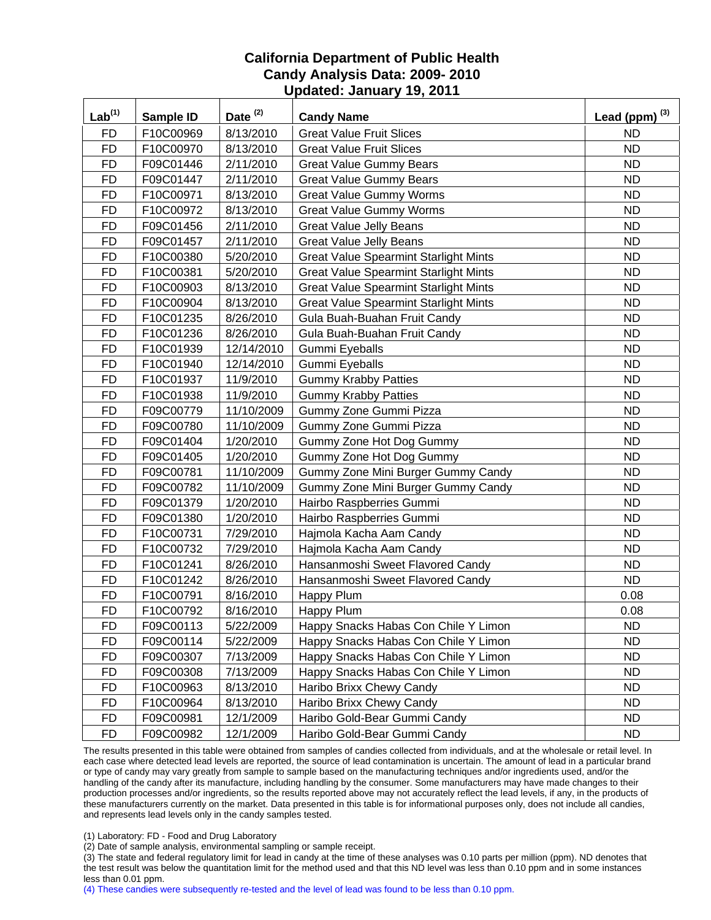| $Lab^{(1)}$ | Sample ID | Date <sup>(2)</sup> | <b>Candy Name</b>                            | Lead (ppm) $^{(3)}$ |
|-------------|-----------|---------------------|----------------------------------------------|---------------------|
| <b>FD</b>   | F10C00969 | 8/13/2010           | <b>Great Value Fruit Slices</b>              | <b>ND</b>           |
| <b>FD</b>   | F10C00970 | 8/13/2010           | <b>Great Value Fruit Slices</b>              | <b>ND</b>           |
| <b>FD</b>   | F09C01446 | 2/11/2010           | <b>Great Value Gummy Bears</b>               | <b>ND</b>           |
| <b>FD</b>   | F09C01447 | 2/11/2010           | <b>Great Value Gummy Bears</b>               | <b>ND</b>           |
| <b>FD</b>   | F10C00971 | 8/13/2010           | <b>Great Value Gummy Worms</b>               | <b>ND</b>           |
| <b>FD</b>   | F10C00972 | 8/13/2010           | <b>Great Value Gummy Worms</b>               | <b>ND</b>           |
| <b>FD</b>   | F09C01456 | 2/11/2010           | <b>Great Value Jelly Beans</b>               | <b>ND</b>           |
| <b>FD</b>   | F09C01457 | 2/11/2010           | <b>Great Value Jelly Beans</b>               | <b>ND</b>           |
| <b>FD</b>   | F10C00380 | 5/20/2010           | <b>Great Value Spearmint Starlight Mints</b> | <b>ND</b>           |
| <b>FD</b>   | F10C00381 | 5/20/2010           | <b>Great Value Spearmint Starlight Mints</b> | <b>ND</b>           |
| <b>FD</b>   | F10C00903 | 8/13/2010           | <b>Great Value Spearmint Starlight Mints</b> | <b>ND</b>           |
| <b>FD</b>   | F10C00904 | 8/13/2010           | <b>Great Value Spearmint Starlight Mints</b> | <b>ND</b>           |
| <b>FD</b>   | F10C01235 | 8/26/2010           | Gula Buah-Buahan Fruit Candy                 | <b>ND</b>           |
| <b>FD</b>   | F10C01236 | 8/26/2010           | Gula Buah-Buahan Fruit Candy                 | <b>ND</b>           |
| <b>FD</b>   | F10C01939 | 12/14/2010          | Gummi Eyeballs                               | <b>ND</b>           |
| <b>FD</b>   | F10C01940 | 12/14/2010          | Gummi Eyeballs                               | <b>ND</b>           |
| <b>FD</b>   | F10C01937 | 11/9/2010           | <b>Gummy Krabby Patties</b>                  | <b>ND</b>           |
| <b>FD</b>   | F10C01938 | 11/9/2010           | <b>Gummy Krabby Patties</b>                  | <b>ND</b>           |
| <b>FD</b>   | F09C00779 | 11/10/2009          | Gummy Zone Gummi Pizza                       | <b>ND</b>           |
| <b>FD</b>   | F09C00780 | 11/10/2009          | Gummy Zone Gummi Pizza                       | <b>ND</b>           |
| <b>FD</b>   | F09C01404 | 1/20/2010           | Gummy Zone Hot Dog Gummy                     | <b>ND</b>           |
| <b>FD</b>   | F09C01405 | 1/20/2010           | Gummy Zone Hot Dog Gummy                     | <b>ND</b>           |
| <b>FD</b>   | F09C00781 | 11/10/2009          | Gummy Zone Mini Burger Gummy Candy           | <b>ND</b>           |
| <b>FD</b>   | F09C00782 | 11/10/2009          | Gummy Zone Mini Burger Gummy Candy           | <b>ND</b>           |
| <b>FD</b>   | F09C01379 | 1/20/2010           | Hairbo Raspberries Gummi                     | <b>ND</b>           |
| <b>FD</b>   | F09C01380 | 1/20/2010           | Hairbo Raspberries Gummi                     | <b>ND</b>           |
| <b>FD</b>   | F10C00731 | 7/29/2010           | Hajmola Kacha Aam Candy                      | <b>ND</b>           |
| <b>FD</b>   | F10C00732 | 7/29/2010           | Hajmola Kacha Aam Candy                      | <b>ND</b>           |
| <b>FD</b>   | F10C01241 | 8/26/2010           | Hansanmoshi Sweet Flavored Candy             | <b>ND</b>           |
| <b>FD</b>   | F10C01242 | 8/26/2010           | Hansanmoshi Sweet Flavored Candy             | <b>ND</b>           |
| <b>FD</b>   | F10C00791 | 8/16/2010           | Happy Plum                                   | 0.08                |
| <b>FD</b>   | F10C00792 | 8/16/2010           | Happy Plum                                   | 0.08                |
| FD          | F09C00113 | 5/22/2009           | Happy Snacks Habas Con Chile Y Limon         | ND.                 |
| FD          | F09C00114 | 5/22/2009           | Happy Snacks Habas Con Chile Y Limon         | <b>ND</b>           |
| <b>FD</b>   | F09C00307 | 7/13/2009           | Happy Snacks Habas Con Chile Y Limon         | <b>ND</b>           |
| <b>FD</b>   | F09C00308 | 7/13/2009           | Happy Snacks Habas Con Chile Y Limon         | <b>ND</b>           |
| <b>FD</b>   | F10C00963 | 8/13/2010           | Haribo Brixx Chewy Candy                     | <b>ND</b>           |
| <b>FD</b>   | F10C00964 | 8/13/2010           | Haribo Brixx Chewy Candy                     | <b>ND</b>           |
| <b>FD</b>   | F09C00981 | 12/1/2009           | Haribo Gold-Bear Gummi Candy                 | <b>ND</b>           |
| <b>FD</b>   | F09C00982 | 12/1/2009           | Haribo Gold-Bear Gummi Candy                 | <b>ND</b>           |

The results presented in this table were obtained from samples of candies collected from individuals, and at the wholesale or retail level. In each case where detected lead levels are reported, the source of lead contamination is uncertain. The amount of lead in a particular brand or type of candy may vary greatly from sample to sample based on the manufacturing techniques and/or ingredients used, and/or the handling of the candy after its manufacture, including handling by the consumer. Some manufacturers may have made changes to their production processes and/or ingredients, so the results reported above may not accurately reflect the lead levels, if any, in the products of these manufacturers currently on the market. Data presented in this table is for informational purposes only, does not include all candies, and represents lead levels only in the candy samples tested.

(1) Laboratory: FD - Food and Drug Laboratory

(2) Date of sample analysis, environmental sampling or sample receipt.

(3) The state and federal regulatory limit for lead in candy at the time of these analyses was 0.10 parts per million (ppm). ND denotes that the test result was below the quantitation limit for the method used and that this ND level was less than 0.10 ppm and in some instances less than 0.01 ppm.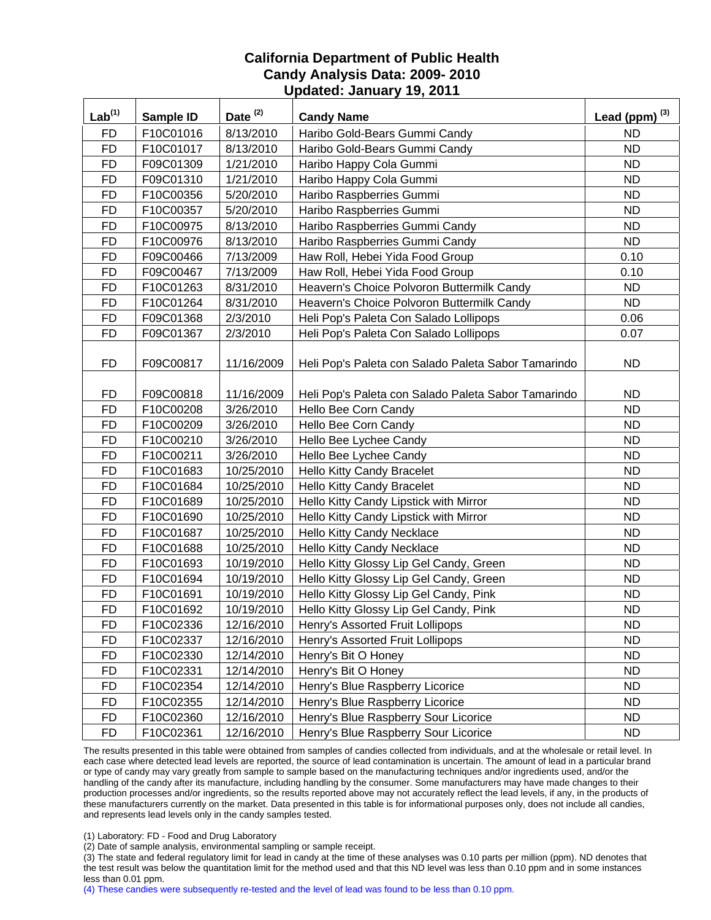| Lab <sup>(1)</sup> | Sample ID | Date <sup>(2)</sup> | <b>Candy Name</b>                                   | Lead (ppm) $^{(3)}$ |
|--------------------|-----------|---------------------|-----------------------------------------------------|---------------------|
| <b>FD</b>          | F10C01016 | 8/13/2010           | Haribo Gold-Bears Gummi Candy                       | <b>ND</b>           |
| <b>FD</b>          | F10C01017 | 8/13/2010           | Haribo Gold-Bears Gummi Candy                       | <b>ND</b>           |
| <b>FD</b>          | F09C01309 | 1/21/2010           | Haribo Happy Cola Gummi                             | <b>ND</b>           |
| <b>FD</b>          | F09C01310 | 1/21/2010           | Haribo Happy Cola Gummi                             | <b>ND</b>           |
| <b>FD</b>          | F10C00356 | 5/20/2010           | Haribo Raspberries Gummi                            | <b>ND</b>           |
| <b>FD</b>          | F10C00357 | 5/20/2010           | Haribo Raspberries Gummi                            | <b>ND</b>           |
| <b>FD</b>          | F10C00975 | 8/13/2010           | Haribo Raspberries Gummi Candy                      | <b>ND</b>           |
| <b>FD</b>          | F10C00976 | 8/13/2010           | Haribo Raspberries Gummi Candy                      | <b>ND</b>           |
| <b>FD</b>          | F09C00466 | 7/13/2009           | Haw Roll, Hebei Yida Food Group                     | 0.10                |
| <b>FD</b>          | F09C00467 | 7/13/2009           | Haw Roll, Hebei Yida Food Group                     | 0.10                |
| <b>FD</b>          | F10C01263 | 8/31/2010           | Heavern's Choice Polvoron Buttermilk Candy          | <b>ND</b>           |
| <b>FD</b>          | F10C01264 | 8/31/2010           | Heavern's Choice Polvoron Buttermilk Candy          | <b>ND</b>           |
| <b>FD</b>          | F09C01368 | 2/3/2010            | Heli Pop's Paleta Con Salado Lollipops              | 0.06                |
| <b>FD</b>          | F09C01367 | 2/3/2010            | Heli Pop's Paleta Con Salado Lollipops              | 0.07                |
| <b>FD</b>          | F09C00817 | 11/16/2009          | Heli Pop's Paleta con Salado Paleta Sabor Tamarindo | <b>ND</b>           |
| FD                 | F09C00818 | 11/16/2009          | Heli Pop's Paleta con Salado Paleta Sabor Tamarindo | <b>ND</b>           |
| <b>FD</b>          | F10C00208 | 3/26/2010           | Hello Bee Corn Candy                                | <b>ND</b>           |
| <b>FD</b>          | F10C00209 | 3/26/2010           | Hello Bee Corn Candy                                | <b>ND</b>           |
| <b>FD</b>          | F10C00210 | 3/26/2010           | Hello Bee Lychee Candy                              | <b>ND</b>           |
| <b>FD</b>          | F10C00211 | 3/26/2010           | Hello Bee Lychee Candy                              | <b>ND</b>           |
| <b>FD</b>          | F10C01683 | 10/25/2010          | Hello Kitty Candy Bracelet                          | <b>ND</b>           |
| <b>FD</b>          | F10C01684 | 10/25/2010          | <b>Hello Kitty Candy Bracelet</b>                   | <b>ND</b>           |
| <b>FD</b>          | F10C01689 | 10/25/2010          | Hello Kitty Candy Lipstick with Mirror              | <b>ND</b>           |
| <b>FD</b>          | F10C01690 | 10/25/2010          | Hello Kitty Candy Lipstick with Mirror              | <b>ND</b>           |
| <b>FD</b>          | F10C01687 | 10/25/2010          | Hello Kitty Candy Necklace                          | <b>ND</b>           |
| <b>FD</b>          | F10C01688 | 10/25/2010          | Hello Kitty Candy Necklace                          | <b>ND</b>           |
| <b>FD</b>          | F10C01693 | 10/19/2010          | Hello Kitty Glossy Lip Gel Candy, Green             | <b>ND</b>           |
| <b>FD</b>          | F10C01694 | 10/19/2010          | Hello Kitty Glossy Lip Gel Candy, Green             | <b>ND</b>           |
| <b>FD</b>          | F10C01691 | 10/19/2010          | Hello Kitty Glossy Lip Gel Candy, Pink              | <b>ND</b>           |
| <b>FD</b>          | F10C01692 | 10/19/2010          | Hello Kitty Glossy Lip Gel Candy, Pink              | <b>ND</b>           |
| <b>FD</b>          | F10C02336 | 12/16/2010          | Henry's Assorted Fruit Lollipops                    | ND.                 |
| FD                 | F10C02337 | 12/16/2010          | Henry's Assorted Fruit Lollipops                    | <b>ND</b>           |
| <b>FD</b>          | F10C02330 | 12/14/2010          | Henry's Bit O Honey                                 | <b>ND</b>           |
| <b>FD</b>          | F10C02331 | 12/14/2010          | Henry's Bit O Honey                                 | <b>ND</b>           |
| <b>FD</b>          | F10C02354 | 12/14/2010          | Henry's Blue Raspberry Licorice                     | ND.                 |
| <b>FD</b>          | F10C02355 | 12/14/2010          | Henry's Blue Raspberry Licorice                     | <b>ND</b>           |
| <b>FD</b>          | F10C02360 | 12/16/2010          | Henry's Blue Raspberry Sour Licorice                | <b>ND</b>           |
| <b>FD</b>          | F10C02361 | 12/16/2010          | Henry's Blue Raspberry Sour Licorice                | <b>ND</b>           |

The results presented in this table were obtained from samples of candies collected from individuals, and at the wholesale or retail level. In each case where detected lead levels are reported, the source of lead contamination is uncertain. The amount of lead in a particular brand or type of candy may vary greatly from sample to sample based on the manufacturing techniques and/or ingredients used, and/or the handling of the candy after its manufacture, including handling by the consumer. Some manufacturers may have made changes to their production processes and/or ingredients, so the results reported above may not accurately reflect the lead levels, if any, in the products of these manufacturers currently on the market. Data presented in this table is for informational purposes only, does not include all candies, and represents lead levels only in the candy samples tested.

(1) Laboratory: FD - Food and Drug Laboratory

(2) Date of sample analysis, environmental sampling or sample receipt.

(3) The state and federal regulatory limit for lead in candy at the time of these analyses was 0.10 parts per million (ppm). ND denotes that the test result was below the quantitation limit for the method used and that this ND level was less than 0.10 ppm and in some instances less than 0.01 ppm.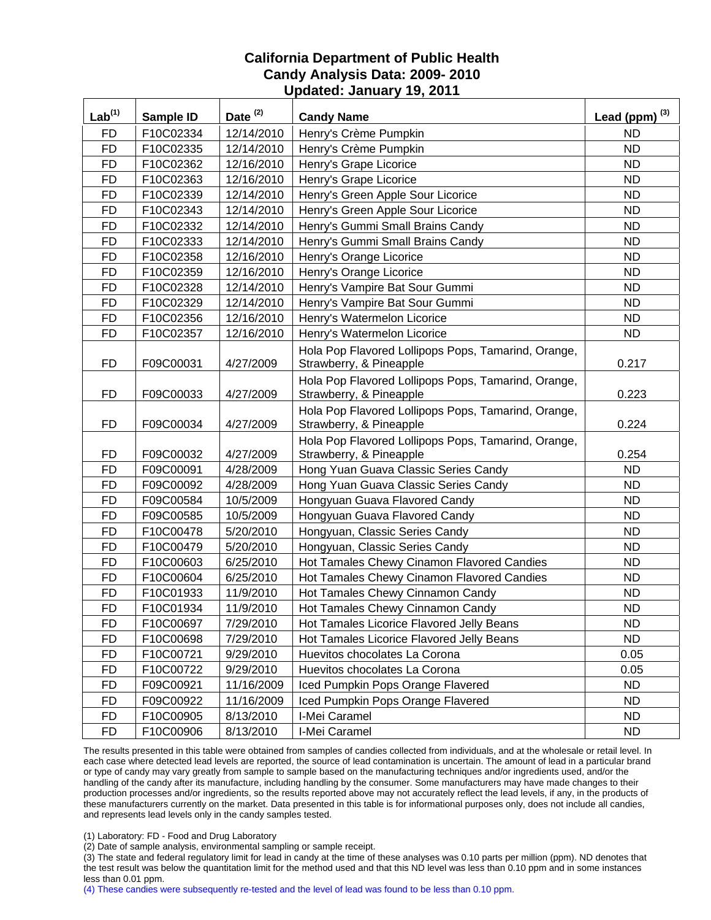| Lab <sup>(1)</sup> | Sample ID | Date $(2)$ | <b>Candy Name</b>                                                              | Lead (ppm) $^{(3)}$ |
|--------------------|-----------|------------|--------------------------------------------------------------------------------|---------------------|
| <b>FD</b>          | F10C02334 | 12/14/2010 | Henry's Crème Pumpkin                                                          | <b>ND</b>           |
| <b>FD</b>          | F10C02335 | 12/14/2010 | Henry's Crème Pumpkin                                                          | <b>ND</b>           |
| <b>FD</b>          | F10C02362 | 12/16/2010 | Henry's Grape Licorice                                                         | <b>ND</b>           |
| <b>FD</b>          | F10C02363 | 12/16/2010 | Henry's Grape Licorice                                                         | <b>ND</b>           |
| <b>FD</b>          | F10C02339 | 12/14/2010 | Henry's Green Apple Sour Licorice                                              | <b>ND</b>           |
| <b>FD</b>          | F10C02343 | 12/14/2010 | Henry's Green Apple Sour Licorice                                              | <b>ND</b>           |
| <b>FD</b>          | F10C02332 | 12/14/2010 | Henry's Gummi Small Brains Candy                                               | <b>ND</b>           |
| <b>FD</b>          | F10C02333 | 12/14/2010 | Henry's Gummi Small Brains Candy                                               | <b>ND</b>           |
| <b>FD</b>          | F10C02358 | 12/16/2010 | Henry's Orange Licorice                                                        | ND                  |
| <b>FD</b>          | F10C02359 | 12/16/2010 | Henry's Orange Licorice                                                        | <b>ND</b>           |
| <b>FD</b>          | F10C02328 | 12/14/2010 | Henry's Vampire Bat Sour Gummi                                                 | <b>ND</b>           |
| <b>FD</b>          | F10C02329 | 12/14/2010 | Henry's Vampire Bat Sour Gummi                                                 | <b>ND</b>           |
| <b>FD</b>          | F10C02356 | 12/16/2010 | Henry's Watermelon Licorice                                                    | <b>ND</b>           |
| <b>FD</b>          | F10C02357 | 12/16/2010 | Henry's Watermelon Licorice                                                    | <b>ND</b>           |
| <b>FD</b>          | F09C00031 | 4/27/2009  | Hola Pop Flavored Lollipops Pops, Tamarind, Orange,<br>Strawberry, & Pineapple | 0.217               |
| <b>FD</b>          | F09C00033 | 4/27/2009  | Hola Pop Flavored Lollipops Pops, Tamarind, Orange,<br>Strawberry, & Pineapple | 0.223               |
| <b>FD</b>          | F09C00034 | 4/27/2009  | Hola Pop Flavored Lollipops Pops, Tamarind, Orange,<br>Strawberry, & Pineapple | 0.224               |
| <b>FD</b>          | F09C00032 | 4/27/2009  | Hola Pop Flavored Lollipops Pops, Tamarind, Orange,<br>Strawberry, & Pineapple | 0.254               |
| <b>FD</b>          | F09C00091 | 4/28/2009  | Hong Yuan Guava Classic Series Candy                                           | <b>ND</b>           |
| <b>FD</b>          | F09C00092 | 4/28/2009  | Hong Yuan Guava Classic Series Candy                                           | <b>ND</b>           |
| <b>FD</b>          | F09C00584 | 10/5/2009  | Hongyuan Guava Flavored Candy                                                  | <b>ND</b>           |
| <b>FD</b>          | F09C00585 | 10/5/2009  | Hongyuan Guava Flavored Candy                                                  | <b>ND</b>           |
| <b>FD</b>          | F10C00478 | 5/20/2010  | Hongyuan, Classic Series Candy                                                 | <b>ND</b>           |
| <b>FD</b>          | F10C00479 | 5/20/2010  | Hongyuan, Classic Series Candy                                                 | <b>ND</b>           |
| <b>FD</b>          | F10C00603 | 6/25/2010  | Hot Tamales Chewy Cinamon Flavored Candies                                     | <b>ND</b>           |
| <b>FD</b>          | F10C00604 | 6/25/2010  | Hot Tamales Chewy Cinamon Flavored Candies                                     | ND.                 |
| <b>FD</b>          | F10C01933 | 11/9/2010  | Hot Tamales Chewy Cinnamon Candy                                               | <b>ND</b>           |
| <b>FD</b>          | F10C01934 | 11/9/2010  | Hot Tamales Chewy Cinnamon Candy                                               | <b>ND</b>           |
| <b>FD</b>          | F10C00697 | 7/29/2010  | Hot Tamales Licorice Flavored Jelly Beans                                      | <b>ND</b>           |
| <b>FD</b>          | F10C00698 | 7/29/2010  | Hot Tamales Licorice Flavored Jelly Beans                                      | <b>ND</b>           |
| <b>FD</b>          | F10C00721 | 9/29/2010  | Huevitos chocolates La Corona                                                  | 0.05                |
| <b>FD</b>          | F10C00722 | 9/29/2010  | Huevitos chocolates La Corona                                                  | 0.05                |
| <b>FD</b>          | F09C00921 | 11/16/2009 | Iced Pumpkin Pops Orange Flavered                                              | <b>ND</b>           |
| <b>FD</b>          | F09C00922 | 11/16/2009 | Iced Pumpkin Pops Orange Flavered                                              | <b>ND</b>           |
| <b>FD</b>          | F10C00905 | 8/13/2010  | I-Mei Caramel                                                                  | <b>ND</b>           |
| <b>FD</b>          | F10C00906 | 8/13/2010  | I-Mei Caramel                                                                  | ND                  |

The results presented in this table were obtained from samples of candies collected from individuals, and at the wholesale or retail level. In each case where detected lead levels are reported, the source of lead contamination is uncertain. The amount of lead in a particular brand or type of candy may vary greatly from sample to sample based on the manufacturing techniques and/or ingredients used, and/or the handling of the candy after its manufacture, including handling by the consumer. Some manufacturers may have made changes to their production processes and/or ingredients, so the results reported above may not accurately reflect the lead levels, if any, in the products of these manufacturers currently on the market. Data presented in this table is for informational purposes only, does not include all candies, and represents lead levels only in the candy samples tested.

(1) Laboratory: FD - Food and Drug Laboratory

(2) Date of sample analysis, environmental sampling or sample receipt.

(3) The state and federal regulatory limit for lead in candy at the time of these analyses was 0.10 parts per million (ppm). ND denotes that the test result was below the quantitation limit for the method used and that this ND level was less than 0.10 ppm and in some instances less than 0.01 ppm.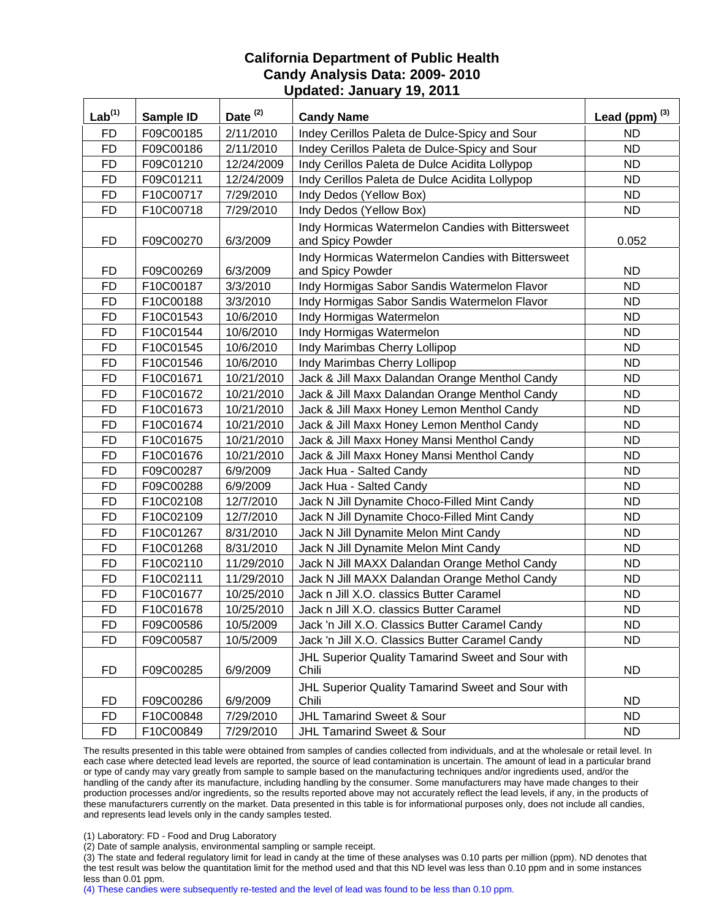| Lab <sup>(1)</sup> | Sample ID | Date <sup>(2)</sup> | <b>Candy Name</b>                                 | Lead (ppm) $^{(3)}$ |
|--------------------|-----------|---------------------|---------------------------------------------------|---------------------|
| <b>FD</b>          | F09C00185 | 2/11/2010           | Indey Cerillos Paleta de Dulce-Spicy and Sour     | ND                  |
| <b>FD</b>          | F09C00186 | 2/11/2010           | Indey Cerillos Paleta de Dulce-Spicy and Sour     | <b>ND</b>           |
| <b>FD</b>          | F09C01210 | 12/24/2009          | Indy Cerillos Paleta de Dulce Acidita Lollypop    | <b>ND</b>           |
| <b>FD</b>          | F09C01211 | 12/24/2009          | Indy Cerillos Paleta de Dulce Acidita Lollypop    | <b>ND</b>           |
| <b>FD</b>          | F10C00717 | 7/29/2010           | Indy Dedos (Yellow Box)                           | <b>ND</b>           |
| <b>FD</b>          | F10C00718 | 7/29/2010           | Indy Dedos (Yellow Box)                           | ND                  |
|                    |           |                     | Indy Hormicas Watermelon Candies with Bittersweet |                     |
| <b>FD</b>          | F09C00270 | 6/3/2009            | and Spicy Powder                                  | 0.052               |
|                    |           |                     | Indy Hormicas Watermelon Candies with Bittersweet |                     |
| FD                 | F09C00269 | 6/3/2009            | and Spicy Powder                                  | <b>ND</b>           |
| <b>FD</b>          | F10C00187 | 3/3/2010            | Indy Hormigas Sabor Sandis Watermelon Flavor      | <b>ND</b>           |
| <b>FD</b>          | F10C00188 | 3/3/2010            | Indy Hormigas Sabor Sandis Watermelon Flavor      | <b>ND</b>           |
| <b>FD</b>          | F10C01543 | 10/6/2010           | Indy Hormigas Watermelon                          | <b>ND</b>           |
| <b>FD</b>          | F10C01544 | 10/6/2010           | Indy Hormigas Watermelon                          | <b>ND</b>           |
| <b>FD</b>          | F10C01545 | 10/6/2010           | Indy Marimbas Cherry Lollipop                     | <b>ND</b>           |
| <b>FD</b>          | F10C01546 | 10/6/2010           | Indy Marimbas Cherry Lollipop                     | <b>ND</b>           |
| <b>FD</b>          | F10C01671 | 10/21/2010          | Jack & Jill Maxx Dalandan Orange Menthol Candy    | <b>ND</b>           |
| <b>FD</b>          | F10C01672 | 10/21/2010          | Jack & Jill Maxx Dalandan Orange Menthol Candy    | <b>ND</b>           |
| <b>FD</b>          | F10C01673 | 10/21/2010          | Jack & Jill Maxx Honey Lemon Menthol Candy        | <b>ND</b>           |
| <b>FD</b>          | F10C01674 | 10/21/2010          | Jack & Jill Maxx Honey Lemon Menthol Candy        | <b>ND</b>           |
| <b>FD</b>          | F10C01675 | 10/21/2010          | Jack & Jill Maxx Honey Mansi Menthol Candy        | ND.                 |
| <b>FD</b>          | F10C01676 | 10/21/2010          | Jack & Jill Maxx Honey Mansi Menthol Candy        | <b>ND</b>           |
| <b>FD</b>          | F09C00287 | 6/9/2009            | Jack Hua - Salted Candy                           | <b>ND</b>           |
| <b>FD</b>          | F09C00288 | 6/9/2009            | Jack Hua - Salted Candy                           | <b>ND</b>           |
| <b>FD</b>          | F10C02108 | 12/7/2010           | Jack N Jill Dynamite Choco-Filled Mint Candy      | <b>ND</b>           |
| <b>FD</b>          | F10C02109 | 12/7/2010           | Jack N Jill Dynamite Choco-Filled Mint Candy      | <b>ND</b>           |
| <b>FD</b>          | F10C01267 | 8/31/2010           | Jack N Jill Dynamite Melon Mint Candy             | <b>ND</b>           |
| <b>FD</b>          | F10C01268 | 8/31/2010           | Jack N Jill Dynamite Melon Mint Candy             | <b>ND</b>           |
| <b>FD</b>          | F10C02110 | 11/29/2010          | Jack N Jill MAXX Dalandan Orange Methol Candy     | <b>ND</b>           |
| <b>FD</b>          | F10C02111 | 11/29/2010          | Jack N Jill MAXX Dalandan Orange Methol Candy     | <b>ND</b>           |
| <b>FD</b>          | F10C01677 | 10/25/2010          | Jack n Jill X.O. classics Butter Caramel          | <b>ND</b>           |
| <b>FD</b>          | F10C01678 | 10/25/2010          | Jack n Jill X.O. classics Butter Caramel          | <b>ND</b>           |
| FD                 | F09C00586 | 10/5/2009           | Jack 'n Jill X.O. Classics Butter Caramel Candy   | ND.                 |
| <b>FD</b>          | F09C00587 | 10/5/2009           | Jack 'n Jill X.O. Classics Butter Caramel Candy   | <b>ND</b>           |
|                    |           |                     | JHL Superior Quality Tamarind Sweet and Sour with |                     |
| <b>FD</b>          | F09C00285 | 6/9/2009            | Chili                                             | <b>ND</b>           |
|                    |           |                     | JHL Superior Quality Tamarind Sweet and Sour with |                     |
| <b>FD</b>          | F09C00286 | 6/9/2009            | Chili                                             | ND.                 |
| <b>FD</b>          | F10C00848 | 7/29/2010           | <b>JHL Tamarind Sweet &amp; Sour</b>              | <b>ND</b>           |
| <b>FD</b>          | F10C00849 | 7/29/2010           | JHL Tamarind Sweet & Sour                         | ND.                 |

The results presented in this table were obtained from samples of candies collected from individuals, and at the wholesale or retail level. In each case where detected lead levels are reported, the source of lead contamination is uncertain. The amount of lead in a particular brand or type of candy may vary greatly from sample to sample based on the manufacturing techniques and/or ingredients used, and/or the handling of the candy after its manufacture, including handling by the consumer. Some manufacturers may have made changes to their production processes and/or ingredients, so the results reported above may not accurately reflect the lead levels, if any, in the products of these manufacturers currently on the market. Data presented in this table is for informational purposes only, does not include all candies, and represents lead levels only in the candy samples tested.

(1) Laboratory: FD - Food and Drug Laboratory

(2) Date of sample analysis, environmental sampling or sample receipt.

(3) The state and federal regulatory limit for lead in candy at the time of these analyses was 0.10 parts per million (ppm). ND denotes that the test result was below the quantitation limit for the method used and that this ND level was less than 0.10 ppm and in some instances less than 0.01 ppm.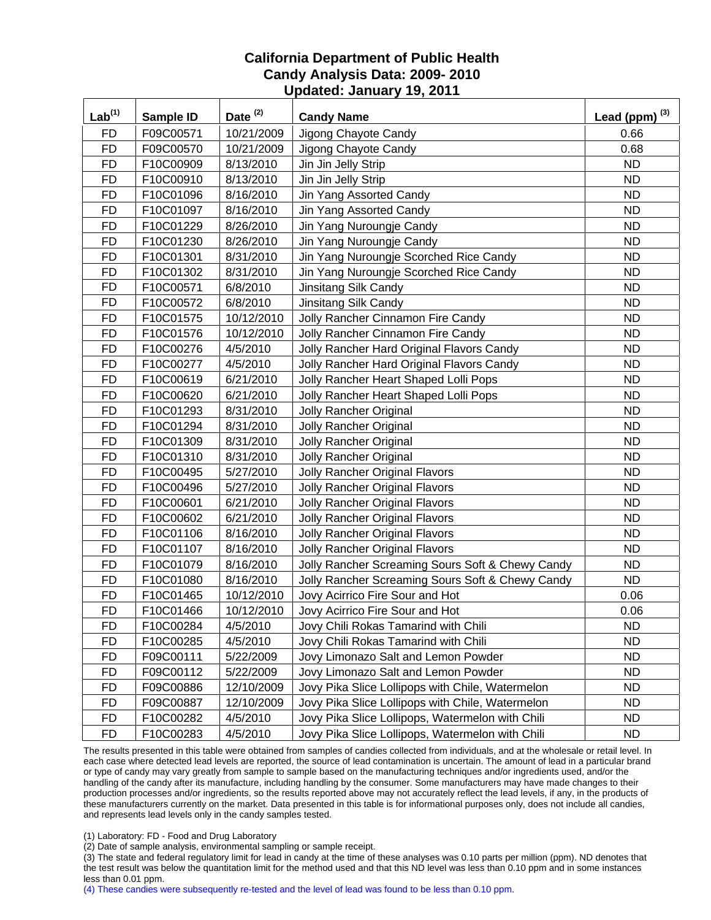| $\underline{\mathsf{Lab}}^{(1)}$ | Sample ID | Date <sup>(2)</sup> | <b>Candy Name</b>                                | Lead (ppm) $^{(3)}$ |
|----------------------------------|-----------|---------------------|--------------------------------------------------|---------------------|
| <b>FD</b>                        | F09C00571 | 10/21/2009          | Jigong Chayote Candy                             | 0.66                |
| <b>FD</b>                        | F09C00570 | 10/21/2009          | Jigong Chayote Candy                             | 0.68                |
| <b>FD</b>                        | F10C00909 | 8/13/2010           | Jin Jin Jelly Strip                              | <b>ND</b>           |
| <b>FD</b>                        | F10C00910 | 8/13/2010           | Jin Jin Jelly Strip                              | <b>ND</b>           |
| <b>FD</b>                        | F10C01096 | 8/16/2010           | Jin Yang Assorted Candy                          | <b>ND</b>           |
| <b>FD</b>                        | F10C01097 | 8/16/2010           | Jin Yang Assorted Candy                          | <b>ND</b>           |
| <b>FD</b>                        | F10C01229 | 8/26/2010           | Jin Yang Nuroungje Candy                         | <b>ND</b>           |
| <b>FD</b>                        | F10C01230 | 8/26/2010           | Jin Yang Nuroungje Candy                         | <b>ND</b>           |
| <b>FD</b>                        | F10C01301 | 8/31/2010           | Jin Yang Nuroungje Scorched Rice Candy           | <b>ND</b>           |
| <b>FD</b>                        | F10C01302 | 8/31/2010           | Jin Yang Nuroungje Scorched Rice Candy           | <b>ND</b>           |
| <b>FD</b>                        | F10C00571 | 6/8/2010            | Jinsitang Silk Candy                             | <b>ND</b>           |
| <b>FD</b>                        | F10C00572 | 6/8/2010            | Jinsitang Silk Candy                             | <b>ND</b>           |
| <b>FD</b>                        | F10C01575 | 10/12/2010          | Jolly Rancher Cinnamon Fire Candy                | <b>ND</b>           |
| <b>FD</b>                        | F10C01576 | 10/12/2010          | Jolly Rancher Cinnamon Fire Candy                | <b>ND</b>           |
| <b>FD</b>                        | F10C00276 | 4/5/2010            | Jolly Rancher Hard Original Flavors Candy        | <b>ND</b>           |
| <b>FD</b>                        | F10C00277 | 4/5/2010            | Jolly Rancher Hard Original Flavors Candy        | <b>ND</b>           |
| <b>FD</b>                        | F10C00619 | 6/21/2010           | Jolly Rancher Heart Shaped Lolli Pops            | <b>ND</b>           |
| <b>FD</b>                        | F10C00620 | 6/21/2010           | Jolly Rancher Heart Shaped Lolli Pops            | <b>ND</b>           |
| <b>FD</b>                        | F10C01293 | 8/31/2010           | <b>Jolly Rancher Original</b>                    | <b>ND</b>           |
| <b>FD</b>                        | F10C01294 | 8/31/2010           | <b>Jolly Rancher Original</b>                    | <b>ND</b>           |
| <b>FD</b>                        | F10C01309 | 8/31/2010           | <b>Jolly Rancher Original</b>                    | <b>ND</b>           |
| <b>FD</b>                        | F10C01310 | 8/31/2010           | <b>Jolly Rancher Original</b>                    | <b>ND</b>           |
| <b>FD</b>                        | F10C00495 | 5/27/2010           | <b>Jolly Rancher Original Flavors</b>            | <b>ND</b>           |
| <b>FD</b>                        | F10C00496 | 5/27/2010           | <b>Jolly Rancher Original Flavors</b>            | <b>ND</b>           |
| <b>FD</b>                        | F10C00601 | 6/21/2010           | Jolly Rancher Original Flavors                   | <b>ND</b>           |
| <b>FD</b>                        | F10C00602 | 6/21/2010           | Jolly Rancher Original Flavors                   | <b>ND</b>           |
| <b>FD</b>                        | F10C01106 | 8/16/2010           | <b>Jolly Rancher Original Flavors</b>            | <b>ND</b>           |
| <b>FD</b>                        | F10C01107 | 8/16/2010           | Jolly Rancher Original Flavors                   | <b>ND</b>           |
| <b>FD</b>                        | F10C01079 | 8/16/2010           | Jolly Rancher Screaming Sours Soft & Chewy Candy | <b>ND</b>           |
| <b>FD</b>                        | F10C01080 | 8/16/2010           | Jolly Rancher Screaming Sours Soft & Chewy Candy | <b>ND</b>           |
| <b>FD</b>                        | F10C01465 | 10/12/2010          | Jovy Acirrico Fire Sour and Hot                  | 0.06                |
| <b>FD</b>                        | F10C01466 | 10/12/2010          | Jovy Acirrico Fire Sour and Hot                  | 0.06                |
| <b>FD</b>                        | F10C00284 | 4/5/2010            | Jovy Chili Rokas Tamarind with Chili             | ND.                 |
| FD                               | F10C00285 | 4/5/2010            | Jovy Chili Rokas Tamarind with Chili             | ND.                 |
| <b>FD</b>                        | F09C00111 | 5/22/2009           | Jovy Limonazo Salt and Lemon Powder              | <b>ND</b>           |
| <b>FD</b>                        | F09C00112 | 5/22/2009           | Jovy Limonazo Salt and Lemon Powder              | <b>ND</b>           |
| FD                               | F09C00886 | 12/10/2009          | Jovy Pika Slice Lollipops with Chile, Watermelon | <b>ND</b>           |
| <b>FD</b>                        | F09C00887 | 12/10/2009          | Jovy Pika Slice Lollipops with Chile, Watermelon | <b>ND</b>           |
| <b>FD</b>                        | F10C00282 | 4/5/2010            | Jovy Pika Slice Lollipops, Watermelon with Chili | ND.                 |
| <b>FD</b>                        | F10C00283 | 4/5/2010            | Jovy Pika Slice Lollipops, Watermelon with Chili | <b>ND</b>           |

The results presented in this table were obtained from samples of candies collected from individuals, and at the wholesale or retail level. In each case where detected lead levels are reported, the source of lead contamination is uncertain. The amount of lead in a particular brand or type of candy may vary greatly from sample to sample based on the manufacturing techniques and/or ingredients used, and/or the handling of the candy after its manufacture, including handling by the consumer. Some manufacturers may have made changes to their production processes and/or ingredients, so the results reported above may not accurately reflect the lead levels, if any, in the products of these manufacturers currently on the market. Data presented in this table is for informational purposes only, does not include all candies, and represents lead levels only in the candy samples tested.

(1) Laboratory: FD - Food and Drug Laboratory

(2) Date of sample analysis, environmental sampling or sample receipt.

(3) The state and federal regulatory limit for lead in candy at the time of these analyses was 0.10 parts per million (ppm). ND denotes that the test result was below the quantitation limit for the method used and that this ND level was less than 0.10 ppm and in some instances less than 0.01 ppm.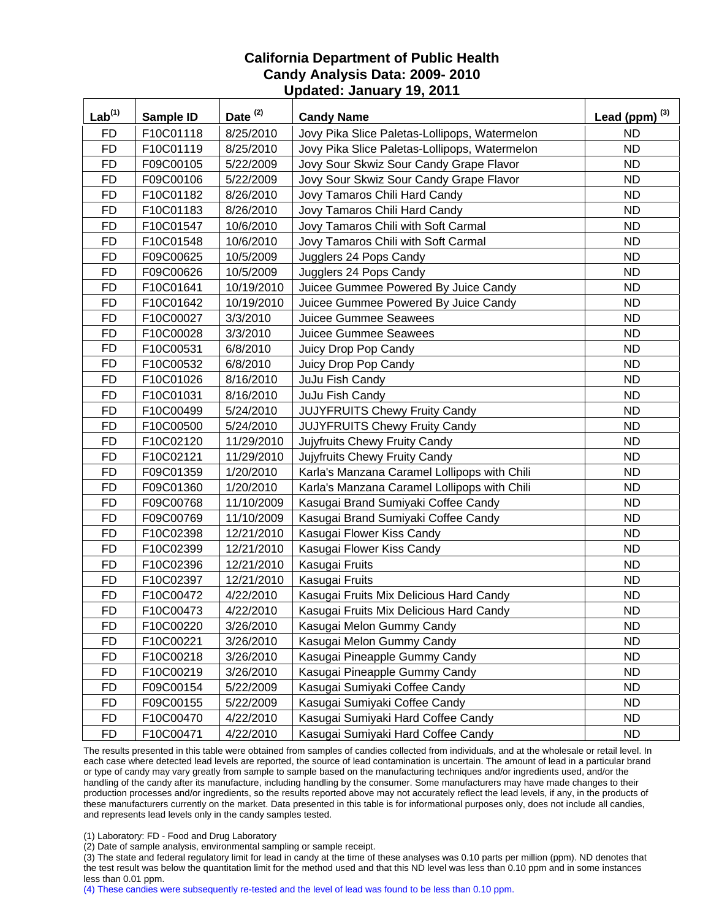| $Lab^{(1)}$ | Sample ID | Date <sup>(2)</sup> | <b>Candy Name</b>                             | Lead (ppm) $^{(3)}$ |
|-------------|-----------|---------------------|-----------------------------------------------|---------------------|
| <b>FD</b>   | F10C01118 | 8/25/2010           | Jovy Pika Slice Paletas-Lollipops, Watermelon | ND.                 |
| <b>FD</b>   | F10C01119 | 8/25/2010           | Jovy Pika Slice Paletas-Lollipops, Watermelon | <b>ND</b>           |
| <b>FD</b>   | F09C00105 | 5/22/2009           | Jovy Sour Skwiz Sour Candy Grape Flavor       | <b>ND</b>           |
| <b>FD</b>   | F09C00106 | 5/22/2009           | Jovy Sour Skwiz Sour Candy Grape Flavor       | <b>ND</b>           |
| <b>FD</b>   | F10C01182 | 8/26/2010           | Jovy Tamaros Chili Hard Candy                 | <b>ND</b>           |
| <b>FD</b>   | F10C01183 | 8/26/2010           | Jovy Tamaros Chili Hard Candy                 | <b>ND</b>           |
| <b>FD</b>   | F10C01547 | 10/6/2010           | Jovy Tamaros Chili with Soft Carmal           | <b>ND</b>           |
| <b>FD</b>   | F10C01548 | 10/6/2010           | Jovy Tamaros Chili with Soft Carmal           | <b>ND</b>           |
| <b>FD</b>   | F09C00625 | 10/5/2009           | Jugglers 24 Pops Candy                        | <b>ND</b>           |
| <b>FD</b>   | F09C00626 | 10/5/2009           | Jugglers 24 Pops Candy                        | <b>ND</b>           |
| <b>FD</b>   | F10C01641 | 10/19/2010          | Juicee Gummee Powered By Juice Candy          | <b>ND</b>           |
| <b>FD</b>   | F10C01642 | 10/19/2010          | Juicee Gummee Powered By Juice Candy          | <b>ND</b>           |
| <b>FD</b>   | F10C00027 | 3/3/2010            | Juicee Gummee Seawees                         | <b>ND</b>           |
| <b>FD</b>   | F10C00028 | 3/3/2010            | Juicee Gummee Seawees                         | <b>ND</b>           |
| <b>FD</b>   | F10C00531 | 6/8/2010            | Juicy Drop Pop Candy                          | <b>ND</b>           |
| <b>FD</b>   | F10C00532 | 6/8/2010            | Juicy Drop Pop Candy                          | <b>ND</b>           |
| <b>FD</b>   | F10C01026 | 8/16/2010           | JuJu Fish Candy                               | <b>ND</b>           |
| <b>FD</b>   | F10C01031 | 8/16/2010           | JuJu Fish Candy                               | <b>ND</b>           |
| <b>FD</b>   | F10C00499 | 5/24/2010           | <b>JUJYFRUITS Chewy Fruity Candy</b>          | <b>ND</b>           |
| <b>FD</b>   | F10C00500 | 5/24/2010           | <b>JUJYFRUITS Chewy Fruity Candy</b>          | <b>ND</b>           |
| <b>FD</b>   | F10C02120 | 11/29/2010          | Jujyfruits Chewy Fruity Candy                 | <b>ND</b>           |
| <b>FD</b>   | F10C02121 | 11/29/2010          | Jujyfruits Chewy Fruity Candy                 | <b>ND</b>           |
| <b>FD</b>   | F09C01359 | 1/20/2010           | Karla's Manzana Caramel Lollipops with Chili  | <b>ND</b>           |
| <b>FD</b>   | F09C01360 | 1/20/2010           | Karla's Manzana Caramel Lollipops with Chili  | <b>ND</b>           |
| <b>FD</b>   | F09C00768 | 11/10/2009          | Kasugai Brand Sumiyaki Coffee Candy           | <b>ND</b>           |
| <b>FD</b>   | F09C00769 | 11/10/2009          | Kasugai Brand Sumiyaki Coffee Candy           | <b>ND</b>           |
| <b>FD</b>   | F10C02398 | 12/21/2010          | Kasugai Flower Kiss Candy                     | <b>ND</b>           |
| <b>FD</b>   | F10C02399 | 12/21/2010          | Kasugai Flower Kiss Candy                     | <b>ND</b>           |
| <b>FD</b>   | F10C02396 | 12/21/2010          | Kasugai Fruits                                | <b>ND</b>           |
| <b>FD</b>   | F10C02397 | 12/21/2010          | Kasugai Fruits                                | <b>ND</b>           |
| <b>FD</b>   | F10C00472 | 4/22/2010           | Kasugai Fruits Mix Delicious Hard Candy       | <b>ND</b>           |
| <b>FD</b>   | F10C00473 | 4/22/2010           | Kasugai Fruits Mix Delicious Hard Candy       | <b>ND</b>           |
| <b>FD</b>   | F10C00220 | 3/26/2010           | Kasugai Melon Gummy Candy                     | <b>ND</b>           |
| <b>FD</b>   | F10C00221 | 3/26/2010           | Kasugai Melon Gummy Candy                     | <b>ND</b>           |
| <b>FD</b>   | F10C00218 | 3/26/2010           | Kasugai Pineapple Gummy Candy                 | ND.                 |
| <b>FD</b>   | F10C00219 | 3/26/2010           | Kasugai Pineapple Gummy Candy                 | <b>ND</b>           |
| <b>FD</b>   | F09C00154 | 5/22/2009           | Kasugai Sumiyaki Coffee Candy                 | <b>ND</b>           |
| <b>FD</b>   | F09C00155 | 5/22/2009           | Kasugai Sumiyaki Coffee Candy                 | <b>ND</b>           |
| <b>FD</b>   | F10C00470 | 4/22/2010           | Kasugai Sumiyaki Hard Coffee Candy            | <b>ND</b>           |
| <b>FD</b>   | F10C00471 | 4/22/2010           | Kasugai Sumiyaki Hard Coffee Candy            | <b>ND</b>           |

The results presented in this table were obtained from samples of candies collected from individuals, and at the wholesale or retail level. In each case where detected lead levels are reported, the source of lead contamination is uncertain. The amount of lead in a particular brand or type of candy may vary greatly from sample to sample based on the manufacturing techniques and/or ingredients used, and/or the handling of the candy after its manufacture, including handling by the consumer. Some manufacturers may have made changes to their production processes and/or ingredients, so the results reported above may not accurately reflect the lead levels, if any, in the products of these manufacturers currently on the market. Data presented in this table is for informational purposes only, does not include all candies, and represents lead levels only in the candy samples tested.

(1) Laboratory: FD - Food and Drug Laboratory

(2) Date of sample analysis, environmental sampling or sample receipt.

(3) The state and federal regulatory limit for lead in candy at the time of these analyses was 0.10 parts per million (ppm). ND denotes that the test result was below the quantitation limit for the method used and that this ND level was less than 0.10 ppm and in some instances less than 0.01 ppm.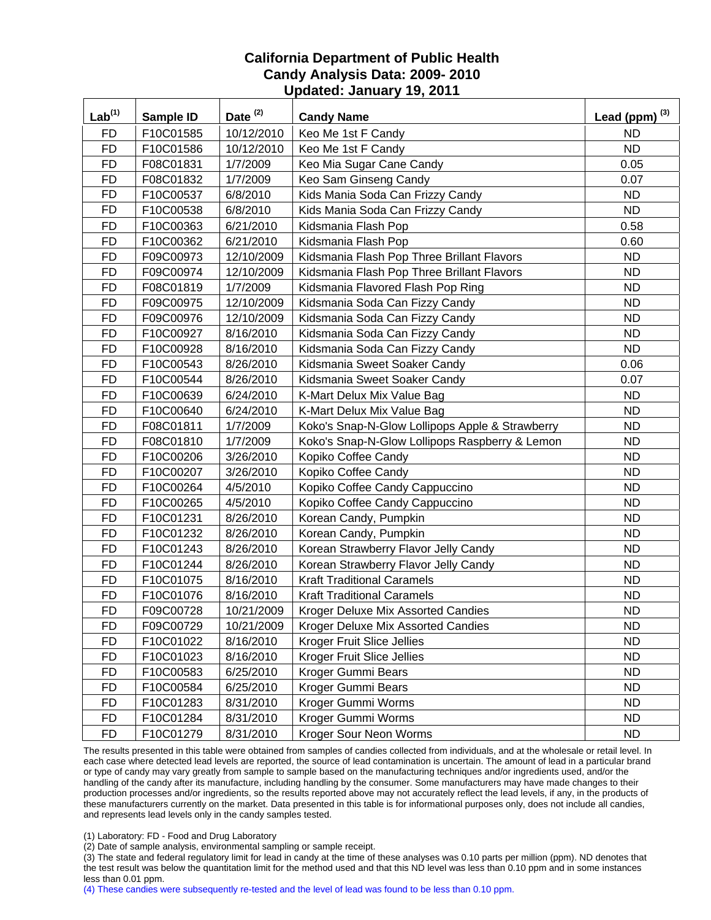| Lab <sup>(1)</sup> | Sample ID | Date <sup>(2)</sup> | <b>Candy Name</b>                               | Lead (ppm) $^{(3)}$ |
|--------------------|-----------|---------------------|-------------------------------------------------|---------------------|
| <b>FD</b>          | F10C01585 | 10/12/2010          | Keo Me 1st F Candy                              | <b>ND</b>           |
| <b>FD</b>          | F10C01586 | 10/12/2010          | Keo Me 1st F Candy                              | <b>ND</b>           |
| <b>FD</b>          | F08C01831 | 1/7/2009            | Keo Mia Sugar Cane Candy                        | 0.05                |
| <b>FD</b>          | F08C01832 | 1/7/2009            | Keo Sam Ginseng Candy                           | 0.07                |
| <b>FD</b>          | F10C00537 | 6/8/2010            | Kids Mania Soda Can Frizzy Candy                | <b>ND</b>           |
| <b>FD</b>          | F10C00538 | 6/8/2010            | Kids Mania Soda Can Frizzy Candy                | <b>ND</b>           |
| <b>FD</b>          | F10C00363 | 6/21/2010           | Kidsmania Flash Pop                             | 0.58                |
| <b>FD</b>          | F10C00362 | 6/21/2010           | Kidsmania Flash Pop                             | 0.60                |
| <b>FD</b>          | F09C00973 | 12/10/2009          | Kidsmania Flash Pop Three Brillant Flavors      | <b>ND</b>           |
| <b>FD</b>          | F09C00974 | 12/10/2009          | Kidsmania Flash Pop Three Brillant Flavors      | ND                  |
| <b>FD</b>          | F08C01819 | 1/7/2009            | Kidsmania Flavored Flash Pop Ring               | <b>ND</b>           |
| <b>FD</b>          | F09C00975 | 12/10/2009          | Kidsmania Soda Can Fizzy Candy                  | ND                  |
| <b>FD</b>          | F09C00976 | 12/10/2009          | Kidsmania Soda Can Fizzy Candy                  | <b>ND</b>           |
| <b>FD</b>          | F10C00927 | 8/16/2010           | Kidsmania Soda Can Fizzy Candy                  | <b>ND</b>           |
| <b>FD</b>          | F10C00928 | 8/16/2010           | Kidsmania Soda Can Fizzy Candy                  | <b>ND</b>           |
| <b>FD</b>          | F10C00543 | 8/26/2010           | Kidsmania Sweet Soaker Candy                    | 0.06                |
| <b>FD</b>          | F10C00544 | 8/26/2010           | Kidsmania Sweet Soaker Candy                    | 0.07                |
| <b>FD</b>          | F10C00639 | 6/24/2010           | K-Mart Delux Mix Value Bag                      | <b>ND</b>           |
| <b>FD</b>          | F10C00640 | 6/24/2010           | K-Mart Delux Mix Value Bag                      | <b>ND</b>           |
| <b>FD</b>          | F08C01811 | 1/7/2009            | Koko's Snap-N-Glow Lollipops Apple & Strawberry | <b>ND</b>           |
| <b>FD</b>          | F08C01810 | 1/7/2009            | Koko's Snap-N-Glow Lollipops Raspberry & Lemon  | <b>ND</b>           |
| <b>FD</b>          | F10C00206 | 3/26/2010           | Kopiko Coffee Candy                             | <b>ND</b>           |
| <b>FD</b>          | F10C00207 | 3/26/2010           | Kopiko Coffee Candy                             | <b>ND</b>           |
| <b>FD</b>          | F10C00264 | 4/5/2010            | Kopiko Coffee Candy Cappuccino                  | <b>ND</b>           |
| <b>FD</b>          | F10C00265 | 4/5/2010            | Kopiko Coffee Candy Cappuccino                  | <b>ND</b>           |
| <b>FD</b>          | F10C01231 | 8/26/2010           | Korean Candy, Pumpkin                           | <b>ND</b>           |
| <b>FD</b>          | F10C01232 | 8/26/2010           | Korean Candy, Pumpkin                           | <b>ND</b>           |
| <b>FD</b>          | F10C01243 | 8/26/2010           | Korean Strawberry Flavor Jelly Candy            | <b>ND</b>           |
| <b>FD</b>          | F10C01244 | 8/26/2010           | Korean Strawberry Flavor Jelly Candy            | <b>ND</b>           |
| <b>FD</b>          | F10C01075 | 8/16/2010           | <b>Kraft Traditional Caramels</b>               | <b>ND</b>           |
| <b>FD</b>          | F10C01076 | 8/16/2010           | <b>Kraft Traditional Caramels</b>               | <b>ND</b>           |
| <b>FD</b>          | F09C00728 | 10/21/2009          | Kroger Deluxe Mix Assorted Candies              | <b>ND</b>           |
| <b>FD</b>          | F09C00729 | 10/21/2009          | Kroger Deluxe Mix Assorted Candies              | ND.                 |
| FD                 | F10C01022 | 8/16/2010           | Kroger Fruit Slice Jellies                      | <b>ND</b>           |
| <b>FD</b>          | F10C01023 | 8/16/2010           | Kroger Fruit Slice Jellies                      | <b>ND</b>           |
| <b>FD</b>          | F10C00583 | 6/25/2010           | Kroger Gummi Bears                              | <b>ND</b>           |
| <b>FD</b>          | F10C00584 | 6/25/2010           | Kroger Gummi Bears                              | <b>ND</b>           |
| <b>FD</b>          | F10C01283 | 8/31/2010           | Kroger Gummi Worms                              | <b>ND</b>           |
| <b>FD</b>          | F10C01284 | 8/31/2010           | Kroger Gummi Worms                              | <b>ND</b>           |
| <b>FD</b>          | F10C01279 | 8/31/2010           | Kroger Sour Neon Worms                          | <b>ND</b>           |

The results presented in this table were obtained from samples of candies collected from individuals, and at the wholesale or retail level. In each case where detected lead levels are reported, the source of lead contamination is uncertain. The amount of lead in a particular brand or type of candy may vary greatly from sample to sample based on the manufacturing techniques and/or ingredients used, and/or the handling of the candy after its manufacture, including handling by the consumer. Some manufacturers may have made changes to their production processes and/or ingredients, so the results reported above may not accurately reflect the lead levels, if any, in the products of these manufacturers currently on the market. Data presented in this table is for informational purposes only, does not include all candies, and represents lead levels only in the candy samples tested.

(1) Laboratory: FD - Food and Drug Laboratory

(2) Date of sample analysis, environmental sampling or sample receipt.

(3) The state and federal regulatory limit for lead in candy at the time of these analyses was 0.10 parts per million (ppm). ND denotes that the test result was below the quantitation limit for the method used and that this ND level was less than 0.10 ppm and in some instances less than 0.01 ppm.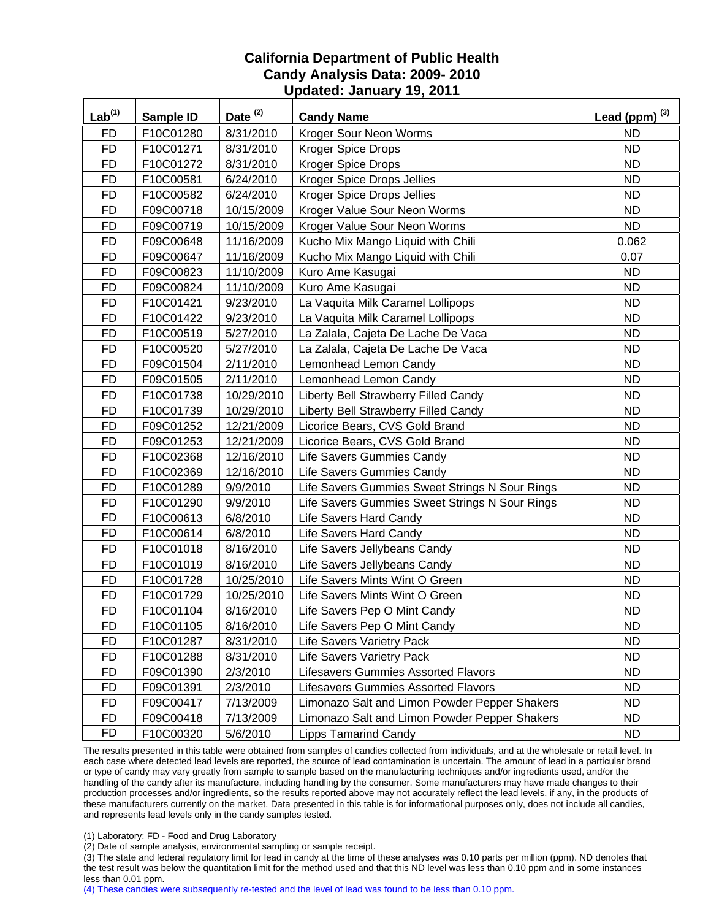| Lab <sup>(1)</sup> | <b>Sample ID</b> | Date <sup>(2)</sup> | <b>Candy Name</b>                              | Lead (ppm) $^{(3)}$ |
|--------------------|------------------|---------------------|------------------------------------------------|---------------------|
| <b>FD</b>          | F10C01280        | 8/31/2010           | Kroger Sour Neon Worms                         | <b>ND</b>           |
| <b>FD</b>          | F10C01271        | 8/31/2010           | Kroger Spice Drops                             | <b>ND</b>           |
| <b>FD</b>          | F10C01272        | 8/31/2010           | <b>Kroger Spice Drops</b>                      | <b>ND</b>           |
| <b>FD</b>          | F10C00581        | 6/24/2010           | <b>Kroger Spice Drops Jellies</b>              | <b>ND</b>           |
| <b>FD</b>          | F10C00582        | 6/24/2010           | Kroger Spice Drops Jellies                     | <b>ND</b>           |
| <b>FD</b>          | F09C00718        | 10/15/2009          | Kroger Value Sour Neon Worms                   | <b>ND</b>           |
| <b>FD</b>          | F09C00719        | 10/15/2009          | Kroger Value Sour Neon Worms                   | <b>ND</b>           |
| <b>FD</b>          | F09C00648        | 11/16/2009          | Kucho Mix Mango Liquid with Chili              | 0.062               |
| <b>FD</b>          | F09C00647        | 11/16/2009          | Kucho Mix Mango Liquid with Chili              | 0.07                |
| <b>FD</b>          | F09C00823        | 11/10/2009          | Kuro Ame Kasugai                               | <b>ND</b>           |
| <b>FD</b>          | F09C00824        | 11/10/2009          | Kuro Ame Kasugai                               | <b>ND</b>           |
| <b>FD</b>          | F10C01421        | 9/23/2010           | La Vaquita Milk Caramel Lollipops              | <b>ND</b>           |
| <b>FD</b>          | F10C01422        | 9/23/2010           | La Vaquita Milk Caramel Lollipops              | <b>ND</b>           |
| <b>FD</b>          | F10C00519        | 5/27/2010           | La Zalala, Cajeta De Lache De Vaca             | <b>ND</b>           |
| <b>FD</b>          | F10C00520        | 5/27/2010           | La Zalala, Cajeta De Lache De Vaca             | <b>ND</b>           |
| <b>FD</b>          | F09C01504        | 2/11/2010           | Lemonhead Lemon Candy                          | ND                  |
| <b>FD</b>          | F09C01505        | 2/11/2010           | Lemonhead Lemon Candy                          | <b>ND</b>           |
| <b>FD</b>          | F10C01738        | 10/29/2010          | Liberty Bell Strawberry Filled Candy           | <b>ND</b>           |
| <b>FD</b>          | F10C01739        | 10/29/2010          | Liberty Bell Strawberry Filled Candy           | <b>ND</b>           |
| <b>FD</b>          | F09C01252        | 12/21/2009          | Licorice Bears, CVS Gold Brand                 | <b>ND</b>           |
| <b>FD</b>          | F09C01253        | 12/21/2009          | Licorice Bears, CVS Gold Brand                 | <b>ND</b>           |
| <b>FD</b>          | F10C02368        | 12/16/2010          | Life Savers Gummies Candy                      | <b>ND</b>           |
| <b>FD</b>          | F10C02369        | 12/16/2010          | Life Savers Gummies Candy                      | <b>ND</b>           |
| <b>FD</b>          | F10C01289        | 9/9/2010            | Life Savers Gummies Sweet Strings N Sour Rings | <b>ND</b>           |
| <b>FD</b>          | F10C01290        | 9/9/2010            | Life Savers Gummies Sweet Strings N Sour Rings | <b>ND</b>           |
| <b>FD</b>          | F10C00613        | 6/8/2010            | Life Savers Hard Candy                         | <b>ND</b>           |
| <b>FD</b>          | F10C00614        | 6/8/2010            | Life Savers Hard Candy                         | <b>ND</b>           |
| <b>FD</b>          | F10C01018        | 8/16/2010           | Life Savers Jellybeans Candy                   | <b>ND</b>           |
| <b>FD</b>          | F10C01019        | 8/16/2010           | Life Savers Jellybeans Candy                   | <b>ND</b>           |
| <b>FD</b>          | F10C01728        | 10/25/2010          | Life Savers Mints Wint O Green                 | <b>ND</b>           |
| <b>FD</b>          | F10C01729        | 10/25/2010          | Life Savers Mints Wint O Green                 | <b>ND</b>           |
| <b>FD</b>          | F10C01104        | 8/16/2010           | Life Savers Pep O Mint Candy                   | <b>ND</b>           |
| <b>FD</b>          | F10C01105        | 8/16/2010           | Life Savers Pep O Mint Candy                   | <b>ND</b>           |
| <b>FD</b>          | F10C01287        | 8/31/2010           | <b>Life Savers Varietry Pack</b>               | <b>ND</b>           |
| <b>FD</b>          | F10C01288        | 8/31/2010           | <b>Life Savers Varietry Pack</b>               | <b>ND</b>           |
| <b>FD</b>          | F09C01390        | 2/3/2010            | Lifesavers Gummies Assorted Flavors            | <b>ND</b>           |
| <b>FD</b>          | F09C01391        | 2/3/2010            | <b>Lifesavers Gummies Assorted Flavors</b>     | <b>ND</b>           |
| <b>FD</b>          | F09C00417        | 7/13/2009           | Limonazo Salt and Limon Powder Pepper Shakers  | <b>ND</b>           |
| <b>FD</b>          | F09C00418        | 7/13/2009           | Limonazo Salt and Limon Powder Pepper Shakers  | <b>ND</b>           |
| <b>FD</b>          | F10C00320        | 5/6/2010            | <b>Lipps Tamarind Candy</b>                    | ND.                 |

The results presented in this table were obtained from samples of candies collected from individuals, and at the wholesale or retail level. In each case where detected lead levels are reported, the source of lead contamination is uncertain. The amount of lead in a particular brand or type of candy may vary greatly from sample to sample based on the manufacturing techniques and/or ingredients used, and/or the handling of the candy after its manufacture, including handling by the consumer. Some manufacturers may have made changes to their production processes and/or ingredients, so the results reported above may not accurately reflect the lead levels, if any, in the products of these manufacturers currently on the market. Data presented in this table is for informational purposes only, does not include all candies, and represents lead levels only in the candy samples tested.

(1) Laboratory: FD - Food and Drug Laboratory

(2) Date of sample analysis, environmental sampling or sample receipt.

(3) The state and federal regulatory limit for lead in candy at the time of these analyses was 0.10 parts per million (ppm). ND denotes that the test result was below the quantitation limit for the method used and that this ND level was less than 0.10 ppm and in some instances less than 0.01 ppm.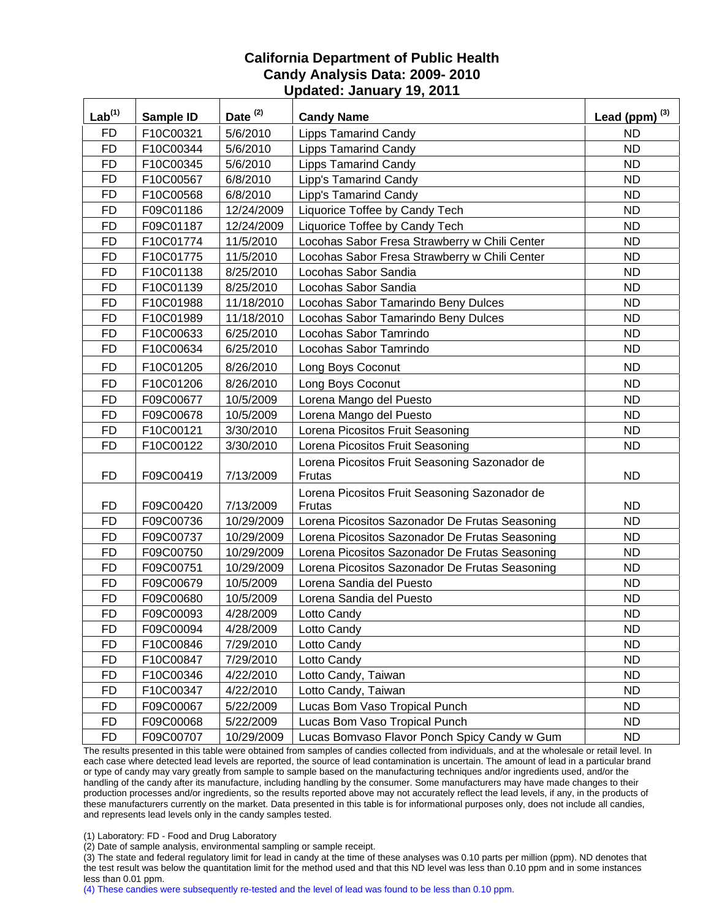| Lab <sup>(1)</sup> | Sample ID | Date <sup>(2)</sup> | <b>Candy Name</b>                                       | Lead (ppm) $^{(3)}$ |
|--------------------|-----------|---------------------|---------------------------------------------------------|---------------------|
| FD                 | F10C00321 | 5/6/2010            | <b>Lipps Tamarind Candy</b>                             | <b>ND</b>           |
| <b>FD</b>          | F10C00344 | 5/6/2010            | <b>Lipps Tamarind Candy</b>                             | <b>ND</b>           |
| <b>FD</b>          | F10C00345 | 5/6/2010            | <b>Lipps Tamarind Candy</b>                             | <b>ND</b>           |
| <b>FD</b>          | F10C00567 | 6/8/2010            | Lipp's Tamarind Candy                                   | <b>ND</b>           |
| <b>FD</b>          | F10C00568 | 6/8/2010            | Lipp's Tamarind Candy                                   | <b>ND</b>           |
| <b>FD</b>          | F09C01186 | 12/24/2009          | Liquorice Toffee by Candy Tech                          | <b>ND</b>           |
| <b>FD</b>          | F09C01187 | 12/24/2009          | Liquorice Toffee by Candy Tech                          | <b>ND</b>           |
| <b>FD</b>          | F10C01774 | 11/5/2010           | Locohas Sabor Fresa Strawberry w Chili Center           | <b>ND</b>           |
| <b>FD</b>          | F10C01775 | 11/5/2010           | Locohas Sabor Fresa Strawberry w Chili Center           | <b>ND</b>           |
| <b>FD</b>          | F10C01138 | 8/25/2010           | Locohas Sabor Sandia                                    | <b>ND</b>           |
| <b>FD</b>          | F10C01139 | 8/25/2010           | Locohas Sabor Sandia                                    | <b>ND</b>           |
| <b>FD</b>          | F10C01988 | 11/18/2010          | Locohas Sabor Tamarindo Beny Dulces                     | <b>ND</b>           |
| <b>FD</b>          | F10C01989 | 11/18/2010          | Locohas Sabor Tamarindo Beny Dulces                     | <b>ND</b>           |
| <b>FD</b>          | F10C00633 | 6/25/2010           | Locohas Sabor Tamrindo                                  | <b>ND</b>           |
| <b>FD</b>          | F10C00634 | 6/25/2010           | Locohas Sabor Tamrindo                                  | <b>ND</b>           |
| <b>FD</b>          | F10C01205 | 8/26/2010           | Long Boys Coconut                                       | <b>ND</b>           |
| <b>FD</b>          | F10C01206 | 8/26/2010           | Long Boys Coconut                                       | <b>ND</b>           |
| <b>FD</b>          | F09C00677 | 10/5/2009           | Lorena Mango del Puesto                                 | <b>ND</b>           |
| <b>FD</b>          | F09C00678 | 10/5/2009           | Lorena Mango del Puesto                                 | <b>ND</b>           |
| <b>FD</b>          | F10C00121 | 3/30/2010           | Lorena Picositos Fruit Seasoning                        | <b>ND</b>           |
| <b>FD</b>          | F10C00122 | 3/30/2010           | Lorena Picositos Fruit Seasoning                        | <b>ND</b>           |
| <b>FD</b>          | F09C00419 | 7/13/2009           | Lorena Picositos Fruit Seasoning Sazonador de<br>Frutas | <b>ND</b>           |
| <b>FD</b>          | F09C00420 | 7/13/2009           | Lorena Picositos Fruit Seasoning Sazonador de<br>Frutas | <b>ND</b>           |
| <b>FD</b>          | F09C00736 | 10/29/2009          | Lorena Picositos Sazonador De Frutas Seasoning          | <b>ND</b>           |
| <b>FD</b>          | F09C00737 | 10/29/2009          | Lorena Picositos Sazonador De Frutas Seasoning          | <b>ND</b>           |
| <b>FD</b>          | F09C00750 | 10/29/2009          | Lorena Picositos Sazonador De Frutas Seasoning          | <b>ND</b>           |
| <b>FD</b>          | F09C00751 | 10/29/2009          | Lorena Picositos Sazonador De Frutas Seasoning          | <b>ND</b>           |
| <b>FD</b>          | F09C00679 | 10/5/2009           | Lorena Sandia del Puesto                                | <b>ND</b>           |
| <b>FD</b>          | F09C00680 | 10/5/2009           | Lorena Sandia del Puesto                                | <b>ND</b>           |
| <b>FD</b>          | F09C00093 | 4/28/2009           | Lotto Candy                                             | <b>ND</b>           |
| <b>FD</b>          | F09C00094 | 4/28/2009           | Lotto Candy                                             | <b>ND</b>           |
| <b>FD</b>          | F10C00846 | 7/29/2010           | Lotto Candy                                             | <b>ND</b>           |
| <b>FD</b>          | F10C00847 | 7/29/2010           | Lotto Candy                                             | <b>ND</b>           |
| <b>FD</b>          | F10C00346 | 4/22/2010           | Lotto Candy, Taiwan                                     | <b>ND</b>           |
| <b>FD</b>          | F10C00347 | 4/22/2010           | Lotto Candy, Taiwan                                     | <b>ND</b>           |
| <b>FD</b>          | F09C00067 | 5/22/2009           | Lucas Bom Vaso Tropical Punch                           | <b>ND</b>           |
| <b>FD</b>          | F09C00068 | 5/22/2009           | Lucas Bom Vaso Tropical Punch                           | <b>ND</b>           |
| <b>FD</b>          | F09C00707 | 10/29/2009          | Lucas Bomvaso Flavor Ponch Spicy Candy w Gum            | ND                  |

The results presented in this table were obtained from samples of candies collected from individuals, and at the wholesale or retail level. In each case where detected lead levels are reported, the source of lead contamination is uncertain. The amount of lead in a particular brand or type of candy may vary greatly from sample to sample based on the manufacturing techniques and/or ingredients used, and/or the handling of the candy after its manufacture, including handling by the consumer. Some manufacturers may have made changes to their production processes and/or ingredients, so the results reported above may not accurately reflect the lead levels, if any, in the products of these manufacturers currently on the market. Data presented in this table is for informational purposes only, does not include all candies, and represents lead levels only in the candy samples tested.

(1) Laboratory: FD - Food and Drug Laboratory

(2) Date of sample analysis, environmental sampling or sample receipt.

(3) The state and federal regulatory limit for lead in candy at the time of these analyses was 0.10 parts per million (ppm). ND denotes that the test result was below the quantitation limit for the method used and that this ND level was less than 0.10 ppm and in some instances less than 0.01 ppm.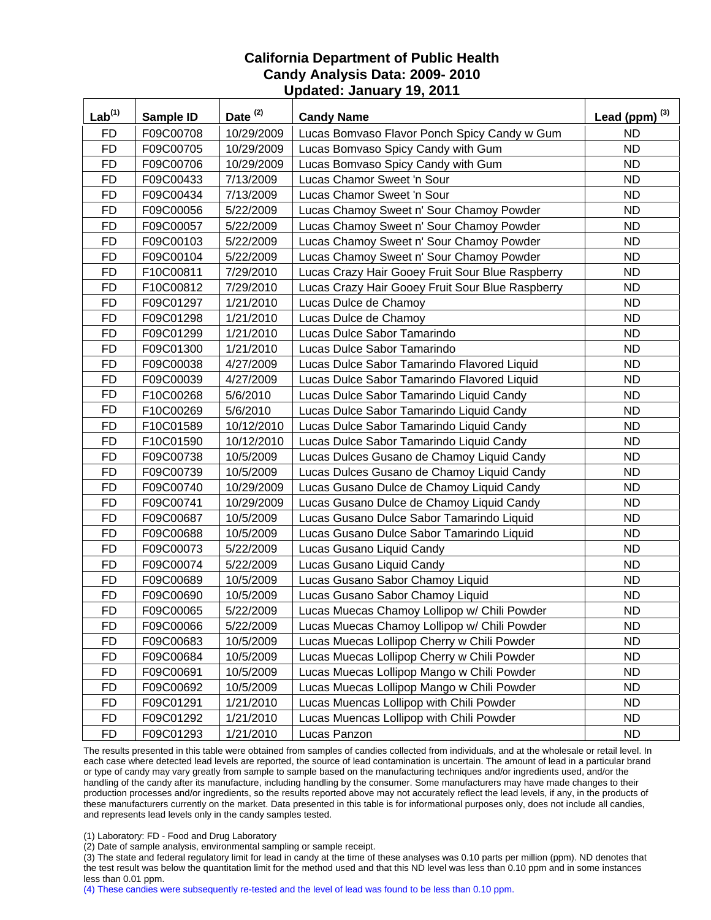| Lab <sup>(1)</sup> | Sample ID | Date <sup>(2)</sup> | <b>Candy Name</b>                                | Lead (ppm) $^{(3)}$ |
|--------------------|-----------|---------------------|--------------------------------------------------|---------------------|
| <b>FD</b>          | F09C00708 | 10/29/2009          | Lucas Bomvaso Flavor Ponch Spicy Candy w Gum     | <b>ND</b>           |
| <b>FD</b>          | F09C00705 | 10/29/2009          | Lucas Bomvaso Spicy Candy with Gum               | <b>ND</b>           |
| <b>FD</b>          | F09C00706 | 10/29/2009          | Lucas Bomvaso Spicy Candy with Gum               | <b>ND</b>           |
| <b>FD</b>          | F09C00433 | 7/13/2009           | Lucas Chamor Sweet 'n Sour                       | <b>ND</b>           |
| <b>FD</b>          | F09C00434 | 7/13/2009           | Lucas Chamor Sweet 'n Sour                       | <b>ND</b>           |
| <b>FD</b>          | F09C00056 | 5/22/2009           | Lucas Chamoy Sweet n' Sour Chamoy Powder         | <b>ND</b>           |
| <b>FD</b>          | F09C00057 | 5/22/2009           | Lucas Chamoy Sweet n' Sour Chamoy Powder         | <b>ND</b>           |
| <b>FD</b>          | F09C00103 | 5/22/2009           | Lucas Chamoy Sweet n' Sour Chamoy Powder         | <b>ND</b>           |
| <b>FD</b>          | F09C00104 | 5/22/2009           | Lucas Chamoy Sweet n' Sour Chamoy Powder         | <b>ND</b>           |
| <b>FD</b>          | F10C00811 | 7/29/2010           | Lucas Crazy Hair Gooey Fruit Sour Blue Raspberry | <b>ND</b>           |
| <b>FD</b>          | F10C00812 | 7/29/2010           | Lucas Crazy Hair Gooey Fruit Sour Blue Raspberry | <b>ND</b>           |
| <b>FD</b>          | F09C01297 | 1/21/2010           | Lucas Dulce de Chamoy                            | <b>ND</b>           |
| <b>FD</b>          | F09C01298 | 1/21/2010           | Lucas Dulce de Chamoy                            | <b>ND</b>           |
| <b>FD</b>          | F09C01299 | 1/21/2010           | Lucas Dulce Sabor Tamarindo                      | <b>ND</b>           |
| <b>FD</b>          | F09C01300 | 1/21/2010           | Lucas Dulce Sabor Tamarindo                      | <b>ND</b>           |
| <b>FD</b>          | F09C00038 | 4/27/2009           | Lucas Dulce Sabor Tamarindo Flavored Liquid      | <b>ND</b>           |
| <b>FD</b>          | F09C00039 | 4/27/2009           | Lucas Dulce Sabor Tamarindo Flavored Liquid      | <b>ND</b>           |
| <b>FD</b>          | F10C00268 | 5/6/2010            | Lucas Dulce Sabor Tamarindo Liquid Candy         | <b>ND</b>           |
| <b>FD</b>          | F10C00269 | 5/6/2010            | Lucas Dulce Sabor Tamarindo Liquid Candy         | <b>ND</b>           |
| <b>FD</b>          | F10C01589 | 10/12/2010          | Lucas Dulce Sabor Tamarindo Liquid Candy         | <b>ND</b>           |
| <b>FD</b>          | F10C01590 | 10/12/2010          | Lucas Dulce Sabor Tamarindo Liquid Candy         | <b>ND</b>           |
| <b>FD</b>          | F09C00738 | 10/5/2009           | Lucas Dulces Gusano de Chamoy Liquid Candy       | <b>ND</b>           |
| <b>FD</b>          | F09C00739 | 10/5/2009           | Lucas Dulces Gusano de Chamoy Liquid Candy       | <b>ND</b>           |
| <b>FD</b>          | F09C00740 | 10/29/2009          | Lucas Gusano Dulce de Chamoy Liquid Candy        | <b>ND</b>           |
| <b>FD</b>          | F09C00741 | 10/29/2009          | Lucas Gusano Dulce de Chamoy Liquid Candy        | <b>ND</b>           |
| <b>FD</b>          | F09C00687 | 10/5/2009           | Lucas Gusano Dulce Sabor Tamarindo Liquid        | <b>ND</b>           |
| <b>FD</b>          | F09C00688 | 10/5/2009           | Lucas Gusano Dulce Sabor Tamarindo Liquid        | <b>ND</b>           |
| <b>FD</b>          | F09C00073 | 5/22/2009           | Lucas Gusano Liquid Candy                        | <b>ND</b>           |
| <b>FD</b>          | F09C00074 | 5/22/2009           | Lucas Gusano Liquid Candy                        | <b>ND</b>           |
| <b>FD</b>          | F09C00689 | 10/5/2009           | Lucas Gusano Sabor Chamoy Liquid                 | <b>ND</b>           |
| <b>FD</b>          | F09C00690 | 10/5/2009           | Lucas Gusano Sabor Chamoy Liquid                 | <b>ND</b>           |
| <b>FD</b>          | F09C00065 | 5/22/2009           | Lucas Muecas Chamoy Lollipop w/ Chili Powder     | <b>ND</b>           |
| <b>FD</b>          | F09C00066 | 5/22/2009           | Lucas Muecas Chamoy Lollipop w/ Chili Powder     | <b>ND</b>           |
| <b>FD</b>          | F09C00683 | 10/5/2009           | Lucas Muecas Lollipop Cherry w Chili Powder      | <b>ND</b>           |
| <b>FD</b>          | F09C00684 | 10/5/2009           | Lucas Muecas Lollipop Cherry w Chili Powder      | <b>ND</b>           |
| <b>FD</b>          | F09C00691 | 10/5/2009           | Lucas Muecas Lollipop Mango w Chili Powder       | <b>ND</b>           |
| <b>FD</b>          | F09C00692 | 10/5/2009           | Lucas Muecas Lollipop Mango w Chili Powder       | <b>ND</b>           |
| <b>FD</b>          | F09C01291 | 1/21/2010           | Lucas Muencas Lollipop with Chili Powder         | <b>ND</b>           |
| <b>FD</b>          | F09C01292 | 1/21/2010           | Lucas Muencas Lollipop with Chili Powder         | <b>ND</b>           |
| <b>FD</b>          | F09C01293 | 1/21/2010           | Lucas Panzon                                     | ND                  |

The results presented in this table were obtained from samples of candies collected from individuals, and at the wholesale or retail level. In each case where detected lead levels are reported, the source of lead contamination is uncertain. The amount of lead in a particular brand or type of candy may vary greatly from sample to sample based on the manufacturing techniques and/or ingredients used, and/or the handling of the candy after its manufacture, including handling by the consumer. Some manufacturers may have made changes to their production processes and/or ingredients, so the results reported above may not accurately reflect the lead levels, if any, in the products of these manufacturers currently on the market. Data presented in this table is for informational purposes only, does not include all candies, and represents lead levels only in the candy samples tested.

(1) Laboratory: FD - Food and Drug Laboratory

(2) Date of sample analysis, environmental sampling or sample receipt.

(3) The state and federal regulatory limit for lead in candy at the time of these analyses was 0.10 parts per million (ppm). ND denotes that the test result was below the quantitation limit for the method used and that this ND level was less than 0.10 ppm and in some instances less than 0.01 ppm.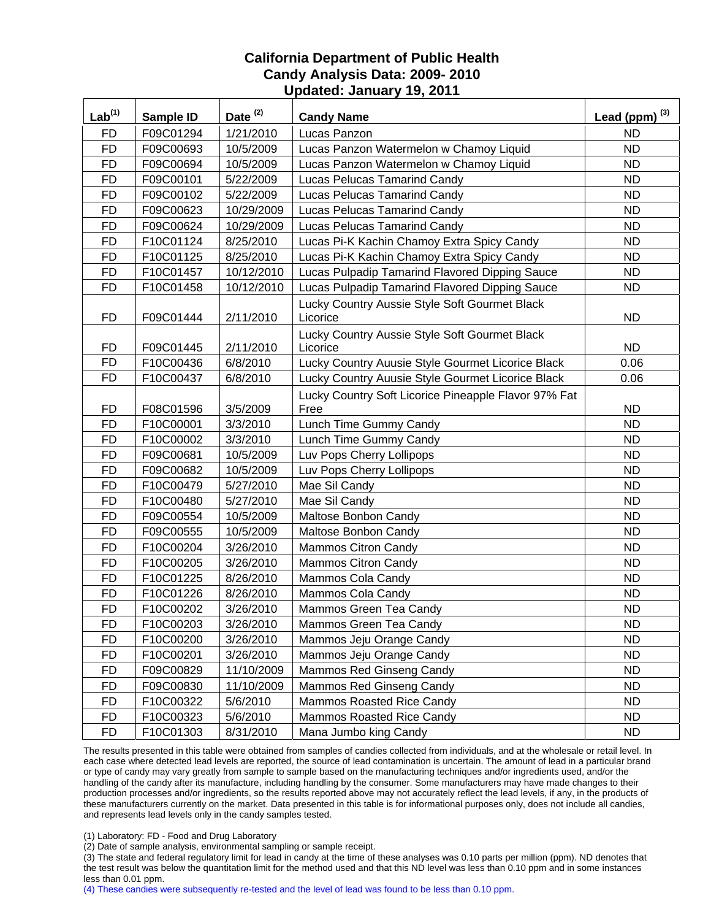| $Lab^{(1)}$ | Sample ID | Date <sup>(2)</sup> | <b>Candy Name</b>                                    | Lead (ppm) $^{(3)}$ |
|-------------|-----------|---------------------|------------------------------------------------------|---------------------|
| <b>FD</b>   | F09C01294 | 1/21/2010           | Lucas Panzon                                         | <b>ND</b>           |
| <b>FD</b>   | F09C00693 | 10/5/2009           | Lucas Panzon Watermelon w Chamoy Liquid              | <b>ND</b>           |
| <b>FD</b>   | F09C00694 | 10/5/2009           | Lucas Panzon Watermelon w Chamoy Liquid              | <b>ND</b>           |
| <b>FD</b>   | F09C00101 | 5/22/2009           | <b>Lucas Pelucas Tamarind Candy</b>                  | <b>ND</b>           |
| <b>FD</b>   | F09C00102 | 5/22/2009           | Lucas Pelucas Tamarind Candy                         | <b>ND</b>           |
| <b>FD</b>   | F09C00623 | 10/29/2009          | Lucas Pelucas Tamarind Candy                         | <b>ND</b>           |
| <b>FD</b>   | F09C00624 | 10/29/2009          | <b>Lucas Pelucas Tamarind Candy</b>                  | <b>ND</b>           |
| <b>FD</b>   | F10C01124 | 8/25/2010           | Lucas Pi-K Kachin Chamoy Extra Spicy Candy           | <b>ND</b>           |
| <b>FD</b>   | F10C01125 | 8/25/2010           | Lucas Pi-K Kachin Chamoy Extra Spicy Candy           | <b>ND</b>           |
| <b>FD</b>   | F10C01457 | 10/12/2010          | Lucas Pulpadip Tamarind Flavored Dipping Sauce       | <b>ND</b>           |
| <b>FD</b>   | F10C01458 | 10/12/2010          | Lucas Pulpadip Tamarind Flavored Dipping Sauce       | <b>ND</b>           |
|             |           |                     | Lucky Country Aussie Style Soft Gourmet Black        |                     |
| <b>FD</b>   | F09C01444 | 2/11/2010           | Licorice                                             | <b>ND</b>           |
|             |           |                     | Lucky Country Aussie Style Soft Gourmet Black        |                     |
| <b>FD</b>   | F09C01445 | 2/11/2010           | Licorice                                             | <b>ND</b>           |
| <b>FD</b>   | F10C00436 | 6/8/2010            | Lucky Country Auusie Style Gourmet Licorice Black    | 0.06                |
| <b>FD</b>   | F10C00437 | 6/8/2010            | Lucky Country Auusie Style Gourmet Licorice Black    | 0.06                |
|             |           |                     | Lucky Country Soft Licorice Pineapple Flavor 97% Fat |                     |
| <b>FD</b>   | F08C01596 | 3/5/2009            | Free                                                 | <b>ND</b>           |
| <b>FD</b>   | F10C00001 | 3/3/2010            | Lunch Time Gummy Candy                               | <b>ND</b>           |
| <b>FD</b>   | F10C00002 | 3/3/2010            | Lunch Time Gummy Candy                               | <b>ND</b>           |
| <b>FD</b>   | F09C00681 | 10/5/2009           | Luv Pops Cherry Lollipops                            | <b>ND</b>           |
| <b>FD</b>   | F09C00682 | 10/5/2009           | Luv Pops Cherry Lollipops                            | <b>ND</b>           |
| <b>FD</b>   | F10C00479 | 5/27/2010           | Mae Sil Candy                                        | <b>ND</b>           |
| <b>FD</b>   | F10C00480 | 5/27/2010           | Mae Sil Candy                                        | <b>ND</b>           |
| <b>FD</b>   | F09C00554 | 10/5/2009           | Maltose Bonbon Candy                                 | <b>ND</b>           |
| <b>FD</b>   | F09C00555 | 10/5/2009           | Maltose Bonbon Candy                                 | <b>ND</b>           |
| <b>FD</b>   | F10C00204 | 3/26/2010           | <b>Mammos Citron Candy</b>                           | <b>ND</b>           |
| <b>FD</b>   | F10C00205 | 3/26/2010           | Mammos Citron Candy                                  | <b>ND</b>           |
| <b>FD</b>   | F10C01225 | 8/26/2010           | Mammos Cola Candy                                    | <b>ND</b>           |
| <b>FD</b>   | F10C01226 | 8/26/2010           | Mammos Cola Candy                                    | <b>ND</b>           |
| <b>FD</b>   | F10C00202 | 3/26/2010           | Mammos Green Tea Candy                               | <b>ND</b>           |
| <b>FD</b>   | F10C00203 | 3/26/2010           | Mammos Green Tea Candy                               | ND                  |
| FD          | F10C00200 | 3/26/2010           | Mammos Jeju Orange Candy                             | <b>ND</b>           |
| <b>FD</b>   | F10C00201 | 3/26/2010           | Mammos Jeju Orange Candy                             | ND.                 |
| <b>FD</b>   | F09C00829 | 11/10/2009          | Mammos Red Ginseng Candy                             | ND.                 |
| <b>FD</b>   | F09C00830 | 11/10/2009          | Mammos Red Ginseng Candy                             | ND.                 |
| <b>FD</b>   | F10C00322 | 5/6/2010            | Mammos Roasted Rice Candy                            | <b>ND</b>           |
| <b>FD</b>   | F10C00323 | 5/6/2010            | Mammos Roasted Rice Candy                            | <b>ND</b>           |
| <b>FD</b>   | F10C01303 | 8/31/2010           | Mana Jumbo king Candy                                | ND.                 |

The results presented in this table were obtained from samples of candies collected from individuals, and at the wholesale or retail level. In each case where detected lead levels are reported, the source of lead contamination is uncertain. The amount of lead in a particular brand or type of candy may vary greatly from sample to sample based on the manufacturing techniques and/or ingredients used, and/or the handling of the candy after its manufacture, including handling by the consumer. Some manufacturers may have made changes to their production processes and/or ingredients, so the results reported above may not accurately reflect the lead levels, if any, in the products of these manufacturers currently on the market. Data presented in this table is for informational purposes only, does not include all candies, and represents lead levels only in the candy samples tested.

(1) Laboratory: FD - Food and Drug Laboratory

(2) Date of sample analysis, environmental sampling or sample receipt.

(3) The state and federal regulatory limit for lead in candy at the time of these analyses was 0.10 parts per million (ppm). ND denotes that the test result was below the quantitation limit for the method used and that this ND level was less than 0.10 ppm and in some instances less than 0.01 ppm.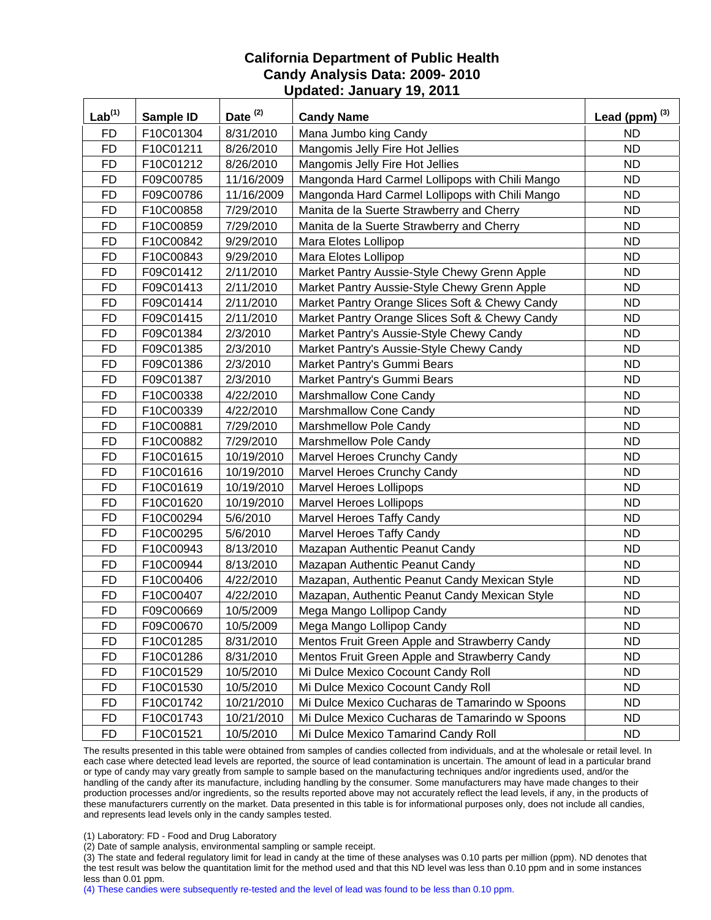| $Lab^{(1)}$ | <b>Sample ID</b> | Date <sup>(2)</sup> | <b>Candy Name</b>                               | Lead (ppm) $^{(3)}$ |
|-------------|------------------|---------------------|-------------------------------------------------|---------------------|
| <b>FD</b>   | F10C01304        | 8/31/2010           | Mana Jumbo king Candy                           | <b>ND</b>           |
| <b>FD</b>   | F10C01211        | 8/26/2010           | Mangomis Jelly Fire Hot Jellies                 | <b>ND</b>           |
| <b>FD</b>   | F10C01212        | 8/26/2010           | Mangomis Jelly Fire Hot Jellies                 | <b>ND</b>           |
| <b>FD</b>   | F09C00785        | 11/16/2009          | Mangonda Hard Carmel Lollipops with Chili Mango | <b>ND</b>           |
| <b>FD</b>   | F09C00786        | 11/16/2009          | Mangonda Hard Carmel Lollipops with Chili Mango | <b>ND</b>           |
| <b>FD</b>   | F10C00858        | 7/29/2010           | Manita de la Suerte Strawberry and Cherry       | <b>ND</b>           |
| <b>FD</b>   | F10C00859        | 7/29/2010           | Manita de la Suerte Strawberry and Cherry       | <b>ND</b>           |
| <b>FD</b>   | F10C00842        | 9/29/2010           | Mara Elotes Lollipop                            | <b>ND</b>           |
| <b>FD</b>   | F10C00843        | 9/29/2010           | Mara Elotes Lollipop                            | <b>ND</b>           |
| <b>FD</b>   | F09C01412        | 2/11/2010           | Market Pantry Aussie-Style Chewy Grenn Apple    | <b>ND</b>           |
| <b>FD</b>   | F09C01413        | 2/11/2010           | Market Pantry Aussie-Style Chewy Grenn Apple    | <b>ND</b>           |
| <b>FD</b>   | F09C01414        | 2/11/2010           | Market Pantry Orange Slices Soft & Chewy Candy  | <b>ND</b>           |
| <b>FD</b>   | F09C01415        | 2/11/2010           | Market Pantry Orange Slices Soft & Chewy Candy  | <b>ND</b>           |
| <b>FD</b>   | F09C01384        | 2/3/2010            | Market Pantry's Aussie-Style Chewy Candy        | <b>ND</b>           |
| <b>FD</b>   | F09C01385        | 2/3/2010            | Market Pantry's Aussie-Style Chewy Candy        | <b>ND</b>           |
| <b>FD</b>   | F09C01386        | 2/3/2010            | Market Pantry's Gummi Bears                     | ND                  |
| <b>FD</b>   | F09C01387        | 2/3/2010            | Market Pantry's Gummi Bears                     | <b>ND</b>           |
| <b>FD</b>   | F10C00338        | 4/22/2010           | Marshmallow Cone Candy                          | <b>ND</b>           |
| <b>FD</b>   | F10C00339        | 4/22/2010           | Marshmallow Cone Candy                          | <b>ND</b>           |
| <b>FD</b>   | F10C00881        | 7/29/2010           | Marshmellow Pole Candy                          | <b>ND</b>           |
| <b>FD</b>   | F10C00882        | 7/29/2010           | Marshmellow Pole Candy                          | <b>ND</b>           |
| <b>FD</b>   | F10C01615        | 10/19/2010          | Marvel Heroes Crunchy Candy                     | <b>ND</b>           |
| <b>FD</b>   | F10C01616        | 10/19/2010          | Marvel Heroes Crunchy Candy                     | <b>ND</b>           |
| <b>FD</b>   | F10C01619        | 10/19/2010          | <b>Marvel Heroes Lollipops</b>                  | <b>ND</b>           |
| <b>FD</b>   | F10C01620        | 10/19/2010          | Marvel Heroes Lollipops                         | <b>ND</b>           |
| <b>FD</b>   | F10C00294        | 5/6/2010            | Marvel Heroes Taffy Candy                       | <b>ND</b>           |
| <b>FD</b>   | F10C00295        | 5/6/2010            | Marvel Heroes Taffy Candy                       | <b>ND</b>           |
| <b>FD</b>   | F10C00943        | 8/13/2010           | Mazapan Authentic Peanut Candy                  | <b>ND</b>           |
| <b>FD</b>   | F10C00944        | 8/13/2010           | Mazapan Authentic Peanut Candy                  | <b>ND</b>           |
| <b>FD</b>   | F10C00406        | 4/22/2010           | Mazapan, Authentic Peanut Candy Mexican Style   | <b>ND</b>           |
| <b>FD</b>   | F10C00407        | 4/22/2010           | Mazapan, Authentic Peanut Candy Mexican Style   | <b>ND</b>           |
| <b>FD</b>   | F09C00669        | 10/5/2009           | Mega Mango Lollipop Candy                       | <b>ND</b>           |
| <b>FD</b>   | F09C00670        | 10/5/2009           | Mega Mango Lollipop Candy                       | <b>ND</b>           |
| <b>FD</b>   | F10C01285        | 8/31/2010           | Mentos Fruit Green Apple and Strawberry Candy   | <b>ND</b>           |
| <b>FD</b>   | F10C01286        | 8/31/2010           | Mentos Fruit Green Apple and Strawberry Candy   | <b>ND</b>           |
| <b>FD</b>   | F10C01529        | 10/5/2010           | Mi Dulce Mexico Cocount Candy Roll              | <b>ND</b>           |
| <b>FD</b>   | F10C01530        | 10/5/2010           | Mi Dulce Mexico Cocount Candy Roll              | <b>ND</b>           |
| FD          | F10C01742        | 10/21/2010          | Mi Dulce Mexico Cucharas de Tamarindo w Spoons  | <b>ND</b>           |
| <b>FD</b>   | F10C01743        | 10/21/2010          | Mi Dulce Mexico Cucharas de Tamarindo w Spoons  | <b>ND</b>           |
| <b>FD</b>   | F10C01521        | 10/5/2010           | Mi Dulce Mexico Tamarind Candy Roll             | ND.                 |

The results presented in this table were obtained from samples of candies collected from individuals, and at the wholesale or retail level. In each case where detected lead levels are reported, the source of lead contamination is uncertain. The amount of lead in a particular brand or type of candy may vary greatly from sample to sample based on the manufacturing techniques and/or ingredients used, and/or the handling of the candy after its manufacture, including handling by the consumer. Some manufacturers may have made changes to their production processes and/or ingredients, so the results reported above may not accurately reflect the lead levels, if any, in the products of these manufacturers currently on the market. Data presented in this table is for informational purposes only, does not include all candies, and represents lead levels only in the candy samples tested.

(1) Laboratory: FD - Food and Drug Laboratory

(2) Date of sample analysis, environmental sampling or sample receipt.

(3) The state and federal regulatory limit for lead in candy at the time of these analyses was 0.10 parts per million (ppm). ND denotes that the test result was below the quantitation limit for the method used and that this ND level was less than 0.10 ppm and in some instances less than 0.01 ppm.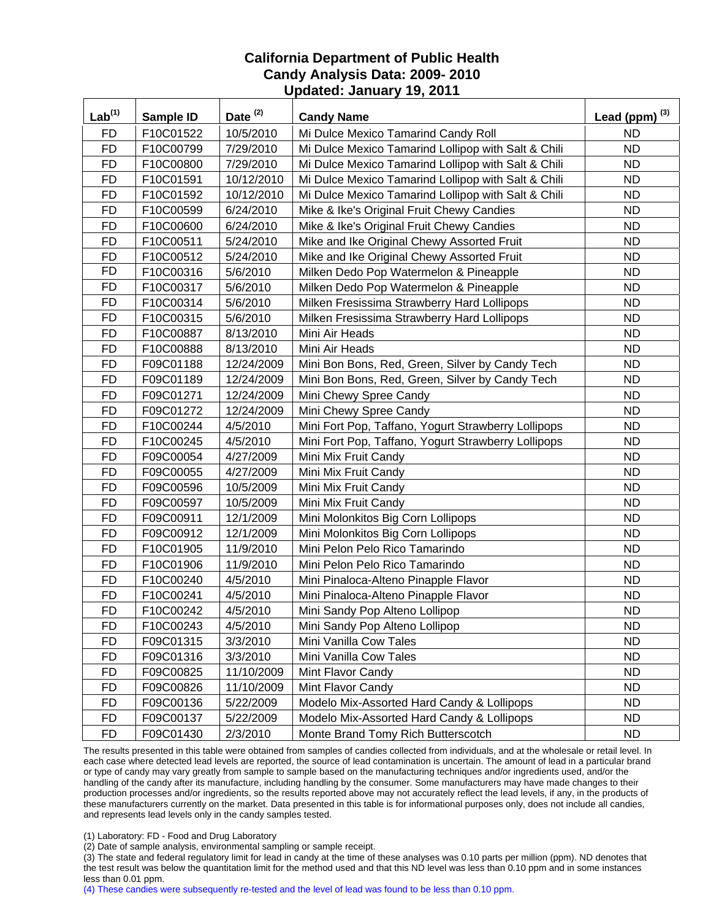| $Lab^{(1)}$ | Sample ID | Date <sup>(2)</sup> | <b>Candy Name</b>                                   | Lead (ppm) $^{(3)}$ |
|-------------|-----------|---------------------|-----------------------------------------------------|---------------------|
| <b>FD</b>   | F10C01522 | 10/5/2010           | Mi Dulce Mexico Tamarind Candy Roll                 | <b>ND</b>           |
| <b>FD</b>   | F10C00799 | 7/29/2010           | Mi Dulce Mexico Tamarind Lollipop with Salt & Chili | <b>ND</b>           |
| <b>FD</b>   | F10C00800 | 7/29/2010           | Mi Dulce Mexico Tamarind Lollipop with Salt & Chili | <b>ND</b>           |
| <b>FD</b>   | F10C01591 | 10/12/2010          | Mi Dulce Mexico Tamarind Lollipop with Salt & Chili | <b>ND</b>           |
| <b>FD</b>   | F10C01592 | 10/12/2010          | Mi Dulce Mexico Tamarind Lollipop with Salt & Chili | <b>ND</b>           |
| <b>FD</b>   | F10C00599 | 6/24/2010           | Mike & Ike's Original Fruit Chewy Candies           | <b>ND</b>           |
| <b>FD</b>   | F10C00600 | 6/24/2010           | Mike & Ike's Original Fruit Chewy Candies           | <b>ND</b>           |
| <b>FD</b>   | F10C00511 | 5/24/2010           | Mike and Ike Original Chewy Assorted Fruit          | <b>ND</b>           |
| <b>FD</b>   | F10C00512 | 5/24/2010           | Mike and Ike Original Chewy Assorted Fruit          | <b>ND</b>           |
| <b>FD</b>   | F10C00316 | 5/6/2010            | Milken Dedo Pop Watermelon & Pineapple              | <b>ND</b>           |
| <b>FD</b>   | F10C00317 | 5/6/2010            | Milken Dedo Pop Watermelon & Pineapple              | <b>ND</b>           |
| <b>FD</b>   | F10C00314 | 5/6/2010            | Milken Fresissima Strawberry Hard Lollipops         | <b>ND</b>           |
| <b>FD</b>   | F10C00315 | 5/6/2010            | Milken Fresissima Strawberry Hard Lollipops         | <b>ND</b>           |
| <b>FD</b>   | F10C00887 | 8/13/2010           | Mini Air Heads                                      | <b>ND</b>           |
| <b>FD</b>   | F10C00888 | 8/13/2010           | Mini Air Heads                                      | <b>ND</b>           |
| <b>FD</b>   | F09C01188 | 12/24/2009          | Mini Bon Bons, Red, Green, Silver by Candy Tech     | <b>ND</b>           |
| <b>FD</b>   | F09C01189 | 12/24/2009          | Mini Bon Bons, Red, Green, Silver by Candy Tech     | <b>ND</b>           |
| <b>FD</b>   | F09C01271 | 12/24/2009          | Mini Chewy Spree Candy                              | <b>ND</b>           |
| <b>FD</b>   | F09C01272 | 12/24/2009          | Mini Chewy Spree Candy                              | <b>ND</b>           |
| <b>FD</b>   | F10C00244 | 4/5/2010            | Mini Fort Pop, Taffano, Yogurt Strawberry Lollipops | <b>ND</b>           |
| <b>FD</b>   | F10C00245 | 4/5/2010            | Mini Fort Pop, Taffano, Yogurt Strawberry Lollipops | <b>ND</b>           |
| <b>FD</b>   | F09C00054 | 4/27/2009           | Mini Mix Fruit Candy                                | <b>ND</b>           |
| <b>FD</b>   | F09C00055 | 4/27/2009           | Mini Mix Fruit Candy                                | <b>ND</b>           |
| <b>FD</b>   | F09C00596 | 10/5/2009           | Mini Mix Fruit Candy                                | <b>ND</b>           |
| <b>FD</b>   | F09C00597 | 10/5/2009           | Mini Mix Fruit Candy                                | <b>ND</b>           |
| <b>FD</b>   | F09C00911 | 12/1/2009           | Mini Molonkitos Big Corn Lollipops                  | <b>ND</b>           |
| <b>FD</b>   | F09C00912 | 12/1/2009           | Mini Molonkitos Big Corn Lollipops                  | <b>ND</b>           |
| <b>FD</b>   | F10C01905 | 11/9/2010           | Mini Pelon Pelo Rico Tamarindo                      | <b>ND</b>           |
| <b>FD</b>   | F10C01906 | 11/9/2010           | Mini Pelon Pelo Rico Tamarindo                      | <b>ND</b>           |
| <b>FD</b>   | F10C00240 | 4/5/2010            | Mini Pinaloca-Alteno Pinapple Flavor                | <b>ND</b>           |
| <b>FD</b>   | F10C00241 | 4/5/2010            | Mini Pinaloca-Alteno Pinapple Flavor                | <b>ND</b>           |
| <b>FD</b>   | F10C00242 | 4/5/2010            | Mini Sandy Pop Alteno Lollipop                      | <b>ND</b>           |
| <b>FD</b>   | F10C00243 | 4/5/2010            | Mini Sandy Pop Alteno Lollipop                      | <b>ND</b>           |
| <b>FD</b>   | F09C01315 | 3/3/2010            | Mini Vanilla Cow Tales                              | <b>ND</b>           |
| <b>FD</b>   | F09C01316 | 3/3/2010            | Mini Vanilla Cow Tales                              | <b>ND</b>           |
| <b>FD</b>   | F09C00825 | 11/10/2009          | Mint Flavor Candy                                   | ND.                 |
| <b>FD</b>   | F09C00826 | 11/10/2009          | Mint Flavor Candy                                   | <b>ND</b>           |
| <b>FD</b>   | F09C00136 | 5/22/2009           | Modelo Mix-Assorted Hard Candy & Lollipops          | <b>ND</b>           |
| <b>FD</b>   | F09C00137 | 5/22/2009           | Modelo Mix-Assorted Hard Candy & Lollipops          | <b>ND</b>           |
| <b>FD</b>   | F09C01430 | 2/3/2010            | Monte Brand Tomy Rich Butterscotch                  | ND.                 |

The results presented in this table were obtained from samples of candies collected from individuals, and at the wholesale or retail level. In each case where detected lead levels are reported, the source of lead contamination is uncertain. The amount of lead in a particular brand or type of candy may vary greatly from sample to sample based on the manufacturing techniques and/or ingredients used, and/or the handling of the candy after its manufacture, including handling by the consumer. Some manufacturers may have made changes to their production processes and/or ingredients, so the results reported above may not accurately reflect the lead levels, if any, in the products of these manufacturers currently on the market. Data presented in this table is for informational purposes only, does not include all candies, and represents lead levels only in the candy samples tested.

(1) Laboratory: FD - Food and Drug Laboratory

(2) Date of sample analysis, environmental sampling or sample receipt.

(3) The state and federal regulatory limit for lead in candy at the time of these analyses was 0.10 parts per million (ppm). ND denotes that the test result was below the quantitation limit for the method used and that this ND level was less than 0.10 ppm and in some instances less than 0.01 ppm.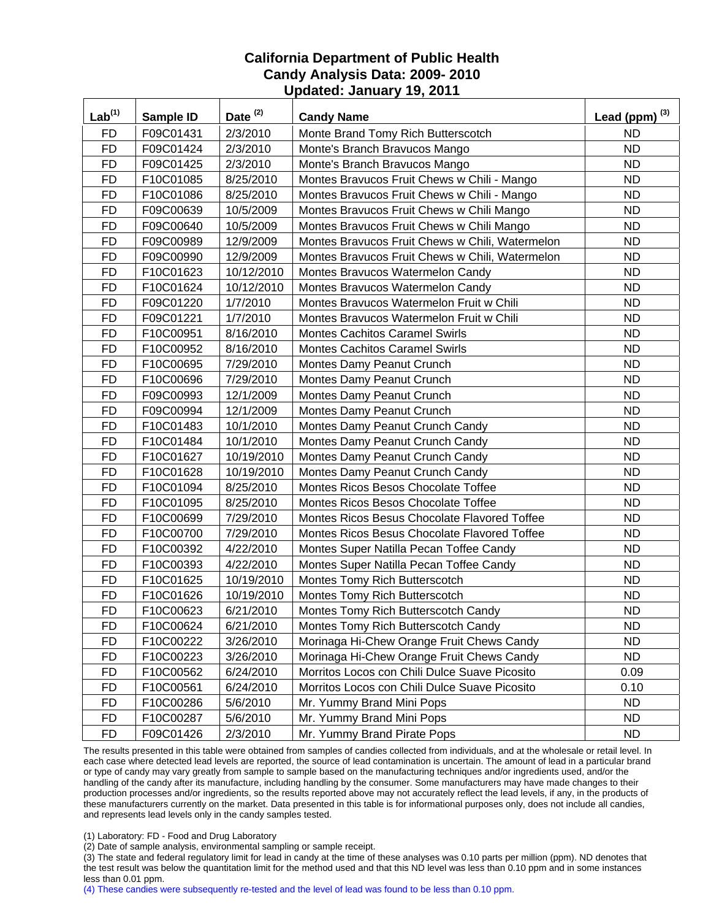| Lab <sup>(1)</sup> | <b>Sample ID</b> | Date <sup>(2)</sup> | <b>Candy Name</b>                               | Lead (ppm) $^{(3)}$ |
|--------------------|------------------|---------------------|-------------------------------------------------|---------------------|
| <b>FD</b>          | F09C01431        | 2/3/2010            | Monte Brand Tomy Rich Butterscotch              | <b>ND</b>           |
| <b>FD</b>          | F09C01424        | 2/3/2010            | Monte's Branch Bravucos Mango                   | <b>ND</b>           |
| <b>FD</b>          | F09C01425        | 2/3/2010            | Monte's Branch Bravucos Mango                   | <b>ND</b>           |
| <b>FD</b>          | F10C01085        | 8/25/2010           | Montes Bravucos Fruit Chews w Chili - Mango     | <b>ND</b>           |
| <b>FD</b>          | F10C01086        | 8/25/2010           | Montes Bravucos Fruit Chews w Chili - Mango     | <b>ND</b>           |
| <b>FD</b>          | F09C00639        | 10/5/2009           | Montes Bravucos Fruit Chews w Chili Mango       | <b>ND</b>           |
| <b>FD</b>          | F09C00640        | 10/5/2009           | Montes Bravucos Fruit Chews w Chili Mango       | <b>ND</b>           |
| <b>FD</b>          | F09C00989        | 12/9/2009           | Montes Bravucos Fruit Chews w Chili, Watermelon | <b>ND</b>           |
| <b>FD</b>          | F09C00990        | 12/9/2009           | Montes Bravucos Fruit Chews w Chili, Watermelon | <b>ND</b>           |
| <b>FD</b>          | F10C01623        | 10/12/2010          | Montes Bravucos Watermelon Candy                | <b>ND</b>           |
| <b>FD</b>          | F10C01624        | 10/12/2010          | Montes Bravucos Watermelon Candy                | <b>ND</b>           |
| <b>FD</b>          | F09C01220        | 1/7/2010            | Montes Bravucos Watermelon Fruit w Chili        | <b>ND</b>           |
| <b>FD</b>          | F09C01221        | 1/7/2010            | Montes Bravucos Watermelon Fruit w Chili        | <b>ND</b>           |
| <b>FD</b>          | F10C00951        | 8/16/2010           | <b>Montes Cachitos Caramel Swirls</b>           | <b>ND</b>           |
| <b>FD</b>          | F10C00952        | 8/16/2010           | <b>Montes Cachitos Caramel Swirls</b>           | <b>ND</b>           |
| <b>FD</b>          | F10C00695        | 7/29/2010           | Montes Damy Peanut Crunch                       | <b>ND</b>           |
| <b>FD</b>          | F10C00696        | 7/29/2010           | Montes Damy Peanut Crunch                       | <b>ND</b>           |
| <b>FD</b>          | F09C00993        | 12/1/2009           | Montes Damy Peanut Crunch                       | <b>ND</b>           |
| <b>FD</b>          | F09C00994        | 12/1/2009           | Montes Damy Peanut Crunch                       | <b>ND</b>           |
| <b>FD</b>          | F10C01483        | 10/1/2010           | Montes Damy Peanut Crunch Candy                 | <b>ND</b>           |
| <b>FD</b>          | F10C01484        | 10/1/2010           | Montes Damy Peanut Crunch Candy                 | <b>ND</b>           |
| <b>FD</b>          | F10C01627        | 10/19/2010          | Montes Damy Peanut Crunch Candy                 | <b>ND</b>           |
| <b>FD</b>          | F10C01628        | 10/19/2010          | Montes Damy Peanut Crunch Candy                 | <b>ND</b>           |
| <b>FD</b>          | F10C01094        | 8/25/2010           | Montes Ricos Besos Chocolate Toffee             | <b>ND</b>           |
| <b>FD</b>          | F10C01095        | 8/25/2010           | Montes Ricos Besos Chocolate Toffee             | <b>ND</b>           |
| <b>FD</b>          | F10C00699        | 7/29/2010           | Montes Ricos Besus Chocolate Flavored Toffee    | <b>ND</b>           |
| <b>FD</b>          | F10C00700        | 7/29/2010           | Montes Ricos Besus Chocolate Flavored Toffee    | <b>ND</b>           |
| <b>FD</b>          | F10C00392        | 4/22/2010           | Montes Super Natilla Pecan Toffee Candy         | <b>ND</b>           |
| <b>FD</b>          | F10C00393        | 4/22/2010           | Montes Super Natilla Pecan Toffee Candy         | <b>ND</b>           |
| <b>FD</b>          | F10C01625        | 10/19/2010          | Montes Tomy Rich Butterscotch                   | <b>ND</b>           |
| <b>FD</b>          | F10C01626        | 10/19/2010          | Montes Tomy Rich Butterscotch                   | <b>ND</b>           |
| <b>FD</b>          | F10C00623        | 6/21/2010           | Montes Tomy Rich Butterscotch Candy             | <b>ND</b>           |
| <b>FD</b>          | F10C00624        | 6/21/2010           | Montes Tomy Rich Butterscotch Candy             | <b>ND</b>           |
| <b>FD</b>          | F10C00222        | 3/26/2010           | Morinaga Hi-Chew Orange Fruit Chews Candy       | <b>ND</b>           |
| <b>FD</b>          | F10C00223        | 3/26/2010           | Morinaga Hi-Chew Orange Fruit Chews Candy       | <b>ND</b>           |
| <b>FD</b>          | F10C00562        | 6/24/2010           | Morritos Locos con Chili Dulce Suave Picosito   | 0.09                |
| <b>FD</b>          | F10C00561        | 6/24/2010           | Morritos Locos con Chili Dulce Suave Picosito   | 0.10                |
| FD                 | F10C00286        | 5/6/2010            | Mr. Yummy Brand Mini Pops                       | <b>ND</b>           |
| <b>FD</b>          | F10C00287        | 5/6/2010            | Mr. Yummy Brand Mini Pops                       | <b>ND</b>           |
| <b>FD</b>          | F09C01426        | 2/3/2010            | Mr. Yummy Brand Pirate Pops                     | ND.                 |

The results presented in this table were obtained from samples of candies collected from individuals, and at the wholesale or retail level. In each case where detected lead levels are reported, the source of lead contamination is uncertain. The amount of lead in a particular brand or type of candy may vary greatly from sample to sample based on the manufacturing techniques and/or ingredients used, and/or the handling of the candy after its manufacture, including handling by the consumer. Some manufacturers may have made changes to their production processes and/or ingredients, so the results reported above may not accurately reflect the lead levels, if any, in the products of these manufacturers currently on the market. Data presented in this table is for informational purposes only, does not include all candies, and represents lead levels only in the candy samples tested.

(1) Laboratory: FD - Food and Drug Laboratory

(2) Date of sample analysis, environmental sampling or sample receipt.

(3) The state and federal regulatory limit for lead in candy at the time of these analyses was 0.10 parts per million (ppm). ND denotes that the test result was below the quantitation limit for the method used and that this ND level was less than 0.10 ppm and in some instances less than 0.01 ppm.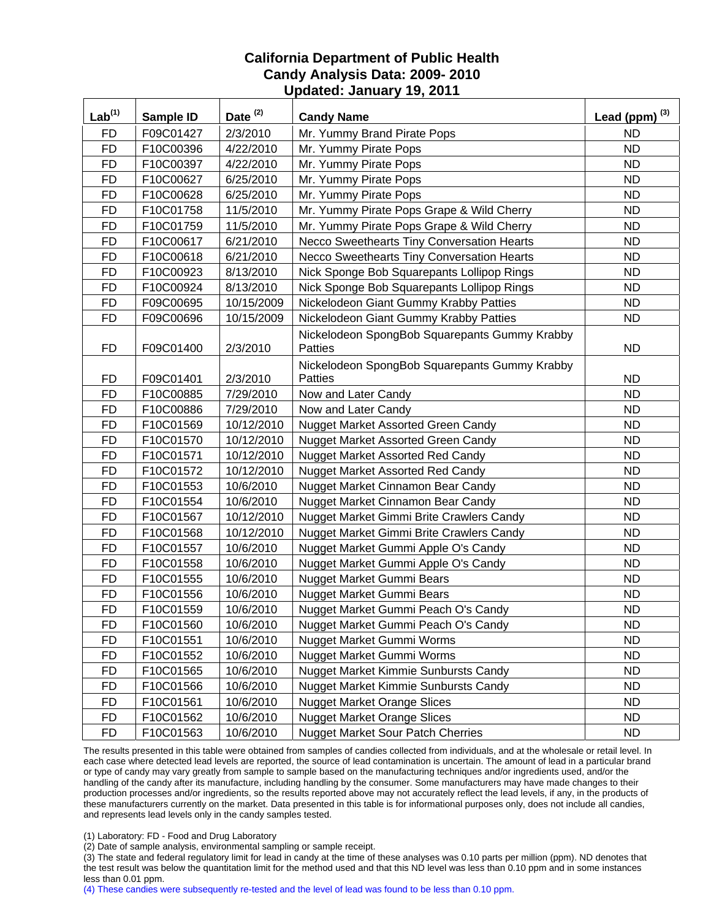| Lab <sup>(1)</sup> | Sample ID | Date <sup>(2)</sup> | <b>Candy Name</b>                                               | Lead (ppm) $^{(3)}$ |
|--------------------|-----------|---------------------|-----------------------------------------------------------------|---------------------|
| <b>FD</b>          | F09C01427 | 2/3/2010            | Mr. Yummy Brand Pirate Pops                                     | <b>ND</b>           |
| <b>FD</b>          | F10C00396 | 4/22/2010           | Mr. Yummy Pirate Pops                                           | <b>ND</b>           |
| <b>FD</b>          | F10C00397 | 4/22/2010           | Mr. Yummy Pirate Pops                                           | <b>ND</b>           |
| <b>FD</b>          | F10C00627 | 6/25/2010           | Mr. Yummy Pirate Pops                                           | <b>ND</b>           |
| <b>FD</b>          | F10C00628 | 6/25/2010           | Mr. Yummy Pirate Pops                                           | <b>ND</b>           |
| <b>FD</b>          | F10C01758 | 11/5/2010           | Mr. Yummy Pirate Pops Grape & Wild Cherry                       | <b>ND</b>           |
| <b>FD</b>          | F10C01759 | 11/5/2010           | Mr. Yummy Pirate Pops Grape & Wild Cherry                       | <b>ND</b>           |
| <b>FD</b>          | F10C00617 | 6/21/2010           | Necco Sweethearts Tiny Conversation Hearts                      | <b>ND</b>           |
| <b>FD</b>          | F10C00618 | 6/21/2010           | Necco Sweethearts Tiny Conversation Hearts                      | <b>ND</b>           |
| <b>FD</b>          | F10C00923 | 8/13/2010           | Nick Sponge Bob Squarepants Lollipop Rings                      | <b>ND</b>           |
| <b>FD</b>          | F10C00924 | 8/13/2010           | Nick Sponge Bob Squarepants Lollipop Rings                      | <b>ND</b>           |
| <b>FD</b>          | F09C00695 | 10/15/2009          | Nickelodeon Giant Gummy Krabby Patties                          | <b>ND</b>           |
| <b>FD</b>          | F09C00696 | 10/15/2009          | Nickelodeon Giant Gummy Krabby Patties                          | <b>ND</b>           |
| <b>FD</b>          | F09C01400 | 2/3/2010            | Nickelodeon SpongBob Squarepants Gummy Krabby<br><b>Patties</b> | <b>ND</b>           |
| <b>FD</b>          | F09C01401 | 2/3/2010            | Nickelodeon SpongBob Squarepants Gummy Krabby<br>Patties        | <b>ND</b>           |
| <b>FD</b>          | F10C00885 | 7/29/2010           | Now and Later Candy                                             | <b>ND</b>           |
| <b>FD</b>          | F10C00886 | 7/29/2010           | Now and Later Candy                                             | <b>ND</b>           |
| <b>FD</b>          | F10C01569 | 10/12/2010          | <b>Nugget Market Assorted Green Candy</b>                       | <b>ND</b>           |
| <b>FD</b>          | F10C01570 | 10/12/2010          | Nugget Market Assorted Green Candy                              | <b>ND</b>           |
| <b>FD</b>          | F10C01571 | 10/12/2010          | Nugget Market Assorted Red Candy                                | <b>ND</b>           |
| <b>FD</b>          | F10C01572 | 10/12/2010          | <b>Nugget Market Assorted Red Candy</b>                         | <b>ND</b>           |
| <b>FD</b>          | F10C01553 | 10/6/2010           | Nugget Market Cinnamon Bear Candy                               | <b>ND</b>           |
| <b>FD</b>          | F10C01554 | 10/6/2010           | Nugget Market Cinnamon Bear Candy                               | <b>ND</b>           |
| <b>FD</b>          | F10C01567 | 10/12/2010          | Nugget Market Gimmi Brite Crawlers Candy                        | <b>ND</b>           |
| <b>FD</b>          | F10C01568 | 10/12/2010          | Nugget Market Gimmi Brite Crawlers Candy                        | <b>ND</b>           |
| <b>FD</b>          | F10C01557 | 10/6/2010           | Nugget Market Gummi Apple O's Candy                             | <b>ND</b>           |
| <b>FD</b>          | F10C01558 | 10/6/2010           | Nugget Market Gummi Apple O's Candy                             | <b>ND</b>           |
| <b>FD</b>          | F10C01555 | 10/6/2010           | Nugget Market Gummi Bears                                       | <b>ND</b>           |
| <b>FD</b>          | F10C01556 | 10/6/2010           | Nugget Market Gummi Bears                                       | <b>ND</b>           |
| <b>FD</b>          | F10C01559 | 10/6/2010           | Nugget Market Gummi Peach O's Candy                             | <b>ND</b>           |
| <b>FD</b>          | F10C01560 | 10/6/2010           | Nugget Market Gummi Peach O's Candy                             | ND.                 |
| FD                 | F10C01551 | 10/6/2010           | <b>Nugget Market Gummi Worms</b>                                | <b>ND</b>           |
| <b>FD</b>          | F10C01552 | 10/6/2010           | Nugget Market Gummi Worms                                       | <b>ND</b>           |
| <b>FD</b>          | F10C01565 | 10/6/2010           | Nugget Market Kimmie Sunbursts Candy                            | <b>ND</b>           |
| <b>FD</b>          | F10C01566 | 10/6/2010           | Nugget Market Kimmie Sunbursts Candy                            | <b>ND</b>           |
| <b>FD</b>          | F10C01561 | 10/6/2010           | <b>Nugget Market Orange Slices</b>                              | <b>ND</b>           |
| <b>FD</b>          | F10C01562 | 10/6/2010           | <b>Nugget Market Orange Slices</b>                              | <b>ND</b>           |
| <b>FD</b>          | F10C01563 | 10/6/2010           | <b>Nugget Market Sour Patch Cherries</b>                        | <b>ND</b>           |

The results presented in this table were obtained from samples of candies collected from individuals, and at the wholesale or retail level. In each case where detected lead levels are reported, the source of lead contamination is uncertain. The amount of lead in a particular brand or type of candy may vary greatly from sample to sample based on the manufacturing techniques and/or ingredients used, and/or the handling of the candy after its manufacture, including handling by the consumer. Some manufacturers may have made changes to their production processes and/or ingredients, so the results reported above may not accurately reflect the lead levels, if any, in the products of these manufacturers currently on the market. Data presented in this table is for informational purposes only, does not include all candies, and represents lead levels only in the candy samples tested.

(1) Laboratory: FD - Food and Drug Laboratory

(2) Date of sample analysis, environmental sampling or sample receipt.

(3) The state and federal regulatory limit for lead in candy at the time of these analyses was 0.10 parts per million (ppm). ND denotes that the test result was below the quantitation limit for the method used and that this ND level was less than 0.10 ppm and in some instances less than 0.01 ppm.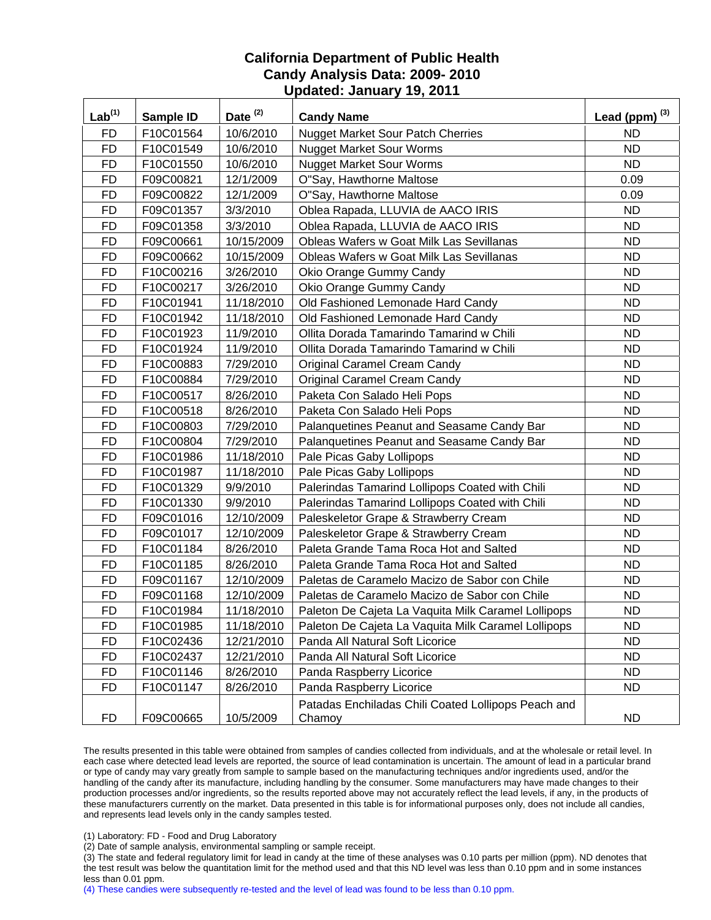| $Lab^{(1)}$ | Sample ID | Date <sup>(2)</sup> | <b>Candy Name</b>                                             | Lead (ppm) $^{(3)}$ |
|-------------|-----------|---------------------|---------------------------------------------------------------|---------------------|
| <b>FD</b>   | F10C01564 | 10/6/2010           | <b>Nugget Market Sour Patch Cherries</b>                      | <b>ND</b>           |
| <b>FD</b>   | F10C01549 | 10/6/2010           | <b>Nugget Market Sour Worms</b>                               | <b>ND</b>           |
| <b>FD</b>   | F10C01550 | 10/6/2010           | <b>Nugget Market Sour Worms</b>                               | <b>ND</b>           |
| <b>FD</b>   | F09C00821 | 12/1/2009           | O"Say, Hawthorne Maltose                                      | 0.09                |
| <b>FD</b>   | F09C00822 | 12/1/2009           | O"Say, Hawthorne Maltose                                      | 0.09                |
| <b>FD</b>   | F09C01357 | 3/3/2010            | Oblea Rapada, LLUVIA de AACO IRIS                             | <b>ND</b>           |
| <b>FD</b>   | F09C01358 | 3/3/2010            | Oblea Rapada, LLUVIA de AACO IRIS                             | <b>ND</b>           |
| <b>FD</b>   | F09C00661 | 10/15/2009          | <b>Obleas Wafers w Goat Milk Las Sevillanas</b>               | <b>ND</b>           |
| <b>FD</b>   | F09C00662 | 10/15/2009          | Obleas Wafers w Goat Milk Las Sevillanas                      | <b>ND</b>           |
| <b>FD</b>   | F10C00216 | 3/26/2010           | Okio Orange Gummy Candy                                       | <b>ND</b>           |
| <b>FD</b>   | F10C00217 | 3/26/2010           | Okio Orange Gummy Candy                                       | <b>ND</b>           |
| <b>FD</b>   | F10C01941 | 11/18/2010          | Old Fashioned Lemonade Hard Candy                             | <b>ND</b>           |
| <b>FD</b>   | F10C01942 | 11/18/2010          | Old Fashioned Lemonade Hard Candy                             | <b>ND</b>           |
| <b>FD</b>   | F10C01923 | 11/9/2010           | Ollita Dorada Tamarindo Tamarind w Chili                      | <b>ND</b>           |
| <b>FD</b>   | F10C01924 | 11/9/2010           | Ollita Dorada Tamarindo Tamarind w Chili                      | <b>ND</b>           |
| <b>FD</b>   | F10C00883 | 7/29/2010           | Original Caramel Cream Candy                                  | ND                  |
| <b>FD</b>   | F10C00884 | 7/29/2010           | Original Caramel Cream Candy                                  | <b>ND</b>           |
| <b>FD</b>   | F10C00517 | 8/26/2010           | Paketa Con Salado Heli Pops                                   | <b>ND</b>           |
| <b>FD</b>   | F10C00518 | 8/26/2010           | Paketa Con Salado Heli Pops                                   | <b>ND</b>           |
| <b>FD</b>   | F10C00803 | 7/29/2010           | Palanquetines Peanut and Seasame Candy Bar                    | <b>ND</b>           |
| <b>FD</b>   | F10C00804 | 7/29/2010           | Palanquetines Peanut and Seasame Candy Bar                    | <b>ND</b>           |
| <b>FD</b>   | F10C01986 | 11/18/2010          | Pale Picas Gaby Lollipops                                     | <b>ND</b>           |
| <b>FD</b>   | F10C01987 | 11/18/2010          | Pale Picas Gaby Lollipops                                     | <b>ND</b>           |
| <b>FD</b>   | F10C01329 | 9/9/2010            | Palerindas Tamarind Lollipops Coated with Chili               | <b>ND</b>           |
| <b>FD</b>   | F10C01330 | 9/9/2010            | Palerindas Tamarind Lollipops Coated with Chili               | <b>ND</b>           |
| <b>FD</b>   | F09C01016 | 12/10/2009          | Paleskeletor Grape & Strawberry Cream                         | <b>ND</b>           |
| <b>FD</b>   | F09C01017 | 12/10/2009          | Paleskeletor Grape & Strawberry Cream                         | <b>ND</b>           |
| <b>FD</b>   | F10C01184 | 8/26/2010           | Paleta Grande Tama Roca Hot and Salted                        | <b>ND</b>           |
| <b>FD</b>   | F10C01185 | 8/26/2010           | Paleta Grande Tama Roca Hot and Salted                        | <b>ND</b>           |
| <b>FD</b>   | F09C01167 | 12/10/2009          | Paletas de Caramelo Macizo de Sabor con Chile                 | <b>ND</b>           |
| <b>FD</b>   | F09C01168 | 12/10/2009          | Paletas de Caramelo Macizo de Sabor con Chile                 | <b>ND</b>           |
| <b>FD</b>   | F10C01984 | 11/18/2010          | Paleton De Cajeta La Vaquita Milk Caramel Lollipops           | <b>ND</b>           |
| <b>FD</b>   | F10C01985 | 11/18/2010          | Paleton De Cajeta La Vaquita Milk Caramel Lollipops           | <b>ND</b>           |
| <b>FD</b>   | F10C02436 | 12/21/2010          | Panda All Natural Soft Licorice                               | <b>ND</b>           |
| <b>FD</b>   | F10C02437 | 12/21/2010          | Panda All Natural Soft Licorice                               | <b>ND</b>           |
| <b>FD</b>   | F10C01146 | 8/26/2010           | Panda Raspberry Licorice                                      | <b>ND</b>           |
| <b>FD</b>   | F10C01147 | 8/26/2010           | Panda Raspberry Licorice                                      | <b>ND</b>           |
| <b>FD</b>   | F09C00665 | 10/5/2009           | Patadas Enchiladas Chili Coated Lollipops Peach and<br>Chamoy | <b>ND</b>           |

The results presented in this table were obtained from samples of candies collected from individuals, and at the wholesale or retail level. In each case where detected lead levels are reported, the source of lead contamination is uncertain. The amount of lead in a particular brand or type of candy may vary greatly from sample to sample based on the manufacturing techniques and/or ingredients used, and/or the handling of the candy after its manufacture, including handling by the consumer. Some manufacturers may have made changes to their production processes and/or ingredients, so the results reported above may not accurately reflect the lead levels, if any, in the products of these manufacturers currently on the market. Data presented in this table is for informational purposes only, does not include all candies, and represents lead levels only in the candy samples tested.

(1) Laboratory: FD - Food and Drug Laboratory

(2) Date of sample analysis, environmental sampling or sample receipt.

(3) The state and federal regulatory limit for lead in candy at the time of these analyses was 0.10 parts per million (ppm). ND denotes that the test result was below the quantitation limit for the method used and that this ND level was less than 0.10 ppm and in some instances less than 0.01 ppm.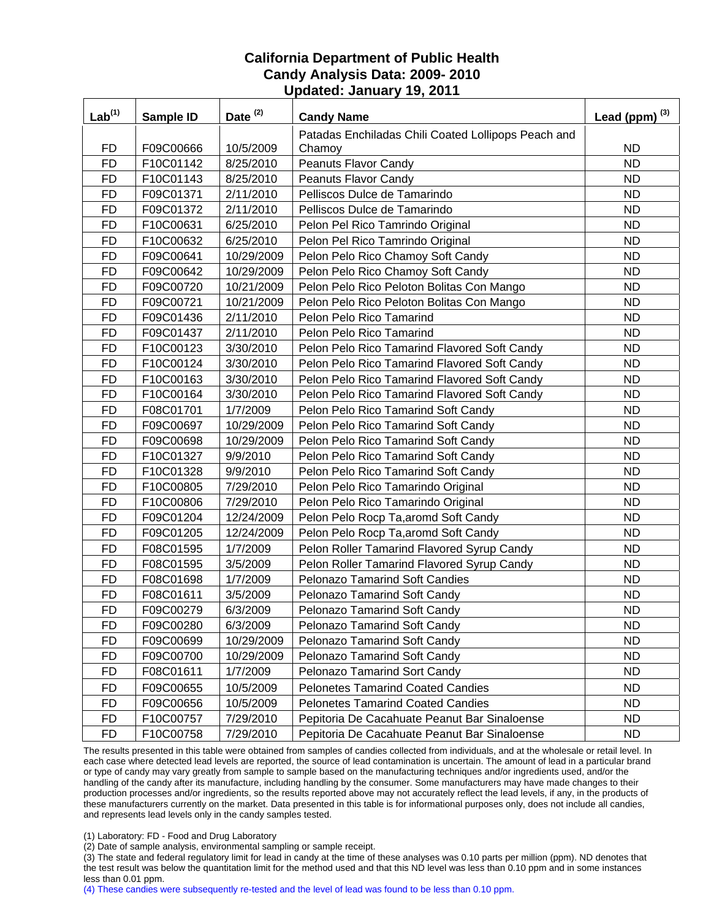| Lab <sup>(1)</sup> | Sample ID | Date <sup>(2)</sup> | <b>Candy Name</b>                                   | Lead (ppm) $^{(3)}$ |
|--------------------|-----------|---------------------|-----------------------------------------------------|---------------------|
|                    |           |                     | Patadas Enchiladas Chili Coated Lollipops Peach and |                     |
| <b>FD</b>          | F09C00666 | 10/5/2009           | Chamoy                                              | <b>ND</b>           |
| <b>FD</b>          | F10C01142 | 8/25/2010           | Peanuts Flavor Candy                                | <b>ND</b>           |
| <b>FD</b>          | F10C01143 | 8/25/2010           | Peanuts Flavor Candy                                | <b>ND</b>           |
| <b>FD</b>          | F09C01371 | 2/11/2010           | Pelliscos Dulce de Tamarindo                        | <b>ND</b>           |
| <b>FD</b>          | F09C01372 | 2/11/2010           | Pelliscos Dulce de Tamarindo                        | <b>ND</b>           |
| <b>FD</b>          | F10C00631 | 6/25/2010           | Pelon Pel Rico Tamrindo Original                    | <b>ND</b>           |
| <b>FD</b>          | F10C00632 | 6/25/2010           | Pelon Pel Rico Tamrindo Original                    | <b>ND</b>           |
| <b>FD</b>          | F09C00641 | 10/29/2009          | Pelon Pelo Rico Chamoy Soft Candy                   | <b>ND</b>           |
| <b>FD</b>          | F09C00642 | 10/29/2009          | Pelon Pelo Rico Chamoy Soft Candy                   | <b>ND</b>           |
| <b>FD</b>          | F09C00720 | 10/21/2009          | Pelon Pelo Rico Peloton Bolitas Con Mango           | <b>ND</b>           |
| <b>FD</b>          | F09C00721 | 10/21/2009          | Pelon Pelo Rico Peloton Bolitas Con Mango           | <b>ND</b>           |
| <b>FD</b>          | F09C01436 | 2/11/2010           | Pelon Pelo Rico Tamarind                            | <b>ND</b>           |
| <b>FD</b>          | F09C01437 | 2/11/2010           | Pelon Pelo Rico Tamarind                            | <b>ND</b>           |
| <b>FD</b>          | F10C00123 | 3/30/2010           | Pelon Pelo Rico Tamarind Flavored Soft Candy        | <b>ND</b>           |
| <b>FD</b>          | F10C00124 | 3/30/2010           | Pelon Pelo Rico Tamarind Flavored Soft Candy        | <b>ND</b>           |
| <b>FD</b>          | F10C00163 | 3/30/2010           | Pelon Pelo Rico Tamarind Flavored Soft Candy        | <b>ND</b>           |
| <b>FD</b>          | F10C00164 | 3/30/2010           | Pelon Pelo Rico Tamarind Flavored Soft Candy        | <b>ND</b>           |
| <b>FD</b>          | F08C01701 | 1/7/2009            | Pelon Pelo Rico Tamarind Soft Candy                 | <b>ND</b>           |
| <b>FD</b>          | F09C00697 | 10/29/2009          | Pelon Pelo Rico Tamarind Soft Candy                 | <b>ND</b>           |
| <b>FD</b>          | F09C00698 | 10/29/2009          | Pelon Pelo Rico Tamarind Soft Candy                 | <b>ND</b>           |
| <b>FD</b>          | F10C01327 | 9/9/2010            | Pelon Pelo Rico Tamarind Soft Candy                 | <b>ND</b>           |
| <b>FD</b>          | F10C01328 | 9/9/2010            | Pelon Pelo Rico Tamarind Soft Candy                 | <b>ND</b>           |
| <b>FD</b>          | F10C00805 | 7/29/2010           | Pelon Pelo Rico Tamarindo Original                  | <b>ND</b>           |
| <b>FD</b>          | F10C00806 | 7/29/2010           | Pelon Pelo Rico Tamarindo Original                  | <b>ND</b>           |
| <b>FD</b>          | F09C01204 | 12/24/2009          | Pelon Pelo Rocp Ta, aromd Soft Candy                | <b>ND</b>           |
| <b>FD</b>          | F09C01205 | 12/24/2009          | Pelon Pelo Rocp Ta, aromd Soft Candy                | <b>ND</b>           |
| <b>FD</b>          | F08C01595 | 1/7/2009            | Pelon Roller Tamarind Flavored Syrup Candy          | <b>ND</b>           |
| <b>FD</b>          | F08C01595 | 3/5/2009            | Pelon Roller Tamarind Flavored Syrup Candy          | <b>ND</b>           |
| <b>FD</b>          | F08C01698 | 1/7/2009            | <b>Pelonazo Tamarind Soft Candies</b>               | <b>ND</b>           |
| <b>FD</b>          | F08C01611 | 3/5/2009            | Pelonazo Tamarind Soft Candy                        | <b>ND</b>           |
| <b>FD</b>          | F09C00279 | 6/3/2009            | Pelonazo Tamarind Soft Candy                        | <b>ND</b>           |
| <b>FD</b>          | F09C00280 | 6/3/2009            | Pelonazo Tamarind Soft Candy                        | <b>ND</b>           |
| <b>FD</b>          | F09C00699 | 10/29/2009          | Pelonazo Tamarind Soft Candy                        | <b>ND</b>           |
| <b>FD</b>          | F09C00700 | 10/29/2009          | Pelonazo Tamarind Soft Candy                        | <b>ND</b>           |
| <b>FD</b>          | F08C01611 | 1/7/2009            | Pelonazo Tamarind Sort Candy                        | <b>ND</b>           |
| <b>FD</b>          | F09C00655 | 10/5/2009           | <b>Pelonetes Tamarind Coated Candies</b>            | <b>ND</b>           |
| <b>FD</b>          | F09C00656 | 10/5/2009           | <b>Pelonetes Tamarind Coated Candies</b>            | <b>ND</b>           |
| <b>FD</b>          | F10C00757 | 7/29/2010           | Pepitoria De Cacahuate Peanut Bar Sinaloense        | ND.                 |
| <b>FD</b>          | F10C00758 | 7/29/2010           | Pepitoria De Cacahuate Peanut Bar Sinaloense        | ND.                 |

The results presented in this table were obtained from samples of candies collected from individuals, and at the wholesale or retail level. In each case where detected lead levels are reported, the source of lead contamination is uncertain. The amount of lead in a particular brand or type of candy may vary greatly from sample to sample based on the manufacturing techniques and/or ingredients used, and/or the handling of the candy after its manufacture, including handling by the consumer. Some manufacturers may have made changes to their production processes and/or ingredients, so the results reported above may not accurately reflect the lead levels, if any, in the products of these manufacturers currently on the market. Data presented in this table is for informational purposes only, does not include all candies, and represents lead levels only in the candy samples tested.

(1) Laboratory: FD - Food and Drug Laboratory

(2) Date of sample analysis, environmental sampling or sample receipt.

(3) The state and federal regulatory limit for lead in candy at the time of these analyses was 0.10 parts per million (ppm). ND denotes that the test result was below the quantitation limit for the method used and that this ND level was less than 0.10 ppm and in some instances less than 0.01 ppm.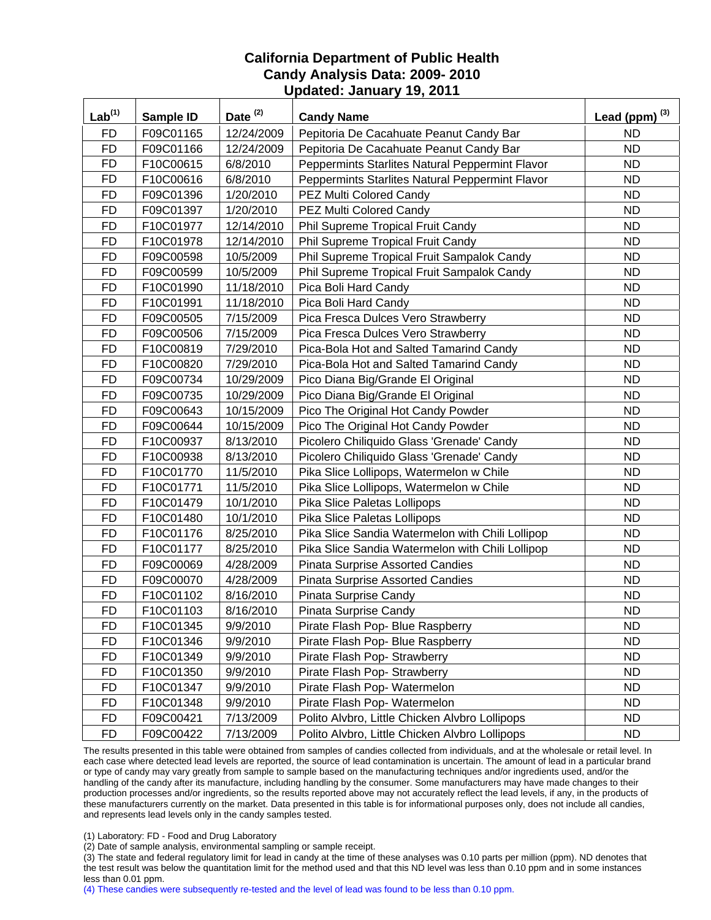| Lab <sup>(1)</sup> | Sample ID | Date $(2)$ | <b>Candy Name</b>                                | Lead (ppm) $^{(3)}$ |
|--------------------|-----------|------------|--------------------------------------------------|---------------------|
| <b>FD</b>          | F09C01165 | 12/24/2009 | Pepitoria De Cacahuate Peanut Candy Bar          | <b>ND</b>           |
| <b>FD</b>          | F09C01166 | 12/24/2009 | Pepitoria De Cacahuate Peanut Candy Bar          | <b>ND</b>           |
| <b>FD</b>          | F10C00615 | 6/8/2010   | Peppermints Starlites Natural Peppermint Flavor  | <b>ND</b>           |
| <b>FD</b>          | F10C00616 | 6/8/2010   | Peppermints Starlites Natural Peppermint Flavor  | <b>ND</b>           |
| <b>FD</b>          | F09C01396 | 1/20/2010  | PEZ Multi Colored Candy                          | <b>ND</b>           |
| <b>FD</b>          | F09C01397 | 1/20/2010  | PEZ Multi Colored Candy                          | <b>ND</b>           |
| <b>FD</b>          | F10C01977 | 12/14/2010 | Phil Supreme Tropical Fruit Candy                | <b>ND</b>           |
| <b>FD</b>          | F10C01978 | 12/14/2010 | Phil Supreme Tropical Fruit Candy                | <b>ND</b>           |
| <b>FD</b>          | F09C00598 | 10/5/2009  | Phil Supreme Tropical Fruit Sampalok Candy       | <b>ND</b>           |
| <b>FD</b>          | F09C00599 | 10/5/2009  | Phil Supreme Tropical Fruit Sampalok Candy       | <b>ND</b>           |
| <b>FD</b>          | F10C01990 | 11/18/2010 | Pica Boli Hard Candy                             | <b>ND</b>           |
| <b>FD</b>          | F10C01991 | 11/18/2010 | Pica Boli Hard Candy                             | <b>ND</b>           |
| <b>FD</b>          | F09C00505 | 7/15/2009  | Pica Fresca Dulces Vero Strawberry               | <b>ND</b>           |
| <b>FD</b>          | F09C00506 | 7/15/2009  | Pica Fresca Dulces Vero Strawberry               | <b>ND</b>           |
| <b>FD</b>          | F10C00819 | 7/29/2010  | Pica-Bola Hot and Salted Tamarind Candy          | <b>ND</b>           |
| <b>FD</b>          | F10C00820 | 7/29/2010  | Pica-Bola Hot and Salted Tamarind Candy          | ND                  |
| <b>FD</b>          | F09C00734 | 10/29/2009 | Pico Diana Big/Grande El Original                | <b>ND</b>           |
| <b>FD</b>          | F09C00735 | 10/29/2009 | Pico Diana Big/Grande El Original                | <b>ND</b>           |
| <b>FD</b>          | F09C00643 | 10/15/2009 | Pico The Original Hot Candy Powder               | <b>ND</b>           |
| <b>FD</b>          | F09C00644 | 10/15/2009 | Pico The Original Hot Candy Powder               | <b>ND</b>           |
| <b>FD</b>          | F10C00937 | 8/13/2010  | Picolero Chiliquido Glass 'Grenade' Candy        | <b>ND</b>           |
| <b>FD</b>          | F10C00938 | 8/13/2010  | Picolero Chiliquido Glass 'Grenade' Candy        | <b>ND</b>           |
| <b>FD</b>          | F10C01770 | 11/5/2010  | Pika Slice Lollipops, Watermelon w Chile         | <b>ND</b>           |
| <b>FD</b>          | F10C01771 | 11/5/2010  | Pika Slice Lollipops, Watermelon w Chile         | <b>ND</b>           |
| <b>FD</b>          | F10C01479 | 10/1/2010  | Pika Slice Paletas Lollipops                     | <b>ND</b>           |
| <b>FD</b>          | F10C01480 | 10/1/2010  | Pika Slice Paletas Lollipops                     | <b>ND</b>           |
| <b>FD</b>          | F10C01176 | 8/25/2010  | Pika Slice Sandia Watermelon with Chili Lollipop | <b>ND</b>           |
| <b>FD</b>          | F10C01177 | 8/25/2010  | Pika Slice Sandia Watermelon with Chili Lollipop | <b>ND</b>           |
| <b>FD</b>          | F09C00069 | 4/28/2009  | <b>Pinata Surprise Assorted Candies</b>          | <b>ND</b>           |
| <b>FD</b>          | F09C00070 | 4/28/2009  | <b>Pinata Surprise Assorted Candies</b>          | <b>ND</b>           |
| <b>FD</b>          | F10C01102 | 8/16/2010  | Pinata Surprise Candy                            | <b>ND</b>           |
| <b>FD</b>          | F10C01103 | 8/16/2010  | Pinata Surprise Candy                            | <b>ND</b>           |
| <b>FD</b>          | F10C01345 | 9/9/2010   | Pirate Flash Pop- Blue Raspberry                 | <b>ND</b>           |
| <b>FD</b>          | F10C01346 | 9/9/2010   | Pirate Flash Pop- Blue Raspberry                 | <b>ND</b>           |
| <b>FD</b>          | F10C01349 | 9/9/2010   | Pirate Flash Pop- Strawberry                     | <b>ND</b>           |
| <b>FD</b>          | F10C01350 | 9/9/2010   | Pirate Flash Pop- Strawberry                     | <b>ND</b>           |
| <b>FD</b>          | F10C01347 | 9/9/2010   | Pirate Flash Pop- Watermelon                     | <b>ND</b>           |
| FD                 | F10C01348 | 9/9/2010   | Pirate Flash Pop- Watermelon                     | <b>ND</b>           |
| <b>FD</b>          | F09C00421 | 7/13/2009  | Polito Alvbro, Little Chicken Alvbro Lollipops   | <b>ND</b>           |
| <b>FD</b>          | F09C00422 | 7/13/2009  | Polito Alvbro, Little Chicken Alvbro Lollipops   | ND.                 |

The results presented in this table were obtained from samples of candies collected from individuals, and at the wholesale or retail level. In each case where detected lead levels are reported, the source of lead contamination is uncertain. The amount of lead in a particular brand or type of candy may vary greatly from sample to sample based on the manufacturing techniques and/or ingredients used, and/or the handling of the candy after its manufacture, including handling by the consumer. Some manufacturers may have made changes to their production processes and/or ingredients, so the results reported above may not accurately reflect the lead levels, if any, in the products of these manufacturers currently on the market. Data presented in this table is for informational purposes only, does not include all candies, and represents lead levels only in the candy samples tested.

(1) Laboratory: FD - Food and Drug Laboratory

(2) Date of sample analysis, environmental sampling or sample receipt.

(3) The state and federal regulatory limit for lead in candy at the time of these analyses was 0.10 parts per million (ppm). ND denotes that the test result was below the quantitation limit for the method used and that this ND level was less than 0.10 ppm and in some instances less than 0.01 ppm.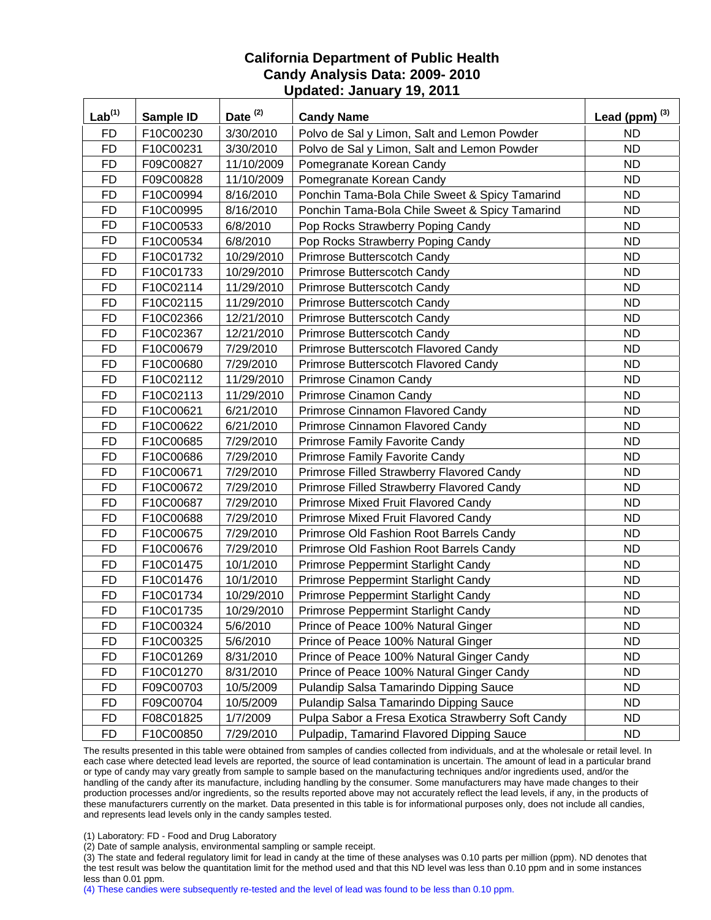| Lab <sup>(1)</sup> | <b>Sample ID</b> | Date $(2)$ | <b>Candy Name</b>                                 | Lead (ppm) $^{(3)}$ |
|--------------------|------------------|------------|---------------------------------------------------|---------------------|
| <b>FD</b>          | F10C00230        | 3/30/2010  | Polvo de Sal y Limon, Salt and Lemon Powder       | <b>ND</b>           |
| <b>FD</b>          | F10C00231        | 3/30/2010  | Polvo de Sal y Limon, Salt and Lemon Powder       | <b>ND</b>           |
| <b>FD</b>          | F09C00827        | 11/10/2009 | Pomegranate Korean Candy                          | <b>ND</b>           |
| <b>FD</b>          | F09C00828        | 11/10/2009 | Pomegranate Korean Candy                          | <b>ND</b>           |
| <b>FD</b>          | F10C00994        | 8/16/2010  | Ponchin Tama-Bola Chile Sweet & Spicy Tamarind    | <b>ND</b>           |
| <b>FD</b>          | F10C00995        | 8/16/2010  | Ponchin Tama-Bola Chile Sweet & Spicy Tamarind    | <b>ND</b>           |
| <b>FD</b>          | F10C00533        | 6/8/2010   | Pop Rocks Strawberry Poping Candy                 | <b>ND</b>           |
| <b>FD</b>          | F10C00534        | 6/8/2010   | Pop Rocks Strawberry Poping Candy                 | <b>ND</b>           |
| <b>FD</b>          | F10C01732        | 10/29/2010 | Primrose Butterscotch Candy                       | <b>ND</b>           |
| <b>FD</b>          | F10C01733        | 10/29/2010 | Primrose Butterscotch Candy                       | <b>ND</b>           |
| <b>FD</b>          | F10C02114        | 11/29/2010 | Primrose Butterscotch Candy                       | <b>ND</b>           |
| <b>FD</b>          | F10C02115        | 11/29/2010 | Primrose Butterscotch Candy                       | <b>ND</b>           |
| <b>FD</b>          | F10C02366        | 12/21/2010 | Primrose Butterscotch Candy                       | <b>ND</b>           |
| <b>FD</b>          | F10C02367        | 12/21/2010 | Primrose Butterscotch Candy                       | <b>ND</b>           |
| <b>FD</b>          | F10C00679        | 7/29/2010  | Primrose Butterscotch Flavored Candy              | <b>ND</b>           |
| <b>FD</b>          | F10C00680        | 7/29/2010  | Primrose Butterscotch Flavored Candy              | <b>ND</b>           |
| <b>FD</b>          | F10C02112        | 11/29/2010 | Primrose Cinamon Candy                            | <b>ND</b>           |
| <b>FD</b>          | F10C02113        | 11/29/2010 | Primrose Cinamon Candy                            | <b>ND</b>           |
| <b>FD</b>          | F10C00621        | 6/21/2010  | Primrose Cinnamon Flavored Candy                  | <b>ND</b>           |
| <b>FD</b>          | F10C00622        | 6/21/2010  | Primrose Cinnamon Flavored Candy                  | <b>ND</b>           |
| <b>FD</b>          | F10C00685        | 7/29/2010  | Primrose Family Favorite Candy                    | <b>ND</b>           |
| <b>FD</b>          | F10C00686        | 7/29/2010  | Primrose Family Favorite Candy                    | <b>ND</b>           |
| <b>FD</b>          | F10C00671        | 7/29/2010  | Primrose Filled Strawberry Flavored Candy         | <b>ND</b>           |
| <b>FD</b>          | F10C00672        | 7/29/2010  | Primrose Filled Strawberry Flavored Candy         | <b>ND</b>           |
| <b>FD</b>          | F10C00687        | 7/29/2010  | Primrose Mixed Fruit Flavored Candy               | <b>ND</b>           |
| <b>FD</b>          | F10C00688        | 7/29/2010  | Primrose Mixed Fruit Flavored Candy               | <b>ND</b>           |
| <b>FD</b>          | F10C00675        | 7/29/2010  | Primrose Old Fashion Root Barrels Candy           | <b>ND</b>           |
| <b>FD</b>          | F10C00676        | 7/29/2010  | Primrose Old Fashion Root Barrels Candy           | <b>ND</b>           |
| <b>FD</b>          | F10C01475        | 10/1/2010  | Primrose Peppermint Starlight Candy               | <b>ND</b>           |
| <b>FD</b>          | F10C01476        | 10/1/2010  | Primrose Peppermint Starlight Candy               | <b>ND</b>           |
| <b>FD</b>          | F10C01734        | 10/29/2010 | Primrose Peppermint Starlight Candy               | <b>ND</b>           |
| <b>FD</b>          | F10C01735        | 10/29/2010 | <b>Primrose Peppermint Starlight Candy</b>        | <b>ND</b>           |
| <b>FD</b>          | F10C00324        | 5/6/2010   | Prince of Peace 100% Natural Ginger               | <b>ND</b>           |
| <b>FD</b>          | F10C00325        | 5/6/2010   | Prince of Peace 100% Natural Ginger               | <b>ND</b>           |
| <b>FD</b>          | F10C01269        | 8/31/2010  | Prince of Peace 100% Natural Ginger Candy         | <b>ND</b>           |
| <b>FD</b>          | F10C01270        | 8/31/2010  | Prince of Peace 100% Natural Ginger Candy         | ND.                 |
| <b>FD</b>          | F09C00703        | 10/5/2009  | Pulandip Salsa Tamarindo Dipping Sauce            | <b>ND</b>           |
| FD                 | F09C00704        | 10/5/2009  | Pulandip Salsa Tamarindo Dipping Sauce            | <b>ND</b>           |
| <b>FD</b>          | F08C01825        | 1/7/2009   | Pulpa Sabor a Fresa Exotica Strawberry Soft Candy | <b>ND</b>           |
| <b>FD</b>          | F10C00850        | 7/29/2010  | Pulpadip, Tamarind Flavored Dipping Sauce         | ND.                 |

The results presented in this table were obtained from samples of candies collected from individuals, and at the wholesale or retail level. In each case where detected lead levels are reported, the source of lead contamination is uncertain. The amount of lead in a particular brand or type of candy may vary greatly from sample to sample based on the manufacturing techniques and/or ingredients used, and/or the handling of the candy after its manufacture, including handling by the consumer. Some manufacturers may have made changes to their production processes and/or ingredients, so the results reported above may not accurately reflect the lead levels, if any, in the products of these manufacturers currently on the market. Data presented in this table is for informational purposes only, does not include all candies, and represents lead levels only in the candy samples tested.

(1) Laboratory: FD - Food and Drug Laboratory

(2) Date of sample analysis, environmental sampling or sample receipt.

(3) The state and federal regulatory limit for lead in candy at the time of these analyses was 0.10 parts per million (ppm). ND denotes that the test result was below the quantitation limit for the method used and that this ND level was less than 0.10 ppm and in some instances less than 0.01 ppm.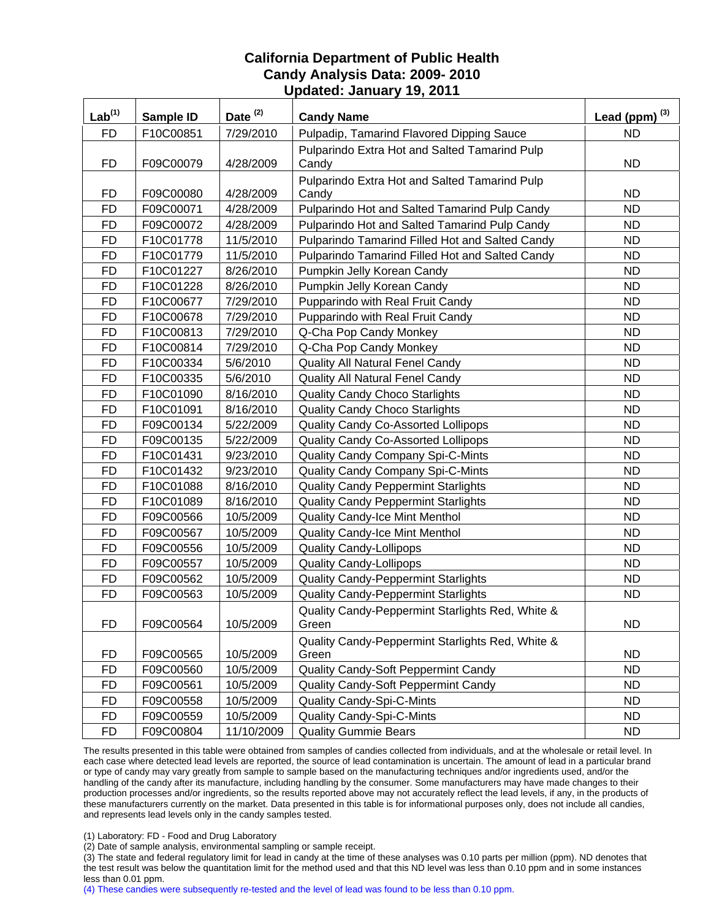| Lab <sup>(1)</sup> | Sample ID | Date <sup>(2)</sup> | <b>Candy Name</b>                                         | Lead (ppm) $^{(3)}$ |
|--------------------|-----------|---------------------|-----------------------------------------------------------|---------------------|
| <b>FD</b>          | F10C00851 | 7/29/2010           | Pulpadip, Tamarind Flavored Dipping Sauce                 | <b>ND</b>           |
|                    |           |                     | Pulparindo Extra Hot and Salted Tamarind Pulp             |                     |
| <b>FD</b>          | F09C00079 | 4/28/2009           | Candy                                                     | <b>ND</b>           |
|                    |           |                     | Pulparindo Extra Hot and Salted Tamarind Pulp             |                     |
| FD                 | F09C00080 | 4/28/2009           | Candy                                                     | <b>ND</b>           |
| <b>FD</b>          | F09C00071 | 4/28/2009           | Pulparindo Hot and Salted Tamarind Pulp Candy             | <b>ND</b>           |
| <b>FD</b>          | F09C00072 | 4/28/2009           | Pulparindo Hot and Salted Tamarind Pulp Candy             | <b>ND</b>           |
| <b>FD</b>          | F10C01778 | 11/5/2010           | Pulparindo Tamarind Filled Hot and Salted Candy           | <b>ND</b>           |
| <b>FD</b>          | F10C01779 | 11/5/2010           | Pulparindo Tamarind Filled Hot and Salted Candy           | <b>ND</b>           |
| <b>FD</b>          | F10C01227 | 8/26/2010           | Pumpkin Jelly Korean Candy                                | <b>ND</b>           |
| <b>FD</b>          | F10C01228 | 8/26/2010           | Pumpkin Jelly Korean Candy                                | <b>ND</b>           |
| <b>FD</b>          | F10C00677 | 7/29/2010           | Pupparindo with Real Fruit Candy                          | <b>ND</b>           |
| <b>FD</b>          | F10C00678 | 7/29/2010           | Pupparindo with Real Fruit Candy                          | <b>ND</b>           |
| <b>FD</b>          | F10C00813 | 7/29/2010           | Q-Cha Pop Candy Monkey                                    | <b>ND</b>           |
| <b>FD</b>          | F10C00814 | 7/29/2010           | Q-Cha Pop Candy Monkey                                    | <b>ND</b>           |
| <b>FD</b>          | F10C00334 | 5/6/2010            | Quality All Natural Fenel Candy                           | <b>ND</b>           |
| <b>FD</b>          | F10C00335 | 5/6/2010            | <b>Quality All Natural Fenel Candy</b>                    | <b>ND</b>           |
| <b>FD</b>          | F10C01090 | 8/16/2010           | <b>Quality Candy Choco Starlights</b>                     | <b>ND</b>           |
| <b>FD</b>          | F10C01091 | 8/16/2010           | <b>Quality Candy Choco Starlights</b>                     | <b>ND</b>           |
| <b>FD</b>          | F09C00134 | 5/22/2009           | Quality Candy Co-Assorted Lollipops                       | <b>ND</b>           |
| <b>FD</b>          | F09C00135 | 5/22/2009           | Quality Candy Co-Assorted Lollipops                       | <b>ND</b>           |
| <b>FD</b>          | F10C01431 | 9/23/2010           | Quality Candy Company Spi-C-Mints                         | <b>ND</b>           |
| <b>FD</b>          | F10C01432 | 9/23/2010           | Quality Candy Company Spi-C-Mints                         | <b>ND</b>           |
| <b>FD</b>          | F10C01088 | 8/16/2010           | <b>Quality Candy Peppermint Starlights</b>                | <b>ND</b>           |
| <b>FD</b>          | F10C01089 | 8/16/2010           | <b>Quality Candy Peppermint Starlights</b>                | <b>ND</b>           |
| <b>FD</b>          | F09C00566 | 10/5/2009           | <b>Quality Candy-Ice Mint Menthol</b>                     | <b>ND</b>           |
| <b>FD</b>          | F09C00567 | 10/5/2009           | <b>Quality Candy-Ice Mint Menthol</b>                     | <b>ND</b>           |
| <b>FD</b>          | F09C00556 | 10/5/2009           | <b>Quality Candy-Lollipops</b>                            | <b>ND</b>           |
| <b>FD</b>          | F09C00557 | 10/5/2009           | <b>Quality Candy-Lollipops</b>                            | <b>ND</b>           |
| <b>FD</b>          | F09C00562 | 10/5/2009           | <b>Quality Candy-Peppermint Starlights</b>                | <b>ND</b>           |
| <b>FD</b>          | F09C00563 | 10/5/2009           | Quality Candy-Peppermint Starlights                       | <b>ND</b>           |
| <b>FD</b>          | F09C00564 | 10/5/2009           | Quality Candy-Peppermint Starlights Red, White &<br>Green | <b>ND</b>           |
|                    |           |                     | Quality Candy-Peppermint Starlights Red, White &          |                     |
| FD                 | F09C00565 | 10/5/2009           | Green                                                     | <b>ND</b>           |
| <b>FD</b>          | F09C00560 | 10/5/2009           | Quality Candy-Soft Peppermint Candy                       | <b>ND</b>           |
| <b>FD</b>          | F09C00561 | 10/5/2009           | Quality Candy-Soft Peppermint Candy                       | <b>ND</b>           |
| <b>FD</b>          | F09C00558 | 10/5/2009           | <b>Quality Candy-Spi-C-Mints</b>                          | <b>ND</b>           |
| <b>FD</b>          | F09C00559 | 10/5/2009           | <b>Quality Candy-Spi-C-Mints</b>                          | <b>ND</b>           |
| <b>FD</b>          | F09C00804 | 11/10/2009          | <b>Quality Gummie Bears</b>                               | <b>ND</b>           |

The results presented in this table were obtained from samples of candies collected from individuals, and at the wholesale or retail level. In each case where detected lead levels are reported, the source of lead contamination is uncertain. The amount of lead in a particular brand or type of candy may vary greatly from sample to sample based on the manufacturing techniques and/or ingredients used, and/or the handling of the candy after its manufacture, including handling by the consumer. Some manufacturers may have made changes to their production processes and/or ingredients, so the results reported above may not accurately reflect the lead levels, if any, in the products of these manufacturers currently on the market. Data presented in this table is for informational purposes only, does not include all candies, and represents lead levels only in the candy samples tested.

(1) Laboratory: FD - Food and Drug Laboratory

(2) Date of sample analysis, environmental sampling or sample receipt.

(3) The state and federal regulatory limit for lead in candy at the time of these analyses was 0.10 parts per million (ppm). ND denotes that the test result was below the quantitation limit for the method used and that this ND level was less than 0.10 ppm and in some instances less than 0.01 ppm.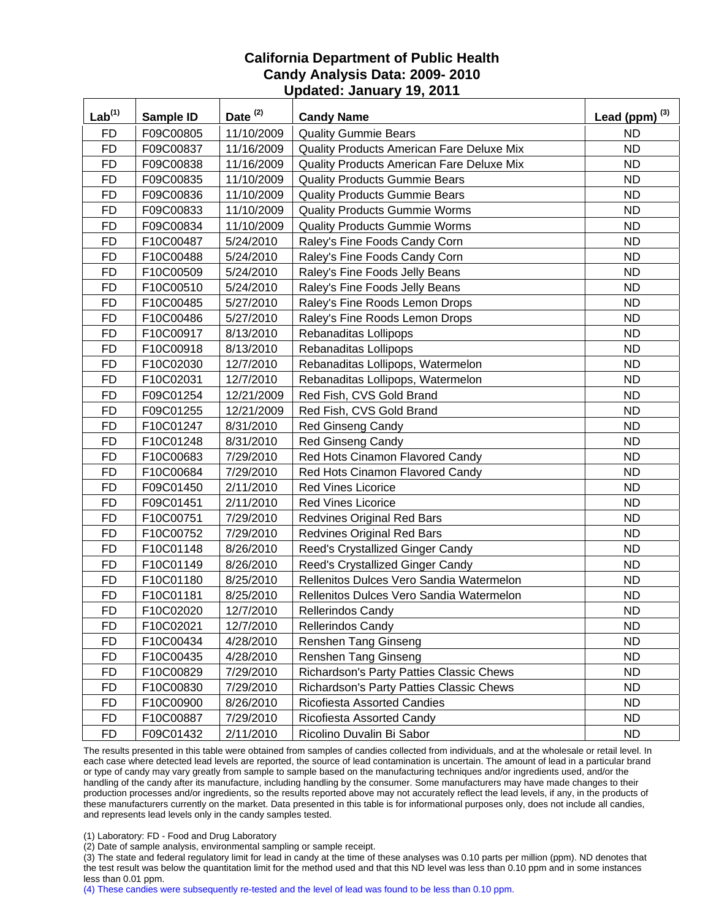| $Lab^{(1)}$ | Sample ID | Date <sup>(2)</sup> | <b>Candy Name</b>                         | Lead (ppm) $^{(3)}$ |
|-------------|-----------|---------------------|-------------------------------------------|---------------------|
| <b>FD</b>   | F09C00805 | 11/10/2009          | <b>Quality Gummie Bears</b>               | <b>ND</b>           |
| <b>FD</b>   | F09C00837 | 11/16/2009          | Quality Products American Fare Deluxe Mix | <b>ND</b>           |
| <b>FD</b>   | F09C00838 | 11/16/2009          | Quality Products American Fare Deluxe Mix | <b>ND</b>           |
| <b>FD</b>   | F09C00835 | 11/10/2009          | <b>Quality Products Gummie Bears</b>      | <b>ND</b>           |
| <b>FD</b>   | F09C00836 | 11/10/2009          | <b>Quality Products Gummie Bears</b>      | <b>ND</b>           |
| <b>FD</b>   | F09C00833 | 11/10/2009          | <b>Quality Products Gummie Worms</b>      | <b>ND</b>           |
| <b>FD</b>   | F09C00834 | 11/10/2009          | <b>Quality Products Gummie Worms</b>      | <b>ND</b>           |
| <b>FD</b>   | F10C00487 | 5/24/2010           | Raley's Fine Foods Candy Corn             | <b>ND</b>           |
| <b>FD</b>   | F10C00488 | 5/24/2010           | Raley's Fine Foods Candy Corn             | <b>ND</b>           |
| <b>FD</b>   | F10C00509 | 5/24/2010           | Raley's Fine Foods Jelly Beans            | <b>ND</b>           |
| <b>FD</b>   | F10C00510 | 5/24/2010           | Raley's Fine Foods Jelly Beans            | <b>ND</b>           |
| <b>FD</b>   | F10C00485 | 5/27/2010           | Raley's Fine Roods Lemon Drops            | <b>ND</b>           |
| <b>FD</b>   | F10C00486 | 5/27/2010           | Raley's Fine Roods Lemon Drops            | <b>ND</b>           |
| <b>FD</b>   | F10C00917 | 8/13/2010           | Rebanaditas Lollipops                     | <b>ND</b>           |
| <b>FD</b>   | F10C00918 | 8/13/2010           | Rebanaditas Lollipops                     | <b>ND</b>           |
| <b>FD</b>   | F10C02030 | 12/7/2010           | Rebanaditas Lollipops, Watermelon         | <b>ND</b>           |
| <b>FD</b>   | F10C02031 | 12/7/2010           | Rebanaditas Lollipops, Watermelon         | <b>ND</b>           |
| <b>FD</b>   | F09C01254 | 12/21/2009          | Red Fish, CVS Gold Brand                  | <b>ND</b>           |
| <b>FD</b>   | F09C01255 | 12/21/2009          | Red Fish, CVS Gold Brand                  | <b>ND</b>           |
| <b>FD</b>   | F10C01247 | 8/31/2010           | <b>Red Ginseng Candy</b>                  | <b>ND</b>           |
| <b>FD</b>   | F10C01248 | 8/31/2010           | <b>Red Ginseng Candy</b>                  | <b>ND</b>           |
| <b>FD</b>   | F10C00683 | 7/29/2010           | Red Hots Cinamon Flavored Candy           | <b>ND</b>           |
| <b>FD</b>   | F10C00684 | 7/29/2010           | Red Hots Cinamon Flavored Candy           | <b>ND</b>           |
| <b>FD</b>   | F09C01450 | 2/11/2010           | <b>Red Vines Licorice</b>                 | <b>ND</b>           |
| <b>FD</b>   | F09C01451 | 2/11/2010           | <b>Red Vines Licorice</b>                 | <b>ND</b>           |
| <b>FD</b>   | F10C00751 | 7/29/2010           | <b>Redvines Original Red Bars</b>         | <b>ND</b>           |
| <b>FD</b>   | F10C00752 | 7/29/2010           | <b>Redvines Original Red Bars</b>         | <b>ND</b>           |
| <b>FD</b>   | F10C01148 | 8/26/2010           | Reed's Crystallized Ginger Candy          | <b>ND</b>           |
| <b>FD</b>   | F10C01149 | 8/26/2010           | Reed's Crystallized Ginger Candy          | <b>ND</b>           |
| <b>FD</b>   | F10C01180 | 8/25/2010           | Rellenitos Dulces Vero Sandia Watermelon  | <b>ND</b>           |
| <b>FD</b>   | F10C01181 | 8/25/2010           | Rellenitos Dulces Vero Sandia Watermelon  | <b>ND</b>           |
| <b>FD</b>   | F10C02020 | 12/7/2010           | <b>Rellerindos Candy</b>                  | <b>ND</b>           |
| FD          | F10C02021 | 12/7/2010           | <b>Rellerindos Candy</b>                  | <b>ND</b>           |
| FD          | F10C00434 | 4/28/2010           | <b>Renshen Tang Ginseng</b>               | <b>ND</b>           |
| FD          | F10C00435 | 4/28/2010           | Renshen Tang Ginseng                      | <b>ND</b>           |
| <b>FD</b>   | F10C00829 | 7/29/2010           | Richardson's Party Patties Classic Chews  | ND.                 |
| <b>FD</b>   | F10C00830 | 7/29/2010           | Richardson's Party Patties Classic Chews  | <b>ND</b>           |
| <b>FD</b>   | F10C00900 | 8/26/2010           | Ricofiesta Assorted Candies               | <b>ND</b>           |
| <b>FD</b>   | F10C00887 | 7/29/2010           | Ricofiesta Assorted Candy                 | <b>ND</b>           |
| <b>FD</b>   | F09C01432 | 2/11/2010           | Ricolino Duvalin Bi Sabor                 | ND.                 |

The results presented in this table were obtained from samples of candies collected from individuals, and at the wholesale or retail level. In each case where detected lead levels are reported, the source of lead contamination is uncertain. The amount of lead in a particular brand or type of candy may vary greatly from sample to sample based on the manufacturing techniques and/or ingredients used, and/or the handling of the candy after its manufacture, including handling by the consumer. Some manufacturers may have made changes to their production processes and/or ingredients, so the results reported above may not accurately reflect the lead levels, if any, in the products of these manufacturers currently on the market. Data presented in this table is for informational purposes only, does not include all candies, and represents lead levels only in the candy samples tested.

(1) Laboratory: FD - Food and Drug Laboratory

(2) Date of sample analysis, environmental sampling or sample receipt.

(3) The state and federal regulatory limit for lead in candy at the time of these analyses was 0.10 parts per million (ppm). ND denotes that the test result was below the quantitation limit for the method used and that this ND level was less than 0.10 ppm and in some instances less than 0.01 ppm.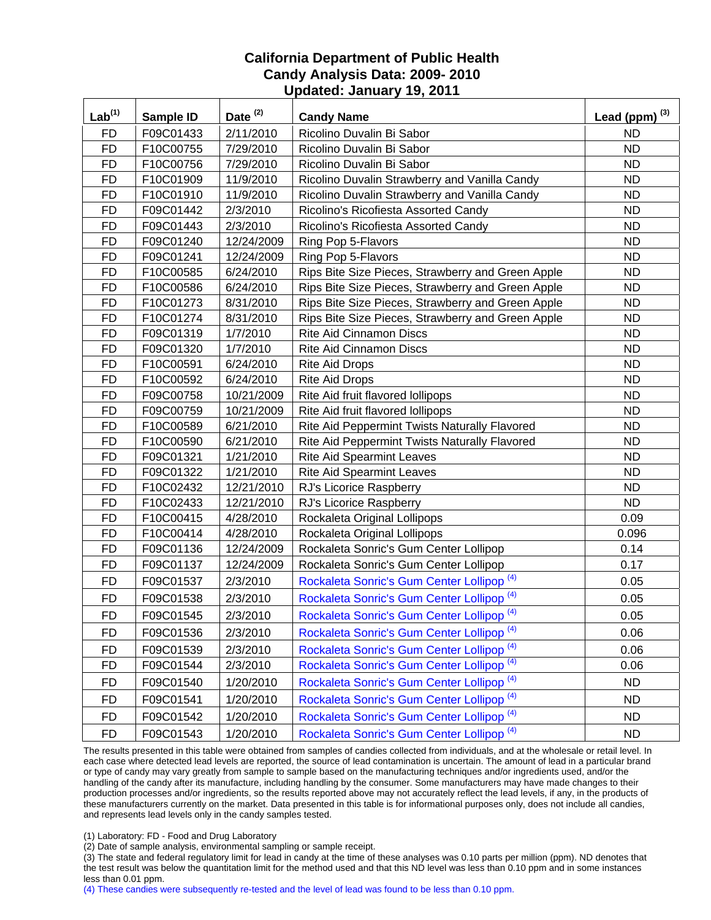| $Lab^{(1)}$ | Sample ID | Date <sup>(2)</sup> | <b>Candy Name</b>                                     | Lead (ppm) $^{(3)}$ |
|-------------|-----------|---------------------|-------------------------------------------------------|---------------------|
| <b>FD</b>   | F09C01433 | 2/11/2010           | Ricolino Duvalin Bi Sabor                             | <b>ND</b>           |
| <b>FD</b>   | F10C00755 | 7/29/2010           | Ricolino Duvalin Bi Sabor                             | <b>ND</b>           |
| <b>FD</b>   | F10C00756 | 7/29/2010           | Ricolino Duvalin Bi Sabor                             | <b>ND</b>           |
| <b>FD</b>   | F10C01909 | 11/9/2010           | Ricolino Duvalin Strawberry and Vanilla Candy         | <b>ND</b>           |
| <b>FD</b>   | F10C01910 | 11/9/2010           | Ricolino Duvalin Strawberry and Vanilla Candy         | <b>ND</b>           |
| <b>FD</b>   | F09C01442 | 2/3/2010            | Ricolino's Ricofiesta Assorted Candy                  | <b>ND</b>           |
| <b>FD</b>   | F09C01443 | 2/3/2010            | Ricolino's Ricofiesta Assorted Candy                  | <b>ND</b>           |
| <b>FD</b>   | F09C01240 | 12/24/2009          | Ring Pop 5-Flavors                                    | <b>ND</b>           |
| <b>FD</b>   | F09C01241 | 12/24/2009          | Ring Pop 5-Flavors                                    | <b>ND</b>           |
| <b>FD</b>   | F10C00585 | 6/24/2010           | Rips Bite Size Pieces, Strawberry and Green Apple     | <b>ND</b>           |
| <b>FD</b>   | F10C00586 | 6/24/2010           | Rips Bite Size Pieces, Strawberry and Green Apple     | <b>ND</b>           |
| <b>FD</b>   | F10C01273 | 8/31/2010           | Rips Bite Size Pieces, Strawberry and Green Apple     | <b>ND</b>           |
| <b>FD</b>   | F10C01274 | 8/31/2010           | Rips Bite Size Pieces, Strawberry and Green Apple     | <b>ND</b>           |
| <b>FD</b>   | F09C01319 | 1/7/2010            | <b>Rite Aid Cinnamon Discs</b>                        | <b>ND</b>           |
| <b>FD</b>   | F09C01320 | 1/7/2010            | <b>Rite Aid Cinnamon Discs</b>                        | <b>ND</b>           |
| <b>FD</b>   | F10C00591 | 6/24/2010           | <b>Rite Aid Drops</b>                                 | ND                  |
| <b>FD</b>   | F10C00592 | 6/24/2010           | <b>Rite Aid Drops</b>                                 | <b>ND</b>           |
| <b>FD</b>   | F09C00758 | 10/21/2009          | Rite Aid fruit flavored lollipops                     | <b>ND</b>           |
| <b>FD</b>   | F09C00759 | 10/21/2009          | Rite Aid fruit flavored lollipops                     | <b>ND</b>           |
| <b>FD</b>   | F10C00589 | 6/21/2010           | Rite Aid Peppermint Twists Naturally Flavored         | <b>ND</b>           |
| <b>FD</b>   | F10C00590 | 6/21/2010           | Rite Aid Peppermint Twists Naturally Flavored         | <b>ND</b>           |
| <b>FD</b>   | F09C01321 | 1/21/2010           | <b>Rite Aid Spearmint Leaves</b>                      | <b>ND</b>           |
| <b>FD</b>   | F09C01322 | 1/21/2010           | <b>Rite Aid Spearmint Leaves</b>                      | <b>ND</b>           |
| <b>FD</b>   | F10C02432 | 12/21/2010          | RJ's Licorice Raspberry                               | <b>ND</b>           |
| <b>FD</b>   | F10C02433 | 12/21/2010          | RJ's Licorice Raspberry                               | <b>ND</b>           |
| <b>FD</b>   | F10C00415 | 4/28/2010           | Rockaleta Original Lollipops                          | 0.09                |
| <b>FD</b>   | F10C00414 | 4/28/2010           | Rockaleta Original Lollipops                          | 0.096               |
| <b>FD</b>   | F09C01136 | 12/24/2009          | Rockaleta Sonric's Gum Center Lollipop                | 0.14                |
| <b>FD</b>   | F09C01137 | 12/24/2009          | Rockaleta Sonric's Gum Center Lollipop                | 0.17                |
| <b>FD</b>   | F09C01537 | 2/3/2010            | Rockaleta Sonric's Gum Center Lollipop <sup>(4)</sup> | 0.05                |
| <b>FD</b>   | F09C01538 | 2/3/2010            | Rockaleta Sonric's Gum Center Lollipop <sup>(4)</sup> | 0.05                |
| <b>FD</b>   | F09C01545 | 2/3/2010            | Rockaleta Sonric's Gum Center Lollipop <sup>(4)</sup> | 0.05                |
| <b>FD</b>   | F09C01536 | 2/3/2010            | Rockaleta Sonric's Gum Center Lollipop <sup>(4)</sup> | 0.06                |
| <b>FD</b>   | F09C01539 | 2/3/2010            | Rockaleta Sonric's Gum Center Lollipop <sup>(4)</sup> | 0.06                |
| <b>FD</b>   | F09C01544 | 2/3/2010            | Rockaleta Sonric's Gum Center Lollipop <sup>(4)</sup> | 0.06                |
| <b>FD</b>   | F09C01540 | 1/20/2010           | Rockaleta Sonric's Gum Center Lollipop <sup>(4)</sup> | <b>ND</b>           |
| <b>FD</b>   | F09C01541 | 1/20/2010           | Rockaleta Sonric's Gum Center Lollipop <sup>(4)</sup> | <b>ND</b>           |
| <b>FD</b>   | F09C01542 | 1/20/2010           | Rockaleta Sonric's Gum Center Lollipop <sup>(4)</sup> | <b>ND</b>           |
| <b>FD</b>   | F09C01543 | 1/20/2010           | Rockaleta Sonric's Gum Center Lollipop <sup>(4)</sup> | <b>ND</b>           |

The results presented in this table were obtained from samples of candies collected from individuals, and at the wholesale or retail level. In each case where detected lead levels are reported, the source of lead contamination is uncertain. The amount of lead in a particular brand or type of candy may vary greatly from sample to sample based on the manufacturing techniques and/or ingredients used, and/or the handling of the candy after its manufacture, including handling by the consumer. Some manufacturers may have made changes to their production processes and/or ingredients, so the results reported above may not accurately reflect the lead levels, if any, in the products of these manufacturers currently on the market. Data presented in this table is for informational purposes only, does not include all candies, and represents lead levels only in the candy samples tested.

(1) Laboratory: FD - Food and Drug Laboratory

(2) Date of sample analysis, environmental sampling or sample receipt.

(3) The state and federal regulatory limit for lead in candy at the time of these analyses was 0.10 parts per million (ppm). ND denotes that the test result was below the quantitation limit for the method used and that this ND level was less than 0.10 ppm and in some instances less than 0.01 ppm.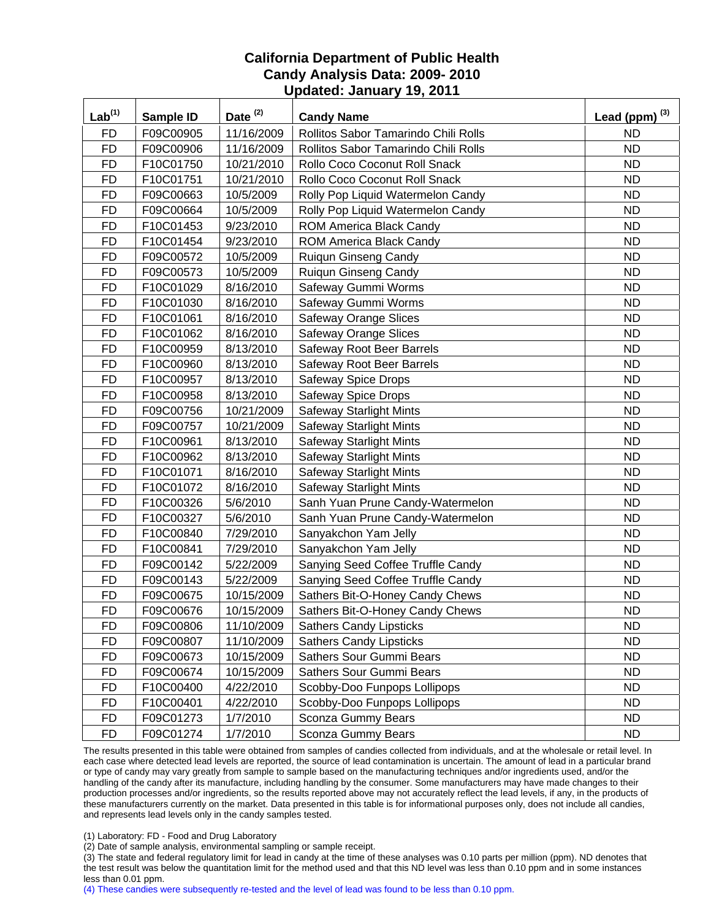| $Lab^{(1)}$ | Sample ID | Date $(2)$ | <b>Candy Name</b>                    | Lead (ppm) $^{(3)}$ |
|-------------|-----------|------------|--------------------------------------|---------------------|
| <b>FD</b>   | F09C00905 | 11/16/2009 | Rollitos Sabor Tamarindo Chili Rolls | <b>ND</b>           |
| <b>FD</b>   | F09C00906 | 11/16/2009 | Rollitos Sabor Tamarindo Chili Rolls | <b>ND</b>           |
| <b>FD</b>   | F10C01750 | 10/21/2010 | Rollo Coco Coconut Roll Snack        | <b>ND</b>           |
| <b>FD</b>   | F10C01751 | 10/21/2010 | Rollo Coco Coconut Roll Snack        | <b>ND</b>           |
| <b>FD</b>   | F09C00663 | 10/5/2009  | Rolly Pop Liquid Watermelon Candy    | <b>ND</b>           |
| <b>FD</b>   | F09C00664 | 10/5/2009  | Rolly Pop Liquid Watermelon Candy    | <b>ND</b>           |
| <b>FD</b>   | F10C01453 | 9/23/2010  | <b>ROM America Black Candy</b>       | <b>ND</b>           |
| <b>FD</b>   | F10C01454 | 9/23/2010  | ROM America Black Candy              | <b>ND</b>           |
| <b>FD</b>   | F09C00572 | 10/5/2009  | Ruiqun Ginseng Candy                 | <b>ND</b>           |
| <b>FD</b>   | F09C00573 | 10/5/2009  | Ruiqun Ginseng Candy                 | <b>ND</b>           |
| <b>FD</b>   | F10C01029 | 8/16/2010  | Safeway Gummi Worms                  | <b>ND</b>           |
| <b>FD</b>   | F10C01030 | 8/16/2010  | Safeway Gummi Worms                  | <b>ND</b>           |
| <b>FD</b>   | F10C01061 | 8/16/2010  | <b>Safeway Orange Slices</b>         | <b>ND</b>           |
| <b>FD</b>   | F10C01062 | 8/16/2010  | <b>Safeway Orange Slices</b>         | <b>ND</b>           |
| <b>FD</b>   | F10C00959 | 8/13/2010  | Safeway Root Beer Barrels            | <b>ND</b>           |
| <b>FD</b>   | F10C00960 | 8/13/2010  | Safeway Root Beer Barrels            | <b>ND</b>           |
| <b>FD</b>   | F10C00957 | 8/13/2010  | <b>Safeway Spice Drops</b>           | <b>ND</b>           |
| <b>FD</b>   | F10C00958 | 8/13/2010  | <b>Safeway Spice Drops</b>           | <b>ND</b>           |
| <b>FD</b>   | F09C00756 | 10/21/2009 | <b>Safeway Starlight Mints</b>       | <b>ND</b>           |
| <b>FD</b>   | F09C00757 | 10/21/2009 | <b>Safeway Starlight Mints</b>       | <b>ND</b>           |
| <b>FD</b>   | F10C00961 | 8/13/2010  | <b>Safeway Starlight Mints</b>       | <b>ND</b>           |
| <b>FD</b>   | F10C00962 | 8/13/2010  | <b>Safeway Starlight Mints</b>       | <b>ND</b>           |
| <b>FD</b>   | F10C01071 | 8/16/2010  | <b>Safeway Starlight Mints</b>       | <b>ND</b>           |
| <b>FD</b>   | F10C01072 | 8/16/2010  | <b>Safeway Starlight Mints</b>       | <b>ND</b>           |
| <b>FD</b>   | F10C00326 | 5/6/2010   | Sanh Yuan Prune Candy-Watermelon     | <b>ND</b>           |
| <b>FD</b>   | F10C00327 | 5/6/2010   | Sanh Yuan Prune Candy-Watermelon     | <b>ND</b>           |
| <b>FD</b>   | F10C00840 | 7/29/2010  | Sanyakchon Yam Jelly                 | <b>ND</b>           |
| <b>FD</b>   | F10C00841 | 7/29/2010  | Sanyakchon Yam Jelly                 | <b>ND</b>           |
| <b>FD</b>   | F09C00142 | 5/22/2009  | Sanying Seed Coffee Truffle Candy    | <b>ND</b>           |
| <b>FD</b>   | F09C00143 | 5/22/2009  | Sanying Seed Coffee Truffle Candy    | <b>ND</b>           |
| <b>FD</b>   | F09C00675 | 10/15/2009 | Sathers Bit-O-Honey Candy Chews      | <b>ND</b>           |
| <b>FD</b>   | F09C00676 | 10/15/2009 | Sathers Bit-O-Honey Candy Chews      | <b>ND</b>           |
| <b>FD</b>   | F09C00806 | 11/10/2009 | <b>Sathers Candy Lipsticks</b>       | <b>ND</b>           |
| <b>FD</b>   | F09C00807 | 11/10/2009 | <b>Sathers Candy Lipsticks</b>       | <b>ND</b>           |
| <b>FD</b>   | F09C00673 | 10/15/2009 | Sathers Sour Gummi Bears             | <b>ND</b>           |
| <b>FD</b>   | F09C00674 | 10/15/2009 | Sathers Sour Gummi Bears             | <b>ND</b>           |
| <b>FD</b>   | F10C00400 | 4/22/2010  | Scobby-Doo Funpops Lollipops         | <b>ND</b>           |
| <b>FD</b>   | F10C00401 | 4/22/2010  | Scobby-Doo Funpops Lollipops         | <b>ND</b>           |
| <b>FD</b>   | F09C01273 | 1/7/2010   | Sconza Gummy Bears                   | <b>ND</b>           |
| <b>FD</b>   | F09C01274 | 1/7/2010   | Sconza Gummy Bears                   | ND.                 |

The results presented in this table were obtained from samples of candies collected from individuals, and at the wholesale or retail level. In each case where detected lead levels are reported, the source of lead contamination is uncertain. The amount of lead in a particular brand or type of candy may vary greatly from sample to sample based on the manufacturing techniques and/or ingredients used, and/or the handling of the candy after its manufacture, including handling by the consumer. Some manufacturers may have made changes to their production processes and/or ingredients, so the results reported above may not accurately reflect the lead levels, if any, in the products of these manufacturers currently on the market. Data presented in this table is for informational purposes only, does not include all candies, and represents lead levels only in the candy samples tested.

(1) Laboratory: FD - Food and Drug Laboratory

(2) Date of sample analysis, environmental sampling or sample receipt.

(3) The state and federal regulatory limit for lead in candy at the time of these analyses was 0.10 parts per million (ppm). ND denotes that the test result was below the quantitation limit for the method used and that this ND level was less than 0.10 ppm and in some instances less than 0.01 ppm.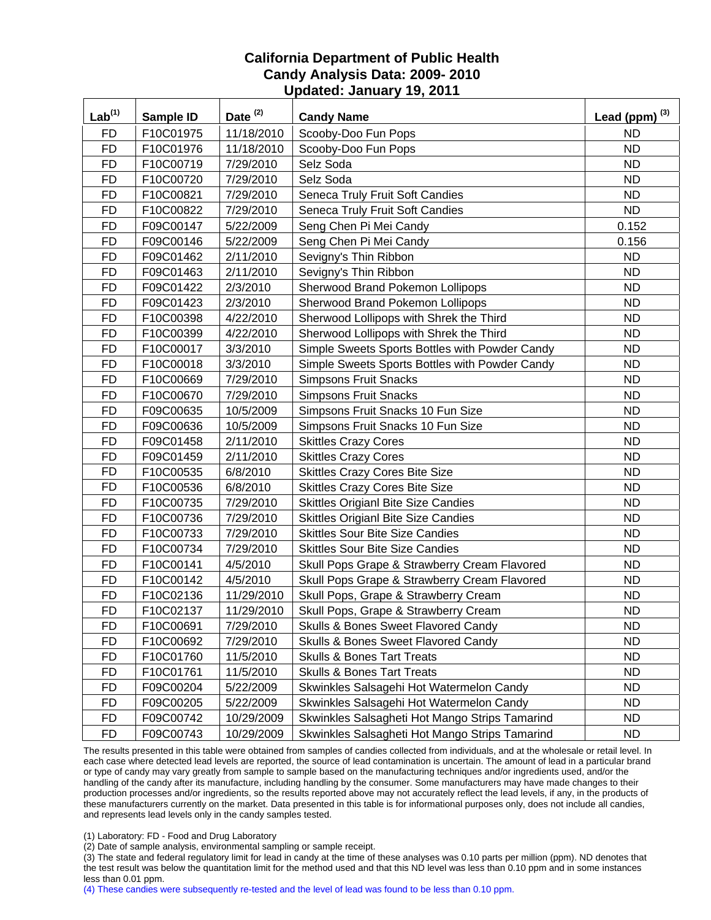| Lab <sup>(1)</sup> | Sample ID | Date $(2)$ | <b>Candy Name</b>                              | Lead (ppm) $^{(3)}$ |
|--------------------|-----------|------------|------------------------------------------------|---------------------|
| <b>FD</b>          | F10C01975 | 11/18/2010 | Scooby-Doo Fun Pops                            | <b>ND</b>           |
| <b>FD</b>          | F10C01976 | 11/18/2010 | Scooby-Doo Fun Pops                            | <b>ND</b>           |
| <b>FD</b>          | F10C00719 | 7/29/2010  | Selz Soda                                      | <b>ND</b>           |
| <b>FD</b>          | F10C00720 | 7/29/2010  | Selz Soda                                      | <b>ND</b>           |
| <b>FD</b>          | F10C00821 | 7/29/2010  | Seneca Truly Fruit Soft Candies                | <b>ND</b>           |
| <b>FD</b>          | F10C00822 | 7/29/2010  | Seneca Truly Fruit Soft Candies                | <b>ND</b>           |
| <b>FD</b>          | F09C00147 | 5/22/2009  | Seng Chen Pi Mei Candy                         | 0.152               |
| <b>FD</b>          | F09C00146 | 5/22/2009  | Seng Chen Pi Mei Candy                         | 0.156               |
| <b>FD</b>          | F09C01462 | 2/11/2010  | Sevigny's Thin Ribbon                          | <b>ND</b>           |
| <b>FD</b>          | F09C01463 | 2/11/2010  | Sevigny's Thin Ribbon                          | <b>ND</b>           |
| <b>FD</b>          | F09C01422 | 2/3/2010   | Sherwood Brand Pokemon Lollipops               | <b>ND</b>           |
| <b>FD</b>          | F09C01423 | 2/3/2010   | Sherwood Brand Pokemon Lollipops               | <b>ND</b>           |
| <b>FD</b>          | F10C00398 | 4/22/2010  | Sherwood Lollipops with Shrek the Third        | <b>ND</b>           |
| <b>FD</b>          | F10C00399 | 4/22/2010  | Sherwood Lollipops with Shrek the Third        | <b>ND</b>           |
| <b>FD</b>          | F10C00017 | 3/3/2010   | Simple Sweets Sports Bottles with Powder Candy | <b>ND</b>           |
| <b>FD</b>          | F10C00018 | 3/3/2010   | Simple Sweets Sports Bottles with Powder Candy | ND.                 |
| <b>FD</b>          | F10C00669 | 7/29/2010  | <b>Simpsons Fruit Snacks</b>                   | <b>ND</b>           |
| <b>FD</b>          | F10C00670 | 7/29/2010  | <b>Simpsons Fruit Snacks</b>                   | <b>ND</b>           |
| <b>FD</b>          | F09C00635 | 10/5/2009  | Simpsons Fruit Snacks 10 Fun Size              | <b>ND</b>           |
| <b>FD</b>          | F09C00636 | 10/5/2009  | Simpsons Fruit Snacks 10 Fun Size              | <b>ND</b>           |
| <b>FD</b>          | F09C01458 | 2/11/2010  | <b>Skittles Crazy Cores</b>                    | <b>ND</b>           |
| <b>FD</b>          | F09C01459 | 2/11/2010  | <b>Skittles Crazy Cores</b>                    | <b>ND</b>           |
| <b>FD</b>          | F10C00535 | 6/8/2010   | <b>Skittles Crazy Cores Bite Size</b>          | <b>ND</b>           |
| <b>FD</b>          | F10C00536 | 6/8/2010   | <b>Skittles Crazy Cores Bite Size</b>          | <b>ND</b>           |
| <b>FD</b>          | F10C00735 | 7/29/2010  | Skittles Origianl Bite Size Candies            | <b>ND</b>           |
| <b>FD</b>          | F10C00736 | 7/29/2010  | Skittles Origianl Bite Size Candies            | <b>ND</b>           |
| <b>FD</b>          | F10C00733 | 7/29/2010  | <b>Skittles Sour Bite Size Candies</b>         | <b>ND</b>           |
| <b>FD</b>          | F10C00734 | 7/29/2010  | <b>Skittles Sour Bite Size Candies</b>         | <b>ND</b>           |
| <b>FD</b>          | F10C00141 | 4/5/2010   | Skull Pops Grape & Strawberry Cream Flavored   | <b>ND</b>           |
| <b>FD</b>          | F10C00142 | 4/5/2010   | Skull Pops Grape & Strawberry Cream Flavored   | <b>ND</b>           |
| <b>FD</b>          | F10C02136 | 11/29/2010 | Skull Pops, Grape & Strawberry Cream           | <b>ND</b>           |
| <b>FD</b>          | F10C02137 | 11/29/2010 | Skull Pops, Grape & Strawberry Cream           | <b>ND</b>           |
| <b>FD</b>          | F10C00691 | 7/29/2010  | Skulls & Bones Sweet Flavored Candy            | <b>ND</b>           |
| <b>FD</b>          | F10C00692 | 7/29/2010  | Skulls & Bones Sweet Flavored Candy            | <b>ND</b>           |
| <b>FD</b>          | F10C01760 | 11/5/2010  | <b>Skulls &amp; Bones Tart Treats</b>          | <b>ND</b>           |
| <b>FD</b>          | F10C01761 | 11/5/2010  | <b>Skulls &amp; Bones Tart Treats</b>          | ND.                 |
| <b>FD</b>          | F09C00204 | 5/22/2009  | Skwinkles Salsagehi Hot Watermelon Candy       | ND.                 |
| <b>FD</b>          | F09C00205 | 5/22/2009  | Skwinkles Salsagehi Hot Watermelon Candy       | <b>ND</b>           |
| <b>FD</b>          | F09C00742 | 10/29/2009 | Skwinkles Salsagheti Hot Mango Strips Tamarind | <b>ND</b>           |
| <b>FD</b>          | F09C00743 | 10/29/2009 | Skwinkles Salsagheti Hot Mango Strips Tamarind | ND.                 |

The results presented in this table were obtained from samples of candies collected from individuals, and at the wholesale or retail level. In each case where detected lead levels are reported, the source of lead contamination is uncertain. The amount of lead in a particular brand or type of candy may vary greatly from sample to sample based on the manufacturing techniques and/or ingredients used, and/or the handling of the candy after its manufacture, including handling by the consumer. Some manufacturers may have made changes to their production processes and/or ingredients, so the results reported above may not accurately reflect the lead levels, if any, in the products of these manufacturers currently on the market. Data presented in this table is for informational purposes only, does not include all candies, and represents lead levels only in the candy samples tested.

(1) Laboratory: FD - Food and Drug Laboratory

(2) Date of sample analysis, environmental sampling or sample receipt.

(3) The state and federal regulatory limit for lead in candy at the time of these analyses was 0.10 parts per million (ppm). ND denotes that the test result was below the quantitation limit for the method used and that this ND level was less than 0.10 ppm and in some instances less than 0.01 ppm.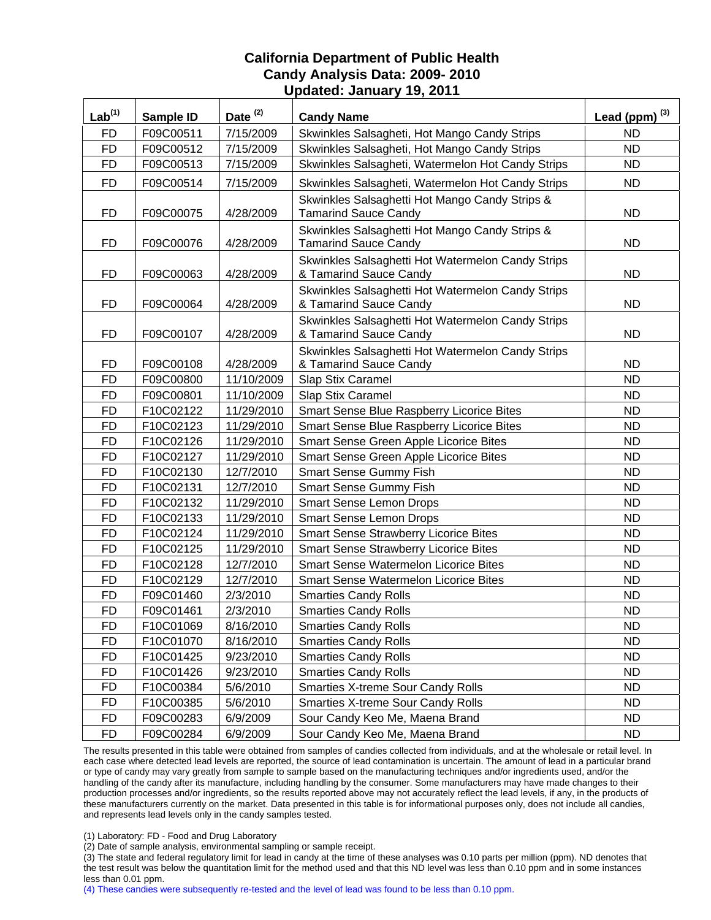| Lab <sup>(1)</sup> | Sample ID | Date <sup>(2)</sup> | <b>Candy Name</b>                                                             | Lead (ppm) $^{(3)}$ |
|--------------------|-----------|---------------------|-------------------------------------------------------------------------------|---------------------|
| <b>FD</b>          | F09C00511 | 7/15/2009           | Skwinkles Salsagheti, Hot Mango Candy Strips                                  | <b>ND</b>           |
| <b>FD</b>          | F09C00512 | 7/15/2009           | Skwinkles Salsagheti, Hot Mango Candy Strips                                  | <b>ND</b>           |
| <b>FD</b>          | F09C00513 | 7/15/2009           | Skwinkles Salsagheti, Watermelon Hot Candy Strips                             | ND                  |
| <b>FD</b>          | F09C00514 | 7/15/2009           | Skwinkles Salsagheti, Watermelon Hot Candy Strips                             | <b>ND</b>           |
| FD                 | F09C00075 | 4/28/2009           | Skwinkles Salsaghetti Hot Mango Candy Strips &<br><b>Tamarind Sauce Candy</b> | <b>ND</b>           |
| <b>FD</b>          | F09C00076 | 4/28/2009           | Skwinkles Salsaghetti Hot Mango Candy Strips &<br><b>Tamarind Sauce Candy</b> | <b>ND</b>           |
| <b>FD</b>          | F09C00063 | 4/28/2009           | Skwinkles Salsaghetti Hot Watermelon Candy Strips<br>& Tamarind Sauce Candy   | <b>ND</b>           |
| FD                 | F09C00064 | 4/28/2009           | Skwinkles Salsaghetti Hot Watermelon Candy Strips<br>& Tamarind Sauce Candy   | <b>ND</b>           |
| <b>FD</b>          | F09C00107 | 4/28/2009           | Skwinkles Salsaghetti Hot Watermelon Candy Strips<br>& Tamarind Sauce Candy   | <b>ND</b>           |
| <b>FD</b>          | F09C00108 | 4/28/2009           | Skwinkles Salsaghetti Hot Watermelon Candy Strips<br>& Tamarind Sauce Candy   | <b>ND</b>           |
| <b>FD</b>          | F09C00800 | 11/10/2009          | Slap Stix Caramel                                                             | <b>ND</b>           |
| <b>FD</b>          | F09C00801 | 11/10/2009          | Slap Stix Caramel                                                             | <b>ND</b>           |
| <b>FD</b>          | F10C02122 | 11/29/2010          | Smart Sense Blue Raspberry Licorice Bites                                     | <b>ND</b>           |
| <b>FD</b>          | F10C02123 | 11/29/2010          | Smart Sense Blue Raspberry Licorice Bites                                     | <b>ND</b>           |
| <b>FD</b>          | F10C02126 | 11/29/2010          | Smart Sense Green Apple Licorice Bites                                        | <b>ND</b>           |
| <b>FD</b>          | F10C02127 | 11/29/2010          | Smart Sense Green Apple Licorice Bites                                        | <b>ND</b>           |
| <b>FD</b>          | F10C02130 | 12/7/2010           | <b>Smart Sense Gummy Fish</b>                                                 | <b>ND</b>           |
| <b>FD</b>          | F10C02131 | 12/7/2010           | <b>Smart Sense Gummy Fish</b>                                                 | <b>ND</b>           |
| <b>FD</b>          | F10C02132 | 11/29/2010          | <b>Smart Sense Lemon Drops</b>                                                | <b>ND</b>           |
| <b>FD</b>          | F10C02133 | 11/29/2010          | <b>Smart Sense Lemon Drops</b>                                                | <b>ND</b>           |
| <b>FD</b>          | F10C02124 | 11/29/2010          | <b>Smart Sense Strawberry Licorice Bites</b>                                  | <b>ND</b>           |
| <b>FD</b>          | F10C02125 | 11/29/2010          | <b>Smart Sense Strawberry Licorice Bites</b>                                  | <b>ND</b>           |
| <b>FD</b>          | F10C02128 | 12/7/2010           | <b>Smart Sense Watermelon Licorice Bites</b>                                  | <b>ND</b>           |
| <b>FD</b>          | F10C02129 | 12/7/2010           | <b>Smart Sense Watermelon Licorice Bites</b>                                  | <b>ND</b>           |
| <b>FD</b>          | F09C01460 | 2/3/2010            | <b>Smarties Candy Rolls</b>                                                   | <b>ND</b>           |
| <b>FD</b>          | F09C01461 | 2/3/2010            | <b>Smarties Candy Rolls</b>                                                   | <b>ND</b>           |
| FD                 | F10C01069 | 8/16/2010           | <b>Smarties Candy Rolls</b>                                                   | <b>ND</b>           |
| <b>FD</b>          | F10C01070 | 8/16/2010           | <b>Smarties Candy Rolls</b>                                                   | <b>ND</b>           |
| <b>FD</b>          | F10C01425 | 9/23/2010           | <b>Smarties Candy Rolls</b>                                                   | <b>ND</b>           |
| <b>FD</b>          | F10C01426 | 9/23/2010           | <b>Smarties Candy Rolls</b>                                                   | <b>ND</b>           |
| <b>FD</b>          | F10C00384 | 5/6/2010            | <b>Smarties X-treme Sour Candy Rolls</b>                                      | <b>ND</b>           |
| <b>FD</b>          | F10C00385 | 5/6/2010            | <b>Smarties X-treme Sour Candy Rolls</b>                                      | <b>ND</b>           |
| <b>FD</b>          | F09C00283 | 6/9/2009            | Sour Candy Keo Me, Maena Brand                                                | <b>ND</b>           |
| <b>FD</b>          | F09C00284 | 6/9/2009            | Sour Candy Keo Me, Maena Brand                                                | ND.                 |

The results presented in this table were obtained from samples of candies collected from individuals, and at the wholesale or retail level. In each case where detected lead levels are reported, the source of lead contamination is uncertain. The amount of lead in a particular brand or type of candy may vary greatly from sample to sample based on the manufacturing techniques and/or ingredients used, and/or the handling of the candy after its manufacture, including handling by the consumer. Some manufacturers may have made changes to their production processes and/or ingredients, so the results reported above may not accurately reflect the lead levels, if any, in the products of these manufacturers currently on the market. Data presented in this table is for informational purposes only, does not include all candies, and represents lead levels only in the candy samples tested.

(1) Laboratory: FD - Food and Drug Laboratory

(2) Date of sample analysis, environmental sampling or sample receipt.

(3) The state and federal regulatory limit for lead in candy at the time of these analyses was 0.10 parts per million (ppm). ND denotes that the test result was below the quantitation limit for the method used and that this ND level was less than 0.10 ppm and in some instances less than 0.01 ppm.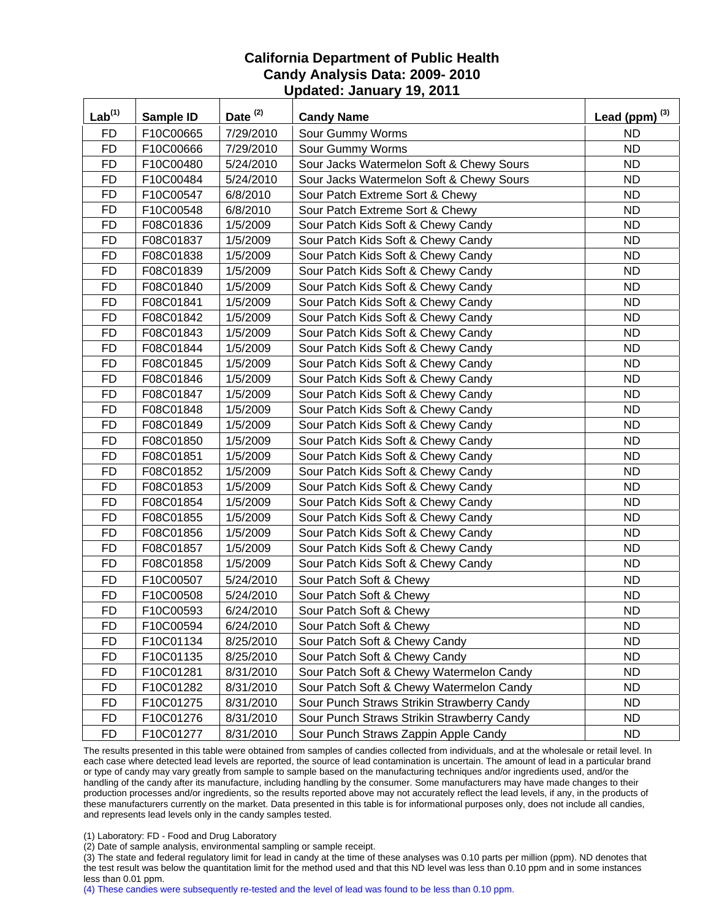| Lab <sup>(1)</sup> | Sample ID | Date <sup>(2)</sup> | <b>Candy Name</b>                          | Lead (ppm) $^{(3)}$ |
|--------------------|-----------|---------------------|--------------------------------------------|---------------------|
| <b>FD</b>          | F10C00665 | 7/29/2010           | Sour Gummy Worms                           | <b>ND</b>           |
| <b>FD</b>          | F10C00666 | 7/29/2010           | Sour Gummy Worms                           | <b>ND</b>           |
| <b>FD</b>          | F10C00480 | 5/24/2010           | Sour Jacks Watermelon Soft & Chewy Sours   | <b>ND</b>           |
| <b>FD</b>          | F10C00484 | 5/24/2010           | Sour Jacks Watermelon Soft & Chewy Sours   | <b>ND</b>           |
| <b>FD</b>          | F10C00547 | 6/8/2010            | Sour Patch Extreme Sort & Chewy            | <b>ND</b>           |
| <b>FD</b>          | F10C00548 | 6/8/2010            | Sour Patch Extreme Sort & Chewy            | <b>ND</b>           |
| <b>FD</b>          | F08C01836 | 1/5/2009            | Sour Patch Kids Soft & Chewy Candy         | <b>ND</b>           |
| <b>FD</b>          | F08C01837 | 1/5/2009            | Sour Patch Kids Soft & Chewy Candy         | <b>ND</b>           |
| <b>FD</b>          | F08C01838 | 1/5/2009            | Sour Patch Kids Soft & Chewy Candy         | <b>ND</b>           |
| <b>FD</b>          | F08C01839 | 1/5/2009            | Sour Patch Kids Soft & Chewy Candy         | <b>ND</b>           |
| <b>FD</b>          | F08C01840 | 1/5/2009            | Sour Patch Kids Soft & Chewy Candy         | <b>ND</b>           |
| <b>FD</b>          | F08C01841 | 1/5/2009            | Sour Patch Kids Soft & Chewy Candy         | <b>ND</b>           |
| <b>FD</b>          | F08C01842 | 1/5/2009            | Sour Patch Kids Soft & Chewy Candy         | <b>ND</b>           |
| <b>FD</b>          | F08C01843 | 1/5/2009            | Sour Patch Kids Soft & Chewy Candy         | <b>ND</b>           |
| <b>FD</b>          | F08C01844 | 1/5/2009            | Sour Patch Kids Soft & Chewy Candy         | <b>ND</b>           |
| <b>FD</b>          | F08C01845 | 1/5/2009            | Sour Patch Kids Soft & Chewy Candy         | <b>ND</b>           |
| <b>FD</b>          | F08C01846 | 1/5/2009            | Sour Patch Kids Soft & Chewy Candy         | <b>ND</b>           |
| <b>FD</b>          | F08C01847 | 1/5/2009            | Sour Patch Kids Soft & Chewy Candy         | <b>ND</b>           |
| <b>FD</b>          | F08C01848 | 1/5/2009            | Sour Patch Kids Soft & Chewy Candy         | <b>ND</b>           |
| <b>FD</b>          | F08C01849 | 1/5/2009            | Sour Patch Kids Soft & Chewy Candy         | <b>ND</b>           |
| <b>FD</b>          | F08C01850 | 1/5/2009            | Sour Patch Kids Soft & Chewy Candy         | <b>ND</b>           |
| <b>FD</b>          | F08C01851 | 1/5/2009            | Sour Patch Kids Soft & Chewy Candy         | <b>ND</b>           |
| <b>FD</b>          | F08C01852 | 1/5/2009            | Sour Patch Kids Soft & Chewy Candy         | <b>ND</b>           |
| <b>FD</b>          | F08C01853 | 1/5/2009            | Sour Patch Kids Soft & Chewy Candy         | <b>ND</b>           |
| <b>FD</b>          | F08C01854 | 1/5/2009            | Sour Patch Kids Soft & Chewy Candy         | <b>ND</b>           |
| <b>FD</b>          | F08C01855 | 1/5/2009            | Sour Patch Kids Soft & Chewy Candy         | <b>ND</b>           |
| <b>FD</b>          | F08C01856 | 1/5/2009            | Sour Patch Kids Soft & Chewy Candy         | <b>ND</b>           |
| <b>FD</b>          | F08C01857 | 1/5/2009            | Sour Patch Kids Soft & Chewy Candy         | <b>ND</b>           |
| <b>FD</b>          | F08C01858 | 1/5/2009            | Sour Patch Kids Soft & Chewy Candy         | <b>ND</b>           |
| <b>FD</b>          | F10C00507 | 5/24/2010           | Sour Patch Soft & Chewy                    | <b>ND</b>           |
| <b>FD</b>          | F10C00508 | 5/24/2010           | Sour Patch Soft & Chewy                    | <b>ND</b>           |
| <b>FD</b>          | F10C00593 | 6/24/2010           | Sour Patch Soft & Chewy                    | <b>ND</b>           |
| FD                 | F10C00594 | 6/24/2010           | Sour Patch Soft & Chewy                    | <b>ND</b>           |
| FD                 | F10C01134 | 8/25/2010           | Sour Patch Soft & Chewy Candy              | <b>ND</b>           |
| FD                 | F10C01135 | 8/25/2010           | Sour Patch Soft & Chewy Candy              | <b>ND</b>           |
| <b>FD</b>          | F10C01281 | 8/31/2010           | Sour Patch Soft & Chewy Watermelon Candy   | <b>ND</b>           |
| <b>FD</b>          | F10C01282 | 8/31/2010           | Sour Patch Soft & Chewy Watermelon Candy   | <b>ND</b>           |
| <b>FD</b>          | F10C01275 | 8/31/2010           | Sour Punch Straws Strikin Strawberry Candy | <b>ND</b>           |
| <b>FD</b>          | F10C01276 | 8/31/2010           | Sour Punch Straws Strikin Strawberry Candy | <b>ND</b>           |
| <b>FD</b>          | F10C01277 | 8/31/2010           | Sour Punch Straws Zappin Apple Candy       | ND.                 |

The results presented in this table were obtained from samples of candies collected from individuals, and at the wholesale or retail level. In each case where detected lead levels are reported, the source of lead contamination is uncertain. The amount of lead in a particular brand or type of candy may vary greatly from sample to sample based on the manufacturing techniques and/or ingredients used, and/or the handling of the candy after its manufacture, including handling by the consumer. Some manufacturers may have made changes to their production processes and/or ingredients, so the results reported above may not accurately reflect the lead levels, if any, in the products of these manufacturers currently on the market. Data presented in this table is for informational purposes only, does not include all candies, and represents lead levels only in the candy samples tested.

(1) Laboratory: FD - Food and Drug Laboratory

(2) Date of sample analysis, environmental sampling or sample receipt.

(3) The state and federal regulatory limit for lead in candy at the time of these analyses was 0.10 parts per million (ppm). ND denotes that the test result was below the quantitation limit for the method used and that this ND level was less than 0.10 ppm and in some instances less than 0.01 ppm.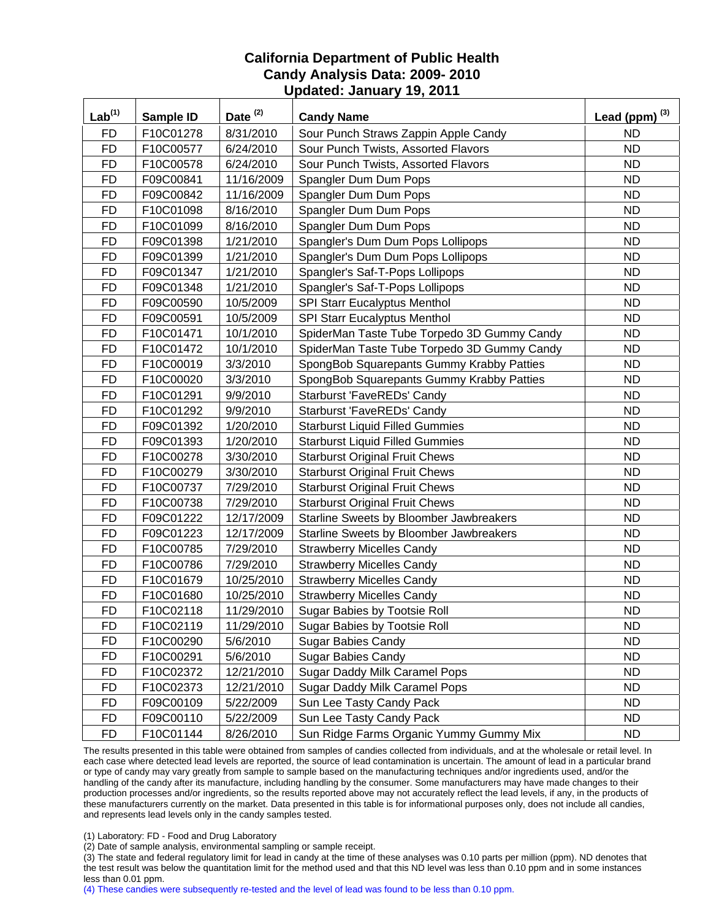| Lab <sup>(1)</sup> | Sample ID | Date <sup>(2)</sup> | <b>Candy Name</b>                           | Lead (ppm) $^{(3)}$ |
|--------------------|-----------|---------------------|---------------------------------------------|---------------------|
| <b>FD</b>          | F10C01278 | 8/31/2010           | Sour Punch Straws Zappin Apple Candy        | <b>ND</b>           |
| <b>FD</b>          | F10C00577 | 6/24/2010           | Sour Punch Twists, Assorted Flavors         | <b>ND</b>           |
| <b>FD</b>          | F10C00578 | 6/24/2010           | Sour Punch Twists, Assorted Flavors         | <b>ND</b>           |
| <b>FD</b>          | F09C00841 | 11/16/2009          | Spangler Dum Dum Pops                       | <b>ND</b>           |
| <b>FD</b>          | F09C00842 | 11/16/2009          | Spangler Dum Dum Pops                       | <b>ND</b>           |
| <b>FD</b>          | F10C01098 | 8/16/2010           | Spangler Dum Dum Pops                       | <b>ND</b>           |
| <b>FD</b>          | F10C01099 | 8/16/2010           | Spangler Dum Dum Pops                       | <b>ND</b>           |
| <b>FD</b>          | F09C01398 | 1/21/2010           | Spangler's Dum Dum Pops Lollipops           | <b>ND</b>           |
| <b>FD</b>          | F09C01399 | 1/21/2010           | Spangler's Dum Dum Pops Lollipops           | <b>ND</b>           |
| <b>FD</b>          | F09C01347 | 1/21/2010           | Spangler's Saf-T-Pops Lollipops             | <b>ND</b>           |
| <b>FD</b>          | F09C01348 | 1/21/2010           | Spangler's Saf-T-Pops Lollipops             | <b>ND</b>           |
| <b>FD</b>          | F09C00590 | 10/5/2009           | SPI Starr Eucalyptus Menthol                | <b>ND</b>           |
| <b>FD</b>          | F09C00591 | 10/5/2009           | SPI Starr Eucalyptus Menthol                | <b>ND</b>           |
| <b>FD</b>          | F10C01471 | 10/1/2010           | SpiderMan Taste Tube Torpedo 3D Gummy Candy | <b>ND</b>           |
| <b>FD</b>          | F10C01472 | 10/1/2010           | SpiderMan Taste Tube Torpedo 3D Gummy Candy | <b>ND</b>           |
| <b>FD</b>          | F10C00019 | 3/3/2010            | SpongBob Squarepants Gummy Krabby Patties   | <b>ND</b>           |
| <b>FD</b>          | F10C00020 | 3/3/2010            | SpongBob Squarepants Gummy Krabby Patties   | <b>ND</b>           |
| <b>FD</b>          | F10C01291 | 9/9/2010            | <b>Starburst 'FaveREDs' Candy</b>           | <b>ND</b>           |
| <b>FD</b>          | F10C01292 | 9/9/2010            | <b>Starburst 'FaveREDs' Candy</b>           | <b>ND</b>           |
| <b>FD</b>          | F09C01392 | 1/20/2010           | <b>Starburst Liquid Filled Gummies</b>      | <b>ND</b>           |
| <b>FD</b>          | F09C01393 | 1/20/2010           | <b>Starburst Liquid Filled Gummies</b>      | <b>ND</b>           |
| <b>FD</b>          | F10C00278 | 3/30/2010           | <b>Starburst Original Fruit Chews</b>       | <b>ND</b>           |
| <b>FD</b>          | F10C00279 | 3/30/2010           | <b>Starburst Original Fruit Chews</b>       | <b>ND</b>           |
| <b>FD</b>          | F10C00737 | 7/29/2010           | <b>Starburst Original Fruit Chews</b>       | <b>ND</b>           |
| <b>FD</b>          | F10C00738 | 7/29/2010           | <b>Starburst Original Fruit Chews</b>       | <b>ND</b>           |
| <b>FD</b>          | F09C01222 | 12/17/2009          | Starline Sweets by Bloomber Jawbreakers     | <b>ND</b>           |
| <b>FD</b>          | F09C01223 | 12/17/2009          | Starline Sweets by Bloomber Jawbreakers     | <b>ND</b>           |
| <b>FD</b>          | F10C00785 | 7/29/2010           | <b>Strawberry Micelles Candy</b>            | <b>ND</b>           |
| <b>FD</b>          | F10C00786 | 7/29/2010           | <b>Strawberry Micelles Candy</b>            | <b>ND</b>           |
| <b>FD</b>          | F10C01679 | 10/25/2010          | <b>Strawberry Micelles Candy</b>            | <b>ND</b>           |
| <b>FD</b>          | F10C01680 | 10/25/2010          | <b>Strawberry Micelles Candy</b>            | <b>ND</b>           |
| <b>FD</b>          | F10C02118 | 11/29/2010          | Sugar Babies by Tootsie Roll                | <b>ND</b>           |
| <b>FD</b>          | F10C02119 | 11/29/2010          | Sugar Babies by Tootsie Roll                | <b>ND</b>           |
| FD                 | F10C00290 | 5/6/2010            | <b>Sugar Babies Candy</b>                   | <b>ND</b>           |
| <b>FD</b>          | F10C00291 | 5/6/2010            | <b>Sugar Babies Candy</b>                   | <b>ND</b>           |
| <b>FD</b>          | F10C02372 | 12/21/2010          | <b>Sugar Daddy Milk Caramel Pops</b>        | <b>ND</b>           |
| <b>FD</b>          | F10C02373 | 12/21/2010          | Sugar Daddy Milk Caramel Pops               | <b>ND</b>           |
| <b>FD</b>          | F09C00109 | 5/22/2009           | Sun Lee Tasty Candy Pack                    | <b>ND</b>           |
| <b>FD</b>          | F09C00110 | 5/22/2009           | Sun Lee Tasty Candy Pack                    | <b>ND</b>           |
| <b>FD</b>          | F10C01144 | 8/26/2010           | Sun Ridge Farms Organic Yummy Gummy Mix     | <b>ND</b>           |

The results presented in this table were obtained from samples of candies collected from individuals, and at the wholesale or retail level. In each case where detected lead levels are reported, the source of lead contamination is uncertain. The amount of lead in a particular brand or type of candy may vary greatly from sample to sample based on the manufacturing techniques and/or ingredients used, and/or the handling of the candy after its manufacture, including handling by the consumer. Some manufacturers may have made changes to their production processes and/or ingredients, so the results reported above may not accurately reflect the lead levels, if any, in the products of these manufacturers currently on the market. Data presented in this table is for informational purposes only, does not include all candies, and represents lead levels only in the candy samples tested.

(1) Laboratory: FD - Food and Drug Laboratory

(2) Date of sample analysis, environmental sampling or sample receipt.

(3) The state and federal regulatory limit for lead in candy at the time of these analyses was 0.10 parts per million (ppm). ND denotes that the test result was below the quantitation limit for the method used and that this ND level was less than 0.10 ppm and in some instances less than 0.01 ppm.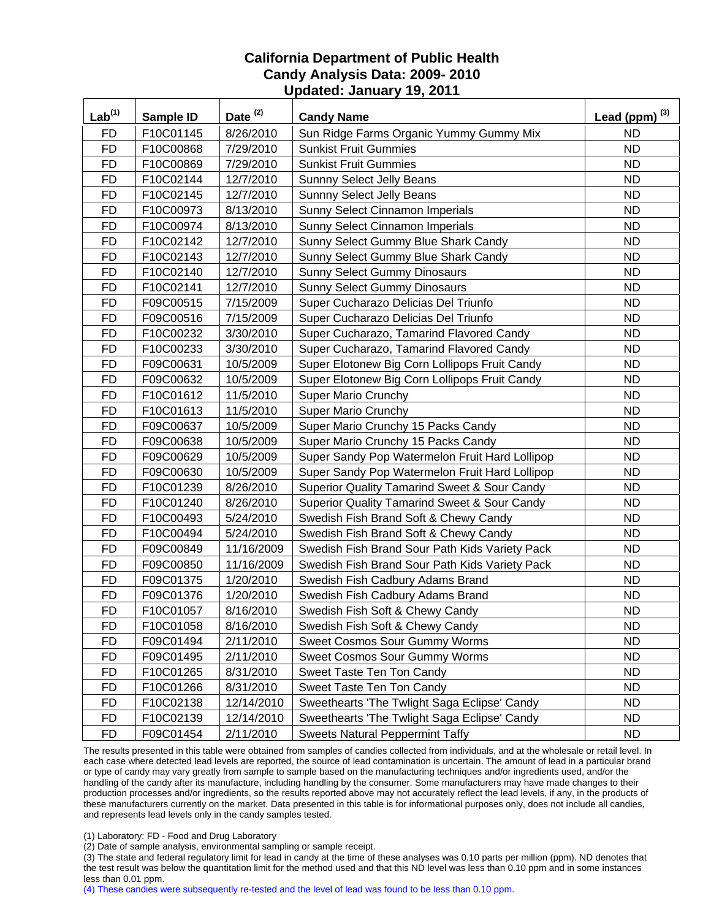| Lab <sup>(1)</sup> | Sample ID | Date <sup>(2)</sup> | <b>Candy Name</b>                                       | Lead (ppm) $^{(3)}$ |
|--------------------|-----------|---------------------|---------------------------------------------------------|---------------------|
| <b>FD</b>          | F10C01145 | 8/26/2010           | Sun Ridge Farms Organic Yummy Gummy Mix                 | <b>ND</b>           |
| <b>FD</b>          | F10C00868 | 7/29/2010           | <b>Sunkist Fruit Gummies</b>                            | <b>ND</b>           |
| <b>FD</b>          | F10C00869 | 7/29/2010           | <b>Sunkist Fruit Gummies</b>                            | <b>ND</b>           |
| <b>FD</b>          | F10C02144 | 12/7/2010           | <b>Sunnny Select Jelly Beans</b>                        | <b>ND</b>           |
| <b>FD</b>          | F10C02145 | 12/7/2010           | Sunnny Select Jelly Beans                               | <b>ND</b>           |
| <b>FD</b>          | F10C00973 | 8/13/2010           | Sunny Select Cinnamon Imperials                         | <b>ND</b>           |
| <b>FD</b>          | F10C00974 | 8/13/2010           | Sunny Select Cinnamon Imperials                         | <b>ND</b>           |
| <b>FD</b>          | F10C02142 | 12/7/2010           | Sunny Select Gummy Blue Shark Candy                     | <b>ND</b>           |
| <b>FD</b>          | F10C02143 | 12/7/2010           | Sunny Select Gummy Blue Shark Candy                     | <b>ND</b>           |
| <b>FD</b>          | F10C02140 | 12/7/2010           | <b>Sunny Select Gummy Dinosaurs</b>                     | <b>ND</b>           |
| <b>FD</b>          | F10C02141 | 12/7/2010           | <b>Sunny Select Gummy Dinosaurs</b>                     | <b>ND</b>           |
| <b>FD</b>          | F09C00515 | 7/15/2009           | Super Cucharazo Delicias Del Triunfo                    | <b>ND</b>           |
| <b>FD</b>          | F09C00516 | 7/15/2009           | Super Cucharazo Delicias Del Triunfo                    | <b>ND</b>           |
| <b>FD</b>          | F10C00232 | 3/30/2010           | Super Cucharazo, Tamarind Flavored Candy                | <b>ND</b>           |
| <b>FD</b>          | F10C00233 | 3/30/2010           | Super Cucharazo, Tamarind Flavored Candy                | <b>ND</b>           |
| <b>FD</b>          | F09C00631 | 10/5/2009           | Super Elotonew Big Corn Lollipops Fruit Candy           | <b>ND</b>           |
| FD                 | F09C00632 | 10/5/2009           | Super Elotonew Big Corn Lollipops Fruit Candy           | <b>ND</b>           |
| <b>FD</b>          | F10C01612 | 11/5/2010           | <b>Super Mario Crunchy</b>                              | <b>ND</b>           |
| <b>FD</b>          | F10C01613 | 11/5/2010           | <b>Super Mario Crunchy</b>                              | <b>ND</b>           |
| <b>FD</b>          | F09C00637 | 10/5/2009           | Super Mario Crunchy 15 Packs Candy                      | <b>ND</b>           |
| <b>FD</b>          | F09C00638 | 10/5/2009           | Super Mario Crunchy 15 Packs Candy                      | <b>ND</b>           |
| <b>FD</b>          | F09C00629 | 10/5/2009           | Super Sandy Pop Watermelon Fruit Hard Lollipop          | <b>ND</b>           |
| <b>FD</b>          | F09C00630 | 10/5/2009           | Super Sandy Pop Watermelon Fruit Hard Lollipop          | <b>ND</b>           |
| <b>FD</b>          | F10C01239 | 8/26/2010           | <b>Superior Quality Tamarind Sweet &amp; Sour Candy</b> | <b>ND</b>           |
| <b>FD</b>          | F10C01240 | 8/26/2010           | <b>Superior Quality Tamarind Sweet &amp; Sour Candy</b> | <b>ND</b>           |
| <b>FD</b>          | F10C00493 | 5/24/2010           | Swedish Fish Brand Soft & Chewy Candy                   | <b>ND</b>           |
| <b>FD</b>          | F10C00494 | 5/24/2010           | Swedish Fish Brand Soft & Chewy Candy                   | <b>ND</b>           |
| <b>FD</b>          | F09C00849 | 11/16/2009          | Swedish Fish Brand Sour Path Kids Variety Pack          | <b>ND</b>           |
| <b>FD</b>          | F09C00850 | 11/16/2009          | Swedish Fish Brand Sour Path Kids Variety Pack          | <b>ND</b>           |
| <b>FD</b>          | F09C01375 | 1/20/2010           | Swedish Fish Cadbury Adams Brand                        | <b>ND</b>           |
| <b>FD</b>          | F09C01376 | 1/20/2010           | Swedish Fish Cadbury Adams Brand                        | <b>ND</b>           |
| <b>FD</b>          | F10C01057 | 8/16/2010           | Swedish Fish Soft & Chewy Candy                         | <b>ND</b>           |
| <b>FD</b>          | F10C01058 | 8/16/2010           | Swedish Fish Soft & Chewy Candy                         | <b>ND</b>           |
| <b>FD</b>          | F09C01494 | 2/11/2010           | <b>Sweet Cosmos Sour Gummy Worms</b>                    | <b>ND</b>           |
| <b>FD</b>          | F09C01495 | 2/11/2010           | <b>Sweet Cosmos Sour Gummy Worms</b>                    | <b>ND</b>           |
| <b>FD</b>          | F10C01265 | 8/31/2010           | Sweet Taste Ten Ton Candy                               | ND.                 |
| <b>FD</b>          | F10C01266 | 8/31/2010           | Sweet Taste Ten Ton Candy                               | <b>ND</b>           |
| <b>FD</b>          | F10C02138 | 12/14/2010          | Sweethearts 'The Twlight Saga Eclipse' Candy            | <b>ND</b>           |
| <b>FD</b>          | F10C02139 | 12/14/2010          | Sweethearts 'The Twlight Saga Eclipse' Candy            | <b>ND</b>           |
| <b>FD</b>          | F09C01454 | 2/11/2010           | <b>Sweets Natural Peppermint Taffy</b>                  | ND.                 |

The results presented in this table were obtained from samples of candies collected from individuals, and at the wholesale or retail level. In each case where detected lead levels are reported, the source of lead contamination is uncertain. The amount of lead in a particular brand or type of candy may vary greatly from sample to sample based on the manufacturing techniques and/or ingredients used, and/or the handling of the candy after its manufacture, including handling by the consumer. Some manufacturers may have made changes to their production processes and/or ingredients, so the results reported above may not accurately reflect the lead levels, if any, in the products of these manufacturers currently on the market. Data presented in this table is for informational purposes only, does not include all candies, and represents lead levels only in the candy samples tested.

(1) Laboratory: FD - Food and Drug Laboratory

(2) Date of sample analysis, environmental sampling or sample receipt.

(3) The state and federal regulatory limit for lead in candy at the time of these analyses was 0.10 parts per million (ppm). ND denotes that the test result was below the quantitation limit for the method used and that this ND level was less than 0.10 ppm and in some instances less than 0.01 ppm.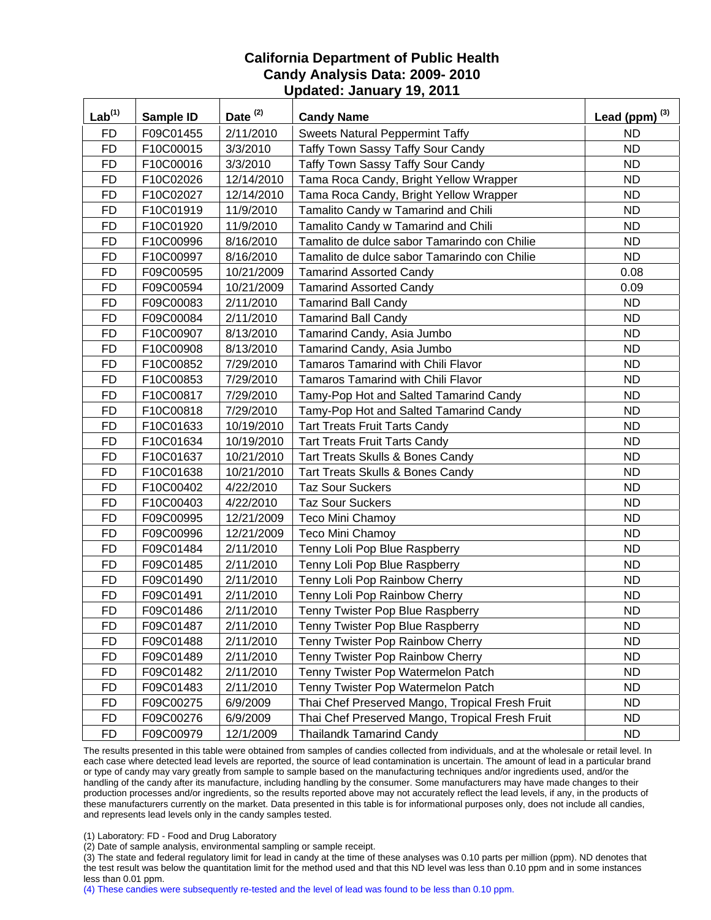| Lab <sup>(1)</sup> | Sample ID | Date <sup>(2)</sup> | <b>Candy Name</b>                               | Lead (ppm) $^{(3)}$ |
|--------------------|-----------|---------------------|-------------------------------------------------|---------------------|
| <b>FD</b>          | F09C01455 | 2/11/2010           | <b>Sweets Natural Peppermint Taffy</b>          | <b>ND</b>           |
| <b>FD</b>          | F10C00015 | 3/3/2010            | Taffy Town Sassy Taffy Sour Candy               | <b>ND</b>           |
| <b>FD</b>          | F10C00016 | 3/3/2010            | <b>Taffy Town Sassy Taffy Sour Candy</b>        | <b>ND</b>           |
| <b>FD</b>          | F10C02026 | 12/14/2010          | Tama Roca Candy, Bright Yellow Wrapper          | <b>ND</b>           |
| <b>FD</b>          | F10C02027 | 12/14/2010          | Tama Roca Candy, Bright Yellow Wrapper          | <b>ND</b>           |
| <b>FD</b>          | F10C01919 | 11/9/2010           | Tamalito Candy w Tamarind and Chili             | <b>ND</b>           |
| <b>FD</b>          | F10C01920 | 11/9/2010           | Tamalito Candy w Tamarind and Chili             | <b>ND</b>           |
| <b>FD</b>          | F10C00996 | 8/16/2010           | Tamalito de dulce sabor Tamarindo con Chilie    | <b>ND</b>           |
| <b>FD</b>          | F10C00997 | 8/16/2010           | Tamalito de dulce sabor Tamarindo con Chilie    | <b>ND</b>           |
| <b>FD</b>          | F09C00595 | 10/21/2009          | <b>Tamarind Assorted Candy</b>                  | 0.08                |
| <b>FD</b>          | F09C00594 | 10/21/2009          | <b>Tamarind Assorted Candy</b>                  | 0.09                |
| <b>FD</b>          | F09C00083 | 2/11/2010           | <b>Tamarind Ball Candy</b>                      | <b>ND</b>           |
| <b>FD</b>          | F09C00084 | 2/11/2010           | <b>Tamarind Ball Candy</b>                      | <b>ND</b>           |
| <b>FD</b>          | F10C00907 | 8/13/2010           | Tamarind Candy, Asia Jumbo                      | <b>ND</b>           |
| <b>FD</b>          | F10C00908 | 8/13/2010           | Tamarind Candy, Asia Jumbo                      | <b>ND</b>           |
| <b>FD</b>          | F10C00852 | 7/29/2010           | <b>Tamaros Tamarind with Chili Flavor</b>       | <b>ND</b>           |
| <b>FD</b>          | F10C00853 | 7/29/2010           | Tamaros Tamarind with Chili Flavor              | <b>ND</b>           |
| <b>FD</b>          | F10C00817 | 7/29/2010           | Tamy-Pop Hot and Salted Tamarind Candy          | <b>ND</b>           |
| <b>FD</b>          | F10C00818 | 7/29/2010           | Tamy-Pop Hot and Salted Tamarind Candy          | <b>ND</b>           |
| <b>FD</b>          | F10C01633 | 10/19/2010          | <b>Tart Treats Fruit Tarts Candy</b>            | <b>ND</b>           |
| <b>FD</b>          | F10C01634 | 10/19/2010          | <b>Tart Treats Fruit Tarts Candy</b>            | <b>ND</b>           |
| <b>FD</b>          | F10C01637 | 10/21/2010          | Tart Treats Skulls & Bones Candy                | <b>ND</b>           |
| <b>FD</b>          | F10C01638 | 10/21/2010          | Tart Treats Skulls & Bones Candy                | <b>ND</b>           |
| <b>FD</b>          | F10C00402 | 4/22/2010           | <b>Taz Sour Suckers</b>                         | <b>ND</b>           |
| <b>FD</b>          | F10C00403 | 4/22/2010           | <b>Taz Sour Suckers</b>                         | <b>ND</b>           |
| <b>FD</b>          | F09C00995 | 12/21/2009          | Teco Mini Chamoy                                | <b>ND</b>           |
| <b>FD</b>          | F09C00996 | 12/21/2009          | <b>Teco Mini Chamoy</b>                         | <b>ND</b>           |
| <b>FD</b>          | F09C01484 | 2/11/2010           | Tenny Loli Pop Blue Raspberry                   | <b>ND</b>           |
| <b>FD</b>          | F09C01485 | 2/11/2010           | Tenny Loli Pop Blue Raspberry                   | <b>ND</b>           |
| <b>FD</b>          | F09C01490 | 2/11/2010           | Tenny Loli Pop Rainbow Cherry                   | <b>ND</b>           |
| <b>FD</b>          | F09C01491 | 2/11/2010           | Tenny Loli Pop Rainbow Cherry                   | <b>ND</b>           |
| <b>FD</b>          | F09C01486 | 2/11/2010           | Tenny Twister Pop Blue Raspberry                | <b>ND</b>           |
| <b>FD</b>          | F09C01487 | 2/11/2010           | Tenny Twister Pop Blue Raspberry                | <b>ND</b>           |
| <b>FD</b>          | F09C01488 | 2/11/2010           | Tenny Twister Pop Rainbow Cherry                | <b>ND</b>           |
| <b>FD</b>          | F09C01489 | 2/11/2010           | Tenny Twister Pop Rainbow Cherry                | <b>ND</b>           |
| <b>FD</b>          | F09C01482 | 2/11/2010           | Tenny Twister Pop Watermelon Patch              | <b>ND</b>           |
| <b>FD</b>          | F09C01483 | 2/11/2010           | Tenny Twister Pop Watermelon Patch              | <b>ND</b>           |
| <b>FD</b>          | F09C00275 | 6/9/2009            | Thai Chef Preserved Mango, Tropical Fresh Fruit | <b>ND</b>           |
| <b>FD</b>          | F09C00276 | 6/9/2009            | Thai Chef Preserved Mango, Tropical Fresh Fruit | <b>ND</b>           |
| <b>FD</b>          | F09C00979 | 12/1/2009           | <b>Thailandk Tamarind Candy</b>                 | ND.                 |

The results presented in this table were obtained from samples of candies collected from individuals, and at the wholesale or retail level. In each case where detected lead levels are reported, the source of lead contamination is uncertain. The amount of lead in a particular brand or type of candy may vary greatly from sample to sample based on the manufacturing techniques and/or ingredients used, and/or the handling of the candy after its manufacture, including handling by the consumer. Some manufacturers may have made changes to their production processes and/or ingredients, so the results reported above may not accurately reflect the lead levels, if any, in the products of these manufacturers currently on the market. Data presented in this table is for informational purposes only, does not include all candies, and represents lead levels only in the candy samples tested.

(1) Laboratory: FD - Food and Drug Laboratory

(2) Date of sample analysis, environmental sampling or sample receipt.

(3) The state and federal regulatory limit for lead in candy at the time of these analyses was 0.10 parts per million (ppm). ND denotes that the test result was below the quantitation limit for the method used and that this ND level was less than 0.10 ppm and in some instances less than 0.01 ppm.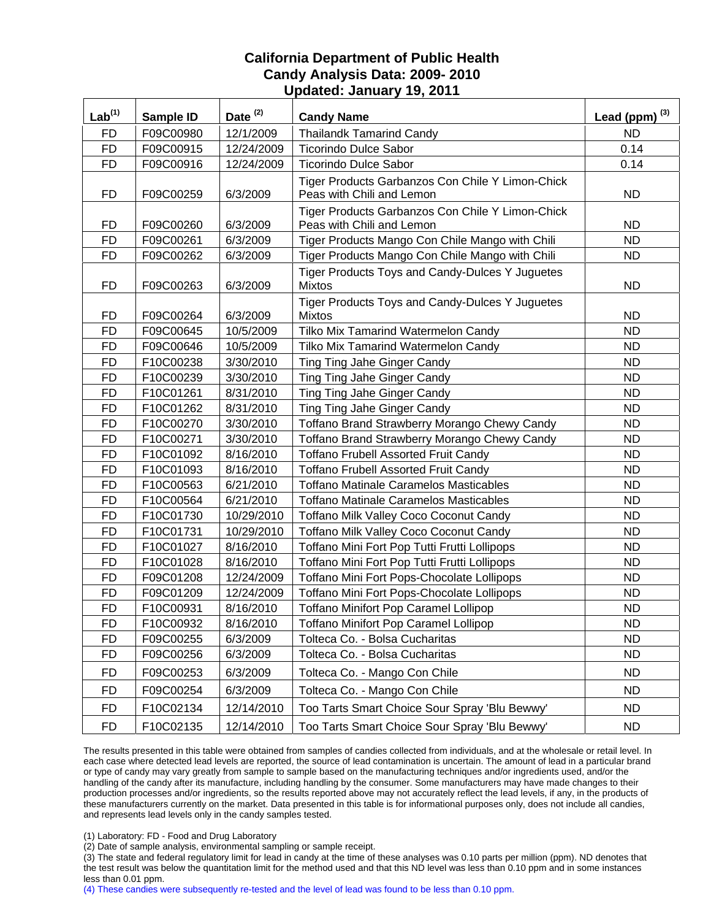| Lab <sup>(1)</sup> | Sample ID | Date <sup>(2)</sup> | <b>Candy Name</b>                                                             | Lead (ppm) $^{(3)}$ |
|--------------------|-----------|---------------------|-------------------------------------------------------------------------------|---------------------|
| <b>FD</b>          | F09C00980 | 12/1/2009           | <b>Thailandk Tamarind Candy</b>                                               | <b>ND</b>           |
| <b>FD</b>          | F09C00915 | 12/24/2009          | <b>Ticorindo Dulce Sabor</b>                                                  | 0.14                |
| <b>FD</b>          | F09C00916 | 12/24/2009          | <b>Ticorindo Dulce Sabor</b>                                                  | 0.14                |
| FD                 | F09C00259 | 6/3/2009            | Tiger Products Garbanzos Con Chile Y Limon-Chick<br>Peas with Chili and Lemon | ND.                 |
| FD                 | F09C00260 | 6/3/2009            | Tiger Products Garbanzos Con Chile Y Limon-Chick<br>Peas with Chili and Lemon | ND.                 |
| <b>FD</b>          | F09C00261 | 6/3/2009            | Tiger Products Mango Con Chile Mango with Chili                               | ND.                 |
| <b>FD</b>          | F09C00262 | 6/3/2009            | Tiger Products Mango Con Chile Mango with Chili                               | <b>ND</b>           |
| <b>FD</b>          | F09C00263 | 6/3/2009            | Tiger Products Toys and Candy-Dulces Y Juguetes<br><b>Mixtos</b>              | <b>ND</b>           |
| FD                 | F09C00264 | 6/3/2009            | Tiger Products Toys and Candy-Dulces Y Juguetes<br><b>Mixtos</b>              | ND.                 |
| <b>FD</b>          | F09C00645 | 10/5/2009           | Tilko Mix Tamarind Watermelon Candy                                           | <b>ND</b>           |
| <b>FD</b>          | F09C00646 | 10/5/2009           | <b>Tilko Mix Tamarind Watermelon Candy</b>                                    | ND.                 |
| <b>FD</b>          | F10C00238 | 3/30/2010           | Ting Ting Jahe Ginger Candy                                                   | <b>ND</b>           |
| <b>FD</b>          | F10C00239 | 3/30/2010           | Ting Ting Jahe Ginger Candy                                                   | <b>ND</b>           |
| <b>FD</b>          | F10C01261 | 8/31/2010           | Ting Ting Jahe Ginger Candy                                                   | <b>ND</b>           |
| <b>FD</b>          | F10C01262 | 8/31/2010           | Ting Ting Jahe Ginger Candy                                                   | <b>ND</b>           |
| <b>FD</b>          | F10C00270 | 3/30/2010           | Toffano Brand Strawberry Morango Chewy Candy                                  | ND.                 |
| <b>FD</b>          | F10C00271 | 3/30/2010           | Toffano Brand Strawberry Morango Chewy Candy                                  | <b>ND</b>           |
| <b>FD</b>          | F10C01092 | 8/16/2010           | <b>Toffano Frubell Assorted Fruit Candy</b>                                   | ND.                 |
| <b>FD</b>          | F10C01093 | 8/16/2010           | <b>Toffano Frubell Assorted Fruit Candy</b>                                   | <b>ND</b>           |
| <b>FD</b>          | F10C00563 | 6/21/2010           | <b>Toffano Matinale Caramelos Masticables</b>                                 | <b>ND</b>           |
| <b>FD</b>          | F10C00564 | 6/21/2010           | <b>Toffano Matinale Caramelos Masticables</b>                                 | <b>ND</b>           |
| <b>FD</b>          | F10C01730 | 10/29/2010          | Toffano Milk Valley Coco Coconut Candy                                        | <b>ND</b>           |
| <b>FD</b>          | F10C01731 | 10/29/2010          | Toffano Milk Valley Coco Coconut Candy                                        | <b>ND</b>           |
| <b>FD</b>          | F10C01027 | 8/16/2010           | Toffano Mini Fort Pop Tutti Frutti Lollipops                                  | <b>ND</b>           |
| <b>FD</b>          | F10C01028 | 8/16/2010           | Toffano Mini Fort Pop Tutti Frutti Lollipops                                  | <b>ND</b>           |
| <b>FD</b>          | F09C01208 | 12/24/2009          | Toffano Mini Fort Pops-Chocolate Lollipops                                    | <b>ND</b>           |
| <b>FD</b>          | F09C01209 | 12/24/2009          | Toffano Mini Fort Pops-Chocolate Lollipops                                    | <b>ND</b>           |
| <b>FD</b>          | F10C00931 | 8/16/2010           | <b>Toffano Minifort Pop Caramel Lollipop</b>                                  | <b>ND</b>           |
| <b>FD</b>          | F10C00932 | 8/16/2010           | <b>Toffano Minifort Pop Caramel Lollipop</b>                                  | <b>ND</b>           |
| FD                 | F09C00255 | 6/3/2009            | Tolteca Co. - Bolsa Cucharitas                                                | ND.                 |
| <b>FD</b>          | F09C00256 | 6/3/2009            | Tolteca Co. - Bolsa Cucharitas                                                | <b>ND</b>           |
| <b>FD</b>          | F09C00253 | 6/3/2009            | Tolteca Co. - Mango Con Chile                                                 | <b>ND</b>           |
| <b>FD</b>          | F09C00254 | 6/3/2009            | Tolteca Co. - Mango Con Chile                                                 | <b>ND</b>           |
| <b>FD</b>          | F10C02134 | 12/14/2010          | Too Tarts Smart Choice Sour Spray 'Blu Bewwy'                                 | ND.                 |
| <b>FD</b>          | F10C02135 | 12/14/2010          | Too Tarts Smart Choice Sour Spray 'Blu Bewwy'                                 | ND.                 |

The results presented in this table were obtained from samples of candies collected from individuals, and at the wholesale or retail level. In each case where detected lead levels are reported, the source of lead contamination is uncertain. The amount of lead in a particular brand or type of candy may vary greatly from sample to sample based on the manufacturing techniques and/or ingredients used, and/or the handling of the candy after its manufacture, including handling by the consumer. Some manufacturers may have made changes to their production processes and/or ingredients, so the results reported above may not accurately reflect the lead levels, if any, in the products of these manufacturers currently on the market. Data presented in this table is for informational purposes only, does not include all candies, and represents lead levels only in the candy samples tested.

(1) Laboratory: FD - Food and Drug Laboratory

(2) Date of sample analysis, environmental sampling or sample receipt.

(3) The state and federal regulatory limit for lead in candy at the time of these analyses was 0.10 parts per million (ppm). ND denotes that the test result was below the quantitation limit for the method used and that this ND level was less than 0.10 ppm and in some instances less than 0.01 ppm.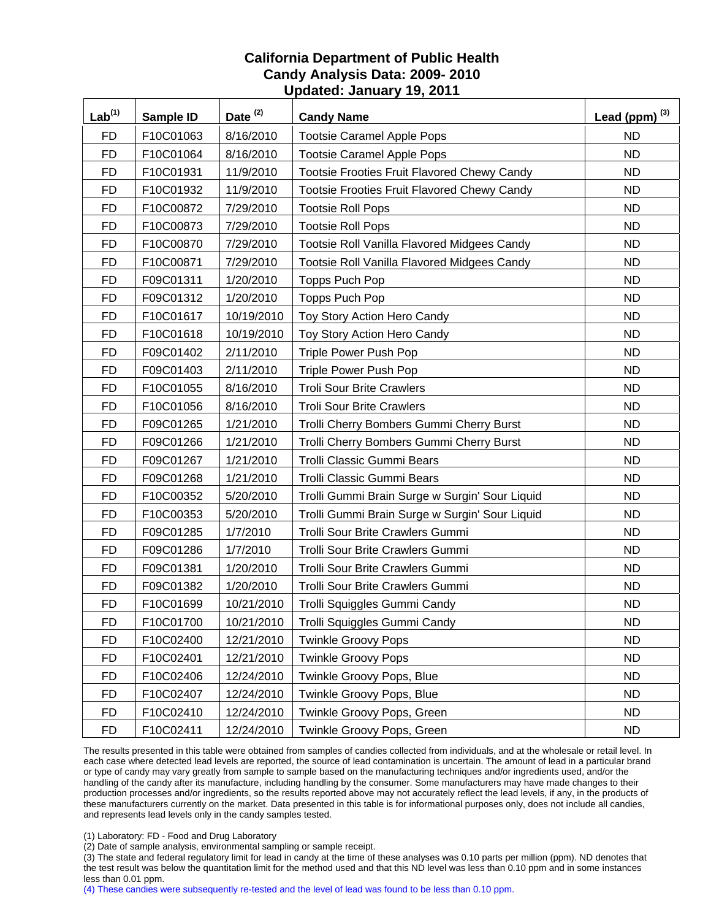| $Lab^{(1)}$ | Sample ID | Date <sup>(2)</sup> | <b>Candy Name</b>                              | Lead (ppm) $^{(3)}$ |
|-------------|-----------|---------------------|------------------------------------------------|---------------------|
| <b>FD</b>   | F10C01063 | 8/16/2010           | <b>Tootsie Caramel Apple Pops</b>              | ND                  |
| <b>FD</b>   | F10C01064 | 8/16/2010           | <b>Tootsie Caramel Apple Pops</b>              | <b>ND</b>           |
| <b>FD</b>   | F10C01931 | 11/9/2010           | Tootsie Frooties Fruit Flavored Chewy Candy    | <b>ND</b>           |
| <b>FD</b>   | F10C01932 | 11/9/2010           | Tootsie Frooties Fruit Flavored Chewy Candy    | <b>ND</b>           |
| <b>FD</b>   | F10C00872 | 7/29/2010           | <b>Tootsie Roll Pops</b>                       | <b>ND</b>           |
| <b>FD</b>   | F10C00873 | 7/29/2010           | <b>Tootsie Roll Pops</b>                       | <b>ND</b>           |
| <b>FD</b>   | F10C00870 | 7/29/2010           | Tootsie Roll Vanilla Flavored Midgees Candy    | <b>ND</b>           |
| <b>FD</b>   | F10C00871 | 7/29/2010           | Tootsie Roll Vanilla Flavored Midgees Candy    | <b>ND</b>           |
| <b>FD</b>   | F09C01311 | 1/20/2010           | Topps Puch Pop                                 | <b>ND</b>           |
| <b>FD</b>   | F09C01312 | 1/20/2010           | Topps Puch Pop                                 | <b>ND</b>           |
| <b>FD</b>   | F10C01617 | 10/19/2010          | Toy Story Action Hero Candy                    | <b>ND</b>           |
| <b>FD</b>   | F10C01618 | 10/19/2010          | Toy Story Action Hero Candy                    | <b>ND</b>           |
| <b>FD</b>   | F09C01402 | 2/11/2010           | <b>Triple Power Push Pop</b>                   | <b>ND</b>           |
| <b>FD</b>   | F09C01403 | 2/11/2010           | Triple Power Push Pop                          | <b>ND</b>           |
| <b>FD</b>   | F10C01055 | 8/16/2010           | <b>Troli Sour Brite Crawlers</b>               | <b>ND</b>           |
| <b>FD</b>   | F10C01056 | 8/16/2010           | <b>Troli Sour Brite Crawlers</b>               | <b>ND</b>           |
| <b>FD</b>   | F09C01265 | 1/21/2010           | Trolli Cherry Bombers Gummi Cherry Burst       | <b>ND</b>           |
| <b>FD</b>   | F09C01266 | 1/21/2010           | Trolli Cherry Bombers Gummi Cherry Burst       | <b>ND</b>           |
| <b>FD</b>   | F09C01267 | 1/21/2010           | Trolli Classic Gummi Bears                     | <b>ND</b>           |
| <b>FD</b>   | F09C01268 | 1/21/2010           | Trolli Classic Gummi Bears                     | <b>ND</b>           |
| <b>FD</b>   | F10C00352 | 5/20/2010           | Trolli Gummi Brain Surge w Surgin' Sour Liquid | <b>ND</b>           |
| <b>FD</b>   | F10C00353 | 5/20/2010           | Trolli Gummi Brain Surge w Surgin' Sour Liquid | <b>ND</b>           |
| <b>FD</b>   | F09C01285 | 1/7/2010            | Trolli Sour Brite Crawlers Gummi               | <b>ND</b>           |
| <b>FD</b>   | F09C01286 | 1/7/2010            | Trolli Sour Brite Crawlers Gummi               | <b>ND</b>           |
| <b>FD</b>   | F09C01381 | 1/20/2010           | Trolli Sour Brite Crawlers Gummi               | <b>ND</b>           |
| <b>FD</b>   | F09C01382 | 1/20/2010           | Trolli Sour Brite Crawlers Gummi               | <b>ND</b>           |
| <b>FD</b>   | F10C01699 | 10/21/2010          | Trolli Squiggles Gummi Candy                   | <b>ND</b>           |
| <b>FD</b>   | F10C01700 | 10/21/2010          | Trolli Squiggles Gummi Candy                   | ND                  |
| <b>FD</b>   | F10C02400 | 12/21/2010          | <b>Twinkle Groovy Pops</b>                     | <b>ND</b>           |
| <b>FD</b>   | F10C02401 | 12/21/2010          | <b>Twinkle Groovy Pops</b>                     | <b>ND</b>           |
| <b>FD</b>   | F10C02406 | 12/24/2010          | Twinkle Groovy Pops, Blue                      | <b>ND</b>           |
| <b>FD</b>   | F10C02407 | 12/24/2010          | Twinkle Groovy Pops, Blue                      | <b>ND</b>           |
| <b>FD</b>   | F10C02410 | 12/24/2010          | Twinkle Groovy Pops, Green                     | <b>ND</b>           |
| <b>FD</b>   | F10C02411 | 12/24/2010          | Twinkle Groovy Pops, Green                     | <b>ND</b>           |

The results presented in this table were obtained from samples of candies collected from individuals, and at the wholesale or retail level. In each case where detected lead levels are reported, the source of lead contamination is uncertain. The amount of lead in a particular brand or type of candy may vary greatly from sample to sample based on the manufacturing techniques and/or ingredients used, and/or the handling of the candy after its manufacture, including handling by the consumer. Some manufacturers may have made changes to their production processes and/or ingredients, so the results reported above may not accurately reflect the lead levels, if any, in the products of these manufacturers currently on the market. Data presented in this table is for informational purposes only, does not include all candies, and represents lead levels only in the candy samples tested.

(1) Laboratory: FD - Food and Drug Laboratory

(2) Date of sample analysis, environmental sampling or sample receipt.

(3) The state and federal regulatory limit for lead in candy at the time of these analyses was 0.10 parts per million (ppm). ND denotes that the test result was below the quantitation limit for the method used and that this ND level was less than 0.10 ppm and in some instances less than 0.01 ppm.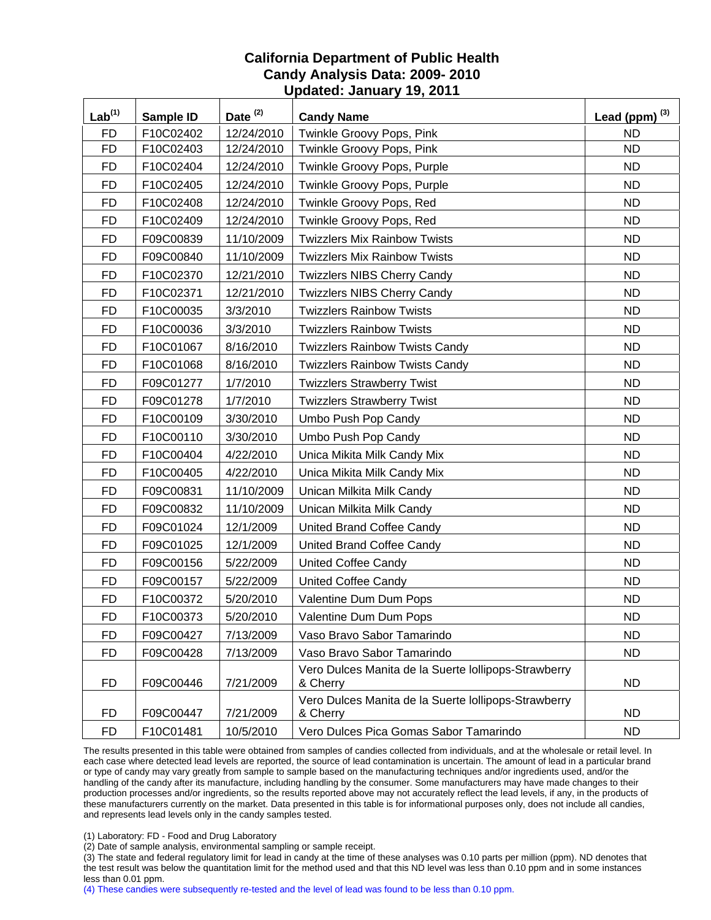| Lab <sup>(1)</sup> | Sample ID | Date <sup>(2)</sup> | <b>Candy Name</b>                                                | Lead (ppm) $^{(3)}$ |
|--------------------|-----------|---------------------|------------------------------------------------------------------|---------------------|
| <b>FD</b>          | F10C02402 | 12/24/2010          | Twinkle Groovy Pops, Pink                                        | <b>ND</b>           |
| <b>FD</b>          | F10C02403 | 12/24/2010          | Twinkle Groovy Pops, Pink                                        | <b>ND</b>           |
| FD                 | F10C02404 | 12/24/2010          | Twinkle Groovy Pops, Purple                                      | <b>ND</b>           |
| <b>FD</b>          | F10C02405 | 12/24/2010          | Twinkle Groovy Pops, Purple                                      | <b>ND</b>           |
| <b>FD</b>          | F10C02408 | 12/24/2010          | Twinkle Groovy Pops, Red                                         | <b>ND</b>           |
| <b>FD</b>          | F10C02409 | 12/24/2010          | Twinkle Groovy Pops, Red                                         | <b>ND</b>           |
| <b>FD</b>          | F09C00839 | 11/10/2009          | <b>Twizzlers Mix Rainbow Twists</b>                              | <b>ND</b>           |
| FD                 | F09C00840 | 11/10/2009          | <b>Twizzlers Mix Rainbow Twists</b>                              | ND                  |
| <b>FD</b>          | F10C02370 | 12/21/2010          | <b>Twizzlers NIBS Cherry Candy</b>                               | <b>ND</b>           |
| <b>FD</b>          | F10C02371 | 12/21/2010          | <b>Twizzlers NIBS Cherry Candy</b>                               | <b>ND</b>           |
| <b>FD</b>          | F10C00035 | 3/3/2010            | <b>Twizzlers Rainbow Twists</b>                                  | <b>ND</b>           |
| <b>FD</b>          | F10C00036 | 3/3/2010            | <b>Twizzlers Rainbow Twists</b>                                  | <b>ND</b>           |
| <b>FD</b>          | F10C01067 | 8/16/2010           | <b>Twizzlers Rainbow Twists Candy</b>                            | ND                  |
| <b>FD</b>          | F10C01068 | 8/16/2010           | <b>Twizzlers Rainbow Twists Candy</b>                            | <b>ND</b>           |
| FD                 | F09C01277 | 1/7/2010            | <b>Twizzlers Strawberry Twist</b>                                | <b>ND</b>           |
| <b>FD</b>          | F09C01278 | 1/7/2010            | <b>Twizzlers Strawberry Twist</b>                                | <b>ND</b>           |
| <b>FD</b>          | F10C00109 | 3/30/2010           | Umbo Push Pop Candy                                              | <b>ND</b>           |
| <b>FD</b>          | F10C00110 | 3/30/2010           | Umbo Push Pop Candy                                              | <b>ND</b>           |
| <b>FD</b>          | F10C00404 | 4/22/2010           | Unica Mikita Milk Candy Mix                                      | <b>ND</b>           |
| FD                 | F10C00405 | 4/22/2010           | Unica Mikita Milk Candy Mix                                      | ND.                 |
| <b>FD</b>          | F09C00831 | 11/10/2009          | Unican Milkita Milk Candy                                        | <b>ND</b>           |
| <b>FD</b>          | F09C00832 | 11/10/2009          | Unican Milkita Milk Candy                                        | <b>ND</b>           |
| <b>FD</b>          | F09C01024 | 12/1/2009           | United Brand Coffee Candy                                        | <b>ND</b>           |
| <b>FD</b>          | F09C01025 | 12/1/2009           | United Brand Coffee Candy                                        | <b>ND</b>           |
| <b>FD</b>          | F09C00156 | 5/22/2009           | United Coffee Candy                                              | ND.                 |
| <b>FD</b>          | F09C00157 | 5/22/2009           | United Coffee Candy                                              | <b>ND</b>           |
| FD                 | F10C00372 | 5/20/2010           | Valentine Dum Dum Pops                                           | <b>ND</b>           |
| <b>FD</b>          | F10C00373 | 5/20/2010           | Valentine Dum Dum Pops                                           | <b>ND</b>           |
| <b>FD</b>          | F09C00427 | 7/13/2009           | Vaso Bravo Sabor Tamarindo                                       | <b>ND</b>           |
| <b>FD</b>          | F09C00428 | 7/13/2009           | Vaso Bravo Sabor Tamarindo                                       | <b>ND</b>           |
| <b>FD</b>          | F09C00446 | 7/21/2009           | Vero Dulces Manita de la Suerte lollipops-Strawberry<br>& Cherry | <b>ND</b>           |
| <b>FD</b>          | F09C00447 | 7/21/2009           | Vero Dulces Manita de la Suerte lollipops-Strawberry<br>& Cherry | <b>ND</b>           |
| <b>FD</b>          | F10C01481 | 10/5/2010           | Vero Dulces Pica Gomas Sabor Tamarindo                           | <b>ND</b>           |

The results presented in this table were obtained from samples of candies collected from individuals, and at the wholesale or retail level. In each case where detected lead levels are reported, the source of lead contamination is uncertain. The amount of lead in a particular brand or type of candy may vary greatly from sample to sample based on the manufacturing techniques and/or ingredients used, and/or the handling of the candy after its manufacture, including handling by the consumer. Some manufacturers may have made changes to their production processes and/or ingredients, so the results reported above may not accurately reflect the lead levels, if any, in the products of these manufacturers currently on the market. Data presented in this table is for informational purposes only, does not include all candies, and represents lead levels only in the candy samples tested.

(1) Laboratory: FD - Food and Drug Laboratory

(2) Date of sample analysis, environmental sampling or sample receipt.

(3) The state and federal regulatory limit for lead in candy at the time of these analyses was 0.10 parts per million (ppm). ND denotes that the test result was below the quantitation limit for the method used and that this ND level was less than 0.10 ppm and in some instances less than 0.01 ppm.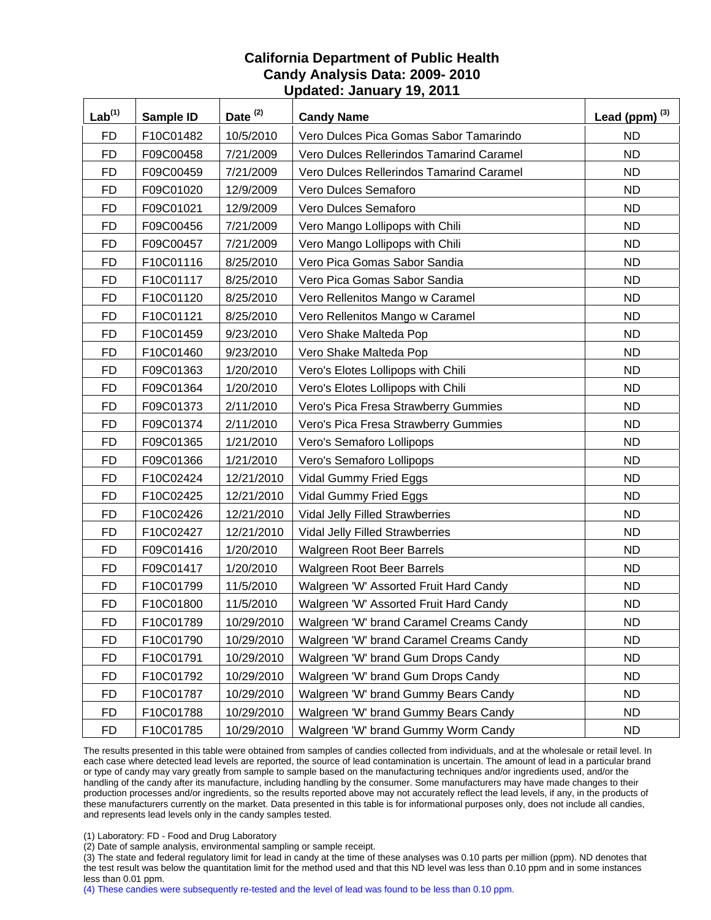| Lab <sup>(1)</sup> | Sample ID | Date <sup>(2)</sup> | <b>Candy Name</b>                        | Lead (ppm) $^{(3)}$ |
|--------------------|-----------|---------------------|------------------------------------------|---------------------|
| <b>FD</b>          | F10C01482 | 10/5/2010           | Vero Dulces Pica Gomas Sabor Tamarindo   | ND.                 |
| <b>FD</b>          | F09C00458 | 7/21/2009           | Vero Dulces Rellerindos Tamarind Caramel | <b>ND</b>           |
| <b>FD</b>          | F09C00459 | 7/21/2009           | Vero Dulces Rellerindos Tamarind Caramel | <b>ND</b>           |
| <b>FD</b>          | F09C01020 | 12/9/2009           | Vero Dulces Semaforo                     | <b>ND</b>           |
| <b>FD</b>          | F09C01021 | 12/9/2009           | Vero Dulces Semaforo                     | <b>ND</b>           |
| <b>FD</b>          | F09C00456 | 7/21/2009           | Vero Mango Lollipops with Chili          | <b>ND</b>           |
| <b>FD</b>          | F09C00457 | 7/21/2009           | Vero Mango Lollipops with Chili          | <b>ND</b>           |
| <b>FD</b>          | F10C01116 | 8/25/2010           | Vero Pica Gomas Sabor Sandia             | <b>ND</b>           |
| <b>FD</b>          | F10C01117 | 8/25/2010           | Vero Pica Gomas Sabor Sandia             | <b>ND</b>           |
| <b>FD</b>          | F10C01120 | 8/25/2010           | Vero Rellenitos Mango w Caramel          | <b>ND</b>           |
| <b>FD</b>          | F10C01121 | 8/25/2010           | Vero Rellenitos Mango w Caramel          | <b>ND</b>           |
| <b>FD</b>          | F10C01459 | 9/23/2010           | Vero Shake Malteda Pop                   | <b>ND</b>           |
| <b>FD</b>          | F10C01460 | 9/23/2010           | Vero Shake Malteda Pop                   | <b>ND</b>           |
| <b>FD</b>          | F09C01363 | 1/20/2010           | Vero's Elotes Lollipops with Chili       | <b>ND</b>           |
| <b>FD</b>          | F09C01364 | 1/20/2010           | Vero's Elotes Lollipops with Chili       | <b>ND</b>           |
| <b>FD</b>          | F09C01373 | 2/11/2010           | Vero's Pica Fresa Strawberry Gummies     | <b>ND</b>           |
| <b>FD</b>          | F09C01374 | 2/11/2010           | Vero's Pica Fresa Strawberry Gummies     | <b>ND</b>           |
| <b>FD</b>          | F09C01365 | 1/21/2010           | Vero's Semaforo Lollipops                | <b>ND</b>           |
| <b>FD</b>          | F09C01366 | 1/21/2010           | Vero's Semaforo Lollipops                | <b>ND</b>           |
| <b>FD</b>          | F10C02424 | 12/21/2010          | Vidal Gummy Fried Eggs                   | <b>ND</b>           |
| <b>FD</b>          | F10C02425 | 12/21/2010          | Vidal Gummy Fried Eggs                   | <b>ND</b>           |
| <b>FD</b>          | F10C02426 | 12/21/2010          | Vidal Jelly Filled Strawberries          | <b>ND</b>           |
| <b>FD</b>          | F10C02427 | 12/21/2010          | Vidal Jelly Filled Strawberries          | <b>ND</b>           |
| <b>FD</b>          | F09C01416 | 1/20/2010           | <b>Walgreen Root Beer Barrels</b>        | <b>ND</b>           |
| <b>FD</b>          | F09C01417 | 1/20/2010           | Walgreen Root Beer Barrels               | <b>ND</b>           |
| <b>FD</b>          | F10C01799 | 11/5/2010           | Walgreen 'W' Assorted Fruit Hard Candy   | <b>ND</b>           |
| <b>FD</b>          | F10C01800 | 11/5/2010           | Walgreen 'W' Assorted Fruit Hard Candy   | <b>ND</b>           |
| FD                 | F10C01789 | 10/29/2010          | Walgreen 'W' brand Caramel Creams Candy  | ND                  |
| FD                 | F10C01790 | 10/29/2010          | Walgreen 'W' brand Caramel Creams Candy  | <b>ND</b>           |
| <b>FD</b>          | F10C01791 | 10/29/2010          | Walgreen 'W' brand Gum Drops Candy       | <b>ND</b>           |
| <b>FD</b>          | F10C01792 | 10/29/2010          | Walgreen 'W' brand Gum Drops Candy       | <b>ND</b>           |
| <b>FD</b>          | F10C01787 | 10/29/2010          | Walgreen 'W' brand Gummy Bears Candy     | <b>ND</b>           |
| <b>FD</b>          | F10C01788 | 10/29/2010          | Walgreen 'W' brand Gummy Bears Candy     | <b>ND</b>           |
| <b>FD</b>          | F10C01785 | 10/29/2010          | Walgreen 'W' brand Gummy Worm Candy      | ND.                 |

The results presented in this table were obtained from samples of candies collected from individuals, and at the wholesale or retail level. In each case where detected lead levels are reported, the source of lead contamination is uncertain. The amount of lead in a particular brand or type of candy may vary greatly from sample to sample based on the manufacturing techniques and/or ingredients used, and/or the handling of the candy after its manufacture, including handling by the consumer. Some manufacturers may have made changes to their production processes and/or ingredients, so the results reported above may not accurately reflect the lead levels, if any, in the products of these manufacturers currently on the market. Data presented in this table is for informational purposes only, does not include all candies, and represents lead levels only in the candy samples tested.

(1) Laboratory: FD - Food and Drug Laboratory

(2) Date of sample analysis, environmental sampling or sample receipt.

(3) The state and federal regulatory limit for lead in candy at the time of these analyses was 0.10 parts per million (ppm). ND denotes that the test result was below the quantitation limit for the method used and that this ND level was less than 0.10 ppm and in some instances less than 0.01 ppm.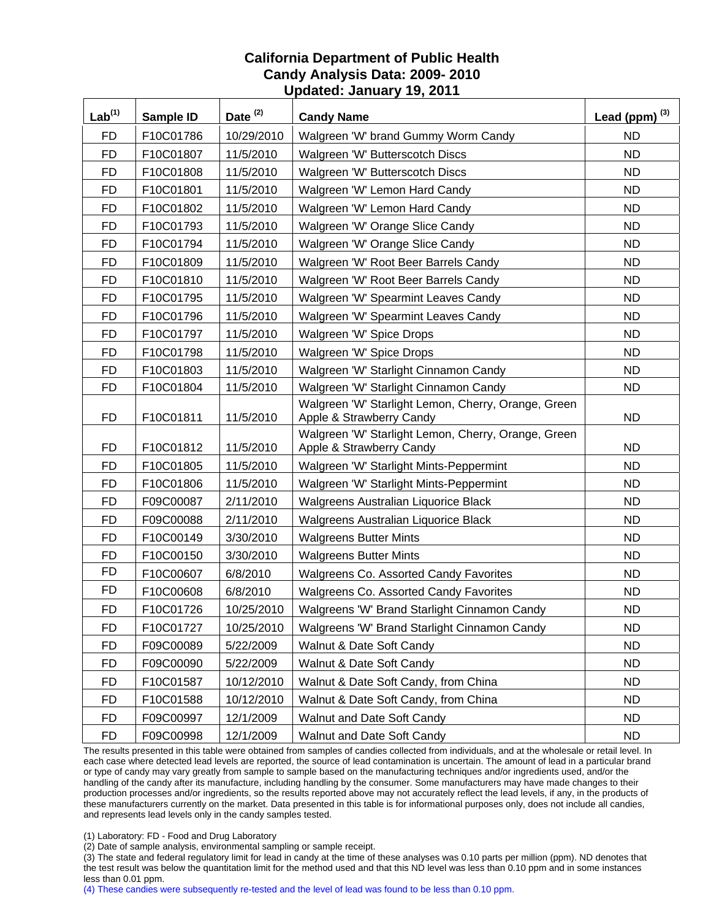| Lab <sup>(1)</sup> | Sample ID | Date <sup>(2)</sup> | <b>Candy Name</b>                                                               | Lead (ppm) $^{(3)}$ |
|--------------------|-----------|---------------------|---------------------------------------------------------------------------------|---------------------|
| <b>FD</b>          | F10C01786 | 10/29/2010          | Walgreen 'W' brand Gummy Worm Candy                                             | <b>ND</b>           |
| <b>FD</b>          | F10C01807 | 11/5/2010           | Walgreen 'W' Butterscotch Discs                                                 | <b>ND</b>           |
| <b>FD</b>          | F10C01808 | 11/5/2010           | Walgreen 'W' Butterscotch Discs                                                 | ND.                 |
| <b>FD</b>          | F10C01801 | 11/5/2010           | Walgreen 'W' Lemon Hard Candy                                                   | <b>ND</b>           |
| <b>FD</b>          | F10C01802 | 11/5/2010           | Walgreen 'W' Lemon Hard Candy                                                   | <b>ND</b>           |
| <b>FD</b>          | F10C01793 | 11/5/2010           | Walgreen 'W' Orange Slice Candy                                                 | <b>ND</b>           |
| <b>FD</b>          | F10C01794 | 11/5/2010           | Walgreen 'W' Orange Slice Candy                                                 | <b>ND</b>           |
| <b>FD</b>          | F10C01809 | 11/5/2010           | Walgreen 'W' Root Beer Barrels Candy                                            | <b>ND</b>           |
| <b>FD</b>          | F10C01810 | 11/5/2010           | Walgreen 'W' Root Beer Barrels Candy                                            | <b>ND</b>           |
| <b>FD</b>          | F10C01795 | 11/5/2010           | Walgreen 'W' Spearmint Leaves Candy                                             | <b>ND</b>           |
| <b>FD</b>          | F10C01796 | 11/5/2010           | Walgreen 'W' Spearmint Leaves Candy                                             | <b>ND</b>           |
| <b>FD</b>          | F10C01797 | 11/5/2010           | Walgreen 'W' Spice Drops                                                        | <b>ND</b>           |
| <b>FD</b>          | F10C01798 | 11/5/2010           | Walgreen 'W' Spice Drops                                                        | <b>ND</b>           |
| <b>FD</b>          | F10C01803 | 11/5/2010           | Walgreen 'W' Starlight Cinnamon Candy                                           | <b>ND</b>           |
| <b>FD</b>          | F10C01804 | 11/5/2010           | Walgreen 'W' Starlight Cinnamon Candy                                           | <b>ND</b>           |
| FD                 | F10C01811 | 11/5/2010           | Walgreen 'W' Starlight Lemon, Cherry, Orange, Green<br>Apple & Strawberry Candy | <b>ND</b>           |
| <b>FD</b>          | F10C01812 | 11/5/2010           | Walgreen 'W' Starlight Lemon, Cherry, Orange, Green<br>Apple & Strawberry Candy | <b>ND</b>           |
| <b>FD</b>          | F10C01805 | 11/5/2010           | Walgreen 'W' Starlight Mints-Peppermint                                         | <b>ND</b>           |
| <b>FD</b>          | F10C01806 | 11/5/2010           | Walgreen 'W' Starlight Mints-Peppermint                                         | <b>ND</b>           |
| <b>FD</b>          | F09C00087 | 2/11/2010           | Walgreens Australian Liquorice Black                                            | <b>ND</b>           |
| <b>FD</b>          | F09C00088 | 2/11/2010           | Walgreens Australian Liquorice Black                                            | <b>ND</b>           |
| <b>FD</b>          | F10C00149 | 3/30/2010           | <b>Walgreens Butter Mints</b>                                                   | <b>ND</b>           |
| <b>FD</b>          | F10C00150 | 3/30/2010           | <b>Walgreens Butter Mints</b>                                                   | ND.                 |
| <b>FD</b>          | F10C00607 | 6/8/2010            | <b>Walgreens Co. Assorted Candy Favorites</b>                                   | <b>ND</b>           |
| <b>FD</b>          | F10C00608 | 6/8/2010            | Walgreens Co. Assorted Candy Favorites                                          | <b>ND</b>           |
| <b>FD</b>          | F10C01726 | 10/25/2010          | Walgreens 'W' Brand Starlight Cinnamon Candy                                    | <b>ND</b>           |
| <b>FD</b>          | F10C01727 | 10/25/2010          | Walgreens 'W' Brand Starlight Cinnamon Candy                                    | <b>ND</b>           |
| <b>FD</b>          | F09C00089 | 5/22/2009           | Walnut & Date Soft Candy                                                        | <b>ND</b>           |
| <b>FD</b>          | F09C00090 | 5/22/2009           | Walnut & Date Soft Candy                                                        | <b>ND</b>           |
| FD                 | F10C01587 | 10/12/2010          | Walnut & Date Soft Candy, from China                                            | <b>ND</b>           |
| <b>FD</b>          | F10C01588 | 10/12/2010          | Walnut & Date Soft Candy, from China                                            | <b>ND</b>           |
| <b>FD</b>          | F09C00997 | 12/1/2009           | Walnut and Date Soft Candy                                                      | ND.                 |
| FD                 | F09C00998 | 12/1/2009           | Walnut and Date Soft Candy                                                      | ND.                 |

The results presented in this table were obtained from samples of candies collected from individuals, and at the wholesale or retail level. In each case where detected lead levels are reported, the source of lead contamination is uncertain. The amount of lead in a particular brand or type of candy may vary greatly from sample to sample based on the manufacturing techniques and/or ingredients used, and/or the handling of the candy after its manufacture, including handling by the consumer. Some manufacturers may have made changes to their production processes and/or ingredients, so the results reported above may not accurately reflect the lead levels, if any, in the products of these manufacturers currently on the market. Data presented in this table is for informational purposes only, does not include all candies, and represents lead levels only in the candy samples tested.

(1) Laboratory: FD - Food and Drug Laboratory

(2) Date of sample analysis, environmental sampling or sample receipt.

(3) The state and federal regulatory limit for lead in candy at the time of these analyses was 0.10 parts per million (ppm). ND denotes that the test result was below the quantitation limit for the method used and that this ND level was less than 0.10 ppm and in some instances less than 0.01 ppm.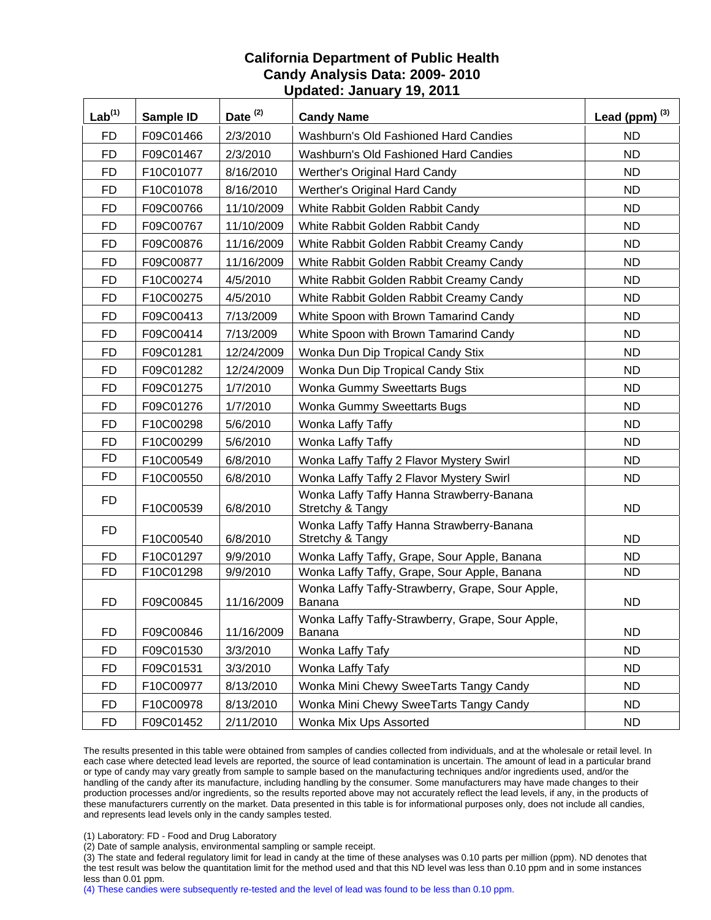| Lab <sup>(1)</sup> | Sample ID | Date $(2)$ | <b>Candy Name</b>                                                 | Lead (ppm) $^{(3)}$ |
|--------------------|-----------|------------|-------------------------------------------------------------------|---------------------|
| <b>FD</b>          | F09C01466 | 2/3/2010   | Washburn's Old Fashioned Hard Candies                             | <b>ND</b>           |
| <b>FD</b>          | F09C01467 | 2/3/2010   | Washburn's Old Fashioned Hard Candies                             | <b>ND</b>           |
| <b>FD</b>          | F10C01077 | 8/16/2010  | Werther's Original Hard Candy                                     | ND                  |
| <b>FD</b>          | F10C01078 | 8/16/2010  | Werther's Original Hard Candy                                     | <b>ND</b>           |
| <b>FD</b>          | F09C00766 | 11/10/2009 | White Rabbit Golden Rabbit Candy                                  | <b>ND</b>           |
| <b>FD</b>          | F09C00767 | 11/10/2009 | White Rabbit Golden Rabbit Candy                                  | <b>ND</b>           |
| <b>FD</b>          | F09C00876 | 11/16/2009 | White Rabbit Golden Rabbit Creamy Candy                           | <b>ND</b>           |
| <b>FD</b>          | F09C00877 | 11/16/2009 | White Rabbit Golden Rabbit Creamy Candy                           | <b>ND</b>           |
| <b>FD</b>          | F10C00274 | 4/5/2010   | White Rabbit Golden Rabbit Creamy Candy                           | <b>ND</b>           |
| <b>FD</b>          | F10C00275 | 4/5/2010   | White Rabbit Golden Rabbit Creamy Candy                           | <b>ND</b>           |
| <b>FD</b>          | F09C00413 | 7/13/2009  | White Spoon with Brown Tamarind Candy                             | <b>ND</b>           |
| <b>FD</b>          | F09C00414 | 7/13/2009  | White Spoon with Brown Tamarind Candy                             | <b>ND</b>           |
| <b>FD</b>          | F09C01281 | 12/24/2009 | Wonka Dun Dip Tropical Candy Stix                                 | <b>ND</b>           |
| <b>FD</b>          | F09C01282 | 12/24/2009 | Wonka Dun Dip Tropical Candy Stix                                 | <b>ND</b>           |
| <b>FD</b>          | F09C01275 | 1/7/2010   | Wonka Gummy Sweettarts Bugs                                       | <b>ND</b>           |
| <b>FD</b>          | F09C01276 | 1/7/2010   | Wonka Gummy Sweettarts Bugs                                       | <b>ND</b>           |
| <b>FD</b>          | F10C00298 | 5/6/2010   | Wonka Laffy Taffy                                                 | <b>ND</b>           |
| <b>FD</b>          | F10C00299 | 5/6/2010   | Wonka Laffy Taffy                                                 | <b>ND</b>           |
| <b>FD</b>          | F10C00549 | 6/8/2010   | Wonka Laffy Taffy 2 Flavor Mystery Swirl                          | <b>ND</b>           |
| <b>FD</b>          | F10C00550 | 6/8/2010   | Wonka Laffy Taffy 2 Flavor Mystery Swirl                          | <b>ND</b>           |
| <b>FD</b>          | F10C00539 | 6/8/2010   | Wonka Laffy Taffy Hanna Strawberry-Banana<br>Stretchy & Tangy     | <b>ND</b>           |
| <b>FD</b>          | F10C00540 | 6/8/2010   | Wonka Laffy Taffy Hanna Strawberry-Banana<br>Stretchy & Tangy     | <b>ND</b>           |
| FD                 | F10C01297 | 9/9/2010   | Wonka Laffy Taffy, Grape, Sour Apple, Banana                      | <b>ND</b>           |
| <b>FD</b>          | F10C01298 | 9/9/2010   | Wonka Laffy Taffy, Grape, Sour Apple, Banana                      | <b>ND</b>           |
| <b>FD</b>          | F09C00845 | 11/16/2009 | Wonka Laffy Taffy-Strawberry, Grape, Sour Apple,<br><b>Banana</b> | <b>ND</b>           |
| <b>FD</b>          | F09C00846 | 11/16/2009 | Wonka Laffy Taffy-Strawberry, Grape, Sour Apple,<br>Banana        | <b>ND</b>           |
| <b>FD</b>          | F09C01530 | 3/3/2010   | Wonka Laffy Tafy                                                  | <b>ND</b>           |
| <b>FD</b>          | F09C01531 | 3/3/2010   | Wonka Laffy Tafy                                                  | <b>ND</b>           |
| <b>FD</b>          | F10C00977 | 8/13/2010  | Wonka Mini Chewy SweeTarts Tangy Candy                            | <b>ND</b>           |
| <b>FD</b>          | F10C00978 | 8/13/2010  | Wonka Mini Chewy SweeTarts Tangy Candy                            | <b>ND</b>           |
| <b>FD</b>          | F09C01452 | 2/11/2010  | Wonka Mix Ups Assorted                                            | ND.                 |

The results presented in this table were obtained from samples of candies collected from individuals, and at the wholesale or retail level. In each case where detected lead levels are reported, the source of lead contamination is uncertain. The amount of lead in a particular brand or type of candy may vary greatly from sample to sample based on the manufacturing techniques and/or ingredients used, and/or the handling of the candy after its manufacture, including handling by the consumer. Some manufacturers may have made changes to their production processes and/or ingredients, so the results reported above may not accurately reflect the lead levels, if any, in the products of these manufacturers currently on the market. Data presented in this table is for informational purposes only, does not include all candies, and represents lead levels only in the candy samples tested.

(1) Laboratory: FD - Food and Drug Laboratory

(2) Date of sample analysis, environmental sampling or sample receipt.

(3) The state and federal regulatory limit for lead in candy at the time of these analyses was 0.10 parts per million (ppm). ND denotes that the test result was below the quantitation limit for the method used and that this ND level was less than 0.10 ppm and in some instances less than 0.01 ppm.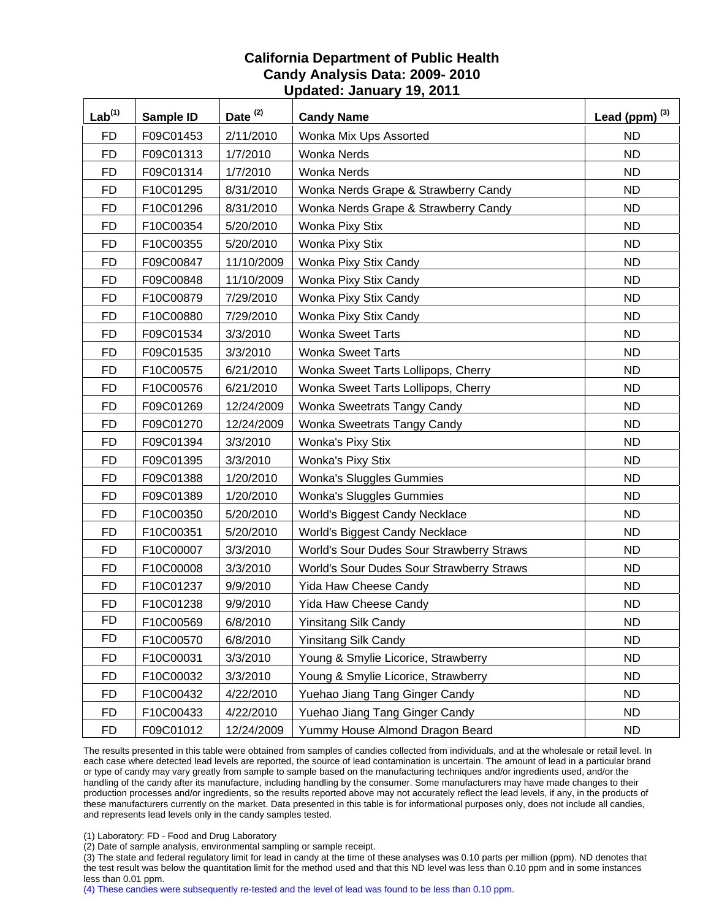| Lab <sup>(1)</sup> | Sample ID | Date $(2)$ | <b>Candy Name</b>                         | Lead (ppm) $^{(3)}$ |
|--------------------|-----------|------------|-------------------------------------------|---------------------|
| <b>FD</b>          | F09C01453 | 2/11/2010  | Wonka Mix Ups Assorted                    | <b>ND</b>           |
| <b>FD</b>          | F09C01313 | 1/7/2010   | <b>Wonka Nerds</b>                        | <b>ND</b>           |
| <b>FD</b>          | F09C01314 | 1/7/2010   | Wonka Nerds                               | <b>ND</b>           |
| <b>FD</b>          | F10C01295 | 8/31/2010  | Wonka Nerds Grape & Strawberry Candy      | <b>ND</b>           |
| FD                 | F10C01296 | 8/31/2010  | Wonka Nerds Grape & Strawberry Candy      | <b>ND</b>           |
| <b>FD</b>          | F10C00354 | 5/20/2010  | Wonka Pixy Stix                           | <b>ND</b>           |
| <b>FD</b>          | F10C00355 | 5/20/2010  | Wonka Pixy Stix                           | <b>ND</b>           |
| <b>FD</b>          | F09C00847 | 11/10/2009 | Wonka Pixy Stix Candy                     | <b>ND</b>           |
| <b>FD</b>          | F09C00848 | 11/10/2009 | Wonka Pixy Stix Candy                     | <b>ND</b>           |
| <b>FD</b>          | F10C00879 | 7/29/2010  | Wonka Pixy Stix Candy                     | <b>ND</b>           |
| <b>FD</b>          | F10C00880 | 7/29/2010  | Wonka Pixy Stix Candy                     | <b>ND</b>           |
| <b>FD</b>          | F09C01534 | 3/3/2010   | <b>Wonka Sweet Tarts</b>                  | <b>ND</b>           |
| <b>FD</b>          | F09C01535 | 3/3/2010   | <b>Wonka Sweet Tarts</b>                  | <b>ND</b>           |
| <b>FD</b>          | F10C00575 | 6/21/2010  | Wonka Sweet Tarts Lollipops, Cherry       | <b>ND</b>           |
| <b>FD</b>          | F10C00576 | 6/21/2010  | Wonka Sweet Tarts Lollipops, Cherry       | <b>ND</b>           |
| <b>FD</b>          | F09C01269 | 12/24/2009 | Wonka Sweetrats Tangy Candy               | <b>ND</b>           |
| <b>FD</b>          | F09C01270 | 12/24/2009 | Wonka Sweetrats Tangy Candy               | <b>ND</b>           |
| <b>FD</b>          | F09C01394 | 3/3/2010   | <b>Wonka's Pixy Stix</b>                  | <b>ND</b>           |
| <b>FD</b>          | F09C01395 | 3/3/2010   | <b>Wonka's Pixy Stix</b>                  | <b>ND</b>           |
| <b>FD</b>          | F09C01388 | 1/20/2010  | <b>Wonka's Sluggles Gummies</b>           | <b>ND</b>           |
| <b>FD</b>          | F09C01389 | 1/20/2010  | <b>Wonka's Sluggles Gummies</b>           | <b>ND</b>           |
| <b>FD</b>          | F10C00350 | 5/20/2010  | World's Biggest Candy Necklace            | <b>ND</b>           |
| <b>FD</b>          | F10C00351 | 5/20/2010  | World's Biggest Candy Necklace            | <b>ND</b>           |
| <b>FD</b>          | F10C00007 | 3/3/2010   | World's Sour Dudes Sour Strawberry Straws | <b>ND</b>           |
| <b>FD</b>          | F10C00008 | 3/3/2010   | World's Sour Dudes Sour Strawberry Straws | <b>ND</b>           |
| <b>FD</b>          | F10C01237 | 9/9/2010   | Yida Haw Cheese Candy                     | <b>ND</b>           |
| <b>FD</b>          | F10C01238 | 9/9/2010   | Yida Haw Cheese Candy                     | <b>ND</b>           |
| <b>FD</b>          | F10C00569 | 6/8/2010   | Yinsitang Silk Candy                      | ND                  |
| <b>FD</b>          | F10C00570 | 6/8/2010   | <b>Yinsitang Silk Candy</b>               | ND.                 |
| <b>FD</b>          | F10C00031 | 3/3/2010   | Young & Smylie Licorice, Strawberry       | <b>ND</b>           |
| <b>FD</b>          | F10C00032 | 3/3/2010   | Young & Smylie Licorice, Strawberry       | <b>ND</b>           |
| FD                 | F10C00432 | 4/22/2010  | Yuehao Jiang Tang Ginger Candy            | <b>ND</b>           |
| <b>FD</b>          | F10C00433 | 4/22/2010  | Yuehao Jiang Tang Ginger Candy            | <b>ND</b>           |
| <b>FD</b>          | F09C01012 | 12/24/2009 | Yummy House Almond Dragon Beard           | <b>ND</b>           |

The results presented in this table were obtained from samples of candies collected from individuals, and at the wholesale or retail level. In each case where detected lead levels are reported, the source of lead contamination is uncertain. The amount of lead in a particular brand or type of candy may vary greatly from sample to sample based on the manufacturing techniques and/or ingredients used, and/or the handling of the candy after its manufacture, including handling by the consumer. Some manufacturers may have made changes to their production processes and/or ingredients, so the results reported above may not accurately reflect the lead levels, if any, in the products of these manufacturers currently on the market. Data presented in this table is for informational purposes only, does not include all candies, and represents lead levels only in the candy samples tested.

(1) Laboratory: FD - Food and Drug Laboratory

(2) Date of sample analysis, environmental sampling or sample receipt.

(3) The state and federal regulatory limit for lead in candy at the time of these analyses was 0.10 parts per million (ppm). ND denotes that the test result was below the quantitation limit for the method used and that this ND level was less than 0.10 ppm and in some instances less than 0.01 ppm.